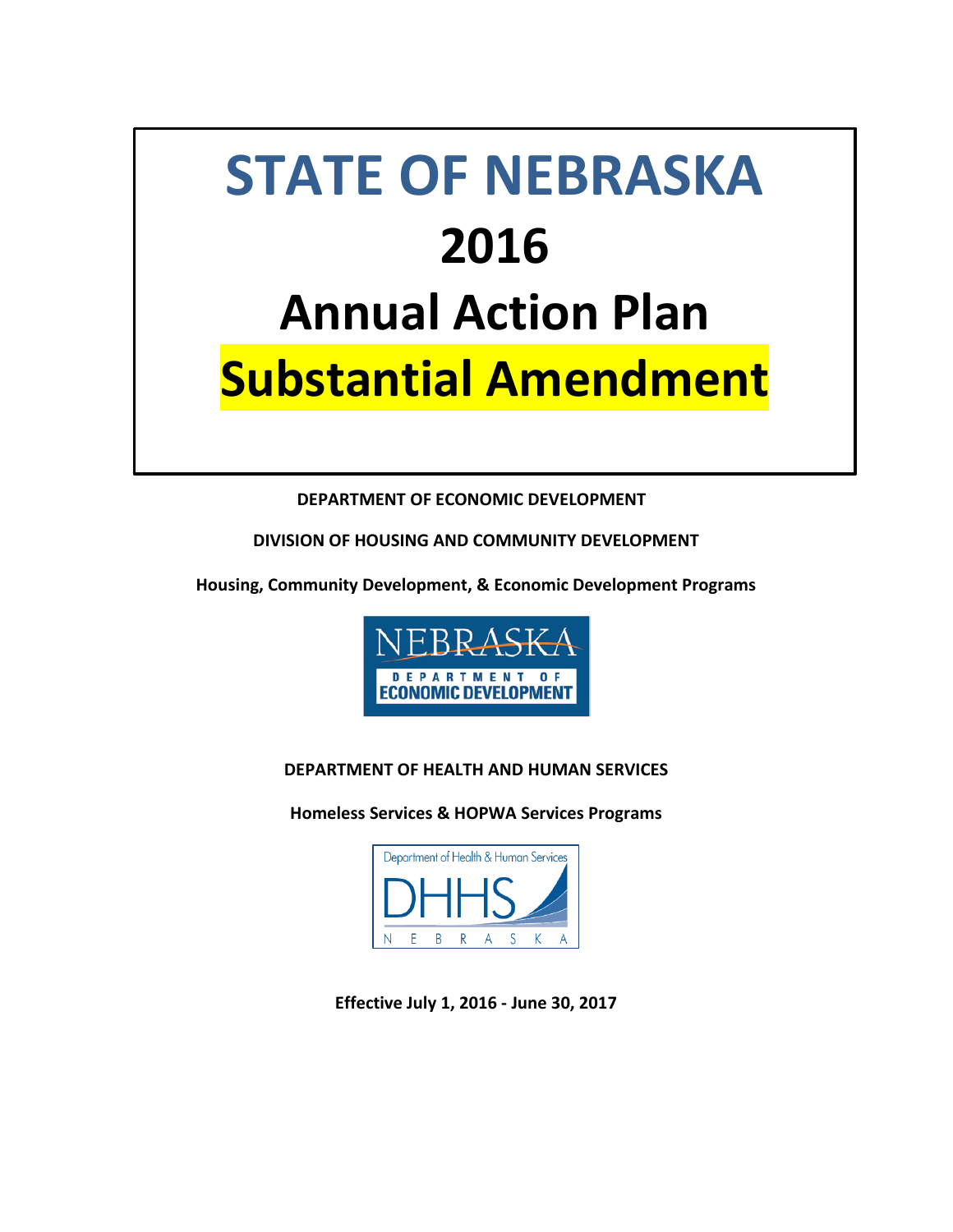# **STATE OF NEBRASKA 2016 Annual Action Plan Substantial Amendment**

# **DEPARTMENT OF ECONOMIC DEVELOPMENT**

**DIVISION OF HOUSING AND COMMUNITY DEVELOPMENT**

**Housing, Community Development, & Economic Development Programs**



# **DEPARTMENT OF HEALTH AND HUMAN SERVICES**

**Homeless Services & HOPWA Services Programs**



**Effective July 1, 2016 - June 30, 2017**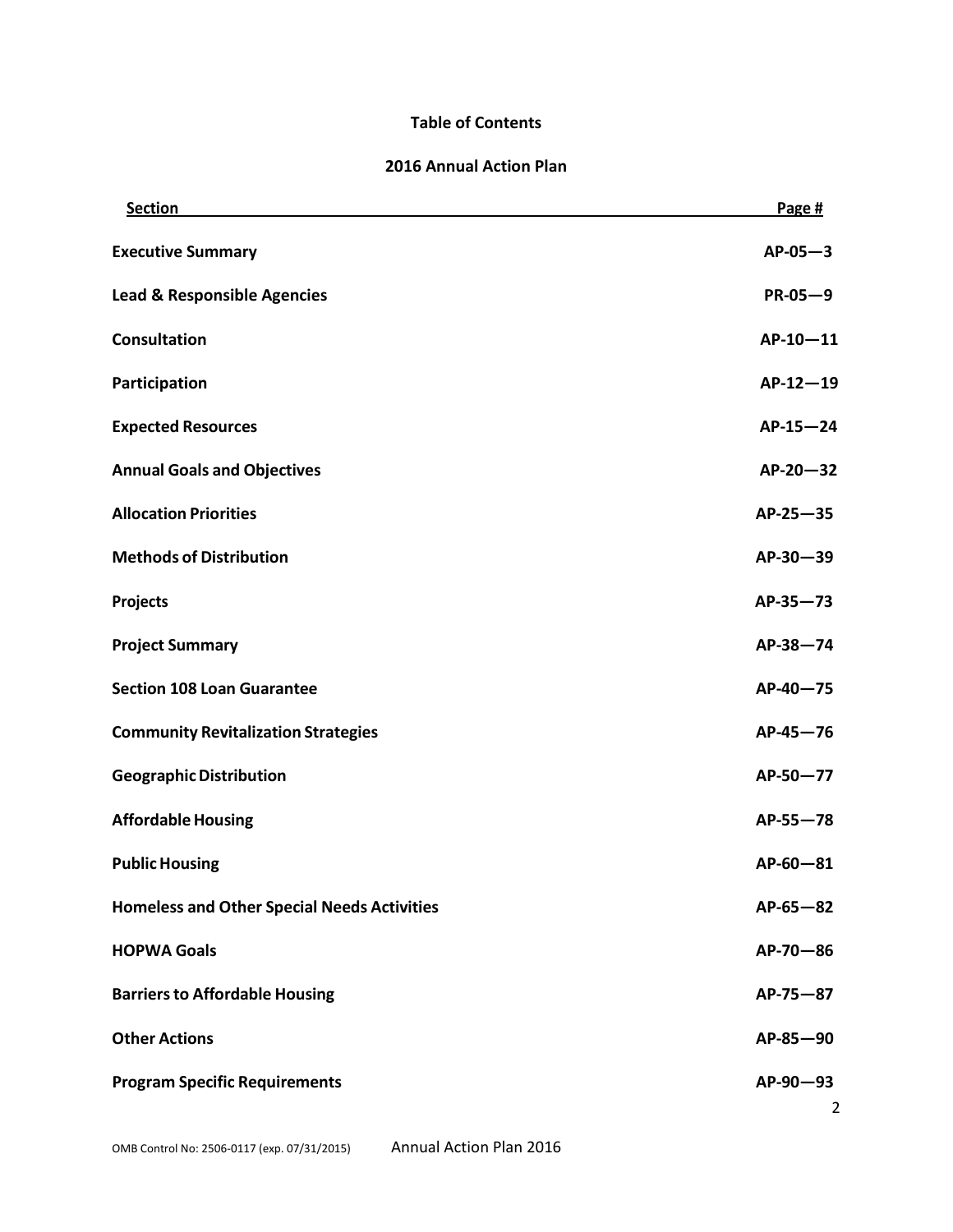# **Table of Contents**

#### **2016 Annual Action Plan**

| <b>Section</b>                                     | Page #         |
|----------------------------------------------------|----------------|
| <b>Executive Summary</b>                           | $AP-05-3$      |
| <b>Lead &amp; Responsible Agencies</b>             | $PR-05-9$      |
| <b>Consultation</b>                                | $AP-10-11$     |
| Participation                                      | $AP-12-19$     |
| <b>Expected Resources</b>                          | $AP-15-24$     |
| <b>Annual Goals and Objectives</b>                 | $AP-20-32$     |
| <b>Allocation Priorities</b>                       | $AP-25-35$     |
| <b>Methods of Distribution</b>                     | AP-30-39       |
| Projects                                           | $AP-35-73$     |
| <b>Project Summary</b>                             | $AP-38-74$     |
| <b>Section 108 Loan Guarantee</b>                  | AP-40-75       |
| <b>Community Revitalization Strategies</b>         | $AP-45-76$     |
| <b>Geographic Distribution</b>                     | AP-50-77       |
| <b>Affordable Housing</b>                          | $AP-55 - 78$   |
| <b>Public Housing</b>                              | AP-60-81       |
| <b>Homeless and Other Special Needs Activities</b> | $AP-65-82$     |
| <b>HOPWA Goals</b>                                 | AP-70-86       |
| <b>Barriers to Affordable Housing</b>              | AP-75-87       |
| <b>Other Actions</b>                               | AP-85-90       |
| <b>Program Specific Requirements</b>               | AP-90-93       |
|                                                    | $\overline{2}$ |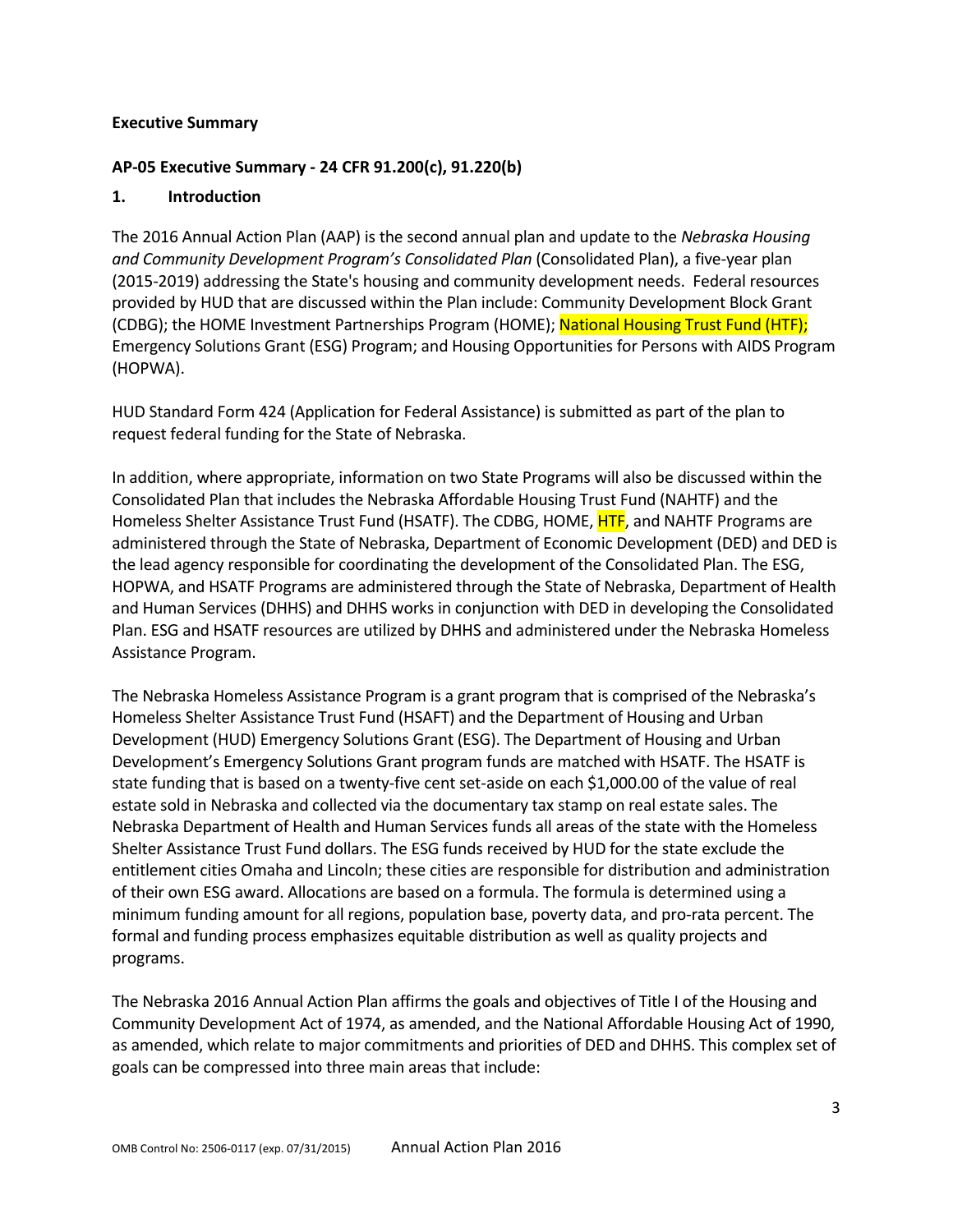#### **Executive Summary**

## **AP-05 Executive Summary - 24 CFR 91.200(c), 91.220(b)**

## **1. Introduction**

The 2016 Annual Action Plan (AAP) is the second annual plan and update to the *Nebraska Housing and Community Development Program's Consolidated Plan* (Consolidated Plan), a five-year plan (2015-2019) addressing the State's housing and community development needs. Federal resources provided by HUD that are discussed within the Plan include: Community Development Block Grant (CDBG); the HOME Investment Partnerships Program (HOME); National Housing Trust Fund (HTF); Emergency Solutions Grant (ESG) Program; and Housing Opportunities for Persons with AIDS Program (HOPWA).

HUD Standard Form 424 (Application for Federal Assistance) is submitted as part of the plan to request federal funding for the State of Nebraska.

In addition, where appropriate, information on two State Programs will also be discussed within the Consolidated Plan that includes the Nebraska Affordable Housing Trust Fund (NAHTF) and the Homeless Shelter Assistance Trust Fund (HSATF). The CDBG, HOME, HTF, and NAHTF Programs are administered through the State of Nebraska, Department of Economic Development (DED) and DED is the lead agency responsible for coordinating the development of the Consolidated Plan. The ESG, HOPWA, and HSATF Programs are administered through the State of Nebraska, Department of Health and Human Services (DHHS) and DHHS works in conjunction with DED in developing the Consolidated Plan. ESG and HSATF resources are utilized by DHHS and administered under the Nebraska Homeless Assistance Program.

The Nebraska Homeless Assistance Program is a grant program that is comprised of the Nebraska's Homeless Shelter Assistance Trust Fund (HSAFT) and the Department of Housing and Urban Development (HUD) Emergency Solutions Grant (ESG). The Department of Housing and Urban Development's Emergency Solutions Grant program funds are matched with HSATF. The HSATF is state funding that is based on a twenty-five cent set-aside on each \$1,000.00 of the value of real estate sold in Nebraska and collected via the documentary tax stamp on real estate sales. The Nebraska Department of Health and Human Services funds all areas of the state with the Homeless Shelter Assistance Trust Fund dollars. The ESG funds received by HUD for the state exclude the entitlement cities Omaha and Lincoln; these cities are responsible for distribution and administration of their own ESG award. Allocations are based on a formula. The formula is determined using a minimum funding amount for all regions, population base, poverty data, and pro-rata percent. The formal and funding process emphasizes equitable distribution as well as quality projects and programs.

The Nebraska 2016 Annual Action Plan affirms the goals and objectives of Title I of the Housing and Community Development Act of 1974, as amended, and the National Affordable Housing Act of 1990, as amended, which relate to major commitments and priorities of DED and DHHS. This complex set of goals can be compressed into three main areas that include: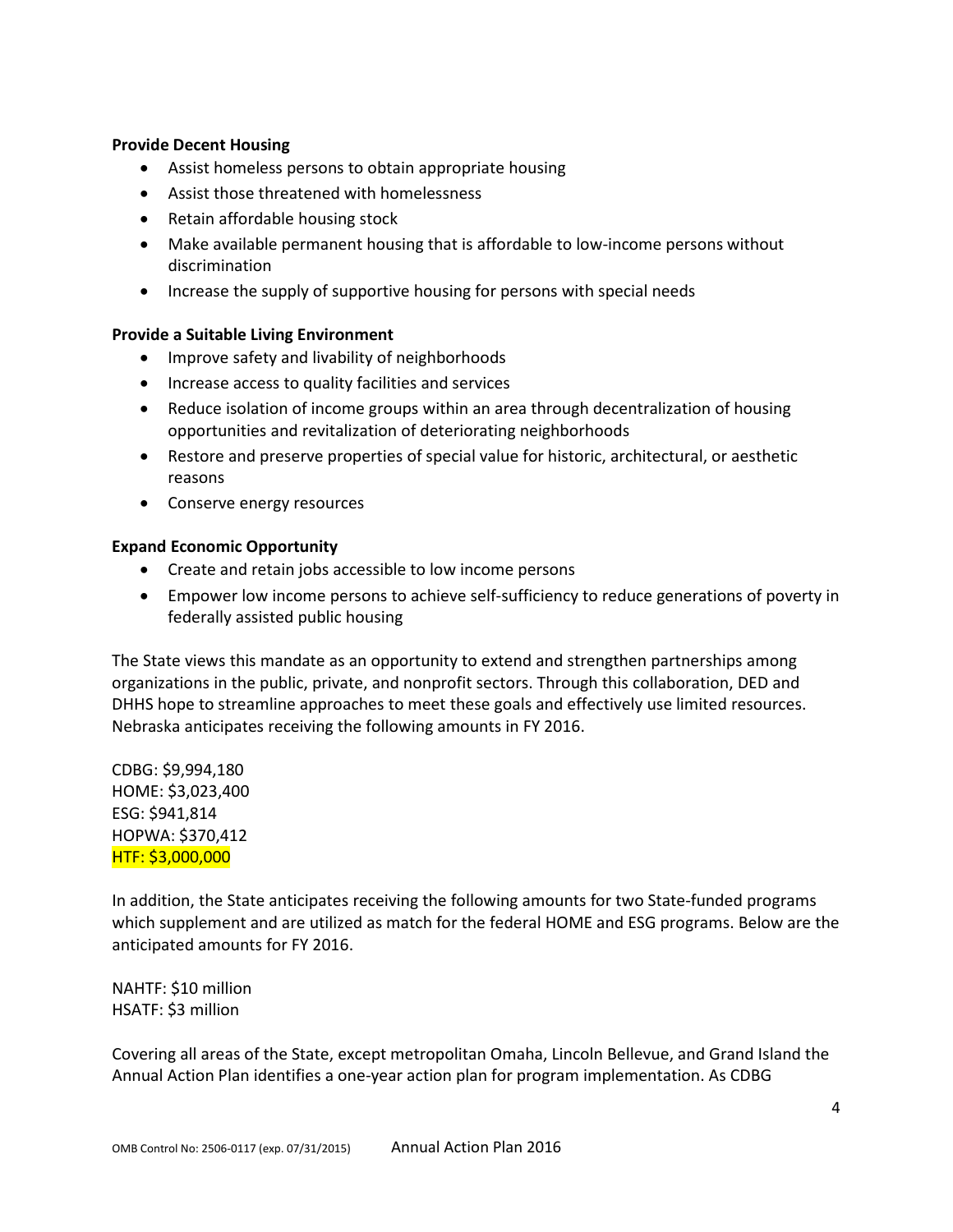#### **Provide Decent Housing**

- Assist homeless persons to obtain appropriate housing
- Assist those threatened with homelessness
- Retain affordable housing stock
- Make available permanent housing that is affordable to low-income persons without discrimination
- Increase the supply of supportive housing for persons with special needs

#### **Provide a Suitable Living Environment**

- Improve safety and livability of neighborhoods
- Increase access to quality facilities and services
- Reduce isolation of income groups within an area through decentralization of housing opportunities and revitalization of deteriorating neighborhoods
- Restore and preserve properties of special value for historic, architectural, or aesthetic reasons
- Conserve energy resources

#### **Expand Economic Opportunity**

- Create and retain jobs accessible to low income persons
- Empower low income persons to achieve self-sufficiency to reduce generations of poverty in federally assisted public housing

The State views this mandate as an opportunity to extend and strengthen partnerships among organizations in the public, private, and nonprofit sectors. Through this collaboration, DED and DHHS hope to streamline approaches to meet these goals and effectively use limited resources. Nebraska anticipates receiving the following amounts in FY 2016.

CDBG: \$9,994,180 HOME: \$3,023,400 ESG: \$941,814 HOPWA: \$370,412 HTF: \$3,000,000

In addition, the State anticipates receiving the following amounts for two State-funded programs which supplement and are utilized as match for the federal HOME and ESG programs. Below are the anticipated amounts for FY 2016.

NAHTF: \$10 million HSATF: \$3 million

Covering all areas of the State, except metropolitan Omaha, Lincoln Bellevue, and Grand Island the Annual Action Plan identifies a one-year action plan for program implementation. As CDBG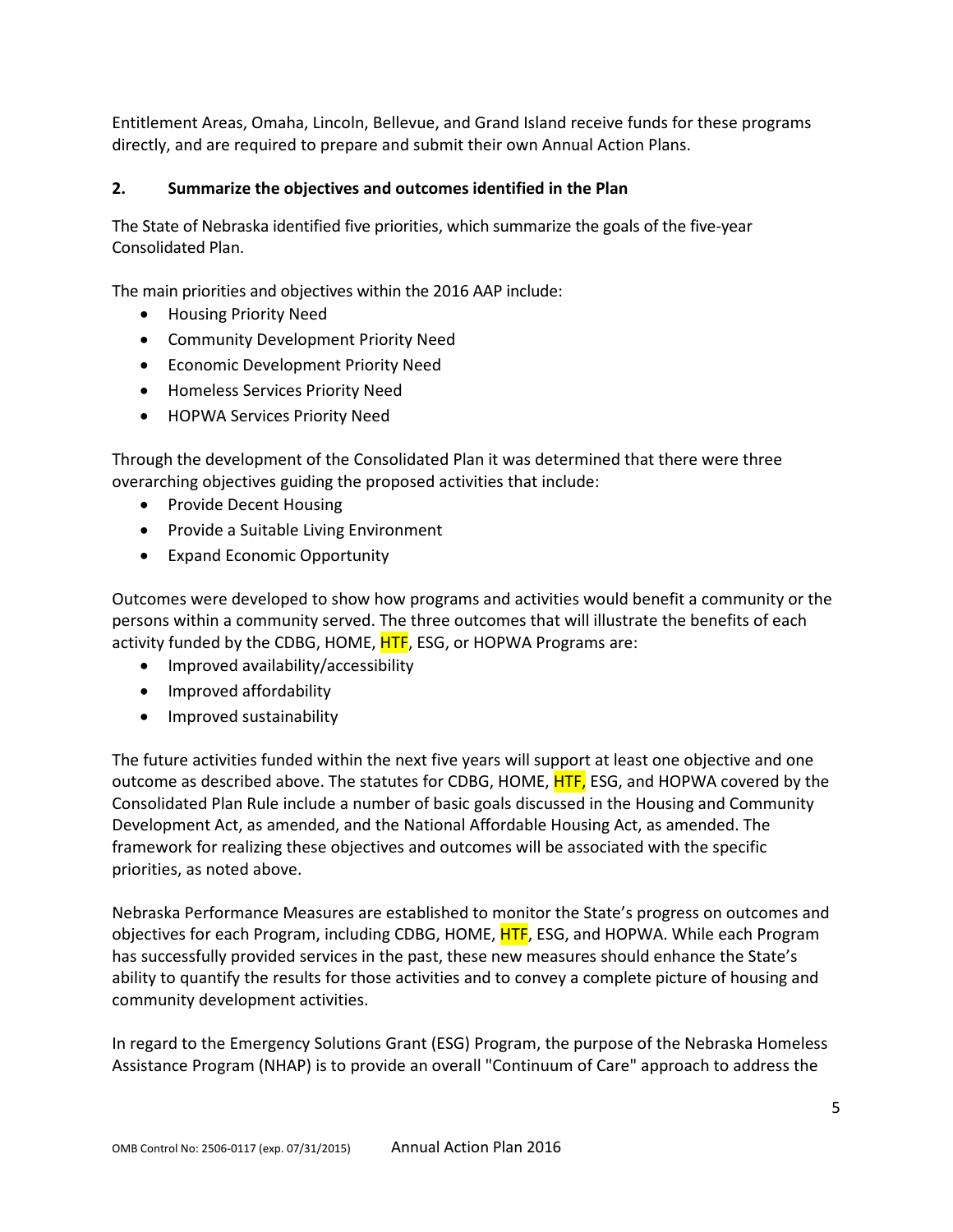Entitlement Areas, Omaha, Lincoln, Bellevue, and Grand Island receive funds for these programs directly, and are required to prepare and submit their own Annual Action Plans.

## **2. Summarize the objectives and outcomes identified in the Plan**

The State of Nebraska identified five priorities, which summarize the goals of the five-year Consolidated Plan.

The main priorities and objectives within the 2016 AAP include:

- Housing Priority Need
- Community Development Priority Need
- Economic Development Priority Need
- Homeless Services Priority Need
- HOPWA Services Priority Need

Through the development of the Consolidated Plan it was determined that there were three overarching objectives guiding the proposed activities that include:

- Provide Decent Housing
- Provide a Suitable Living Environment
- Expand Economic Opportunity

Outcomes were developed to show how programs and activities would benefit a community or the persons within a community served. The three outcomes that will illustrate the benefits of each activity funded by the CDBG, HOME, **HTF**, ESG, or HOPWA Programs are:

- Improved availability/accessibility
- Improved affordability
- Improved sustainability

The future activities funded within the next five years will support at least one objective and one outcome as described above. The statutes for CDBG, HOME, HTF, ESG, and HOPWA covered by the Consolidated Plan Rule include a number of basic goals discussed in the Housing and Community Development Act, as amended, and the National Affordable Housing Act, as amended. The framework for realizing these objectives and outcomes will be associated with the specific priorities, as noted above.

Nebraska Performance Measures are established to monitor the State's progress on outcomes and objectives for each Program, including CDBG, HOME, HTF, ESG, and HOPWA. While each Program has successfully provided services in the past, these new measures should enhance the State's ability to quantify the results for those activities and to convey a complete picture of housing and community development activities.

In regard to the Emergency Solutions Grant (ESG) Program, the purpose of the Nebraska Homeless Assistance Program (NHAP) is to provide an overall "Continuum of Care" approach to address the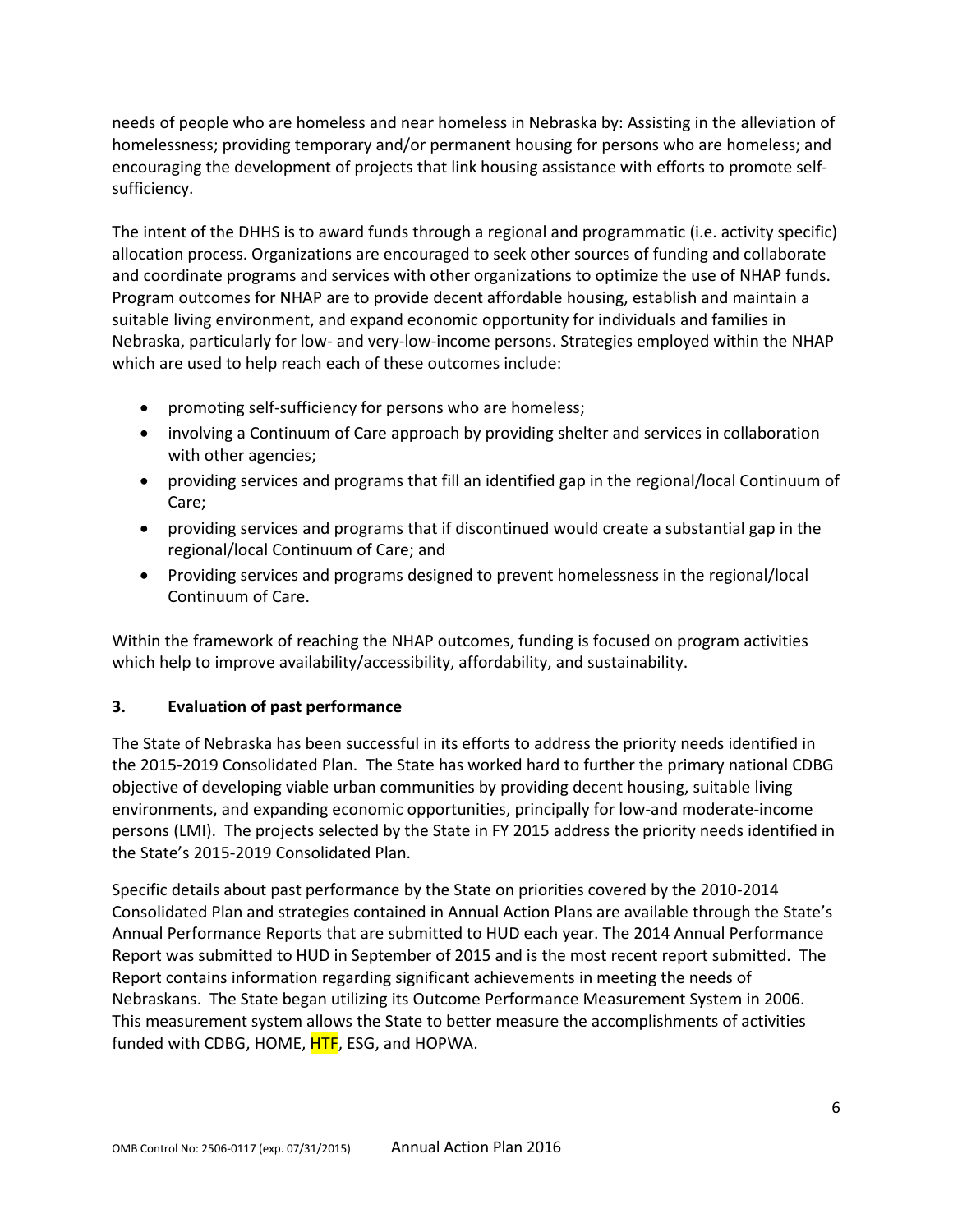needs of people who are homeless and near homeless in Nebraska by: Assisting in the alleviation of homelessness; providing temporary and/or permanent housing for persons who are homeless; and encouraging the development of projects that link housing assistance with efforts to promote selfsufficiency.

The intent of the DHHS is to award funds through a regional and programmatic (i.e. activity specific) allocation process. Organizations are encouraged to seek other sources of funding and collaborate and coordinate programs and services with other organizations to optimize the use of NHAP funds. Program outcomes for NHAP are to provide decent affordable housing, establish and maintain a suitable living environment, and expand economic opportunity for individuals and families in Nebraska, particularly for low- and very-low-income persons. Strategies employed within the NHAP which are used to help reach each of these outcomes include:

- promoting self-sufficiency for persons who are homeless;
- involving a Continuum of Care approach by providing shelter and services in collaboration with other agencies;
- providing services and programs that fill an identified gap in the regional/local Continuum of Care;
- providing services and programs that if discontinued would create a substantial gap in the regional/local Continuum of Care; and
- Providing services and programs designed to prevent homelessness in the regional/local Continuum of Care.

Within the framework of reaching the NHAP outcomes, funding is focused on program activities which help to improve availability/accessibility, affordability, and sustainability.

# **3. Evaluation of past performance**

The State of Nebraska has been successful in its efforts to address the priority needs identified in the 2015-2019 Consolidated Plan. The State has worked hard to further the primary national CDBG objective of developing viable urban communities by providing decent housing, suitable living environments, and expanding economic opportunities, principally for low-and moderate-income persons (LMI). The projects selected by the State in FY 2015 address the priority needs identified in the State's 2015-2019 Consolidated Plan.

Specific details about past performance by the State on priorities covered by the 2010-2014 Consolidated Plan and strategies contained in Annual Action Plans are available through the State's Annual Performance Reports that are submitted to HUD each year. The 2014 Annual Performance Report was submitted to HUD in September of 2015 and is the most recent report submitted. The Report contains information regarding significant achievements in meeting the needs of Nebraskans. The State began utilizing its Outcome Performance Measurement System in 2006. This measurement system allows the State to better measure the accomplishments of activities funded with CDBG, HOME, **HTF**, ESG, and HOPWA.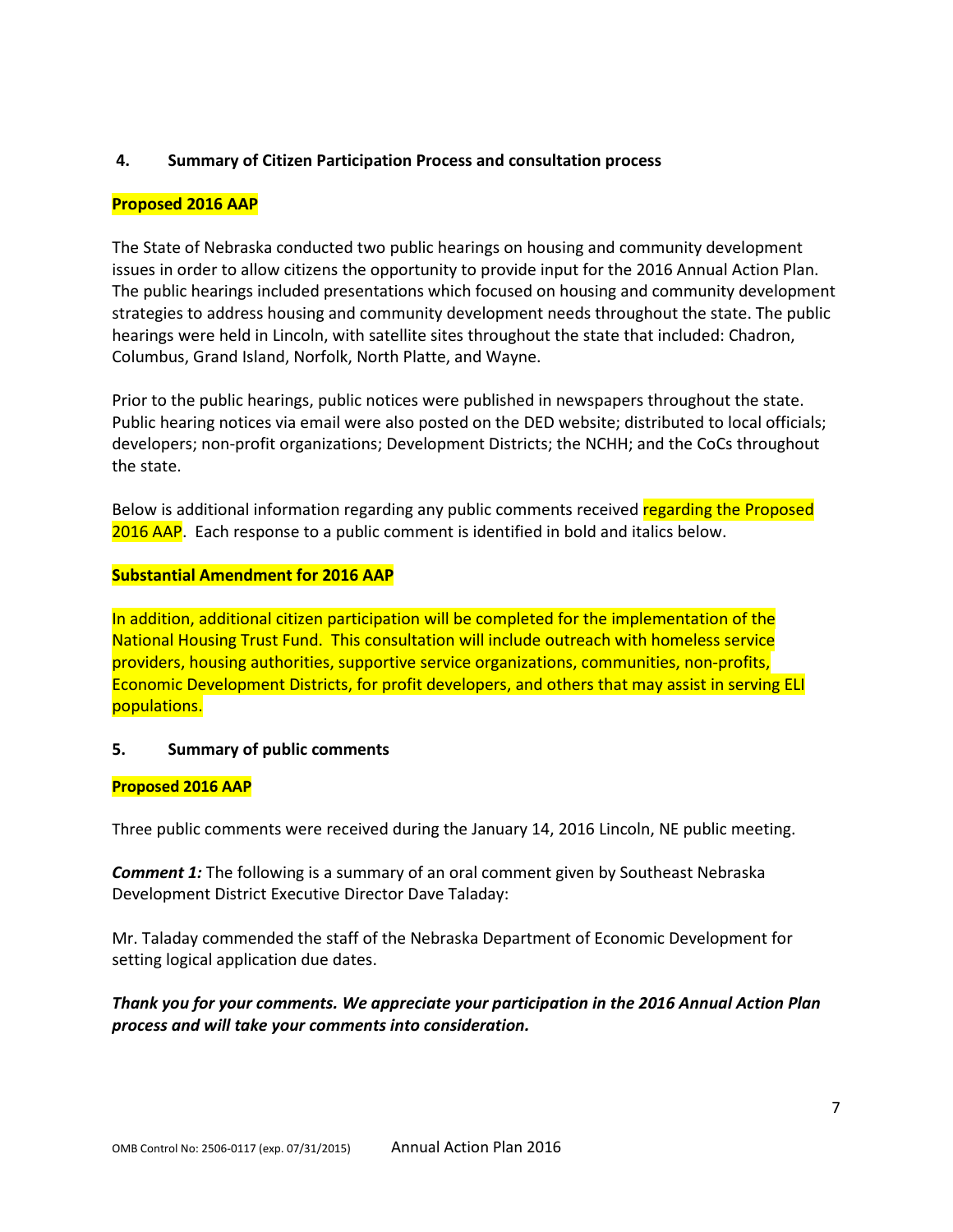## **4. Summary of Citizen Participation Process and consultation process**

## **Proposed 2016 AAP**

The State of Nebraska conducted two public hearings on housing and community development issues in order to allow citizens the opportunity to provide input for the 2016 Annual Action Plan. The public hearings included presentations which focused on housing and community development strategies to address housing and community development needs throughout the state. The public hearings were held in Lincoln, with satellite sites throughout the state that included: Chadron, Columbus, Grand Island, Norfolk, North Platte, and Wayne.

Prior to the public hearings, public notices were published in newspapers throughout the state. Public hearing notices via email were also posted on the DED website; distributed to local officials; developers; non-profit organizations; Development Districts; the NCHH; and the CoCs throughout the state.

Below is additional information regarding any public comments received regarding the Proposed 2016 AAP. Each response to a public comment is identified in bold and italics below.

#### **Substantial Amendment for 2016 AAP**

In addition, additional citizen participation will be completed for the implementation of the National Housing Trust Fund. This consultation will include outreach with homeless service providers, housing authorities, supportive service organizations, communities, non-profits, Economic Development Districts, for profit developers, and others that may assist in serving ELI populations.

#### **5. Summary of public comments**

#### **Proposed 2016 AAP**

Three public comments were received during the January 14, 2016 Lincoln, NE public meeting.

**Comment 1:** The following is a summary of an oral comment given by Southeast Nebraska Development District Executive Director Dave Taladay:

Mr. Taladay commended the staff of the Nebraska Department of Economic Development for setting logical application due dates.

*Thank you for your comments. We appreciate your participation in the 2016 Annual Action Plan process and will take your comments into consideration.*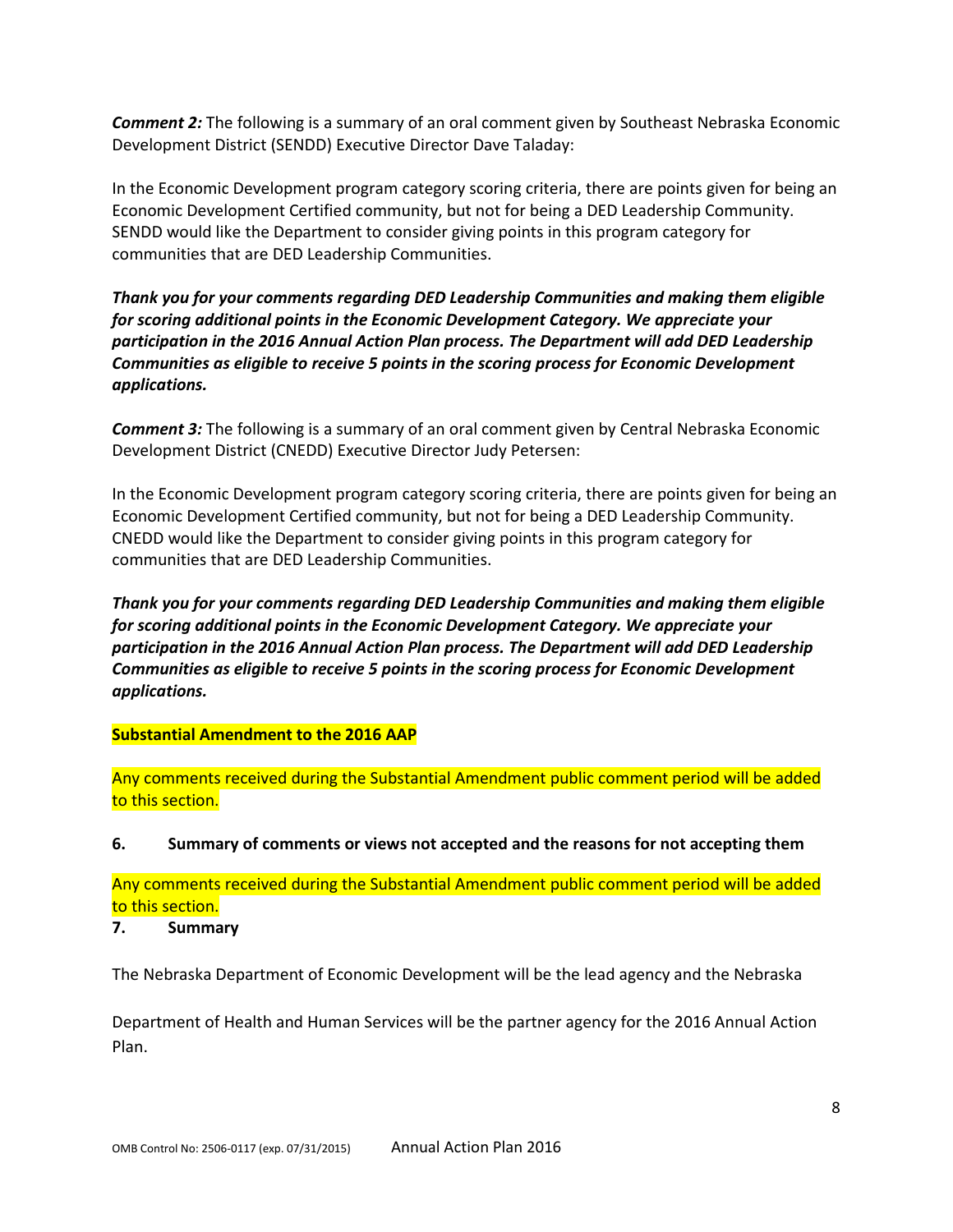**Comment 2:** The following is a summary of an oral comment given by Southeast Nebraska Economic Development District (SENDD) Executive Director Dave Taladay:

In the Economic Development program category scoring criteria, there are points given for being an Economic Development Certified community, but not for being a DED Leadership Community. SENDD would like the Department to consider giving points in this program category for communities that are DED Leadership Communities.

*Thank you for your comments regarding DED Leadership Communities and making them eligible for scoring additional points in the Economic Development Category. We appreciate your participation in the 2016 Annual Action Plan process. The Department will add DED Leadership Communities as eligible to receive 5 points in the scoring process for Economic Development applications.*

**Comment 3:** The following is a summary of an oral comment given by Central Nebraska Economic Development District (CNEDD) Executive Director Judy Petersen:

In the Economic Development program category scoring criteria, there are points given for being an Economic Development Certified community, but not for being a DED Leadership Community. CNEDD would like the Department to consider giving points in this program category for communities that are DED Leadership Communities.

*Thank you for your comments regarding DED Leadership Communities and making them eligible for scoring additional points in the Economic Development Category. We appreciate your participation in the 2016 Annual Action Plan process. The Department will add DED Leadership Communities as eligible to receive 5 points in the scoring process for Economic Development applications.*

## **Substantial Amendment to the 2016 AAP**

Any comments received during the Substantial Amendment public comment period will be added to this section.

**6. Summary of comments or views not accepted and the reasons for not accepting them**

Any comments received during the Substantial Amendment public comment period will be added to this section.

#### **7. Summary**

The Nebraska Department of Economic Development will be the lead agency and the Nebraska

Department of Health and Human Services will be the partner agency for the 2016 Annual Action Plan.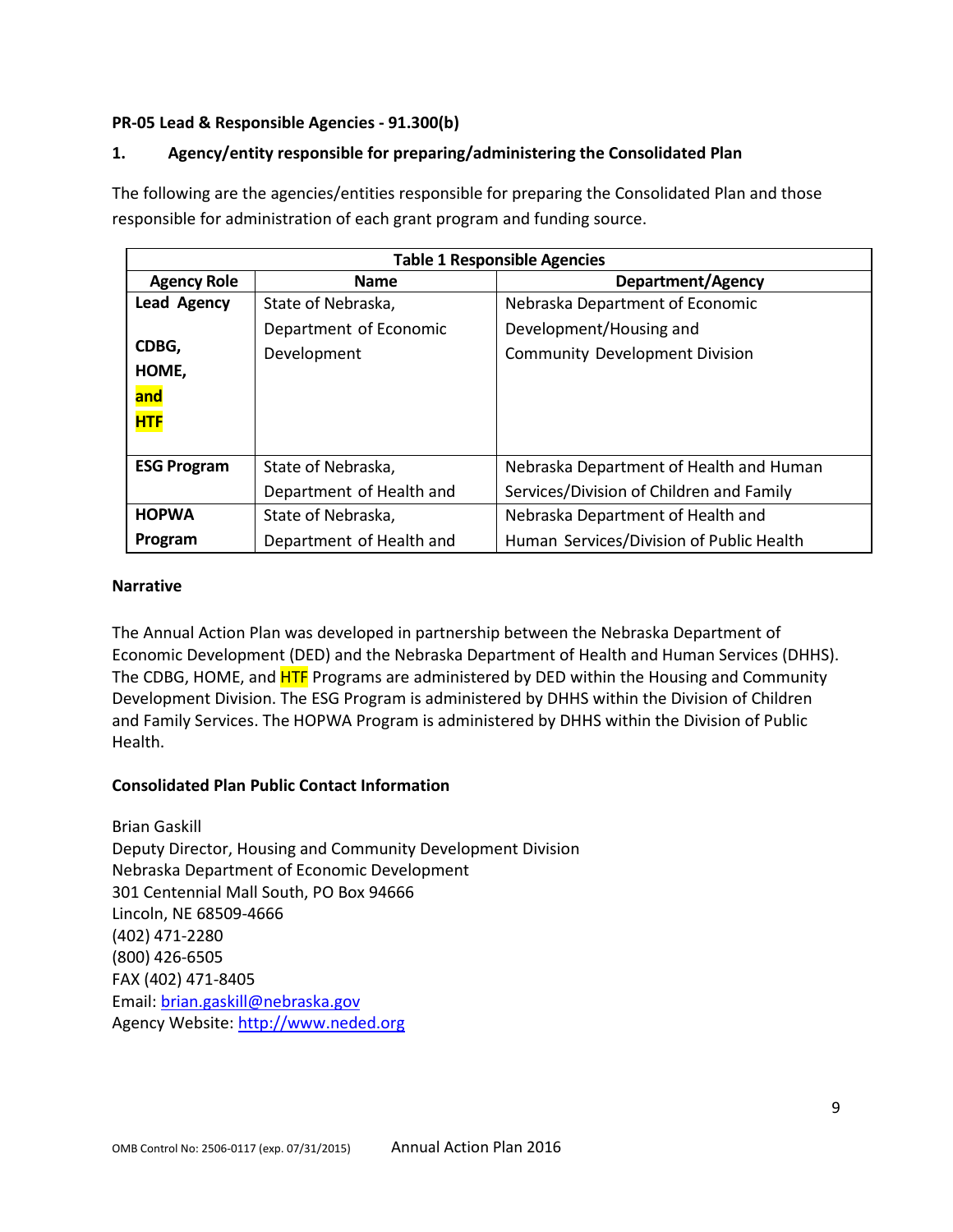## **PR-05 Lead & Responsible Agencies - 91.300(b)**

# **1. Agency/entity responsible for preparing/administering the Consolidated Plan**

The following are the agencies/entities responsible for preparing the Consolidated Plan and those responsible for administration of each grant program and funding source.

| <b>Table 1 Responsible Agencies</b> |                          |                                          |  |  |  |  |  |  |  |  |
|-------------------------------------|--------------------------|------------------------------------------|--|--|--|--|--|--|--|--|
| <b>Agency Role</b>                  | <b>Name</b>              | Department/Agency                        |  |  |  |  |  |  |  |  |
| <b>Lead Agency</b>                  | State of Nebraska,       | Nebraska Department of Economic          |  |  |  |  |  |  |  |  |
|                                     | Department of Economic   | Development/Housing and                  |  |  |  |  |  |  |  |  |
| CDBG,                               | Development              | <b>Community Development Division</b>    |  |  |  |  |  |  |  |  |
| HOME,                               |                          |                                          |  |  |  |  |  |  |  |  |
| and                                 |                          |                                          |  |  |  |  |  |  |  |  |
| <b>HTF</b>                          |                          |                                          |  |  |  |  |  |  |  |  |
|                                     |                          |                                          |  |  |  |  |  |  |  |  |
| <b>ESG Program</b>                  | State of Nebraska,       | Nebraska Department of Health and Human  |  |  |  |  |  |  |  |  |
|                                     | Department of Health and | Services/Division of Children and Family |  |  |  |  |  |  |  |  |
| <b>HOPWA</b>                        | State of Nebraska,       | Nebraska Department of Health and        |  |  |  |  |  |  |  |  |
| Program                             | Department of Health and | Human Services/Division of Public Health |  |  |  |  |  |  |  |  |

## **Narrative**

The Annual Action Plan was developed in partnership between the Nebraska Department of Economic Development (DED) and the Nebraska Department of Health and Human Services (DHHS). The CDBG, HOME, and **HTF** Programs are administered by DED within the Housing and Community Development Division. The ESG Program is administered by DHHS within the Division of Children and Family Services. The HOPWA Program is administered by DHHS within the Division of Public Health.

## **Consolidated Plan Public Contact Information**

Brian Gaskill Deputy Director, Housing and Community Development Division Nebraska Department of Economic Development 301 Centennial Mall South, PO Box 94666 Lincoln, NE 68509-4666 (402) 471-2280 (800) 426-6505 FAX (402) 471-8405 Email: [brian.gaskill@nebraska.gov](mailto:brian.gaskill@nebraska.gov) Agency Website: [http://www.neded.org](http://www.neded.org/)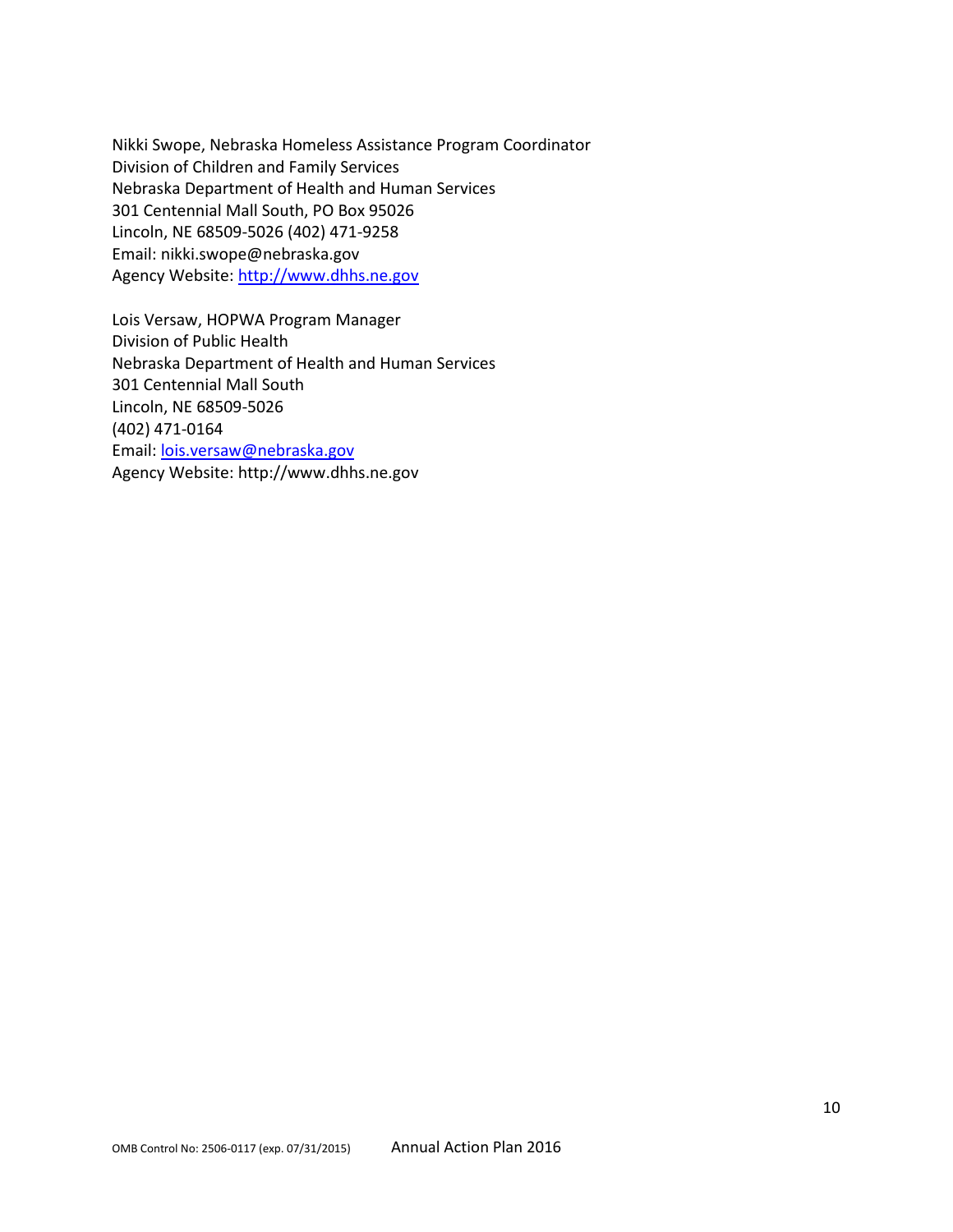Nikki Swope, Nebraska Homeless Assistance Program Coordinator Division of Children and Family Services Nebraska Department of Health and Human Services 301 Centennial Mall South, PO Box 95026 Lincoln, NE 68509-5026 (402) 471-9258 Email: nikki.swope@nebraska.gov Agency Website: [http://www.dhhs.ne.gov](http://www.dhhs.ne.gov/)

Lois Versaw, HOPWA Program Manager Division of Public Health Nebraska Department of Health and Human Services 301 Centennial Mall South Lincoln, NE 68509-5026 (402) 471-0164 Email: [lois.versaw@nebraska.gov](mailto:lois.versaw@nebraska.gov) Agency Website: http://www.dhhs.ne.gov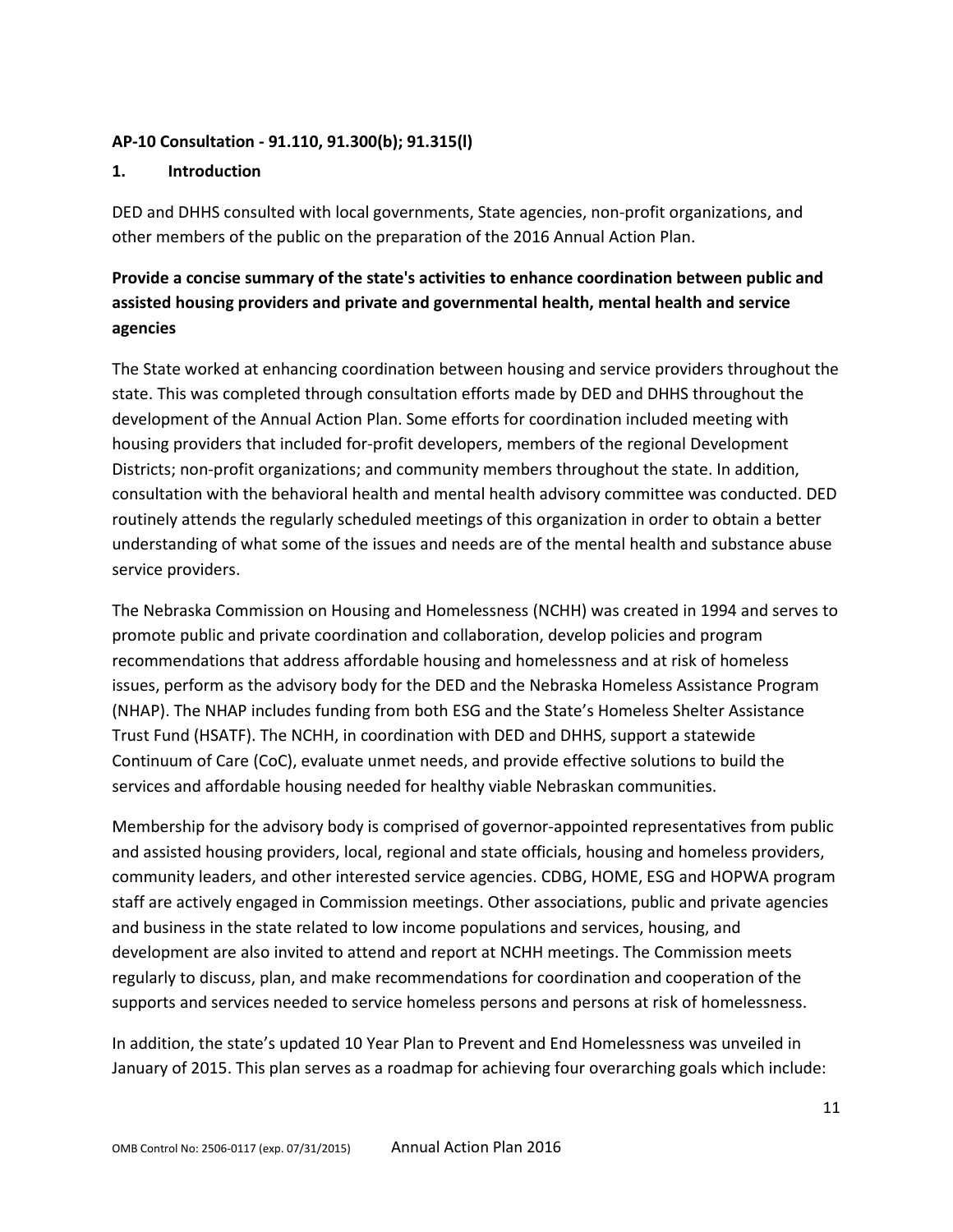## **AP-10 Consultation - 91.110, 91.300(b); 91.315(l)**

#### **1. Introduction**

DED and DHHS consulted with local governments, State agencies, non-profit organizations, and other members of the public on the preparation of the 2016 Annual Action Plan.

# **Provide a concise summary of the state's activities to enhance coordination between public and assisted housing providers and private and governmental health, mental health and service agencies**

The State worked at enhancing coordination between housing and service providers throughout the state. This was completed through consultation efforts made by DED and DHHS throughout the development of the Annual Action Plan. Some efforts for coordination included meeting with housing providers that included for-profit developers, members of the regional Development Districts; non-profit organizations; and community members throughout the state. In addition, consultation with the behavioral health and mental health advisory committee was conducted. DED routinely attends the regularly scheduled meetings of this organization in order to obtain a better understanding of what some of the issues and needs are of the mental health and substance abuse service providers.

The Nebraska Commission on Housing and Homelessness (NCHH) was created in 1994 and serves to promote public and private coordination and collaboration, develop policies and program recommendations that address affordable housing and homelessness and at risk of homeless issues, perform as the advisory body for the DED and the Nebraska Homeless Assistance Program (NHAP). The NHAP includes funding from both ESG and the State's Homeless Shelter Assistance Trust Fund (HSATF). The NCHH, in coordination with DED and DHHS, support a statewide Continuum of Care (CoC), evaluate unmet needs, and provide effective solutions to build the services and affordable housing needed for healthy viable Nebraskan communities.

Membership for the advisory body is comprised of governor-appointed representatives from public and assisted housing providers, local, regional and state officials, housing and homeless providers, community leaders, and other interested service agencies. CDBG, HOME, ESG and HOPWA program staff are actively engaged in Commission meetings. Other associations, public and private agencies and business in the state related to low income populations and services, housing, and development are also invited to attend and report at NCHH meetings. The Commission meets regularly to discuss, plan, and make recommendations for coordination and cooperation of the supports and services needed to service homeless persons and persons at risk of homelessness.

In addition, the state's updated 10 Year Plan to Prevent and End Homelessness was unveiled in January of 2015. This plan serves as a roadmap for achieving four overarching goals which include: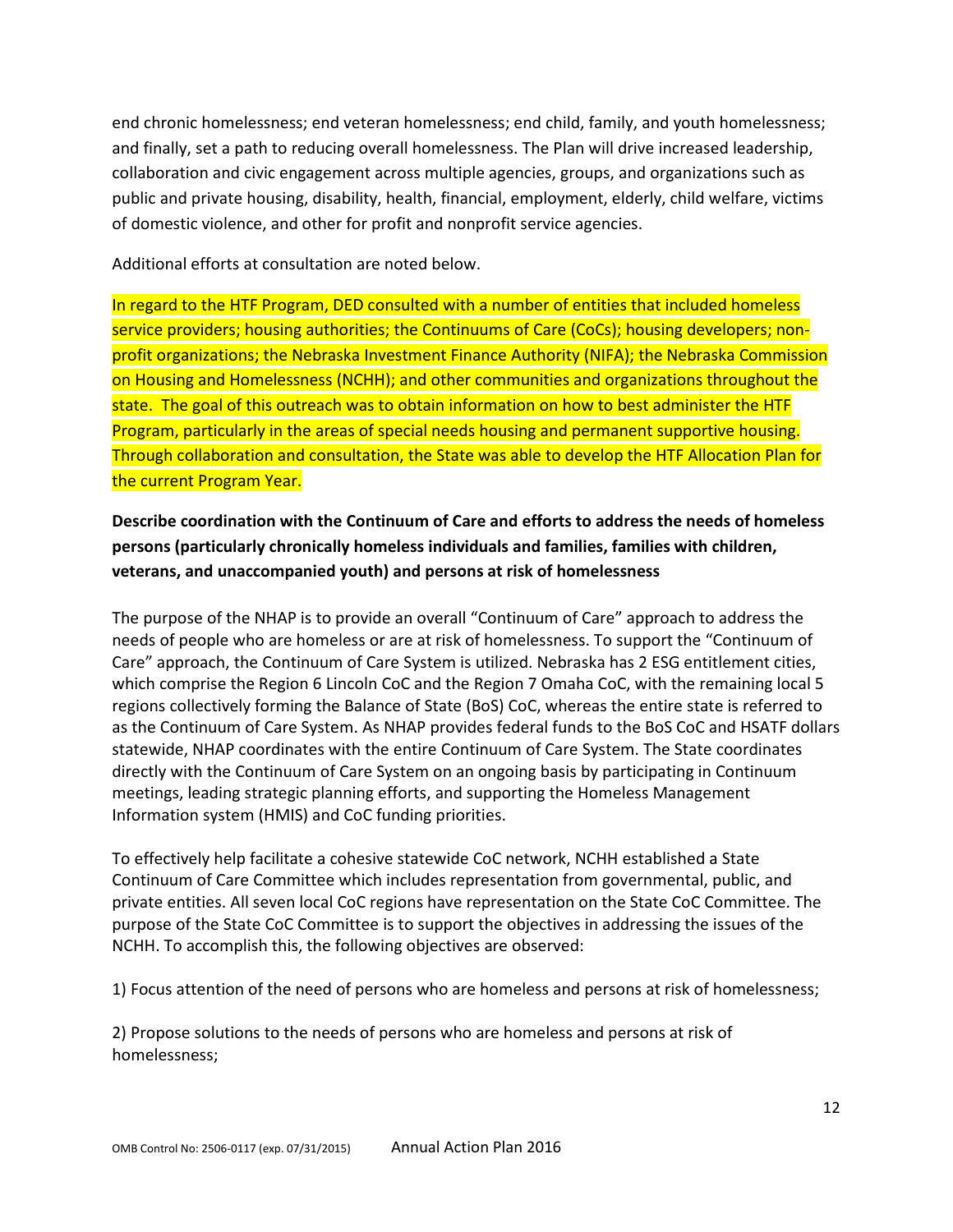end chronic homelessness; end veteran homelessness; end child, family, and youth homelessness; and finally, set a path to reducing overall homelessness. The Plan will drive increased leadership, collaboration and civic engagement across multiple agencies, groups, and organizations such as public and private housing, disability, health, financial, employment, elderly, child welfare, victims of domestic violence, and other for profit and nonprofit service agencies.

Additional efforts at consultation are noted below.

In regard to the HTF Program, DED consulted with a number of entities that included homeless service providers; housing authorities; the Continuums of Care (CoCs); housing developers; nonprofit organizations; the Nebraska Investment Finance Authority (NIFA); the Nebraska Commission on Housing and Homelessness (NCHH); and other communities and organizations throughout the state. The goal of this outreach was to obtain information on how to best administer the HTF Program, particularly in the areas of special needs housing and permanent supportive housing. Through collaboration and consultation, the State was able to develop the HTF Allocation Plan for the current Program Year.

# **Describe coordination with the Continuum of Care and efforts to address the needs of homeless persons (particularly chronically homeless individuals and families, families with children, veterans, and unaccompanied youth) and persons at risk of homelessness**

The purpose of the NHAP is to provide an overall "Continuum of Care" approach to address the needs of people who are homeless or are at risk of homelessness. To support the "Continuum of Care" approach, the Continuum of Care System is utilized. Nebraska has 2 ESG entitlement cities, which comprise the Region 6 Lincoln CoC and the Region 7 Omaha CoC, with the remaining local 5 regions collectively forming the Balance of State (BoS) CoC, whereas the entire state is referred to as the Continuum of Care System. As NHAP provides federal funds to the BoS CoC and HSATF dollars statewide, NHAP coordinates with the entire Continuum of Care System. The State coordinates directly with the Continuum of Care System on an ongoing basis by participating in Continuum meetings, leading strategic planning efforts, and supporting the Homeless Management Information system (HMIS) and CoC funding priorities.

To effectively help facilitate a cohesive statewide CoC network, NCHH established a State Continuum of Care Committee which includes representation from governmental, public, and private entities. All seven local CoC regions have representation on the State CoC Committee. The purpose of the State CoC Committee is to support the objectives in addressing the issues of the NCHH. To accomplish this, the following objectives are observed:

1) Focus attention of the need of persons who are homeless and persons at risk of homelessness;

2) Propose solutions to the needs of persons who are homeless and persons at risk of homelessness;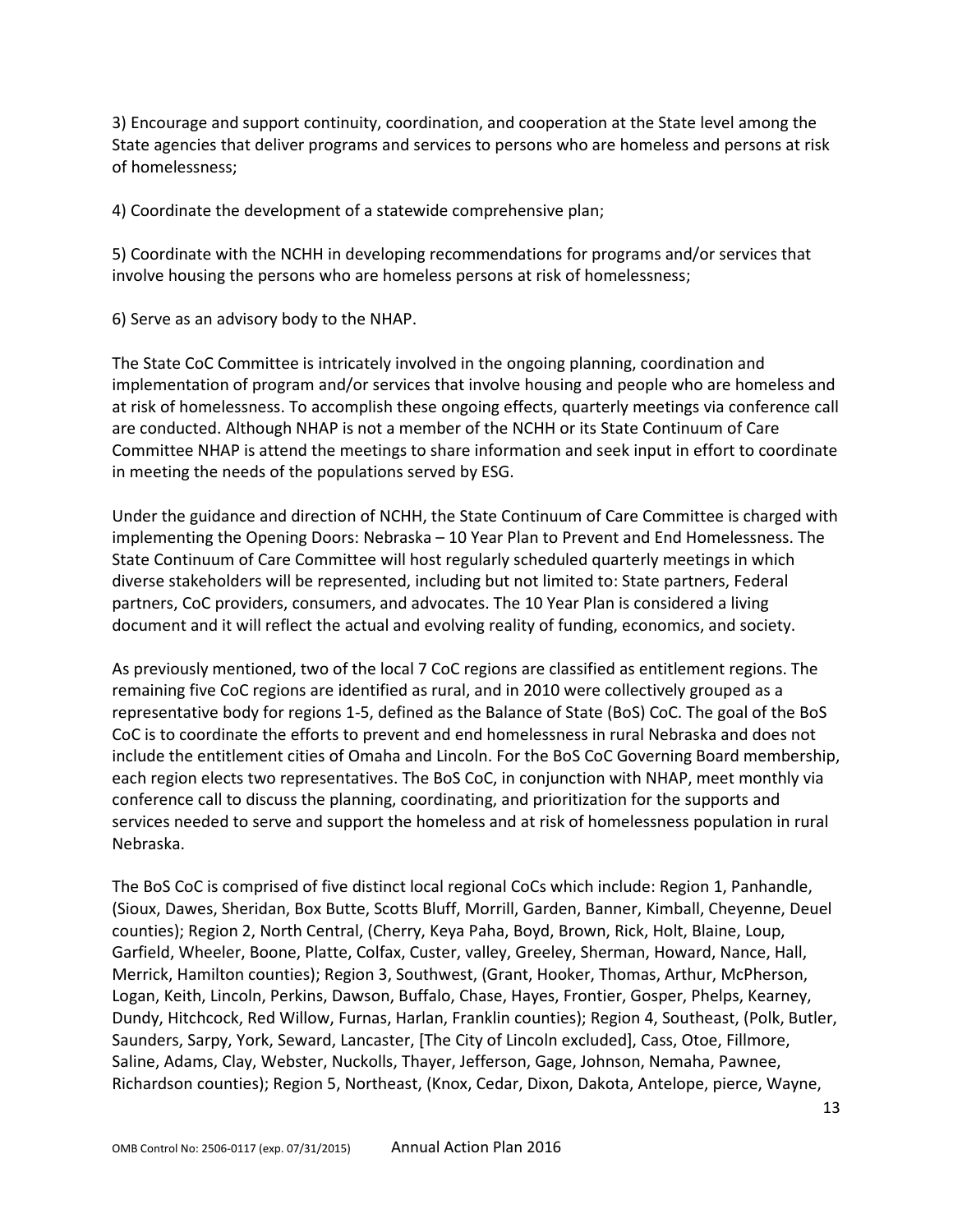3) Encourage and support continuity, coordination, and cooperation at the State level among the State agencies that deliver programs and services to persons who are homeless and persons at risk of homelessness;

4) Coordinate the development of a statewide comprehensive plan;

5) Coordinate with the NCHH in developing recommendations for programs and/or services that involve housing the persons who are homeless persons at risk of homelessness;

6) Serve as an advisory body to the NHAP.

The State CoC Committee is intricately involved in the ongoing planning, coordination and implementation of program and/or services that involve housing and people who are homeless and at risk of homelessness. To accomplish these ongoing effects, quarterly meetings via conference call are conducted. Although NHAP is not a member of the NCHH or its State Continuum of Care Committee NHAP is attend the meetings to share information and seek input in effort to coordinate in meeting the needs of the populations served by ESG.

Under the guidance and direction of NCHH, the State Continuum of Care Committee is charged with implementing the Opening Doors: Nebraska – 10 Year Plan to Prevent and End Homelessness. The State Continuum of Care Committee will host regularly scheduled quarterly meetings in which diverse stakeholders will be represented, including but not limited to: State partners, Federal partners, CoC providers, consumers, and advocates. The 10 Year Plan is considered a living document and it will reflect the actual and evolving reality of funding, economics, and society.

As previously mentioned, two of the local 7 CoC regions are classified as entitlement regions. The remaining five CoC regions are identified as rural, and in 2010 were collectively grouped as a representative body for regions 1-5, defined as the Balance of State (BoS) CoC. The goal of the BoS CoC is to coordinate the efforts to prevent and end homelessness in rural Nebraska and does not include the entitlement cities of Omaha and Lincoln. For the BoS CoC Governing Board membership, each region elects two representatives. The BoS CoC, in conjunction with NHAP, meet monthly via conference call to discuss the planning, coordinating, and prioritization for the supports and services needed to serve and support the homeless and at risk of homelessness population in rural Nebraska.

The BoS CoC is comprised of five distinct local regional CoCs which include: Region 1, Panhandle, (Sioux, Dawes, Sheridan, Box Butte, Scotts Bluff, Morrill, Garden, Banner, Kimball, Cheyenne, Deuel counties); Region 2, North Central, (Cherry, Keya Paha, Boyd, Brown, Rick, Holt, Blaine, Loup, Garfield, Wheeler, Boone, Platte, Colfax, Custer, valley, Greeley, Sherman, Howard, Nance, Hall, Merrick, Hamilton counties); Region 3, Southwest, (Grant, Hooker, Thomas, Arthur, McPherson, Logan, Keith, Lincoln, Perkins, Dawson, Buffalo, Chase, Hayes, Frontier, Gosper, Phelps, Kearney, Dundy, Hitchcock, Red Willow, Furnas, Harlan, Franklin counties); Region 4, Southeast, (Polk, Butler, Saunders, Sarpy, York, Seward, Lancaster, [The City of Lincoln excluded], Cass, Otoe, Fillmore, Saline, Adams, Clay, Webster, Nuckolls, Thayer, Jefferson, Gage, Johnson, Nemaha, Pawnee, Richardson counties); Region 5, Northeast, (Knox, Cedar, Dixon, Dakota, Antelope, pierce, Wayne,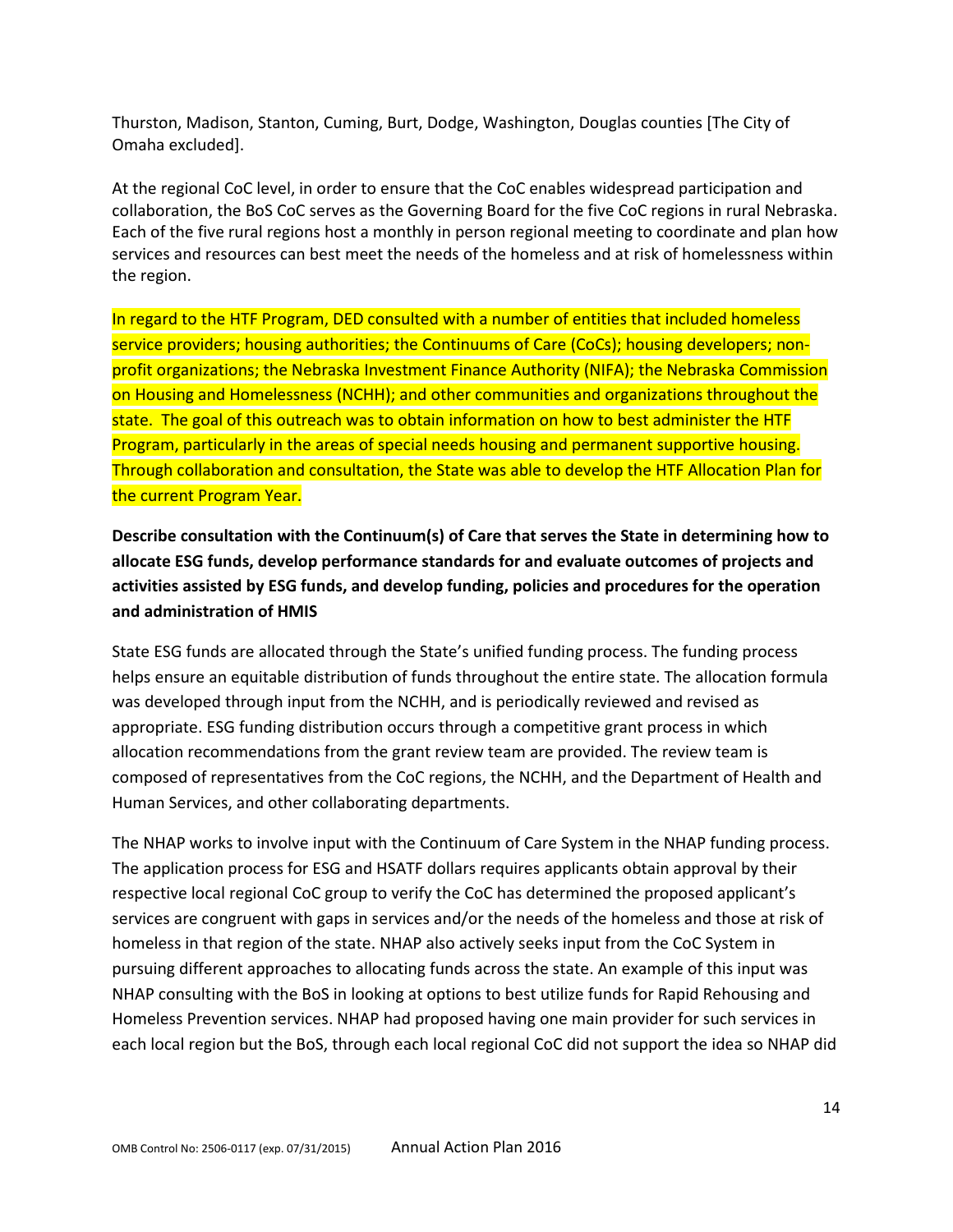Thurston, Madison, Stanton, Cuming, Burt, Dodge, Washington, Douglas counties [The City of Omaha excluded].

At the regional CoC level, in order to ensure that the CoC enables widespread participation and collaboration, the BoS CoC serves as the Governing Board for the five CoC regions in rural Nebraska. Each of the five rural regions host a monthly in person regional meeting to coordinate and plan how services and resources can best meet the needs of the homeless and at risk of homelessness within the region.

In regard to the HTF Program, DED consulted with a number of entities that included homeless service providers; housing authorities; the Continuums of Care (CoCs); housing developers; nonprofit organizations; the Nebraska Investment Finance Authority (NIFA); the Nebraska Commission on Housing and Homelessness (NCHH); and other communities and organizations throughout the state. The goal of this outreach was to obtain information on how to best administer the HTF Program, particularly in the areas of special needs housing and permanent supportive housing. Through collaboration and consultation, the State was able to develop the HTF Allocation Plan for the current Program Year.

**Describe consultation with the Continuum(s) of Care that serves the State in determining how to allocate ESG funds, develop performance standards for and evaluate outcomes of projects and activities assisted by ESG funds, and develop funding, policies and procedures for the operation and administration of HMIS**

State ESG funds are allocated through the State's unified funding process. The funding process helps ensure an equitable distribution of funds throughout the entire state. The allocation formula was developed through input from the NCHH, and is periodically reviewed and revised as appropriate. ESG funding distribution occurs through a competitive grant process in which allocation recommendations from the grant review team are provided. The review team is composed of representatives from the CoC regions, the NCHH, and the Department of Health and Human Services, and other collaborating departments.

The NHAP works to involve input with the Continuum of Care System in the NHAP funding process. The application process for ESG and HSATF dollars requires applicants obtain approval by their respective local regional CoC group to verify the CoC has determined the proposed applicant's services are congruent with gaps in services and/or the needs of the homeless and those at risk of homeless in that region of the state. NHAP also actively seeks input from the CoC System in pursuing different approaches to allocating funds across the state. An example of this input was NHAP consulting with the BoS in looking at options to best utilize funds for Rapid Rehousing and Homeless Prevention services. NHAP had proposed having one main provider for such services in each local region but the BoS, through each local regional CoC did not support the idea so NHAP did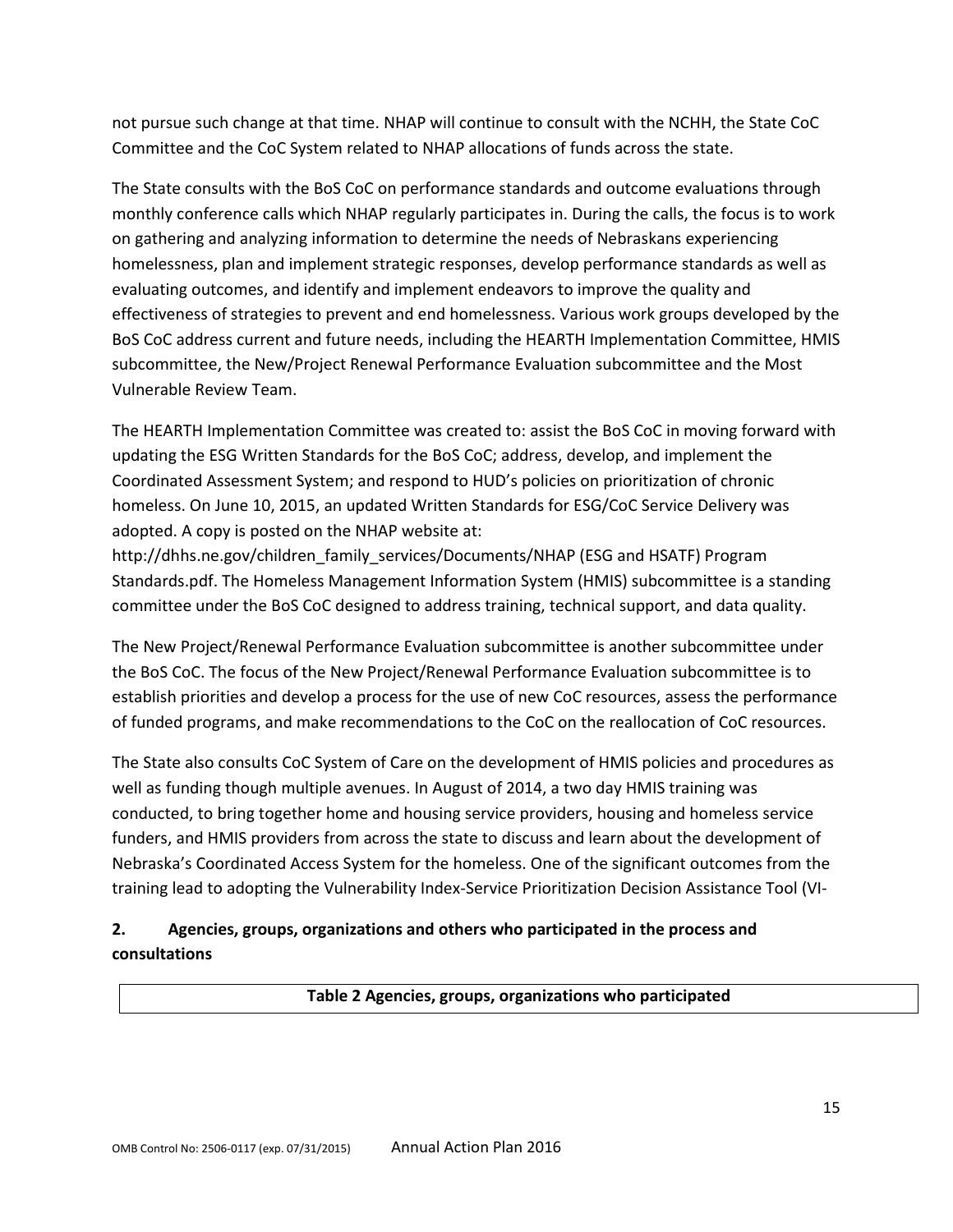not pursue such change at that time. NHAP will continue to consult with the NCHH, the State CoC Committee and the CoC System related to NHAP allocations of funds across the state.

The State consults with the BoS CoC on performance standards and outcome evaluations through monthly conference calls which NHAP regularly participates in. During the calls, the focus is to work on gathering and analyzing information to determine the needs of Nebraskans experiencing homelessness, plan and implement strategic responses, develop performance standards as well as evaluating outcomes, and identify and implement endeavors to improve the quality and effectiveness of strategies to prevent and end homelessness. Various work groups developed by the BoS CoC address current and future needs, including the HEARTH Implementation Committee, HMIS subcommittee, the New/Project Renewal Performance Evaluation subcommittee and the Most Vulnerable Review Team.

The HEARTH Implementation Committee was created to: assist the BoS CoC in moving forward with updating the ESG Written Standards for the BoS CoC; address, develop, and implement the Coordinated Assessment System; and respond to HUD's policies on prioritization of chronic homeless. On June 10, 2015, an updated Written Standards for ESG/CoC Service Delivery was adopted. A copy is posted on the NHAP website at:

http://dhhs.ne.gov/children\_family\_services/Documents/NHAP (ESG and HSATF) Program Standards.pdf. The Homeless Management Information System (HMIS) subcommittee is a standing committee under the BoS CoC designed to address training, technical support, and data quality.

The New Project/Renewal Performance Evaluation subcommittee is another subcommittee under the BoS CoC. The focus of the New Project/Renewal Performance Evaluation subcommittee is to establish priorities and develop a process for the use of new CoC resources, assess the performance of funded programs, and make recommendations to the CoC on the reallocation of CoC resources.

The State also consults CoC System of Care on the development of HMIS policies and procedures as well as funding though multiple avenues. In August of 2014, a two day HMIS training was conducted, to bring together home and housing service providers, housing and homeless service funders, and HMIS providers from across the state to discuss and learn about the development of Nebraska's Coordinated Access System for the homeless. One of the significant outcomes from the training lead to adopting the Vulnerability Index-Service Prioritization Decision Assistance Tool (VI-

# **2. Agencies, groups, organizations and others who participated in the process and consultations**

**Table 2 Agencies, groups, organizations who participated**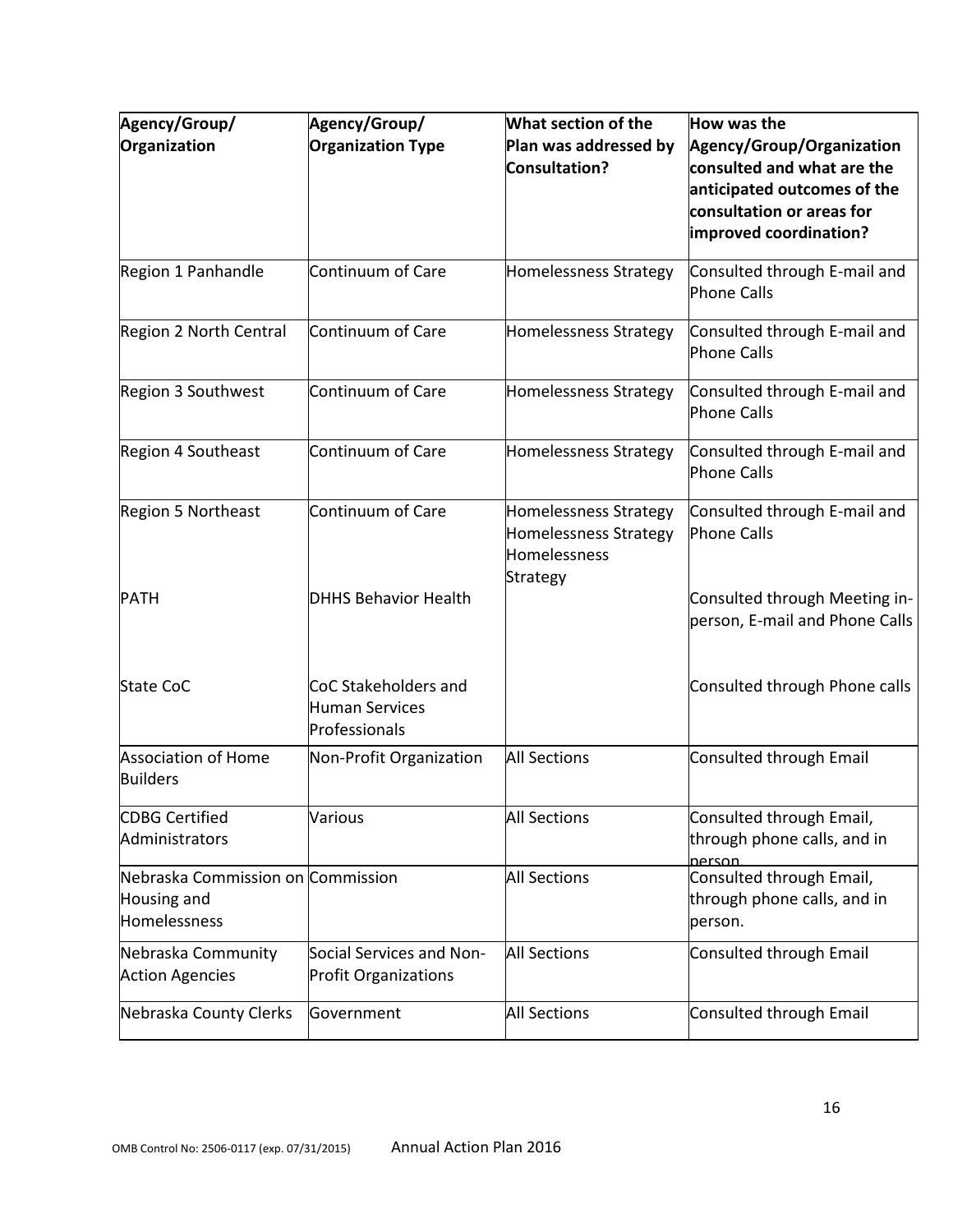| Agency/Group/                                                    | Agency/Group/                                           | What section of the                                                        | How was the                                                                                                                                   |
|------------------------------------------------------------------|---------------------------------------------------------|----------------------------------------------------------------------------|-----------------------------------------------------------------------------------------------------------------------------------------------|
| Organization                                                     | <b>Organization Type</b>                                | Plan was addressed by<br>Consultation?                                     | Agency/Group/Organization<br>consulted and what are the<br>anticipated outcomes of the<br>consultation or areas for<br>improved coordination? |
| Region 1 Panhandle                                               | Continuum of Care                                       | Homelessness Strategy                                                      | Consulted through E-mail and<br>Phone Calls                                                                                                   |
| Region 2 North Central                                           | Continuum of Care                                       | Homelessness Strategy                                                      | Consulted through E-mail and<br><b>Phone Calls</b>                                                                                            |
| Region 3 Southwest                                               | Continuum of Care                                       | Homelessness Strategy                                                      | Consulted through E-mail and<br><b>Phone Calls</b>                                                                                            |
| Region 4 Southeast                                               | Continuum of Care                                       | Homelessness Strategy                                                      | Consulted through E-mail and<br><b>Phone Calls</b>                                                                                            |
| Region 5 Northeast                                               | Continuum of Care                                       | Homelessness Strategy<br>Homelessness Strategy<br>Homelessness<br>Strategy | Consulted through E-mail and<br><b>Phone Calls</b>                                                                                            |
| <b>PATH</b>                                                      | <b>DHHS Behavior Health</b>                             |                                                                            | Consulted through Meeting in-<br>person, E-mail and Phone Calls                                                                               |
| <b>State CoC</b>                                                 | CoC Stakeholders and<br>Human Services<br>Professionals |                                                                            | Consulted through Phone calls                                                                                                                 |
| <b>Association of Home</b><br><b>Builders</b>                    | Non-Profit Organization                                 | <b>All Sections</b>                                                        | Consulted through Email                                                                                                                       |
| <b>CDBG Certified</b><br>Administrators                          | Various                                                 | <b>All Sections</b>                                                        | Consulted through Email,<br>through phone calls, and in<br>nerson.                                                                            |
| Nebraska Commission on Commission<br>Housing and<br>Homelessness |                                                         | <b>All Sections</b>                                                        | Consulted through Email,<br>through phone calls, and in<br>person.                                                                            |
| Nebraska Community<br><b>Action Agencies</b>                     | Social Services and Non-<br><b>Profit Organizations</b> | <b>All Sections</b>                                                        | Consulted through Email                                                                                                                       |
| Nebraska County Clerks                                           | Government                                              | <b>All Sections</b>                                                        | Consulted through Email                                                                                                                       |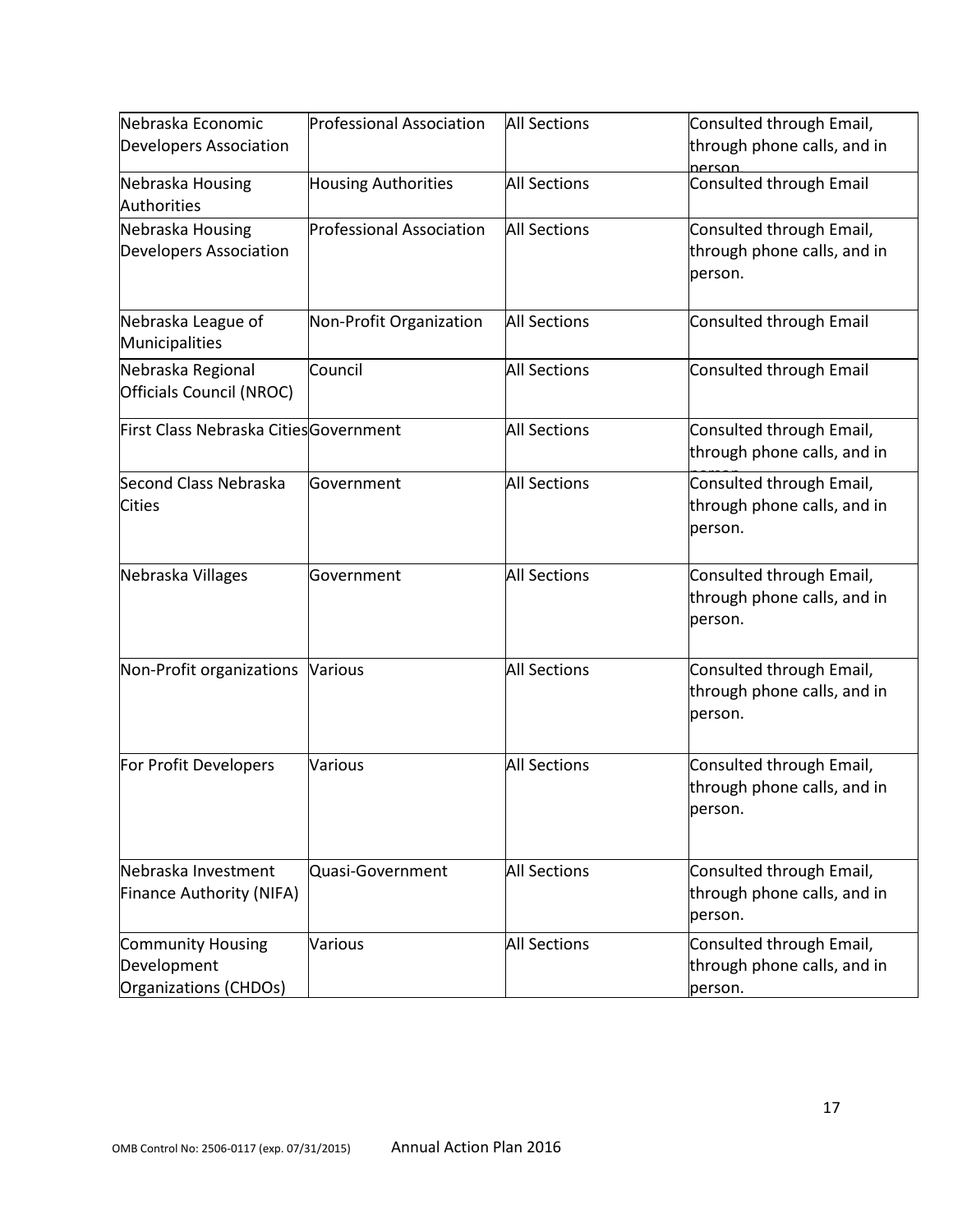| Nebraska Economic                                                | <b>Professional Association</b> | <b>All Sections</b> | Consulted through Email,                                           |
|------------------------------------------------------------------|---------------------------------|---------------------|--------------------------------------------------------------------|
| <b>Developers Association</b>                                    |                                 |                     | through phone calls, and in<br>person.                             |
| Nebraska Housing<br>Authorities                                  | <b>Housing Authorities</b>      | <b>All Sections</b> | Consulted through Email                                            |
| Nebraska Housing<br><b>Developers Association</b>                | <b>Professional Association</b> | <b>All Sections</b> | Consulted through Email,<br>through phone calls, and in<br>person. |
| Nebraska League of<br>Municipalities                             | Non-Profit Organization         | <b>All Sections</b> | Consulted through Email                                            |
| Nebraska Regional<br>Officials Council (NROC)                    | Council                         | <b>All Sections</b> | Consulted through Email                                            |
| First Class Nebraska CitiesGovernment                            |                                 | <b>All Sections</b> | Consulted through Email,<br>through phone calls, and in            |
| Second Class Nebraska<br><b>Cities</b>                           | Government                      | <b>All Sections</b> | Consulted through Email,<br>through phone calls, and in<br>person. |
| Nebraska Villages                                                | Government                      | <b>All Sections</b> | Consulted through Email,<br>through phone calls, and in<br>person. |
| Non-Profit organizations                                         | Various                         | <b>All Sections</b> | Consulted through Email,<br>through phone calls, and in<br>person. |
| For Profit Developers                                            | Various                         | <b>All Sections</b> | Consulted through Email,<br>through phone calls, and in<br>person. |
| Nebraska Investment<br>Finance Authority (NIFA)                  | Quasi-Government                | <b>All Sections</b> | Consulted through Email,<br>through phone calls, and in<br>person. |
| <b>Community Housing</b><br>Development<br>Organizations (CHDOs) | Various                         | <b>All Sections</b> | Consulted through Email,<br>through phone calls, and in<br>person. |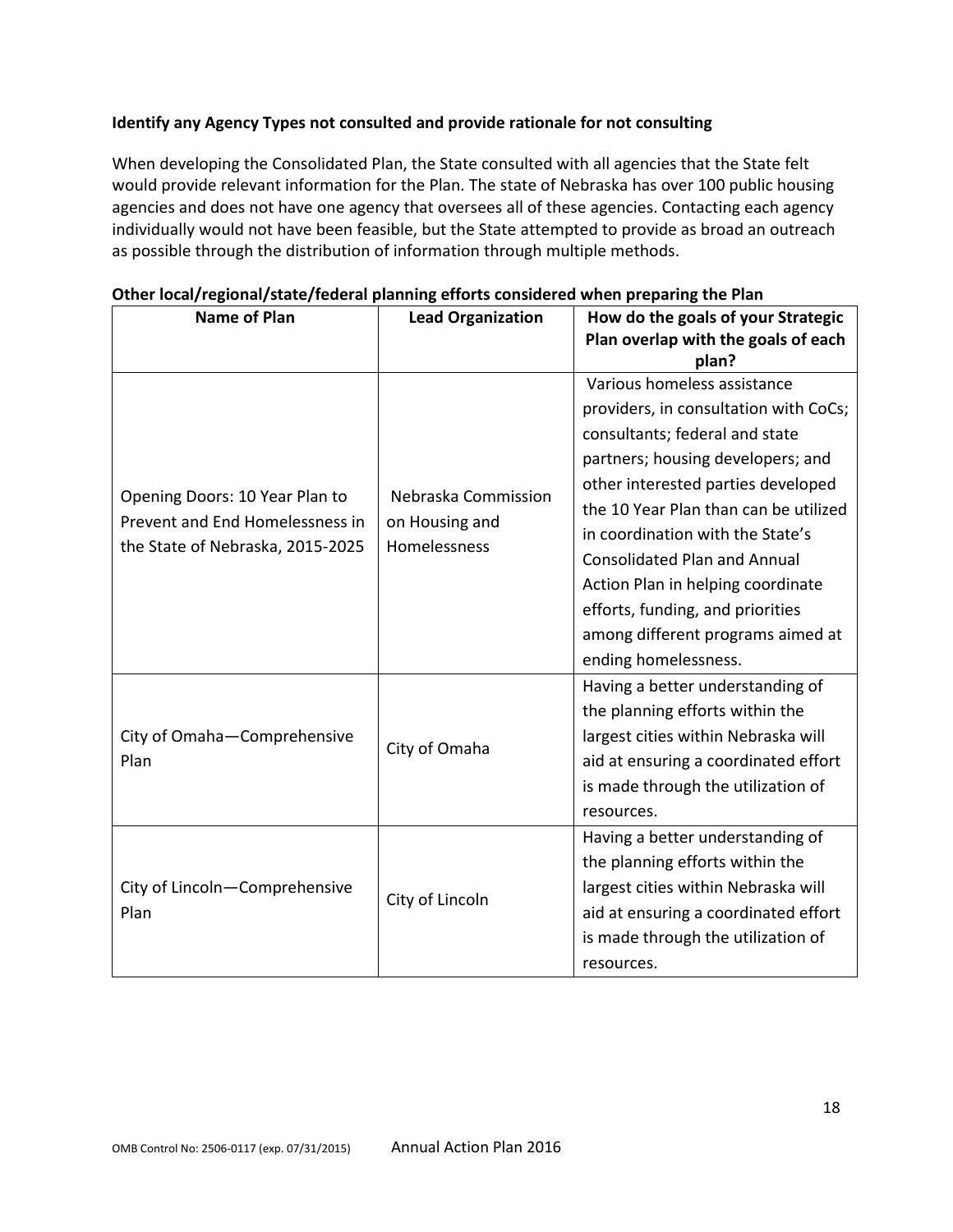# **Identify any Agency Types not consulted and provide rationale for not consulting**

When developing the Consolidated Plan, the State consulted with all agencies that the State felt would provide relevant information for the Plan. The state of Nebraska has over 100 public housing agencies and does not have one agency that oversees all of these agencies. Contacting each agency individually would not have been feasible, but the State attempted to provide as broad an outreach as possible through the distribution of information through multiple methods.

| Name of Plan                                                                                          | <b>Lead Organization</b> | How do the goals of your Strategic<br>Plan overlap with the goals of each |
|-------------------------------------------------------------------------------------------------------|--------------------------|---------------------------------------------------------------------------|
|                                                                                                       |                          | plan?                                                                     |
|                                                                                                       |                          | Various homeless assistance                                               |
|                                                                                                       |                          | providers, in consultation with CoCs;                                     |
|                                                                                                       |                          | consultants; federal and state                                            |
|                                                                                                       |                          | partners; housing developers; and                                         |
|                                                                                                       | Nebraska Commission      | other interested parties developed                                        |
| Opening Doors: 10 Year Plan to<br>Prevent and End Homelessness in<br>the State of Nebraska, 2015-2025 | on Housing and           | the 10 Year Plan than can be utilized                                     |
|                                                                                                       | Homelessness             | in coordination with the State's                                          |
|                                                                                                       |                          | <b>Consolidated Plan and Annual</b>                                       |
|                                                                                                       |                          | Action Plan in helping coordinate                                         |
|                                                                                                       |                          | efforts, funding, and priorities                                          |
|                                                                                                       |                          | among different programs aimed at                                         |
|                                                                                                       |                          | ending homelessness.                                                      |
|                                                                                                       |                          | Having a better understanding of                                          |
|                                                                                                       |                          | the planning efforts within the                                           |
| City of Omaha-Comprehensive                                                                           | City of Omaha            | largest cities within Nebraska will                                       |
| Plan                                                                                                  |                          | aid at ensuring a coordinated effort                                      |
|                                                                                                       |                          | is made through the utilization of                                        |
|                                                                                                       |                          | resources.                                                                |
|                                                                                                       |                          | Having a better understanding of                                          |
|                                                                                                       |                          | the planning efforts within the                                           |
| City of Lincoln-Comprehensive                                                                         | City of Lincoln          | largest cities within Nebraska will                                       |
| Plan                                                                                                  |                          | aid at ensuring a coordinated effort                                      |
|                                                                                                       |                          | is made through the utilization of                                        |
|                                                                                                       |                          | resources.                                                                |

#### **Other local/regional/state/federal planning efforts considered when preparing the Plan**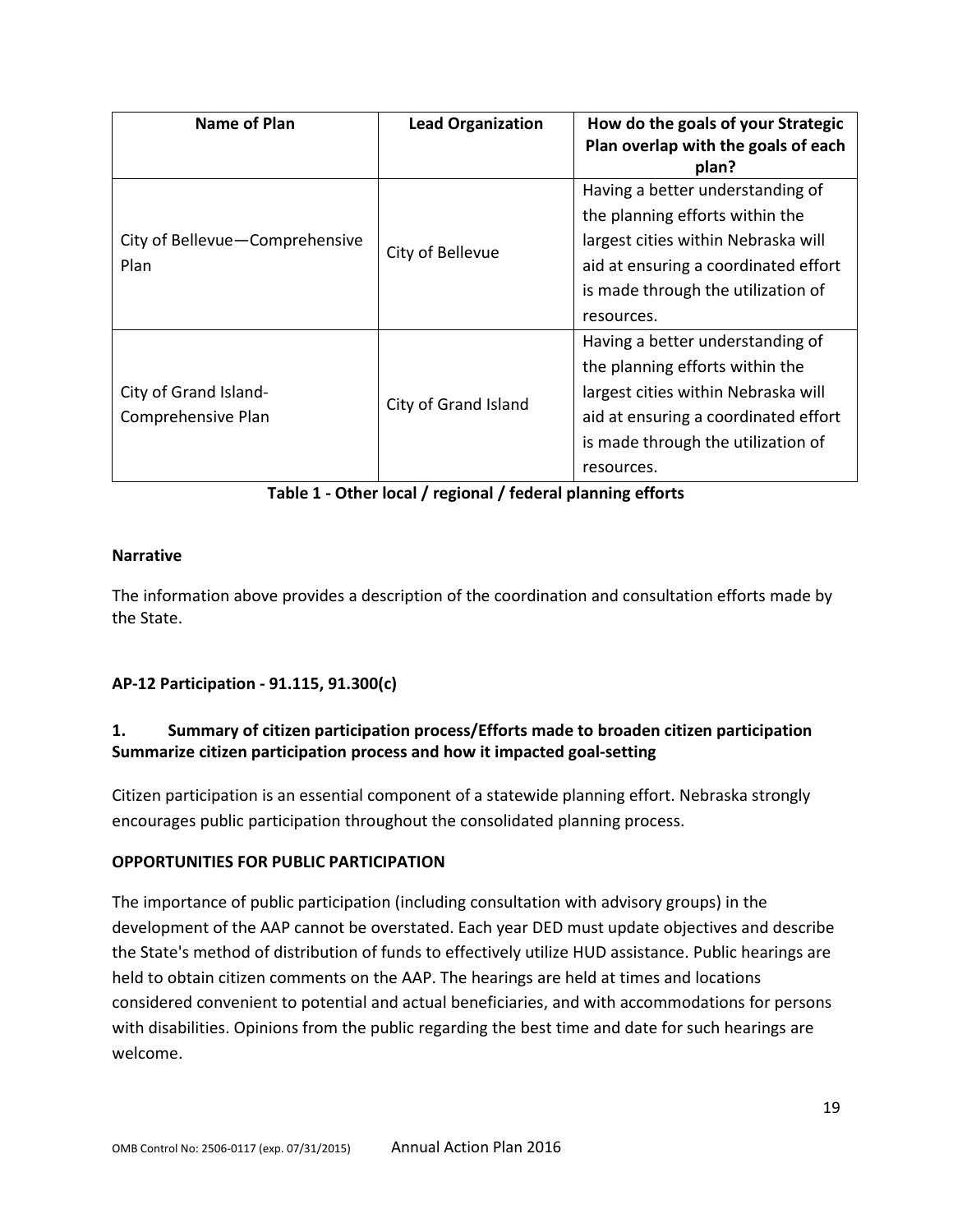| <b>Name of Plan</b>                         | <b>Lead Organization</b> | How do the goals of your Strategic<br>Plan overlap with the goals of each<br>plan?                                                                                                                     |
|---------------------------------------------|--------------------------|--------------------------------------------------------------------------------------------------------------------------------------------------------------------------------------------------------|
| City of Bellevue-Comprehensive<br>Plan      | City of Bellevue         | Having a better understanding of<br>the planning efforts within the<br>largest cities within Nebraska will<br>aid at ensuring a coordinated effort<br>is made through the utilization of<br>resources. |
| City of Grand Island-<br>Comprehensive Plan | City of Grand Island     | Having a better understanding of<br>the planning efforts within the<br>largest cities within Nebraska will<br>aid at ensuring a coordinated effort<br>is made through the utilization of<br>resources. |

**Table 1 - Other local / regional / federal planning efforts**

## **Narrative**

The information above provides a description of the coordination and consultation efforts made by the State.

# **AP-12 Participation - 91.115, 91.300(c)**

# **1. Summary of citizen participation process/Efforts made to broaden citizen participation Summarize citizen participation process and how it impacted goal-setting**

Citizen participation is an essential component of a statewide planning effort. Nebraska strongly encourages public participation throughout the consolidated planning process.

## **OPPORTUNITIES FOR PUBLIC PARTICIPATION**

The importance of public participation (including consultation with advisory groups) in the development of the AAP cannot be overstated. Each year DED must update objectives and describe the State's method of distribution of funds to effectively utilize HUD assistance. Public hearings are held to obtain citizen comments on the AAP. The hearings are held at times and locations considered convenient to potential and actual beneficiaries, and with accommodations for persons with disabilities. Opinions from the public regarding the best time and date for such hearings are welcome.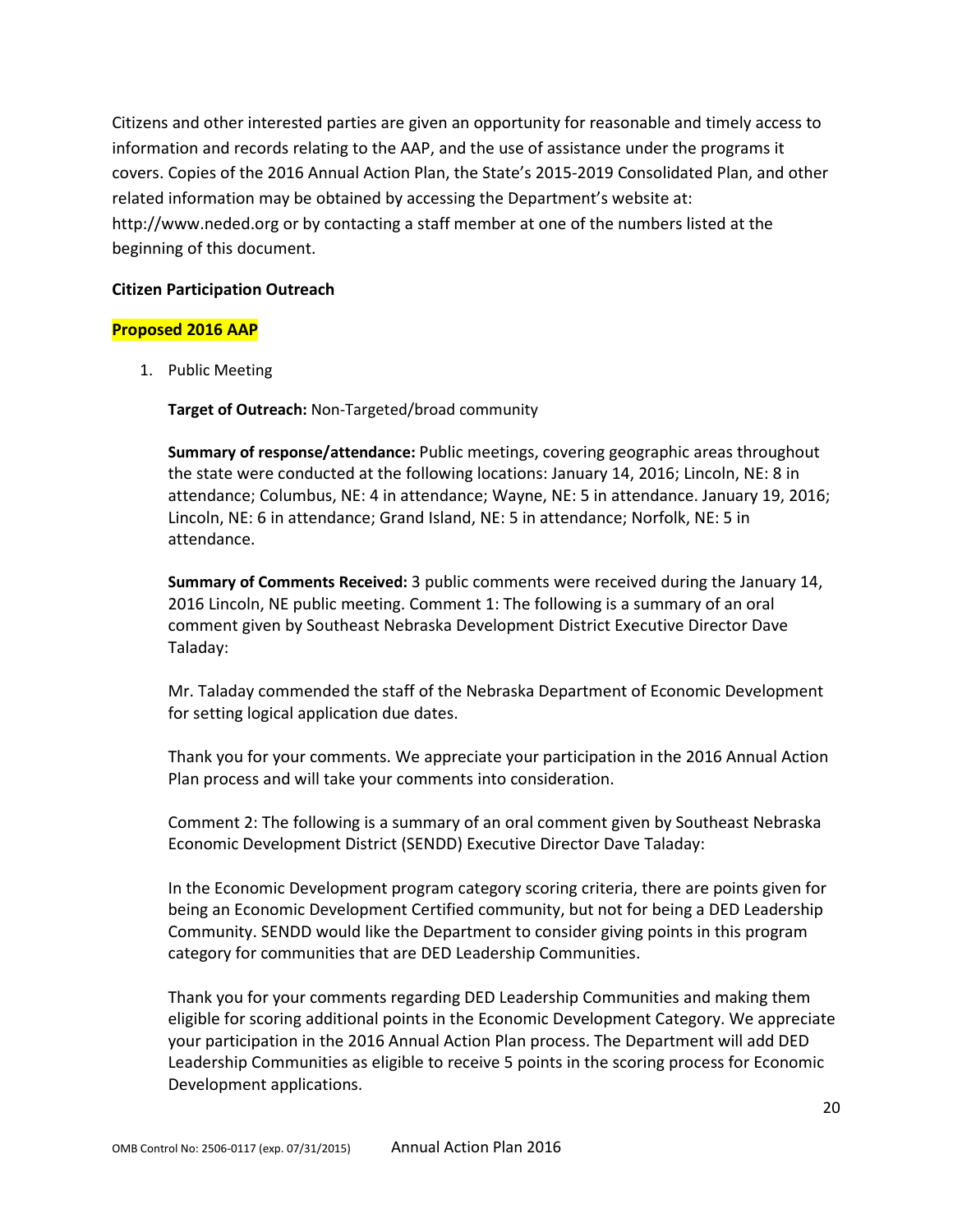Citizens and other interested parties are given an opportunity for reasonable and timely access to information and records relating to the AAP, and the use of assistance under the programs it covers. Copies of the 2016 Annual Action Plan, the State's 2015-2019 Consolidated Plan, and other related information may be obtained by accessing the Department's website at: http://www.neded.org or by contacting a staff member at one of the numbers listed at the beginning of this document.

#### **Citizen Participation Outreach**

#### **Proposed 2016 AAP**

1. Public Meeting

**Target of Outreach:** Non-Targeted/broad community

**Summary of response/attendance:** Public meetings, covering geographic areas throughout the state were conducted at the following locations: January 14, 2016; Lincoln, NE: 8 in attendance; Columbus, NE: 4 in attendance; Wayne, NE: 5 in attendance. January 19, 2016; Lincoln, NE: 6 in attendance; Grand Island, NE: 5 in attendance; Norfolk, NE: 5 in attendance.

**Summary of Comments Received:** 3 public comments were received during the January 14, 2016 Lincoln, NE public meeting. Comment 1: The following is a summary of an oral comment given by Southeast Nebraska Development District Executive Director Dave Taladay:

Mr. Taladay commended the staff of the Nebraska Department of Economic Development for setting logical application due dates.

Thank you for your comments. We appreciate your participation in the 2016 Annual Action Plan process and will take your comments into consideration.

Comment 2: The following is a summary of an oral comment given by Southeast Nebraska Economic Development District (SENDD) Executive Director Dave Taladay:

In the Economic Development program category scoring criteria, there are points given for being an Economic Development Certified community, but not for being a DED Leadership Community. SENDD would like the Department to consider giving points in this program category for communities that are DED Leadership Communities.

Thank you for your comments regarding DED Leadership Communities and making them eligible for scoring additional points in the Economic Development Category. We appreciate your participation in the 2016 Annual Action Plan process. The Department will add DED Leadership Communities as eligible to receive 5 points in the scoring process for Economic Development applications.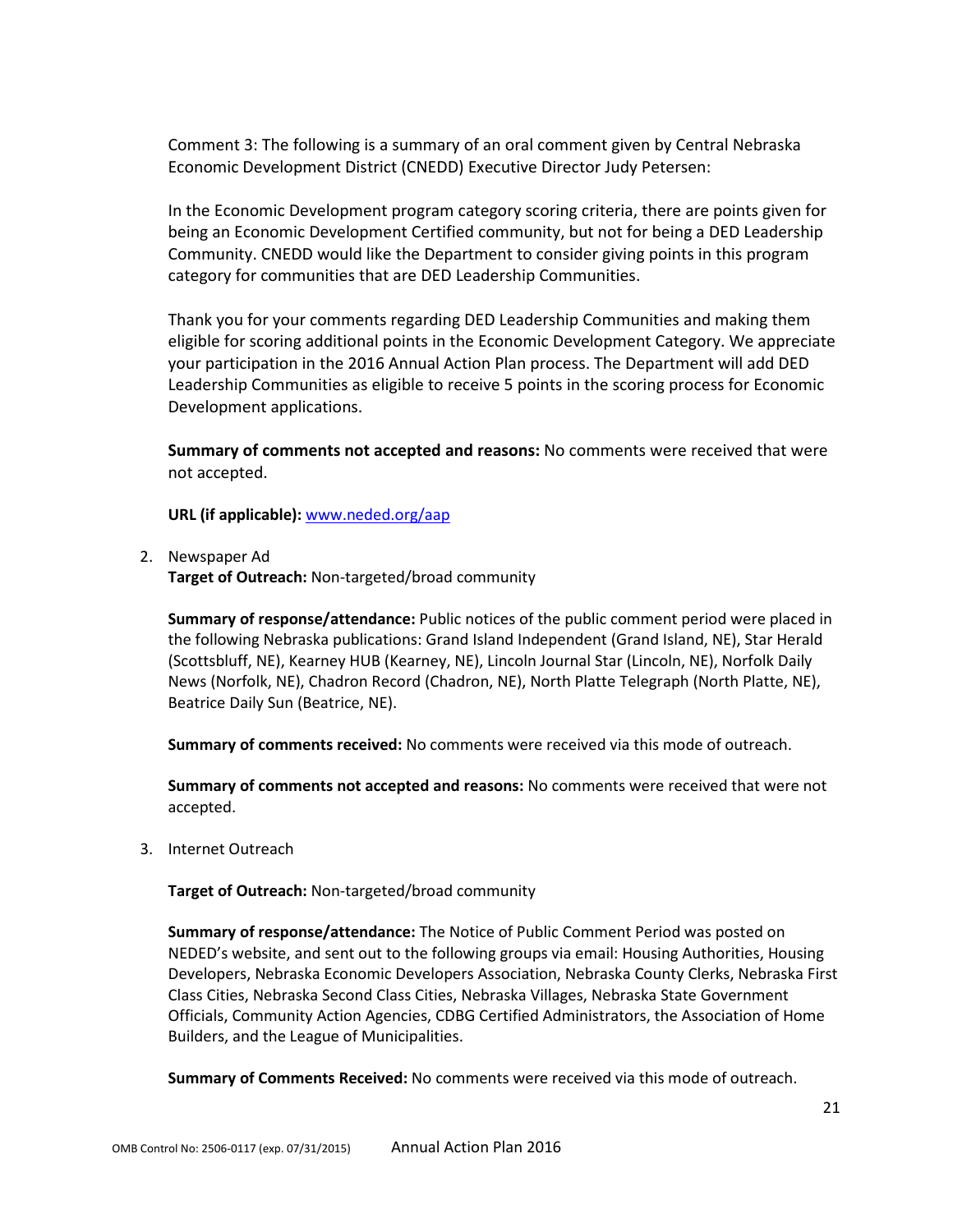Comment 3: The following is a summary of an oral comment given by Central Nebraska Economic Development District (CNEDD) Executive Director Judy Petersen:

In the Economic Development program category scoring criteria, there are points given for being an Economic Development Certified community, but not for being a DED Leadership Community. CNEDD would like the Department to consider giving points in this program category for communities that are DED Leadership Communities.

Thank you for your comments regarding DED Leadership Communities and making them eligible for scoring additional points in the Economic Development Category. We appreciate your participation in the 2016 Annual Action Plan process. The Department will add DED Leadership Communities as eligible to receive 5 points in the scoring process for Economic Development applications.

**Summary of comments not accepted and reasons:** No comments were received that were not accepted.

**URL (if applicable):** [www.neded.org/aap](http://www.neded.org/aap)

2. Newspaper Ad

**Target of Outreach:** Non-targeted/broad community

**Summary of response/attendance:** Public notices of the public comment period were placed in the following Nebraska publications: Grand Island Independent (Grand Island, NE), Star Herald (Scottsbluff, NE), Kearney HUB (Kearney, NE), Lincoln Journal Star (Lincoln, NE), Norfolk Daily News (Norfolk, NE), Chadron Record (Chadron, NE), North Platte Telegraph (North Platte, NE), Beatrice Daily Sun (Beatrice, NE).

**Summary of comments received:** No comments were received via this mode of outreach.

**Summary of comments not accepted and reasons:** No comments were received that were not accepted.

3. Internet Outreach

**Target of Outreach:** Non-targeted/broad community

**Summary of response/attendance:** The Notice of Public Comment Period was posted on NEDED's website, and sent out to the following groups via email: Housing Authorities, Housing Developers, Nebraska Economic Developers Association, Nebraska County Clerks, Nebraska First Class Cities, Nebraska Second Class Cities, Nebraska Villages, Nebraska State Government Officials, Community Action Agencies, CDBG Certified Administrators, the Association of Home Builders, and the League of Municipalities.

**Summary of Comments Received:** No comments were received via this mode of outreach.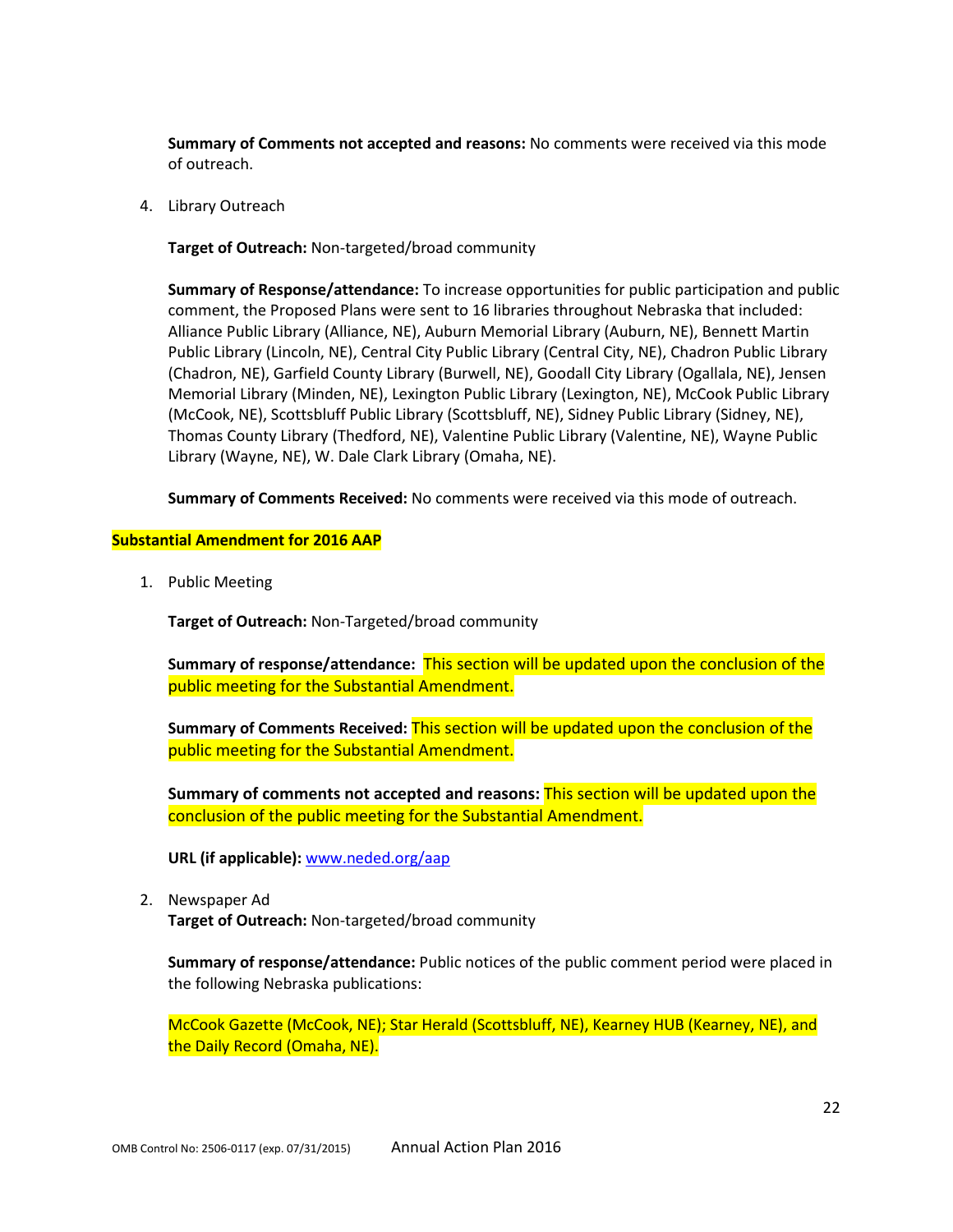**Summary of Comments not accepted and reasons:** No comments were received via this mode of outreach.

4. Library Outreach

**Target of Outreach:** Non-targeted/broad community

**Summary of Response/attendance:** To increase opportunities for public participation and public comment, the Proposed Plans were sent to 16 libraries throughout Nebraska that included: Alliance Public Library (Alliance, NE), Auburn Memorial Library (Auburn, NE), Bennett Martin Public Library (Lincoln, NE), Central City Public Library (Central City, NE), Chadron Public Library (Chadron, NE), Garfield County Library (Burwell, NE), Goodall City Library (Ogallala, NE), Jensen Memorial Library (Minden, NE), Lexington Public Library (Lexington, NE), McCook Public Library (McCook, NE), Scottsbluff Public Library (Scottsbluff, NE), Sidney Public Library (Sidney, NE), Thomas County Library (Thedford, NE), Valentine Public Library (Valentine, NE), Wayne Public Library (Wayne, NE), W. Dale Clark Library (Omaha, NE).

**Summary of Comments Received:** No comments were received via this mode of outreach.

#### **Substantial Amendment for 2016 AAP**

1. Public Meeting

**Target of Outreach:** Non-Targeted/broad community

**Summary of response/attendance:** This section will be updated upon the conclusion of the public meeting for the Substantial Amendment.

**Summary of Comments Received:** This section will be updated upon the conclusion of the public meeting for the Substantial Amendment.

**Summary of comments not accepted and reasons:** This section will be updated upon the conclusion of the public meeting for the Substantial Amendment.

**URL (if applicable):** [www.neded.org/aap](http://www.neded.org/aap)

2. Newspaper Ad

**Target of Outreach:** Non-targeted/broad community

**Summary of response/attendance:** Public notices of the public comment period were placed in the following Nebraska publications:

McCook Gazette (McCook, NE); Star Herald (Scottsbluff, NE), Kearney HUB (Kearney, NE), and the Daily Record (Omaha, NE).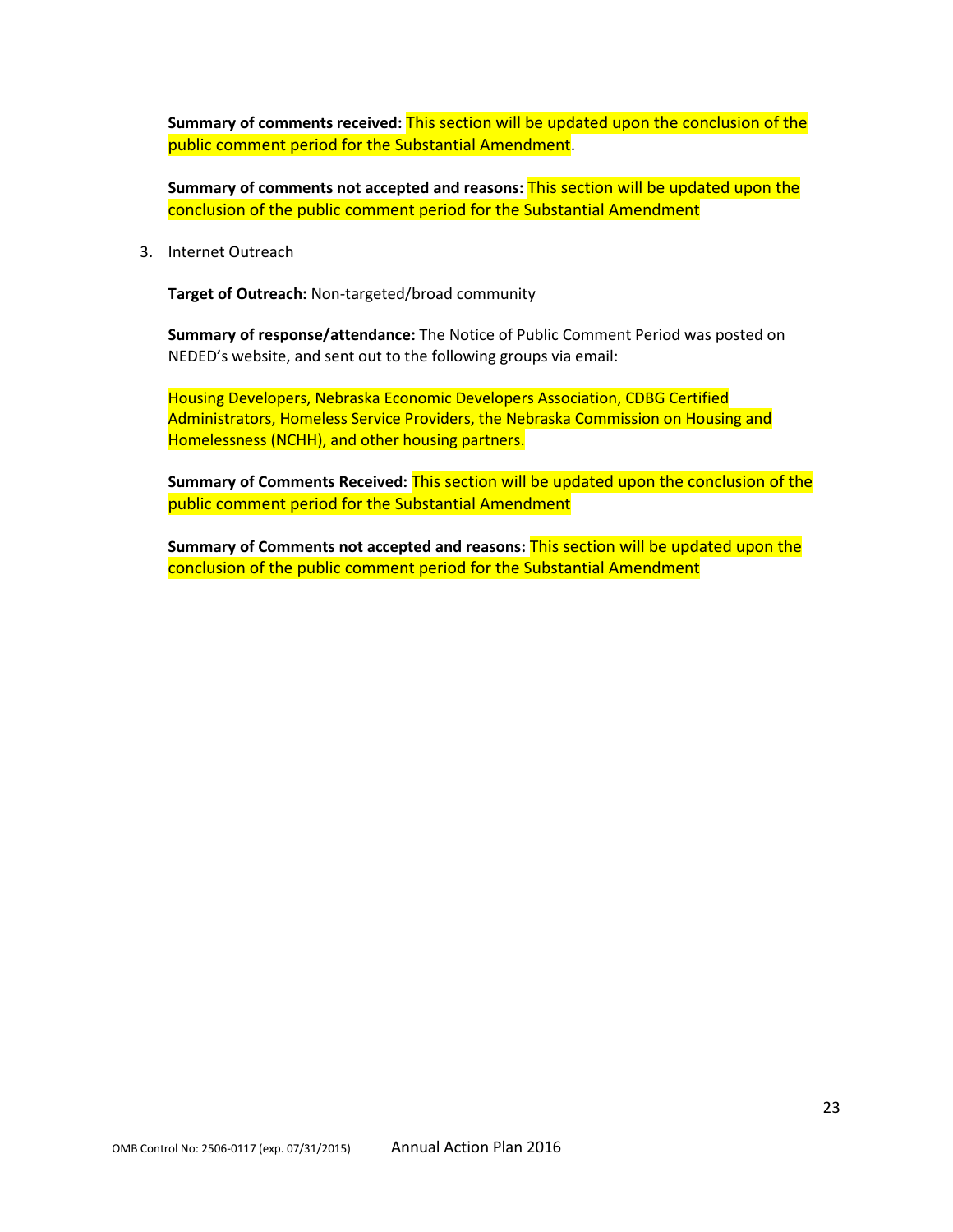**Summary of comments received:** This section will be updated upon the conclusion of the public comment period for the Substantial Amendment.

**Summary of comments not accepted and reasons:** This section will be updated upon the conclusion of the public comment period for the Substantial Amendment

3. Internet Outreach

**Target of Outreach:** Non-targeted/broad community

**Summary of response/attendance:** The Notice of Public Comment Period was posted on NEDED's website, and sent out to the following groups via email:

Housing Developers, Nebraska Economic Developers Association, CDBG Certified Administrators, Homeless Service Providers, the Nebraska Commission on Housing and Homelessness (NCHH), and other housing partners.

**Summary of Comments Received:** This section will be updated upon the conclusion of the public comment period for the Substantial Amendment

**Summary of Comments not accepted and reasons:** This section will be updated upon the conclusion of the public comment period for the Substantial Amendment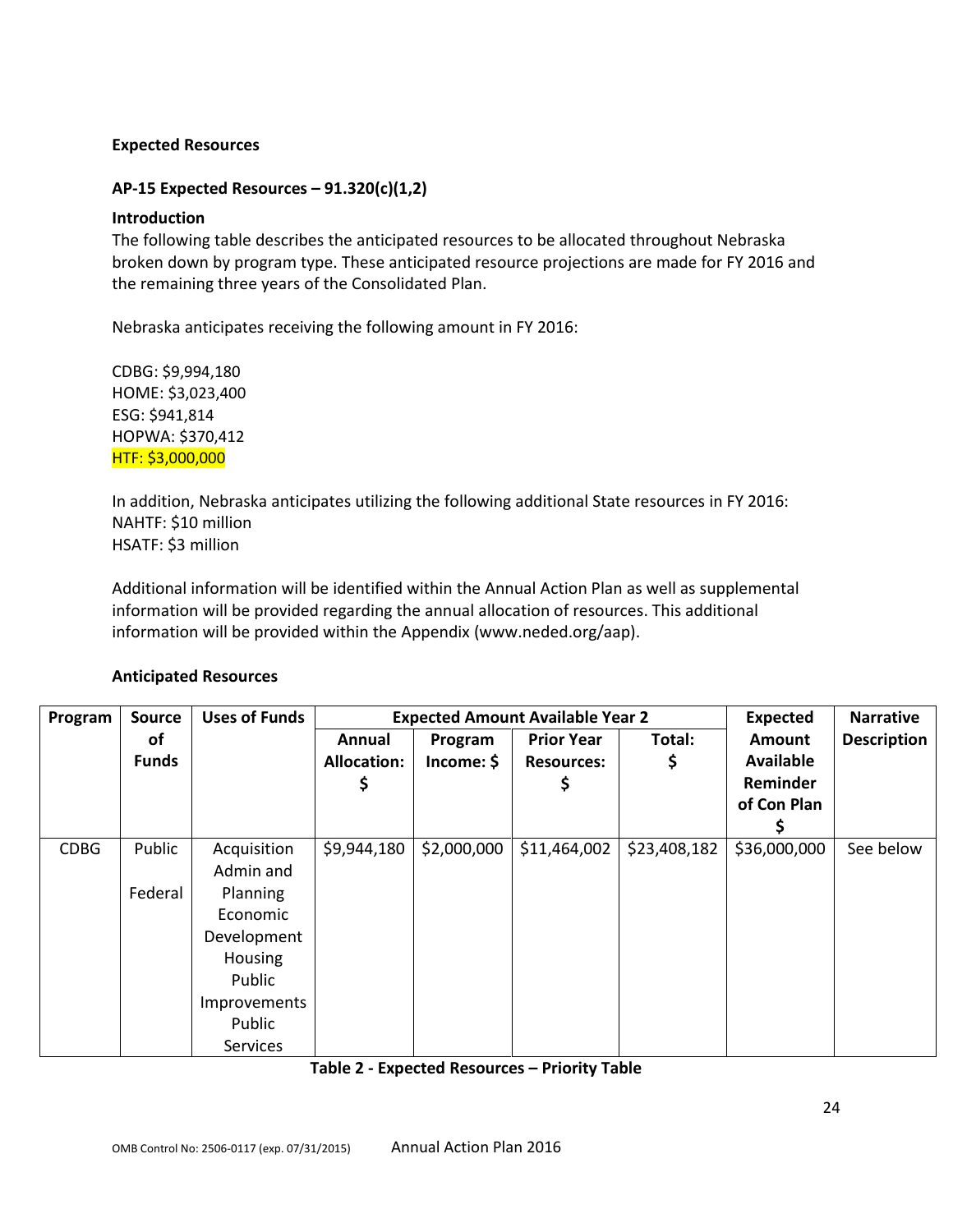## **Expected Resources**

## **AP-15 Expected Resources – 91.320(c)(1,2)**

#### **Introduction**

The following table describes the anticipated resources to be allocated throughout Nebraska broken down by program type. These anticipated resource projections are made for FY 2016 and the remaining three years of the Consolidated Plan.

Nebraska anticipates receiving the following amount in FY 2016:

CDBG: \$9,994,180 HOME: \$3,023,400 ESG: \$941,814 HOPWA: \$370,412 HTF: \$3,000,000

In addition, Nebraska anticipates utilizing the following additional State resources in FY 2016: NAHTF: \$10 million HSATF: \$3 million

Additional information will be identified within the Annual Action Plan as well as supplemental information will be provided regarding the annual allocation of resources. This additional information will be provided within the Appendix (www.neded.org/aap).

#### **Anticipated Resources**

| Program     | <b>Source</b> | <b>Uses of Funds</b> |                    |             | <b>Expected Amount Available Year 2</b> |              | <b>Expected</b>  | <b>Narrative</b>   |
|-------------|---------------|----------------------|--------------------|-------------|-----------------------------------------|--------------|------------------|--------------------|
|             | of            |                      | Annual             | Program     | <b>Prior Year</b>                       | Total:       | <b>Amount</b>    | <b>Description</b> |
|             | <b>Funds</b>  |                      | <b>Allocation:</b> | Income: \$  | <b>Resources:</b>                       | \$           | <b>Available</b> |                    |
|             |               |                      |                    |             | Ş                                       |              | Reminder         |                    |
|             |               |                      |                    |             |                                         |              | of Con Plan      |                    |
|             |               |                      |                    |             |                                         |              |                  |                    |
| <b>CDBG</b> | Public        | Acquisition          | \$9,944,180        | \$2,000,000 | \$11,464,002                            | \$23,408,182 | \$36,000,000     | See below          |
|             |               | Admin and            |                    |             |                                         |              |                  |                    |
|             | Federal       | Planning             |                    |             |                                         |              |                  |                    |
|             |               | Economic             |                    |             |                                         |              |                  |                    |
|             |               | Development          |                    |             |                                         |              |                  |                    |
|             |               | Housing              |                    |             |                                         |              |                  |                    |
|             |               | Public               |                    |             |                                         |              |                  |                    |
|             |               | Improvements         |                    |             |                                         |              |                  |                    |
|             |               | Public               |                    |             |                                         |              |                  |                    |
|             |               | <b>Services</b>      |                    |             |                                         |              |                  |                    |

#### **Table 2 - Expected Resources – Priority Table**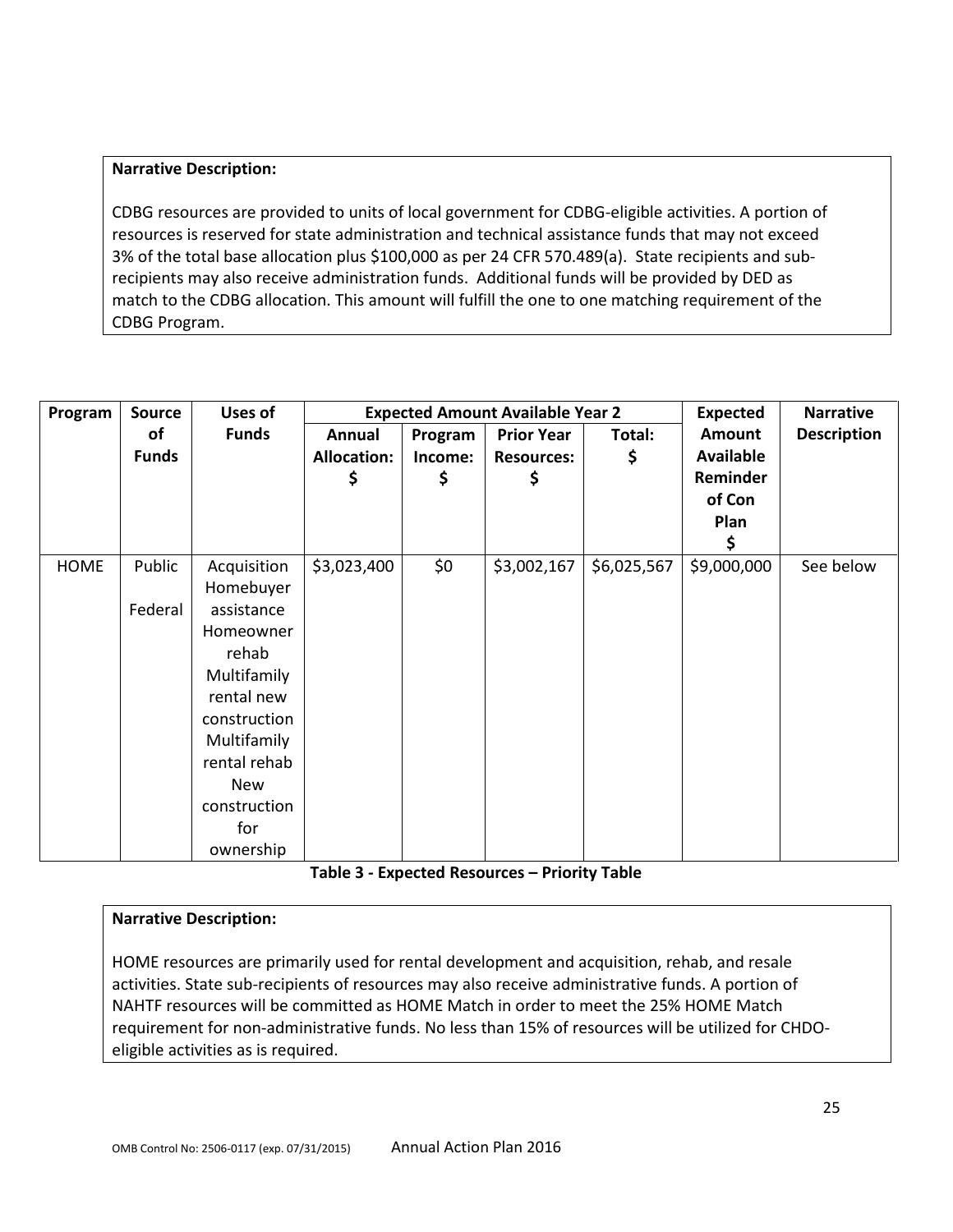## **Narrative Description:**

CDBG resources are provided to units of local government for CDBG-eligible activities. A portion of resources is reserved for state administration and technical assistance funds that may not exceed 3% of the total base allocation plus \$100,000 as per 24 CFR 570.489(a). State recipients and subrecipients may also receive administration funds. Additional funds will be provided by DED as match to the CDBG allocation. This amount will fulfill the one to one matching requirement of the CDBG Program.

| Program     | <b>Source</b> | Uses of      |                    |         | <b>Expected Amount Available Year 2</b> |             | <b>Expected</b>  | <b>Narrative</b>   |
|-------------|---------------|--------------|--------------------|---------|-----------------------------------------|-------------|------------------|--------------------|
|             | of            | <b>Funds</b> | Annual             | Program | <b>Prior Year</b>                       | Total:      | <b>Amount</b>    | <b>Description</b> |
|             | <b>Funds</b>  |              | <b>Allocation:</b> | Income: | <b>Resources:</b>                       | \$          | <b>Available</b> |                    |
|             |               |              | \$                 | \$      | Ş                                       |             | Reminder         |                    |
|             |               |              |                    |         |                                         |             | of Con           |                    |
|             |               |              |                    |         |                                         |             | Plan             |                    |
|             |               |              |                    |         |                                         |             | \$               |                    |
| <b>HOME</b> | Public        | Acquisition  | \$3,023,400        | \$0     | \$3,002,167                             | \$6,025,567 | \$9,000,000      | See below          |
|             |               | Homebuyer    |                    |         |                                         |             |                  |                    |
|             | Federal       | assistance   |                    |         |                                         |             |                  |                    |
|             |               | Homeowner    |                    |         |                                         |             |                  |                    |
|             |               | rehab        |                    |         |                                         |             |                  |                    |
|             |               | Multifamily  |                    |         |                                         |             |                  |                    |
|             |               | rental new   |                    |         |                                         |             |                  |                    |
|             |               | construction |                    |         |                                         |             |                  |                    |
|             |               | Multifamily  |                    |         |                                         |             |                  |                    |
|             |               | rental rehab |                    |         |                                         |             |                  |                    |
|             |               | New          |                    |         |                                         |             |                  |                    |
|             |               | construction |                    |         |                                         |             |                  |                    |
|             |               | for          |                    |         |                                         |             |                  |                    |
|             |               | ownership    |                    |         |                                         |             |                  |                    |

#### **Table 3 - Expected Resources – Priority Table**

## **Narrative Description:**

HOME resources are primarily used for rental development and acquisition, rehab, and resale activities. State sub-recipients of resources may also receive administrative funds. A portion of NAHTF resources will be committed as HOME Match in order to meet the 25% HOME Match requirement for non-administrative funds. No less than 15% of resources will be utilized for CHDOeligible activities as is required.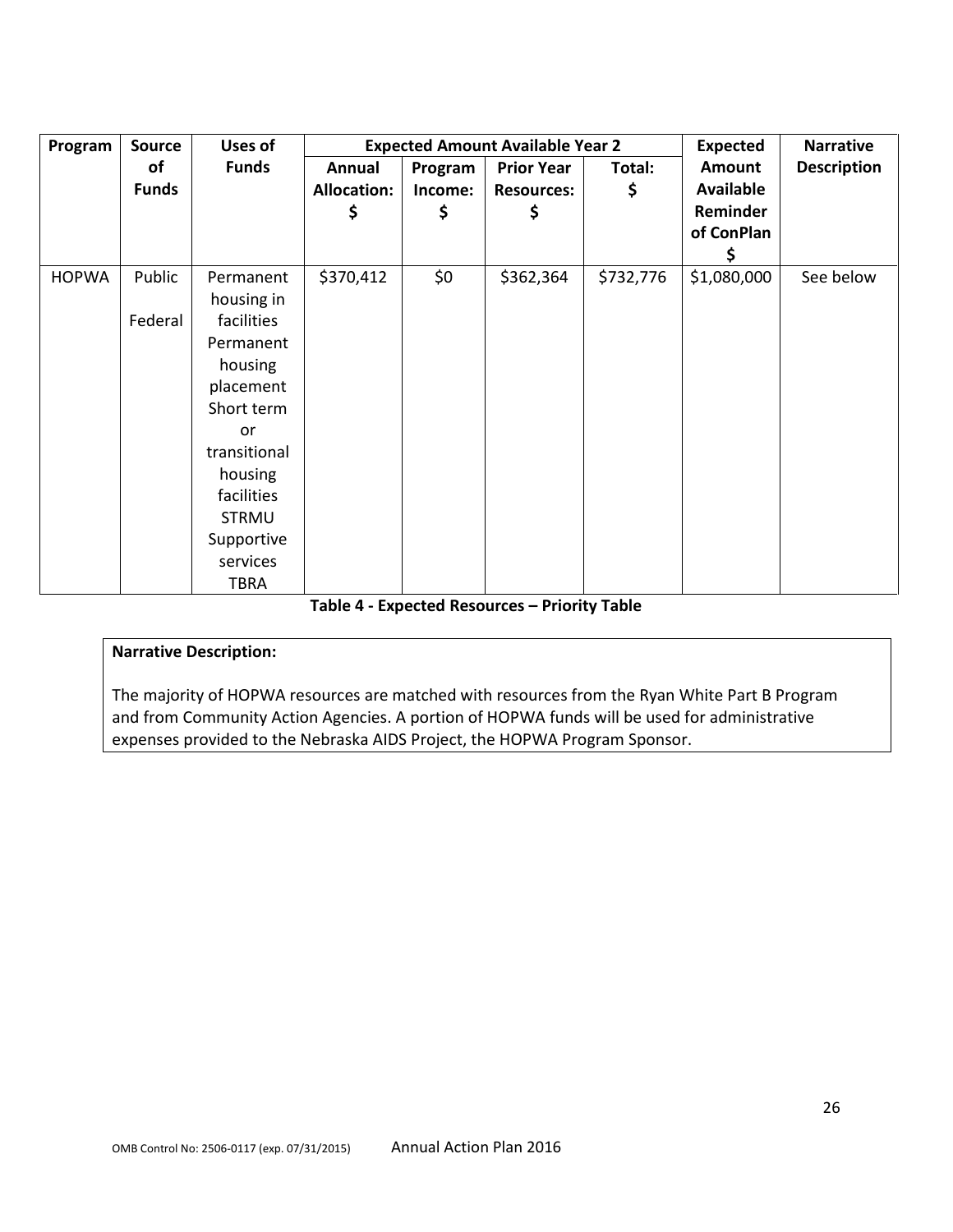| Program      | <b>Source</b> | <b>Uses of</b> |                    |         | <b>Expected Amount Available Year 2</b> |           | <b>Expected</b>  | <b>Narrative</b>   |
|--------------|---------------|----------------|--------------------|---------|-----------------------------------------|-----------|------------------|--------------------|
|              | of            | <b>Funds</b>   | Annual             | Program | <b>Prior Year</b>                       | Total:    | <b>Amount</b>    | <b>Description</b> |
|              | <b>Funds</b>  |                | <b>Allocation:</b> | Income: | <b>Resources:</b>                       | \$        | <b>Available</b> |                    |
|              |               |                | \$                 | \$      | \$                                      |           | Reminder         |                    |
|              |               |                |                    |         |                                         |           | of ConPlan       |                    |
|              |               |                |                    |         |                                         |           | Ş                |                    |
| <b>HOPWA</b> | Public        | Permanent      | \$370,412          | \$0\$   | \$362,364                               | \$732,776 | \$1,080,000      | See below          |
|              |               | housing in     |                    |         |                                         |           |                  |                    |
|              | Federal       | facilities     |                    |         |                                         |           |                  |                    |
|              |               | Permanent      |                    |         |                                         |           |                  |                    |
|              |               | housing        |                    |         |                                         |           |                  |                    |
|              |               | placement      |                    |         |                                         |           |                  |                    |
|              |               | Short term     |                    |         |                                         |           |                  |                    |
|              |               | or             |                    |         |                                         |           |                  |                    |
|              |               | transitional   |                    |         |                                         |           |                  |                    |
|              |               | housing        |                    |         |                                         |           |                  |                    |
|              |               | facilities     |                    |         |                                         |           |                  |                    |
|              |               | <b>STRMU</b>   |                    |         |                                         |           |                  |                    |
|              |               | Supportive     |                    |         |                                         |           |                  |                    |
|              |               | services       |                    |         |                                         |           |                  |                    |
|              |               | <b>TBRA</b>    |                    |         |                                         |           |                  |                    |

**Table 4 - Expected Resources – Priority Table**

#### **Narrative Description:**

The majority of HOPWA resources are matched with resources from the Ryan White Part B Program and from Community Action Agencies. A portion of HOPWA funds will be used for administrative expenses provided to the Nebraska AIDS Project, the HOPWA Program Sponsor.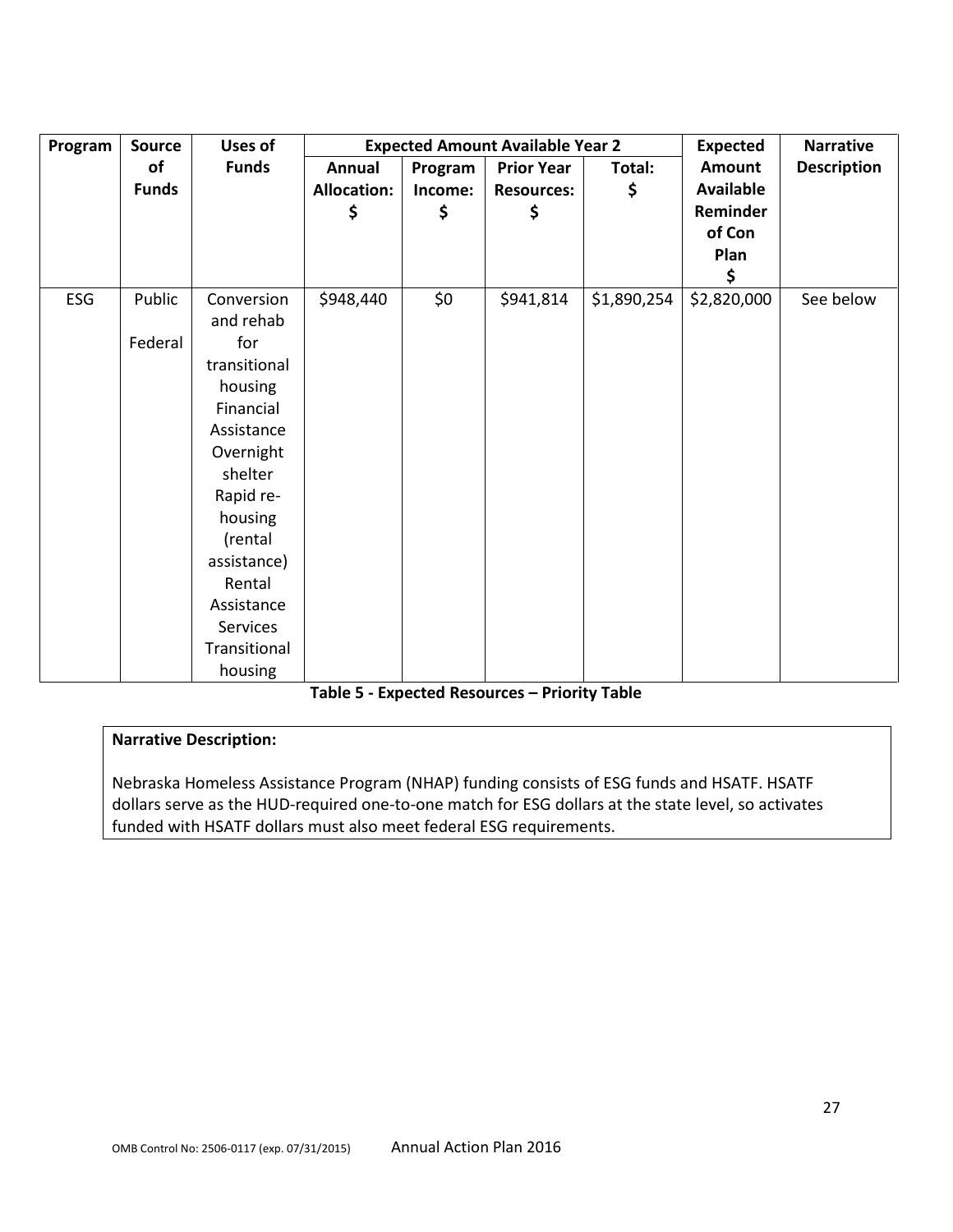| Program | <b>Source</b> | Uses of      |                    |         | <b>Expected Amount Available Year 2</b> |             | <b>Expected</b>  | <b>Narrative</b>   |
|---------|---------------|--------------|--------------------|---------|-----------------------------------------|-------------|------------------|--------------------|
|         | of            | <b>Funds</b> | Annual             | Program | <b>Prior Year</b>                       | Total:      | <b>Amount</b>    | <b>Description</b> |
|         | <b>Funds</b>  |              | <b>Allocation:</b> | Income: | <b>Resources:</b>                       | \$          | <b>Available</b> |                    |
|         |               |              | \$                 | \$      | \$                                      |             | Reminder         |                    |
|         |               |              |                    |         |                                         |             | of Con           |                    |
|         |               |              |                    |         |                                         |             | Plan             |                    |
|         |               |              |                    |         |                                         |             | \$               |                    |
| ESG     | Public        | Conversion   | \$948,440          | \$0     | \$941,814                               | \$1,890,254 | \$2,820,000      | See below          |
|         |               | and rehab    |                    |         |                                         |             |                  |                    |
|         | Federal       | for          |                    |         |                                         |             |                  |                    |
|         |               | transitional |                    |         |                                         |             |                  |                    |
|         |               | housing      |                    |         |                                         |             |                  |                    |
|         |               | Financial    |                    |         |                                         |             |                  |                    |
|         |               | Assistance   |                    |         |                                         |             |                  |                    |
|         |               | Overnight    |                    |         |                                         |             |                  |                    |
|         |               | shelter      |                    |         |                                         |             |                  |                    |
|         |               | Rapid re-    |                    |         |                                         |             |                  |                    |
|         |               | housing      |                    |         |                                         |             |                  |                    |
|         |               | (rental      |                    |         |                                         |             |                  |                    |
|         |               | assistance)  |                    |         |                                         |             |                  |                    |
|         |               | Rental       |                    |         |                                         |             |                  |                    |
|         |               | Assistance   |                    |         |                                         |             |                  |                    |
|         |               | Services     |                    |         |                                         |             |                  |                    |
|         |               | Transitional |                    |         |                                         |             |                  |                    |
|         |               | housing      |                    |         |                                         |             |                  |                    |

#### **Table 5 - Expected Resources – Priority Table**

#### **Narrative Description:**

Nebraska Homeless Assistance Program (NHAP) funding consists of ESG funds and HSATF. HSATF dollars serve as the HUD-required one-to-one match for ESG dollars at the state level, so activates funded with HSATF dollars must also meet federal ESG requirements.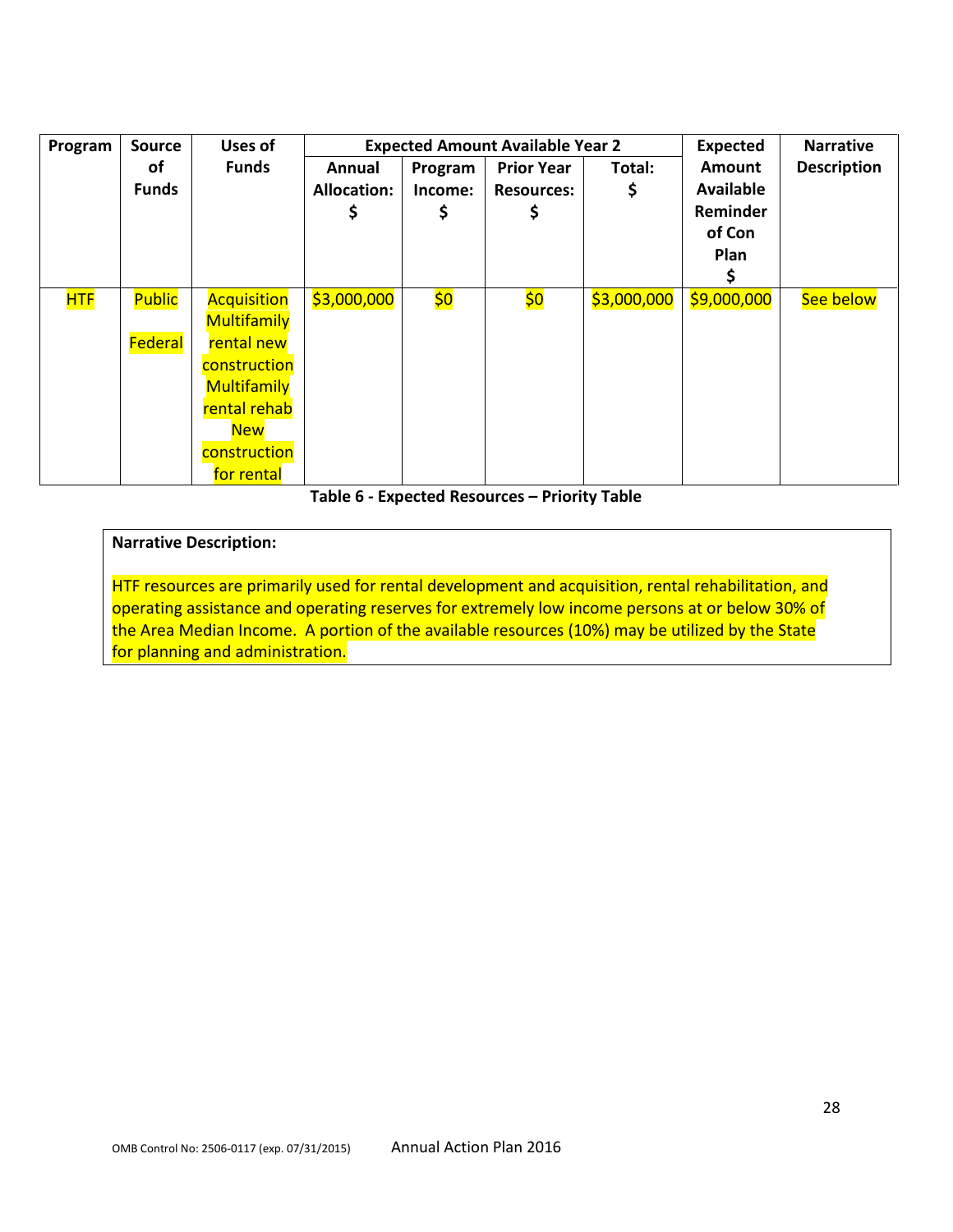| Program    | <b>Source</b> | <b>Uses of</b>     |                    |         | <b>Expected Amount Available Year 2</b> |             | <b>Expected</b>  | <b>Narrative</b>   |
|------------|---------------|--------------------|--------------------|---------|-----------------------------------------|-------------|------------------|--------------------|
|            | оf            | <b>Funds</b>       | Annual             | Program | <b>Prior Year</b>                       | Total:      | Amount           | <b>Description</b> |
|            | <b>Funds</b>  |                    | <b>Allocation:</b> | Income: | <b>Resources:</b>                       | \$          | <b>Available</b> |                    |
|            |               |                    |                    |         |                                         |             | Reminder         |                    |
|            |               |                    |                    |         |                                         |             | of Con           |                    |
|            |               |                    |                    |         |                                         |             | Plan             |                    |
|            |               |                    |                    |         |                                         |             |                  |                    |
| <b>HTF</b> | <b>Public</b> | <b>Acquisition</b> | \$3,000,000        | \$0     | \$0                                     | \$3,000,000 | \$9,000,000      | See below          |
|            |               | <b>Multifamily</b> |                    |         |                                         |             |                  |                    |
|            | Federal       | rental new         |                    |         |                                         |             |                  |                    |
|            |               | construction       |                    |         |                                         |             |                  |                    |
|            |               | <b>Multifamily</b> |                    |         |                                         |             |                  |                    |
|            |               | rental rehab       |                    |         |                                         |             |                  |                    |
|            |               | <b>New</b>         |                    |         |                                         |             |                  |                    |
|            |               | construction       |                    |         |                                         |             |                  |                    |
|            |               | for rental         |                    |         |                                         |             |                  |                    |

#### **Table 6 - Expected Resources – Priority Table**

#### **Narrative Description:**

HTF resources are primarily used for rental development and acquisition, rental rehabilitation, and operating assistance and operating reserves for extremely low income persons at or below 30% of the Area Median Income. A portion of the available resources (10%) may be utilized by the State for planning and administration.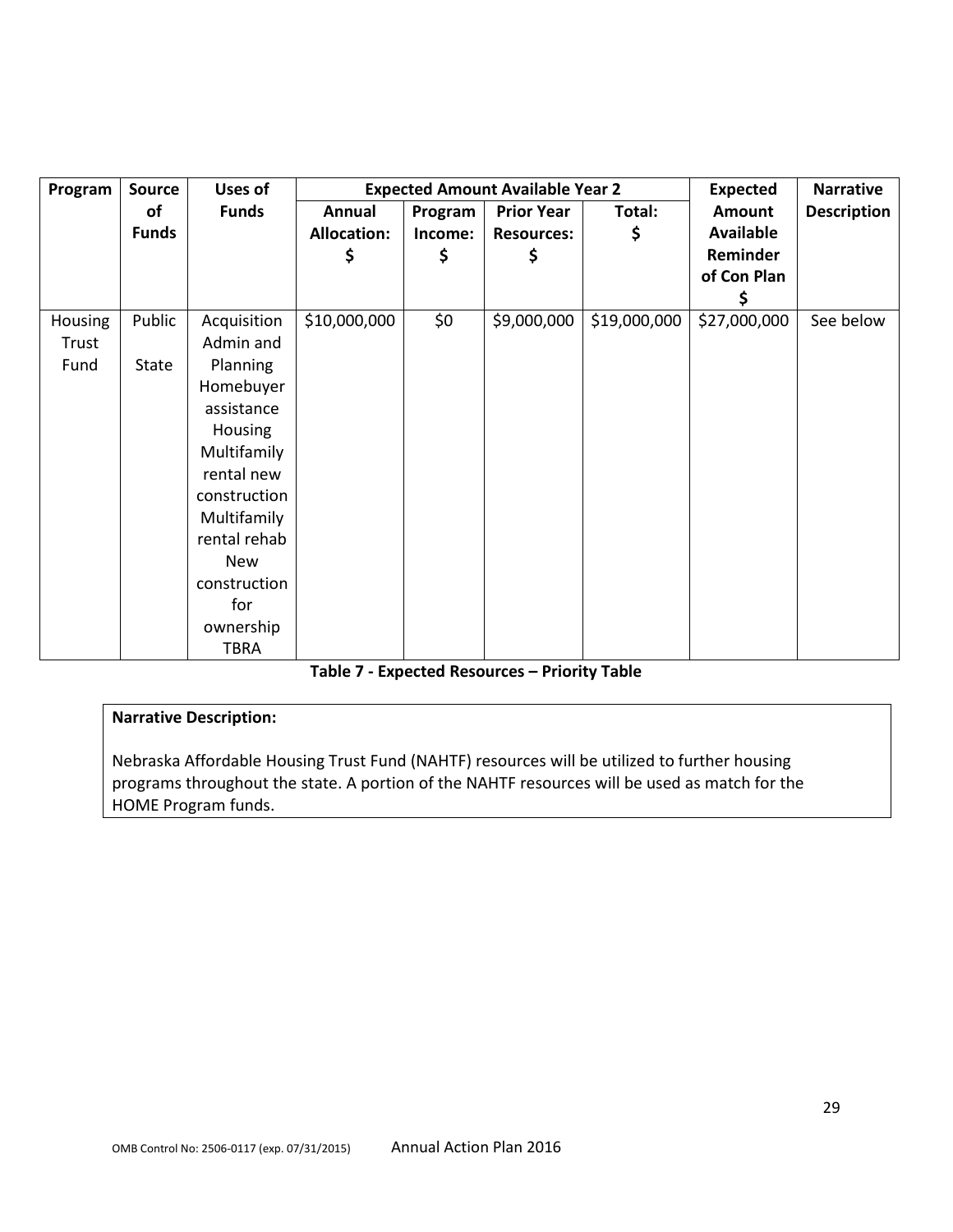| Program        | <b>Source</b> | Uses of         |                    |         | <b>Expected Amount Available Year 2</b> |              | <b>Expected</b>  | <b>Narrative</b>   |
|----------------|---------------|-----------------|--------------------|---------|-----------------------------------------|--------------|------------------|--------------------|
|                | of            | <b>Funds</b>    | Annual             | Program | <b>Prior Year</b>                       | Total:       | <b>Amount</b>    | <b>Description</b> |
|                | <b>Funds</b>  |                 | <b>Allocation:</b> | Income: | <b>Resources:</b>                       | \$           | <b>Available</b> |                    |
|                |               |                 | \$                 | \$      | \$                                      |              | Reminder         |                    |
|                |               |                 |                    |         |                                         |              | of Con Plan      |                    |
|                |               |                 |                    |         |                                         |              |                  |                    |
| <b>Housing</b> | Public        | Acquisition     | \$10,000,000       | \$0     | \$9,000,000                             | \$19,000,000 | \$27,000,000     | See below          |
| Trust          |               | Admin and       |                    |         |                                         |              |                  |                    |
| Fund           | State         | <b>Planning</b> |                    |         |                                         |              |                  |                    |
|                |               | Homebuyer       |                    |         |                                         |              |                  |                    |
|                |               | assistance      |                    |         |                                         |              |                  |                    |
|                |               | Housing         |                    |         |                                         |              |                  |                    |
|                |               | Multifamily     |                    |         |                                         |              |                  |                    |
|                |               | rental new      |                    |         |                                         |              |                  |                    |
|                |               | construction    |                    |         |                                         |              |                  |                    |
|                |               | Multifamily     |                    |         |                                         |              |                  |                    |
|                |               | rental rehab    |                    |         |                                         |              |                  |                    |
|                |               | <b>New</b>      |                    |         |                                         |              |                  |                    |
|                |               | construction    |                    |         |                                         |              |                  |                    |
|                |               | for             |                    |         |                                         |              |                  |                    |
|                |               | ownership       |                    |         |                                         |              |                  |                    |
|                |               | <b>TBRA</b>     |                    |         |                                         |              |                  |                    |

#### **Table 7 - Expected Resources – Priority Table**

## **Narrative Description:**

Nebraska Affordable Housing Trust Fund (NAHTF) resources will be utilized to further housing programs throughout the state. A portion of the NAHTF resources will be used as match for the HOME Program funds.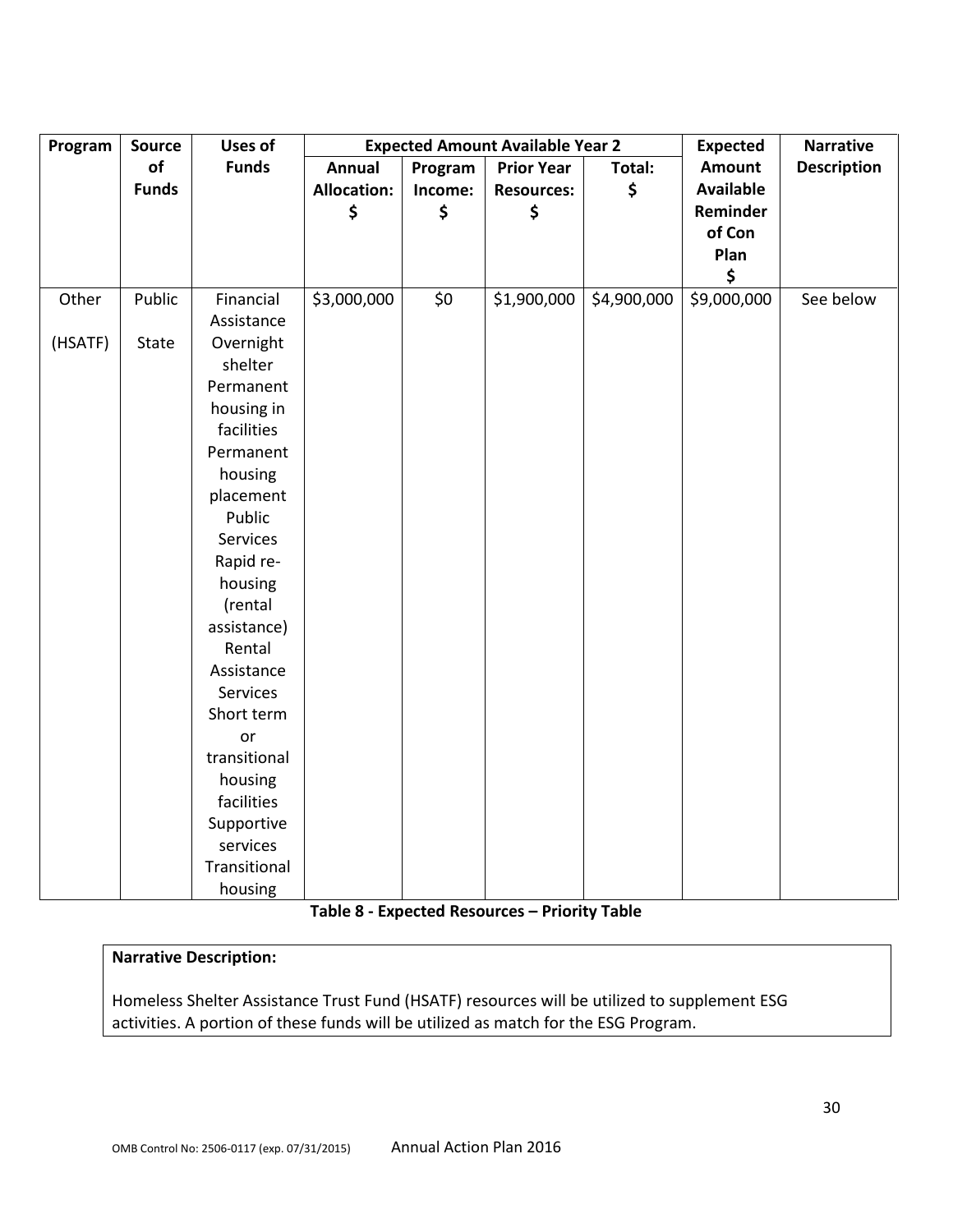| Program | <b>Source</b> | <b>Uses of</b> |                    | <b>Expected Amount Available Year 2</b> |                   | <b>Expected</b> | <b>Narrative</b> |                    |
|---------|---------------|----------------|--------------------|-----------------------------------------|-------------------|-----------------|------------------|--------------------|
|         | of            | <b>Funds</b>   | <b>Annual</b>      | Program                                 | <b>Prior Year</b> | Total:          | <b>Amount</b>    | <b>Description</b> |
|         | <b>Funds</b>  |                | <b>Allocation:</b> | Income:                                 | <b>Resources:</b> | \$              | <b>Available</b> |                    |
|         |               |                | \$                 | \$                                      | \$                |                 | Reminder         |                    |
|         |               |                |                    |                                         |                   |                 | of Con           |                    |
|         |               |                |                    |                                         |                   |                 | Plan             |                    |
|         |               |                |                    |                                         |                   |                 | \$               |                    |
| Other   | Public        | Financial      | \$3,000,000        | \$0                                     | \$1,900,000       | \$4,900,000     | \$9,000,000      | See below          |
|         |               | Assistance     |                    |                                         |                   |                 |                  |                    |
| (HSATF) | State         | Overnight      |                    |                                         |                   |                 |                  |                    |
|         |               | shelter        |                    |                                         |                   |                 |                  |                    |
|         |               | Permanent      |                    |                                         |                   |                 |                  |                    |
|         |               | housing in     |                    |                                         |                   |                 |                  |                    |
|         |               | facilities     |                    |                                         |                   |                 |                  |                    |
|         |               | Permanent      |                    |                                         |                   |                 |                  |                    |
|         |               | housing        |                    |                                         |                   |                 |                  |                    |
|         |               | placement      |                    |                                         |                   |                 |                  |                    |
|         |               | Public         |                    |                                         |                   |                 |                  |                    |
|         |               | Services       |                    |                                         |                   |                 |                  |                    |
|         |               | Rapid re-      |                    |                                         |                   |                 |                  |                    |
|         |               | housing        |                    |                                         |                   |                 |                  |                    |
|         |               | (rental        |                    |                                         |                   |                 |                  |                    |
|         |               | assistance)    |                    |                                         |                   |                 |                  |                    |
|         |               | Rental         |                    |                                         |                   |                 |                  |                    |
|         |               | Assistance     |                    |                                         |                   |                 |                  |                    |
|         |               | Services       |                    |                                         |                   |                 |                  |                    |
|         |               | Short term     |                    |                                         |                   |                 |                  |                    |
|         |               | or             |                    |                                         |                   |                 |                  |                    |
|         |               | transitional   |                    |                                         |                   |                 |                  |                    |
|         |               | housing        |                    |                                         |                   |                 |                  |                    |
|         |               | facilities     |                    |                                         |                   |                 |                  |                    |
|         |               | Supportive     |                    |                                         |                   |                 |                  |                    |
|         |               | services       |                    |                                         |                   |                 |                  |                    |
|         |               | Transitional   |                    |                                         |                   |                 |                  |                    |
|         |               | housing        |                    |                                         |                   |                 |                  |                    |

# **Table 8 - Expected Resources – Priority Table**

# **Narrative Description:**

Homeless Shelter Assistance Trust Fund (HSATF) resources will be utilized to supplement ESG activities. A portion of these funds will be utilized as match for the ESG Program.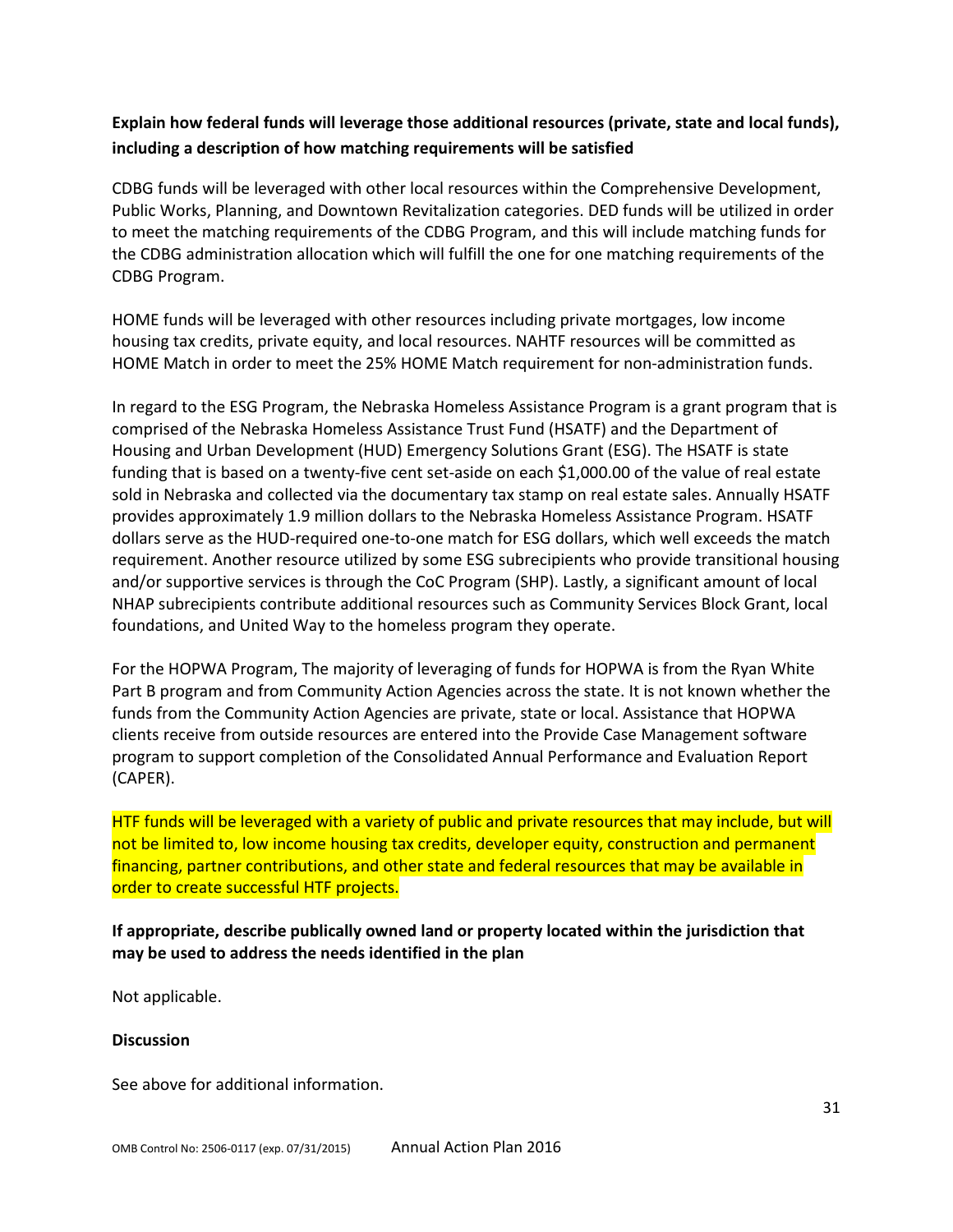# **Explain how federal funds will leverage those additional resources (private, state and local funds), including a description of how matching requirements will be satisfied**

CDBG funds will be leveraged with other local resources within the Comprehensive Development, Public Works, Planning, and Downtown Revitalization categories. DED funds will be utilized in order to meet the matching requirements of the CDBG Program, and this will include matching funds for the CDBG administration allocation which will fulfill the one for one matching requirements of the CDBG Program.

HOME funds will be leveraged with other resources including private mortgages, low income housing tax credits, private equity, and local resources. NAHTF resources will be committed as HOME Match in order to meet the 25% HOME Match requirement for non-administration funds.

In regard to the ESG Program, the Nebraska Homeless Assistance Program is a grant program that is comprised of the Nebraska Homeless Assistance Trust Fund (HSATF) and the Department of Housing and Urban Development (HUD) Emergency Solutions Grant (ESG). The HSATF is state funding that is based on a twenty-five cent set-aside on each \$1,000.00 of the value of real estate sold in Nebraska and collected via the documentary tax stamp on real estate sales. Annually HSATF provides approximately 1.9 million dollars to the Nebraska Homeless Assistance Program. HSATF dollars serve as the HUD-required one-to-one match for ESG dollars, which well exceeds the match requirement. Another resource utilized by some ESG subrecipients who provide transitional housing and/or supportive services is through the CoC Program (SHP). Lastly, a significant amount of local NHAP subrecipients contribute additional resources such as Community Services Block Grant, local foundations, and United Way to the homeless program they operate.

For the HOPWA Program, The majority of leveraging of funds for HOPWA is from the Ryan White Part B program and from Community Action Agencies across the state. It is not known whether the funds from the Community Action Agencies are private, state or local. Assistance that HOPWA clients receive from outside resources are entered into the Provide Case Management software program to support completion of the Consolidated Annual Performance and Evaluation Report (CAPER).

HTF funds will be leveraged with a variety of public and private resources that may include, but will not be limited to, low income housing tax credits, developer equity, construction and permanent financing, partner contributions, and other state and federal resources that may be available in order to create successful HTF projects.

# **If appropriate, describe publically owned land or property located within the jurisdiction that may be used to address the needs identified in the plan**

Not applicable.

#### **Discussion**

See above for additional information.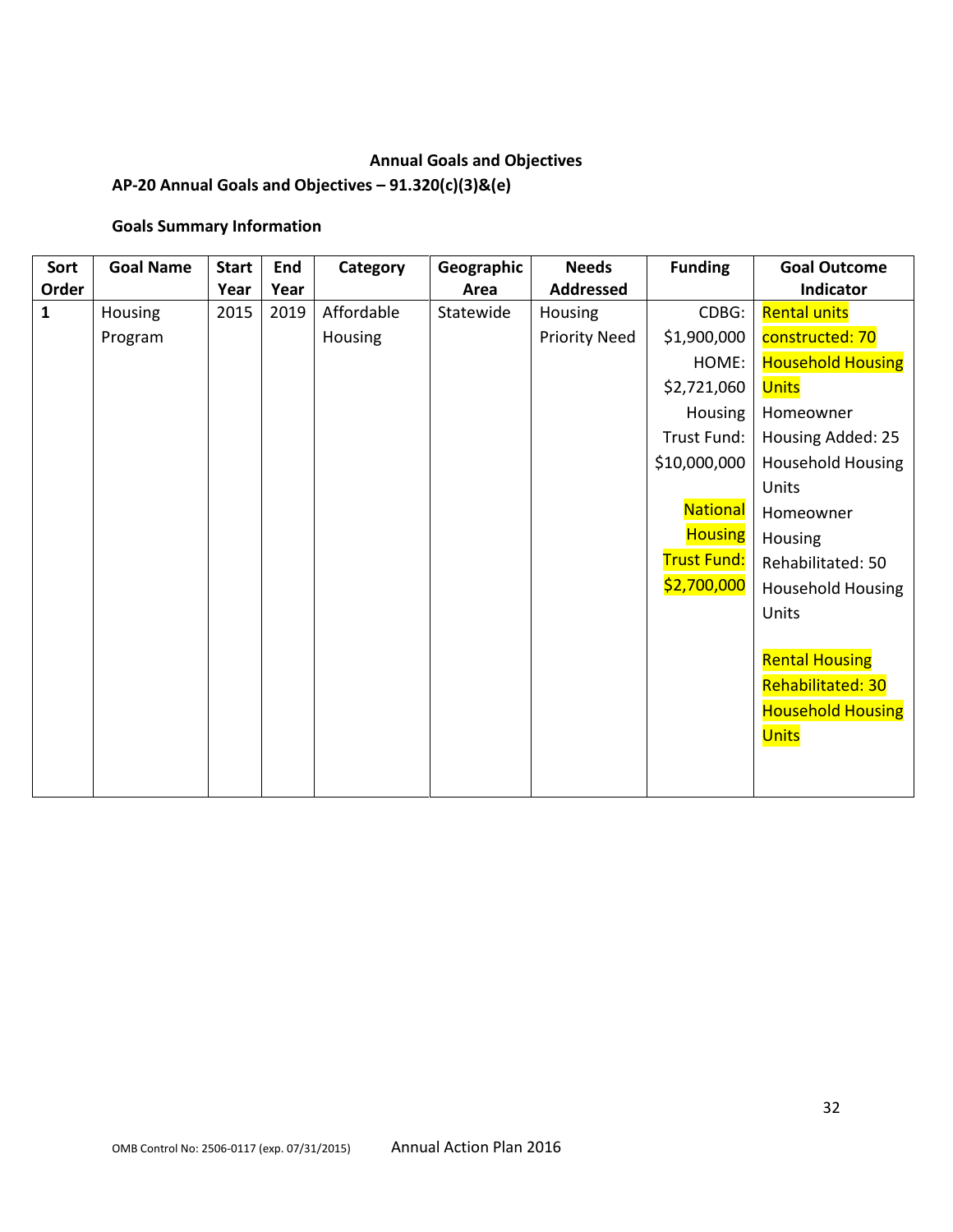# **Annual Goals and Objectives**

# **AP-20 Annual Goals and Objectives – 91.320(c)(3)&(e)**

# **Goals Summary Information**

| Sort         | <b>Goal Name</b> | <b>Start</b> | End  | Category   | Geographic | <b>Needs</b>         | <b>Funding</b>     | <b>Goal Outcome</b>      |
|--------------|------------------|--------------|------|------------|------------|----------------------|--------------------|--------------------------|
| Order        |                  | Year         | Year |            | Area       | <b>Addressed</b>     |                    | Indicator                |
| $\mathbf{1}$ | <b>Housing</b>   | 2015         | 2019 | Affordable | Statewide  | Housing              | CDBG:              | <b>Rental units</b>      |
|              | Program          |              |      | Housing    |            | <b>Priority Need</b> | \$1,900,000        | constructed: 70          |
|              |                  |              |      |            |            |                      | HOME:              | <b>Household Housing</b> |
|              |                  |              |      |            |            |                      | \$2,721,060        | <b>Units</b>             |
|              |                  |              |      |            |            |                      | Housing            | Homeowner                |
|              |                  |              |      |            |            |                      | Trust Fund:        | Housing Added: 25        |
|              |                  |              |      |            |            |                      | \$10,000,000       | Household Housing        |
|              |                  |              |      |            |            |                      |                    | Units                    |
|              |                  |              |      |            |            |                      | <b>National</b>    | Homeowner                |
|              |                  |              |      |            |            |                      | <b>Housing</b>     | Housing                  |
|              |                  |              |      |            |            |                      | <b>Trust Fund:</b> | Rehabilitated: 50        |
|              |                  |              |      |            |            |                      | \$2,700,000        | Household Housing        |
|              |                  |              |      |            |            |                      |                    | Units                    |
|              |                  |              |      |            |            |                      |                    |                          |
|              |                  |              |      |            |            |                      |                    | <b>Rental Housing</b>    |
|              |                  |              |      |            |            |                      |                    | Rehabilitated: 30        |
|              |                  |              |      |            |            |                      |                    | <b>Household Housing</b> |
|              |                  |              |      |            |            |                      |                    | <b>Units</b>             |
|              |                  |              |      |            |            |                      |                    |                          |
|              |                  |              |      |            |            |                      |                    |                          |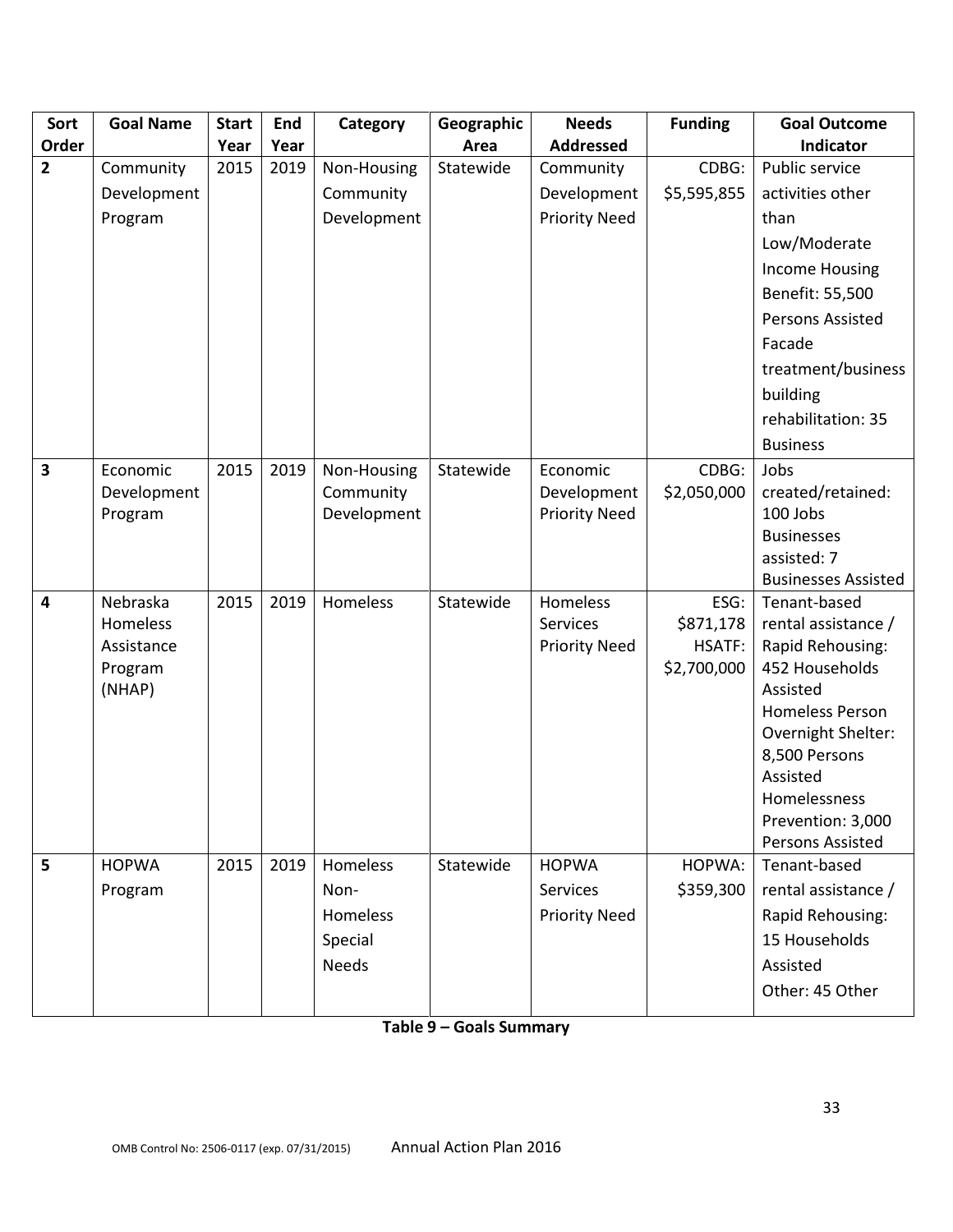| Sort                    | <b>Goal Name</b> | <b>Start</b> | End  | Category     | Geographic | <b>Needs</b>         | <b>Funding</b> | <b>Goal Outcome</b>                 |
|-------------------------|------------------|--------------|------|--------------|------------|----------------------|----------------|-------------------------------------|
| Order                   |                  | Year         | Year |              | Area       | <b>Addressed</b>     |                | Indicator                           |
| $\overline{2}$          | Community        | 2015         | 2019 | Non-Housing  | Statewide  | Community            | CDBG:          | Public service                      |
|                         | Development      |              |      | Community    |            | Development          | \$5,595,855    | activities other                    |
|                         | Program          |              |      | Development  |            | <b>Priority Need</b> |                | than                                |
|                         |                  |              |      |              |            |                      |                | Low/Moderate                        |
|                         |                  |              |      |              |            |                      |                | <b>Income Housing</b>               |
|                         |                  |              |      |              |            |                      |                | Benefit: 55,500                     |
|                         |                  |              |      |              |            |                      |                | Persons Assisted                    |
|                         |                  |              |      |              |            |                      |                | Facade                              |
|                         |                  |              |      |              |            |                      |                | treatment/business                  |
|                         |                  |              |      |              |            |                      |                | building                            |
|                         |                  |              |      |              |            |                      |                | rehabilitation: 35                  |
|                         |                  |              |      |              |            |                      |                | <b>Business</b>                     |
| $\overline{\mathbf{3}}$ | Economic         | 2015         | 2019 | Non-Housing  | Statewide  | Economic             | CDBG:          | Jobs                                |
|                         | Development      |              |      | Community    |            | Development          | \$2,050,000    | created/retained:                   |
|                         | Program          |              |      | Development  |            | <b>Priority Need</b> |                | 100 Jobs                            |
|                         |                  |              |      |              |            |                      |                | <b>Businesses</b>                   |
|                         |                  |              |      |              |            |                      |                | assisted: 7                         |
|                         |                  |              |      |              |            |                      |                | <b>Businesses Assisted</b>          |
| $\overline{4}$          | Nebraska         | 2015         | 2019 | Homeless     | Statewide  | Homeless             | ESG:           | Tenant-based                        |
|                         | Homeless         |              |      |              |            | <b>Services</b>      | \$871,178      | rental assistance /                 |
|                         | Assistance       |              |      |              |            | <b>Priority Need</b> | HSATF:         | Rapid Rehousing:                    |
|                         | Program          |              |      |              |            |                      | \$2,700,000    | 452 Households                      |
|                         | (NHAP)           |              |      |              |            |                      |                | Assisted<br><b>Homeless Person</b>  |
|                         |                  |              |      |              |            |                      |                |                                     |
|                         |                  |              |      |              |            |                      |                | Overnight Shelter:<br>8,500 Persons |
|                         |                  |              |      |              |            |                      |                | Assisted                            |
|                         |                  |              |      |              |            |                      |                | Homelessness                        |
|                         |                  |              |      |              |            |                      |                | Prevention: 3,000                   |
|                         |                  |              |      |              |            |                      |                | Persons Assisted                    |
| 5                       | <b>HOPWA</b>     | 2015         | 2019 | Homeless     | Statewide  | <b>HOPWA</b>         | HOPWA:         | Tenant-based                        |
|                         | Program          |              |      | Non-         |            | Services             | \$359,300      | rental assistance /                 |
|                         |                  |              |      | Homeless     |            | <b>Priority Need</b> |                | Rapid Rehousing:                    |
|                         |                  |              |      | Special      |            |                      |                | 15 Households                       |
|                         |                  |              |      | <b>Needs</b> |            |                      |                | Assisted                            |
|                         |                  |              |      |              |            |                      |                | Other: 45 Other                     |
|                         |                  |              |      |              |            |                      |                |                                     |

**Table 9 – Goals Summary**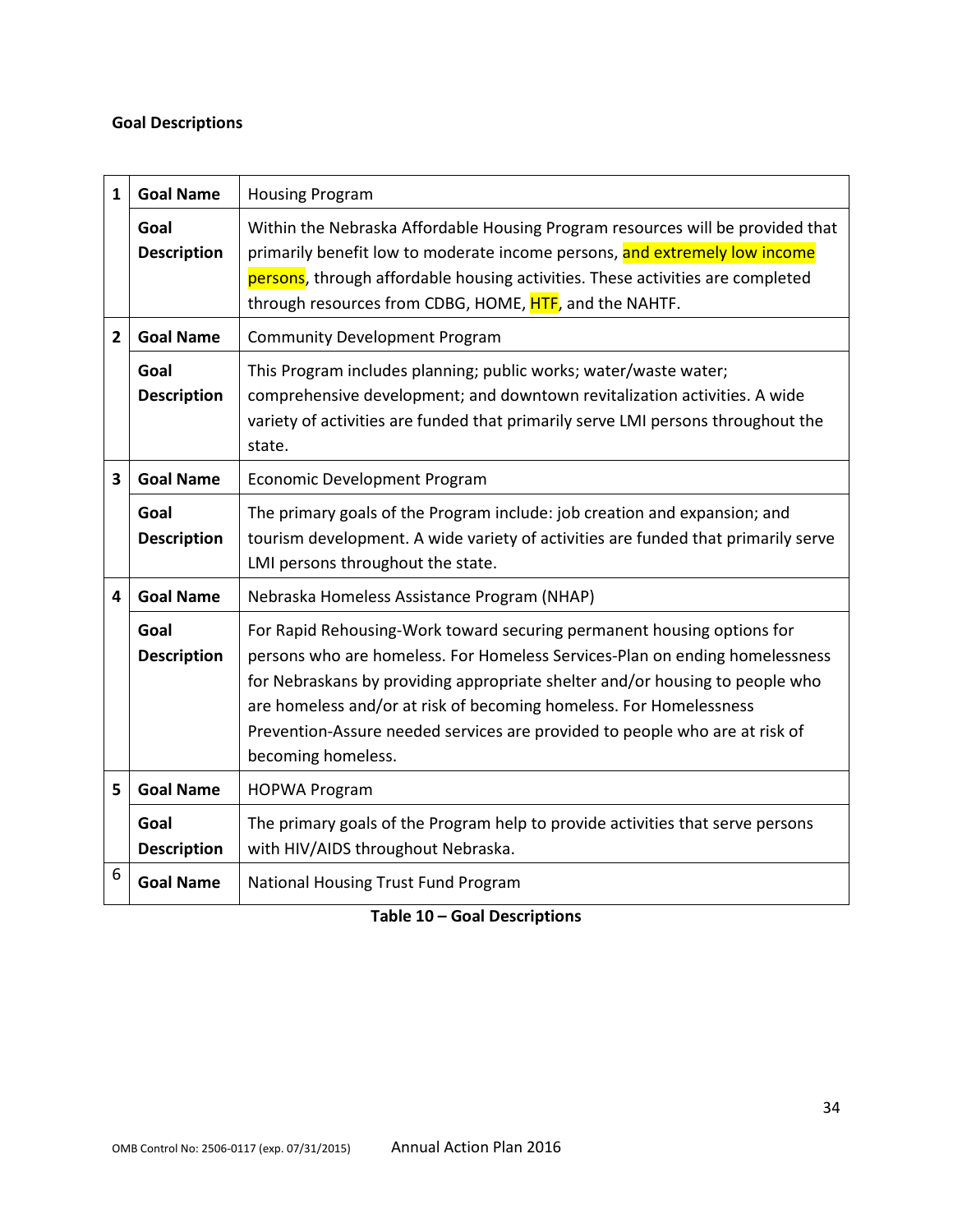# **Goal Descriptions**

| 1              | <b>Goal Name</b>           | <b>Housing Program</b>                                                                                                                                                                                                                                                                                                                                                                                           |
|----------------|----------------------------|------------------------------------------------------------------------------------------------------------------------------------------------------------------------------------------------------------------------------------------------------------------------------------------------------------------------------------------------------------------------------------------------------------------|
|                | Goal<br><b>Description</b> | Within the Nebraska Affordable Housing Program resources will be provided that<br>primarily benefit low to moderate income persons, and extremely low income<br>persons, through affordable housing activities. These activities are completed<br>through resources from CDBG, HOME, HTF, and the NAHTF.                                                                                                         |
| $\overline{2}$ | <b>Goal Name</b>           | <b>Community Development Program</b>                                                                                                                                                                                                                                                                                                                                                                             |
|                | Goal<br><b>Description</b> | This Program includes planning; public works; water/waste water;<br>comprehensive development; and downtown revitalization activities. A wide<br>variety of activities are funded that primarily serve LMI persons throughout the<br>state.                                                                                                                                                                      |
| 3              | <b>Goal Name</b>           | Economic Development Program                                                                                                                                                                                                                                                                                                                                                                                     |
|                | Goal<br><b>Description</b> | The primary goals of the Program include: job creation and expansion; and<br>tourism development. A wide variety of activities are funded that primarily serve<br>LMI persons throughout the state.                                                                                                                                                                                                              |
| 4              | <b>Goal Name</b>           | Nebraska Homeless Assistance Program (NHAP)                                                                                                                                                                                                                                                                                                                                                                      |
|                | Goal<br><b>Description</b> | For Rapid Rehousing-Work toward securing permanent housing options for<br>persons who are homeless. For Homeless Services-Plan on ending homelessness<br>for Nebraskans by providing appropriate shelter and/or housing to people who<br>are homeless and/or at risk of becoming homeless. For Homelessness<br>Prevention-Assure needed services are provided to people who are at risk of<br>becoming homeless. |
| 5              | <b>Goal Name</b>           | <b>HOPWA Program</b>                                                                                                                                                                                                                                                                                                                                                                                             |
|                | Goal<br><b>Description</b> | The primary goals of the Program help to provide activities that serve persons<br>with HIV/AIDS throughout Nebraska.                                                                                                                                                                                                                                                                                             |
| 6              | <b>Goal Name</b>           | National Housing Trust Fund Program                                                                                                                                                                                                                                                                                                                                                                              |

**Table 10 – Goal Descriptions**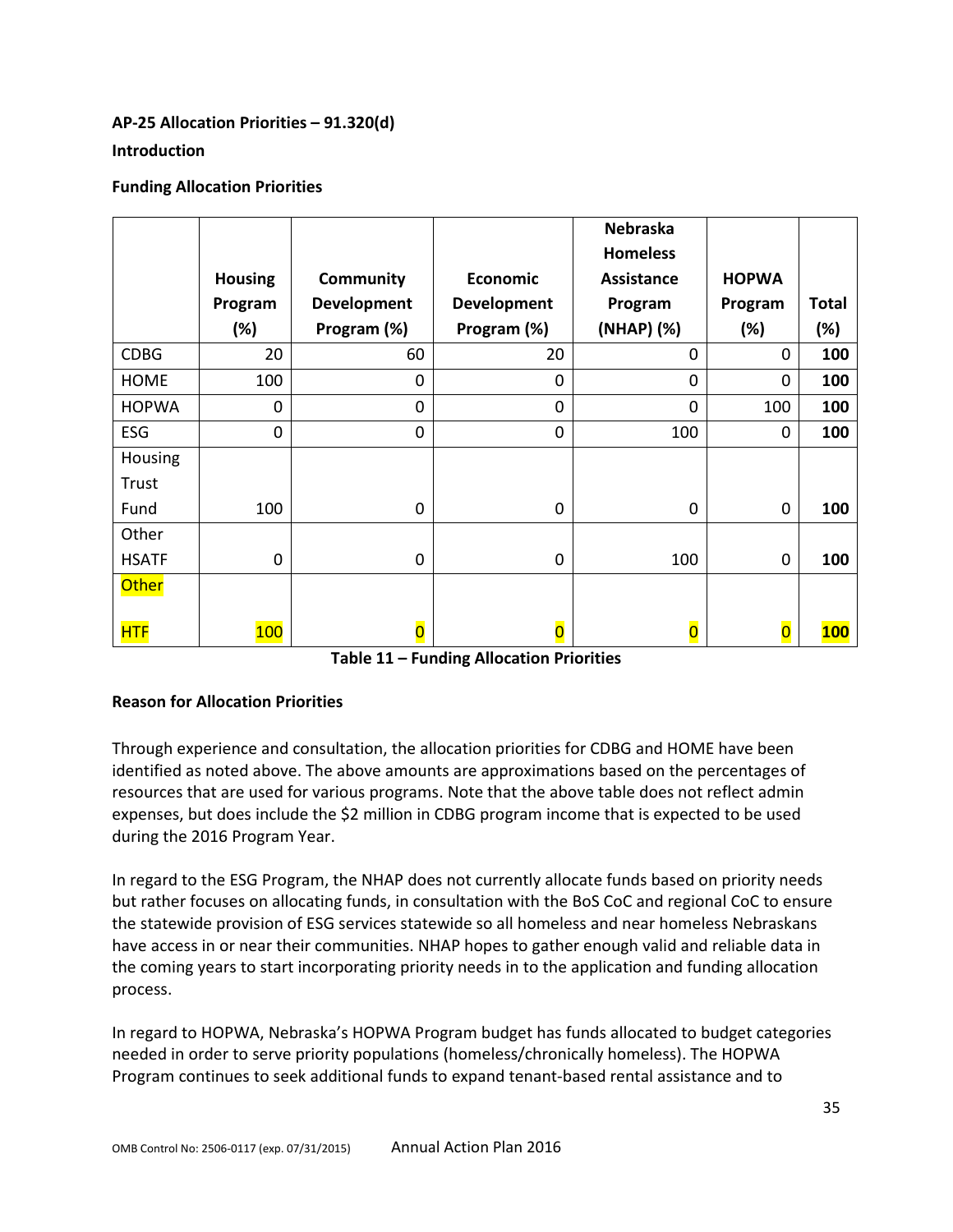# **AP-25 Allocation Priorities – 91.320(d) Introduction**

# **Funding Allocation Priorities**

|                |                |                         |                         | <b>Nebraska</b><br><b>Homeless</b> |                         |              |
|----------------|----------------|-------------------------|-------------------------|------------------------------------|-------------------------|--------------|
|                | <b>Housing</b> | Community               | Economic                | <b>Assistance</b>                  | <b>HOPWA</b>            |              |
|                | Program        | <b>Development</b>      | <b>Development</b>      | Program                            | Program                 | <b>Total</b> |
|                | (%)            | Program (%)             | Program (%)             | (NHAP) (%)                         | (%)                     | (%)          |
| <b>CDBG</b>    | 20             | 60                      | 20                      | 0                                  | $\Omega$                | 100          |
| <b>HOME</b>    | 100            | $\mathbf 0$             | 0                       | 0                                  | $\mathbf 0$             | 100          |
| <b>HOPWA</b>   | $\mathbf 0$    | $\mathbf 0$             | $\mathbf 0$             | 0                                  | 100                     | 100          |
| ESG            | $\mathbf 0$    | $\mathbf 0$             | $\mathbf 0$             | 100                                | $\mathbf{0}$            | 100          |
| <b>Housing</b> |                |                         |                         |                                    |                         |              |
| Trust          |                |                         |                         |                                    |                         |              |
| Fund           | 100            | $\mathbf 0$             | 0                       | 0                                  | $\mathbf 0$             | 100          |
| Other          |                |                         |                         |                                    |                         |              |
| <b>HSATF</b>   | $\mathbf 0$    | $\mathbf 0$             | $\mathbf 0$             | 100                                | $\mathbf 0$             | 100          |
| <b>Other</b>   |                |                         |                         |                                    |                         |              |
|                |                |                         |                         |                                    |                         |              |
| <b>HTF</b>     | 100            | $\overline{\mathbf{0}}$ | $\overline{\mathbf{0}}$ | $\overline{\mathbf{0}}$            | $\overline{\mathbf{0}}$ | <b>100</b>   |

**Table 11 – Funding Allocation Priorities**

# **Reason for Allocation Priorities**

Through experience and consultation, the allocation priorities for CDBG and HOME have been identified as noted above. The above amounts are approximations based on the percentages of resources that are used for various programs. Note that the above table does not reflect admin expenses, but does include the \$2 million in CDBG program income that is expected to be used during the 2016 Program Year.

In regard to the ESG Program, the NHAP does not currently allocate funds based on priority needs but rather focuses on allocating funds, in consultation with the BoS CoC and regional CoC to ensure the statewide provision of ESG services statewide so all homeless and near homeless Nebraskans have access in or near their communities. NHAP hopes to gather enough valid and reliable data in the coming years to start incorporating priority needs in to the application and funding allocation process.

In regard to HOPWA, Nebraska's HOPWA Program budget has funds allocated to budget categories needed in order to serve priority populations (homeless/chronically homeless). The HOPWA Program continues to seek additional funds to expand tenant-based rental assistance and to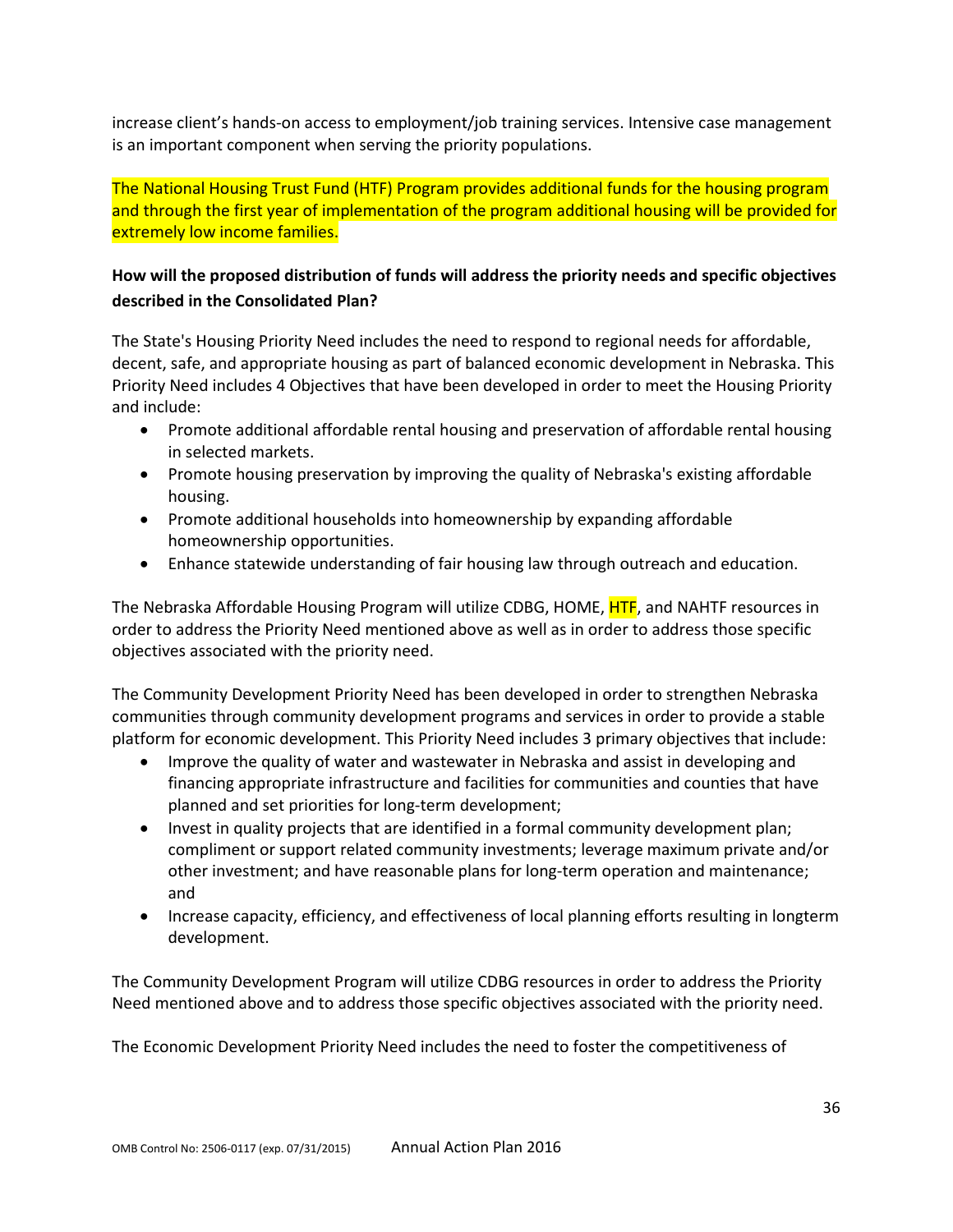increase client's hands-on access to employment/job training services. Intensive case management is an important component when serving the priority populations.

The National Housing Trust Fund (HTF) Program provides additional funds for the housing program and through the first year of implementation of the program additional housing will be provided for extremely low income families.

# **How will the proposed distribution of funds will address the priority needs and specific objectives described in the Consolidated Plan?**

The State's Housing Priority Need includes the need to respond to regional needs for affordable, decent, safe, and appropriate housing as part of balanced economic development in Nebraska. This Priority Need includes 4 Objectives that have been developed in order to meet the Housing Priority and include:

- Promote additional affordable rental housing and preservation of affordable rental housing in selected markets.
- Promote housing preservation by improving the quality of Nebraska's existing affordable housing.
- Promote additional households into homeownership by expanding affordable homeownership opportunities.
- Enhance statewide understanding of fair housing law through outreach and education.

The Nebraska Affordable Housing Program will utilize CDBG, HOME, HTF, and NAHTF resources in order to address the Priority Need mentioned above as well as in order to address those specific objectives associated with the priority need.

The Community Development Priority Need has been developed in order to strengthen Nebraska communities through community development programs and services in order to provide a stable platform for economic development. This Priority Need includes 3 primary objectives that include:

- Improve the quality of water and wastewater in Nebraska and assist in developing and financing appropriate infrastructure and facilities for communities and counties that have planned and set priorities for long-term development;
- Invest in quality projects that are identified in a formal community development plan; compliment or support related community investments; leverage maximum private and/or other investment; and have reasonable plans for long-term operation and maintenance; and
- Increase capacity, efficiency, and effectiveness of local planning efforts resulting in longterm development.

The Community Development Program will utilize CDBG resources in order to address the Priority Need mentioned above and to address those specific objectives associated with the priority need.

The Economic Development Priority Need includes the need to foster the competitiveness of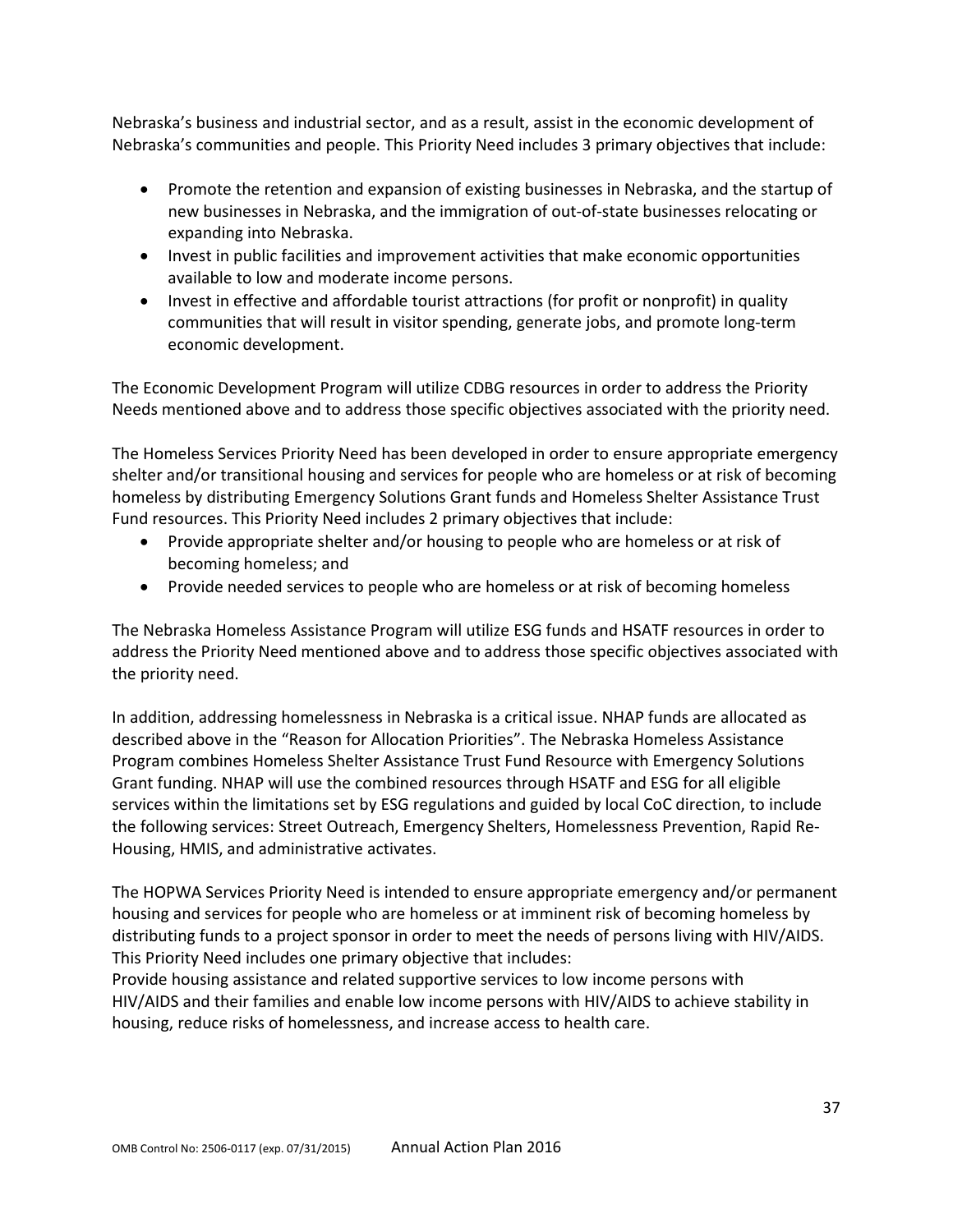Nebraska's business and industrial sector, and as a result, assist in the economic development of Nebraska's communities and people. This Priority Need includes 3 primary objectives that include:

- Promote the retention and expansion of existing businesses in Nebraska, and the startup of new businesses in Nebraska, and the immigration of out-of-state businesses relocating or expanding into Nebraska.
- Invest in public facilities and improvement activities that make economic opportunities available to low and moderate income persons.
- Invest in effective and affordable tourist attractions (for profit or nonprofit) in quality communities that will result in visitor spending, generate jobs, and promote long-term economic development.

The Economic Development Program will utilize CDBG resources in order to address the Priority Needs mentioned above and to address those specific objectives associated with the priority need.

The Homeless Services Priority Need has been developed in order to ensure appropriate emergency shelter and/or transitional housing and services for people who are homeless or at risk of becoming homeless by distributing Emergency Solutions Grant funds and Homeless Shelter Assistance Trust Fund resources. This Priority Need includes 2 primary objectives that include:

- Provide appropriate shelter and/or housing to people who are homeless or at risk of becoming homeless; and
- Provide needed services to people who are homeless or at risk of becoming homeless

The Nebraska Homeless Assistance Program will utilize ESG funds and HSATF resources in order to address the Priority Need mentioned above and to address those specific objectives associated with the priority need.

In addition, addressing homelessness in Nebraska is a critical issue. NHAP funds are allocated as described above in the "Reason for Allocation Priorities". The Nebraska Homeless Assistance Program combines Homeless Shelter Assistance Trust Fund Resource with Emergency Solutions Grant funding. NHAP will use the combined resources through HSATF and ESG for all eligible services within the limitations set by ESG regulations and guided by local CoC direction, to include the following services: Street Outreach, Emergency Shelters, Homelessness Prevention, Rapid Re-Housing, HMIS, and administrative activates.

The HOPWA Services Priority Need is intended to ensure appropriate emergency and/or permanent housing and services for people who are homeless or at imminent risk of becoming homeless by distributing funds to a project sponsor in order to meet the needs of persons living with HIV/AIDS. This Priority Need includes one primary objective that includes:

Provide housing assistance and related supportive services to low income persons with HIV/AIDS and their families and enable low income persons with HIV/AIDS to achieve stability in housing, reduce risks of homelessness, and increase access to health care.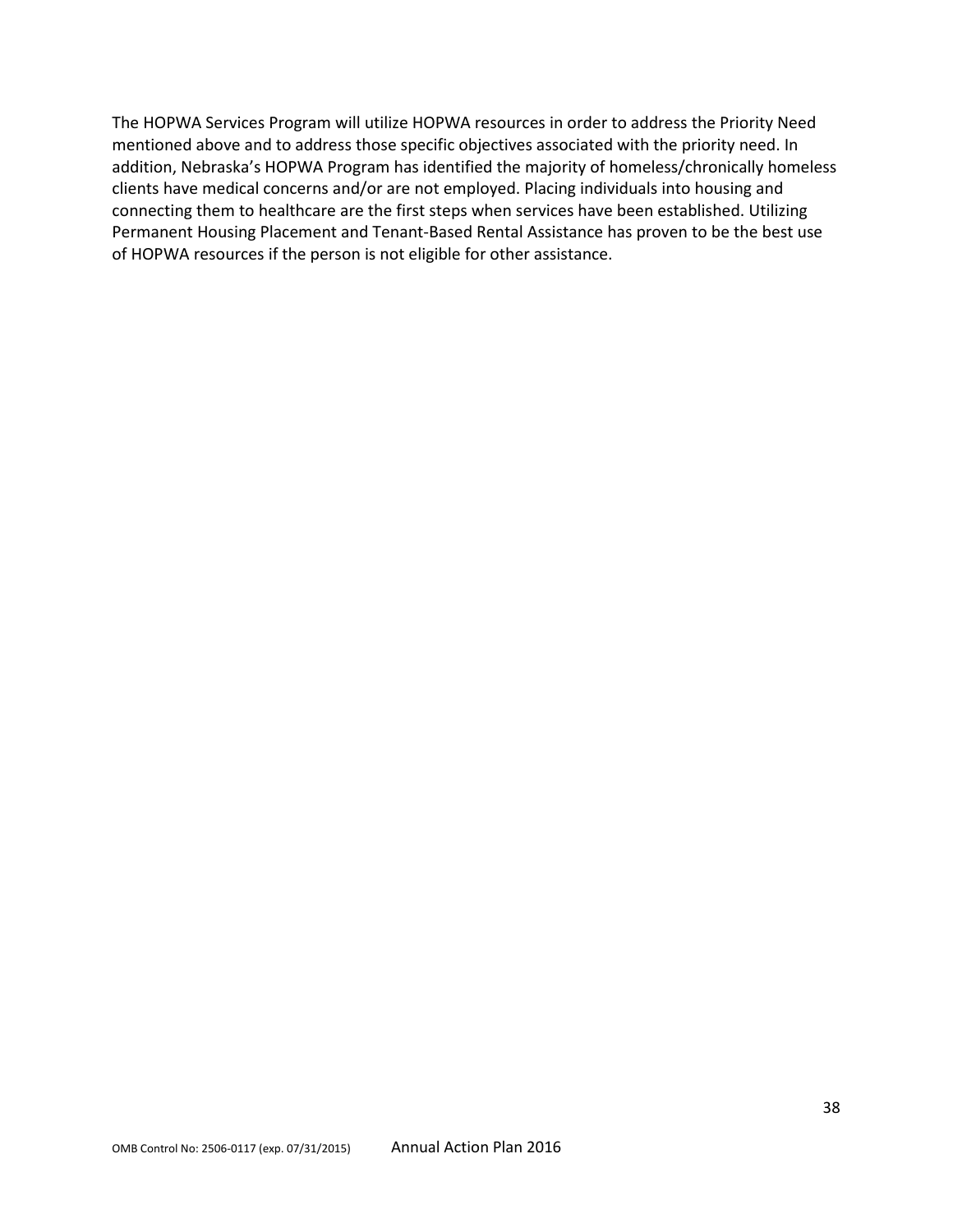The HOPWA Services Program will utilize HOPWA resources in order to address the Priority Need mentioned above and to address those specific objectives associated with the priority need. In addition, Nebraska's HOPWA Program has identified the majority of homeless/chronically homeless clients have medical concerns and/or are not employed. Placing individuals into housing and connecting them to healthcare are the first steps when services have been established. Utilizing Permanent Housing Placement and Tenant-Based Rental Assistance has proven to be the best use of HOPWA resources if the person is not eligible for other assistance.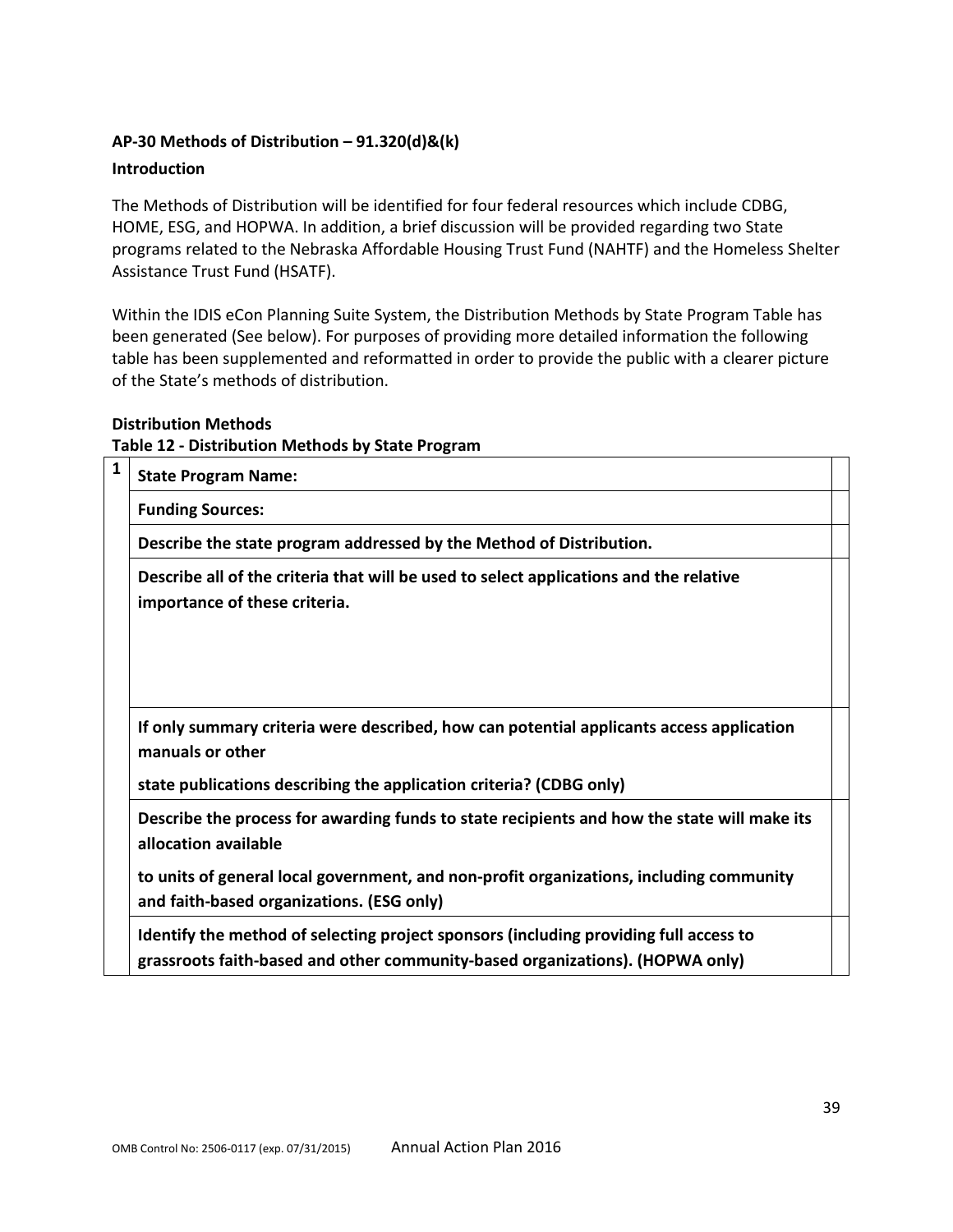## **AP-30 Methods of Distribution – 91.320(d)&(k)**

#### **Introduction**

The Methods of Distribution will be identified for four federal resources which include CDBG, HOME, ESG, and HOPWA. In addition, a brief discussion will be provided regarding two State programs related to the Nebraska Affordable Housing Trust Fund (NAHTF) and the Homeless Shelter Assistance Trust Fund (HSATF).

Within the IDIS eCon Planning Suite System, the Distribution Methods by State Program Table has been generated (See below). For purposes of providing more detailed information the following table has been supplemented and reformatted in order to provide the public with a clearer picture of the State's methods of distribution.

#### **Distribution Methods**

#### **Table 12 - Distribution Methods by State Program**

| $\mathbf{1}$ | <b>State Program Name:</b>                                                                                                                                             |  |
|--------------|------------------------------------------------------------------------------------------------------------------------------------------------------------------------|--|
|              | <b>Funding Sources:</b>                                                                                                                                                |  |
|              | Describe the state program addressed by the Method of Distribution.                                                                                                    |  |
|              | Describe all of the criteria that will be used to select applications and the relative<br>importance of these criteria.                                                |  |
|              |                                                                                                                                                                        |  |
|              | If only summary criteria were described, how can potential applicants access application<br>manuals or other                                                           |  |
|              | state publications describing the application criteria? (CDBG only)                                                                                                    |  |
|              | Describe the process for awarding funds to state recipients and how the state will make its<br>allocation available                                                    |  |
|              | to units of general local government, and non-profit organizations, including community<br>and faith-based organizations. (ESG only)                                   |  |
|              | Identify the method of selecting project sponsors (including providing full access to<br>grassroots faith-based and other community-based organizations). (HOPWA only) |  |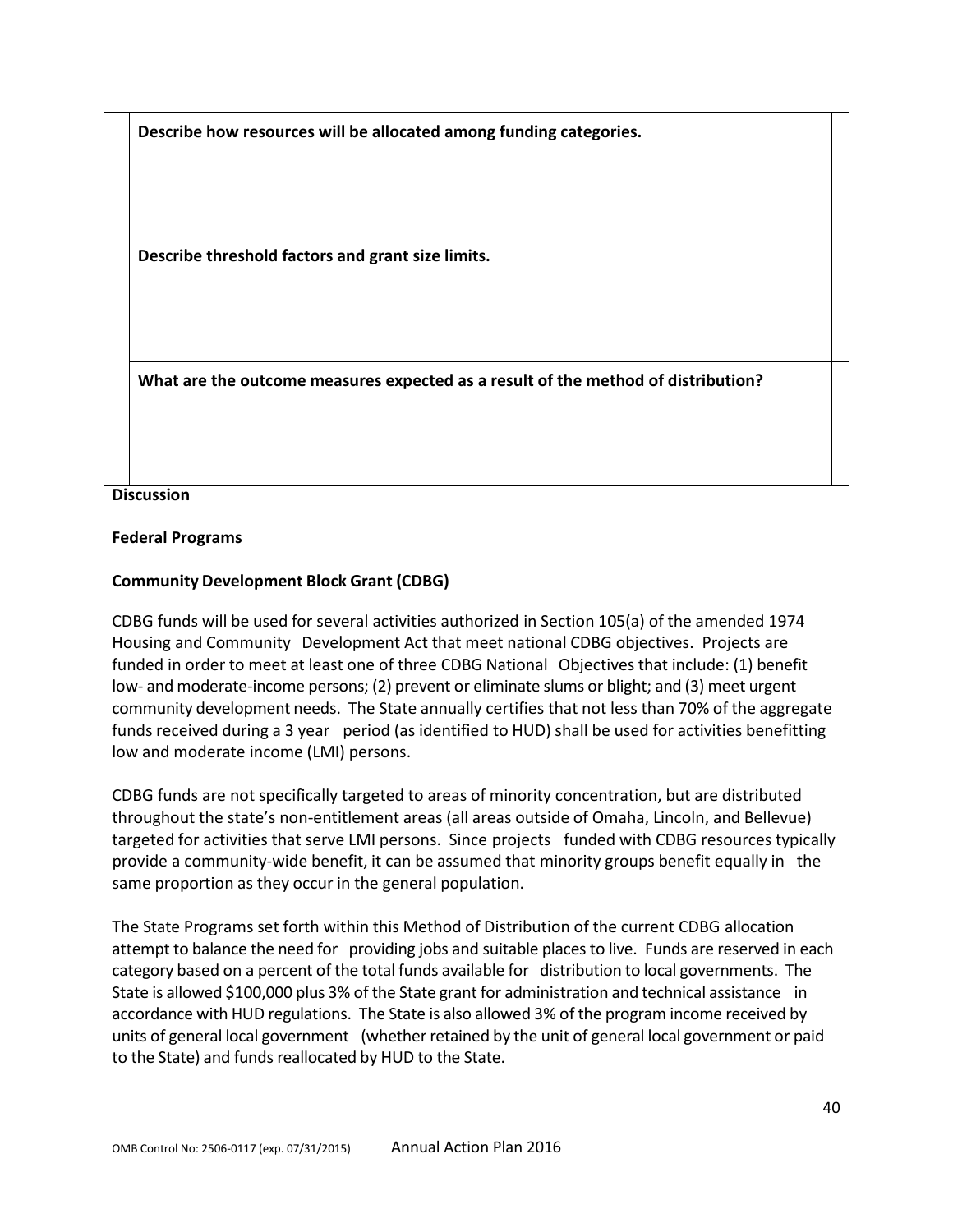**Describe how resources will be allocated among funding categories.** 

**Describe threshold factors and grant size limits.** 

**What are the outcome measures expected as a result of the method of distribution?** 

#### **Discussion**

#### **Federal Programs**

#### **Community Development Block Grant (CDBG)**

CDBG funds will be used for several activities authorized in Section 105(a) of the amended 1974 Housing and Community Development Act that meet national CDBG objectives. Projects are funded in order to meet at least one of three CDBG National Objectives that include: (1) benefit low- and moderate-income persons; (2) prevent or eliminate slums or blight; and (3) meet urgent community development needs. The State annually certifies that not less than 70% of the aggregate funds received during a 3 year period (as identified to HUD) shall be used for activities benefitting low and moderate income (LMI) persons.

CDBG funds are not specifically targeted to areas of minority concentration, but are distributed throughout the state's non-entitlement areas (all areas outside of Omaha, Lincoln, and Bellevue) targeted for activities that serve LMI persons. Since projects funded with CDBG resources typically provide a community-wide benefit, it can be assumed that minority groups benefit equally in the same proportion as they occur in the general population.

The State Programs set forth within this Method of Distribution of the current CDBG allocation attempt to balance the need for providing jobs and suitable placesto live. Funds are reserved in each category based on a percent of the total funds available for distribution to local governments. The State is allowed \$100,000 plus 3% of the State grant for administration and technical assistance in accordance with HUD regulations. The State is also allowed 3% of the program income received by units of general local government (whether retained by the unit of general local government or paid to the State) and funds reallocated by HUD to the State.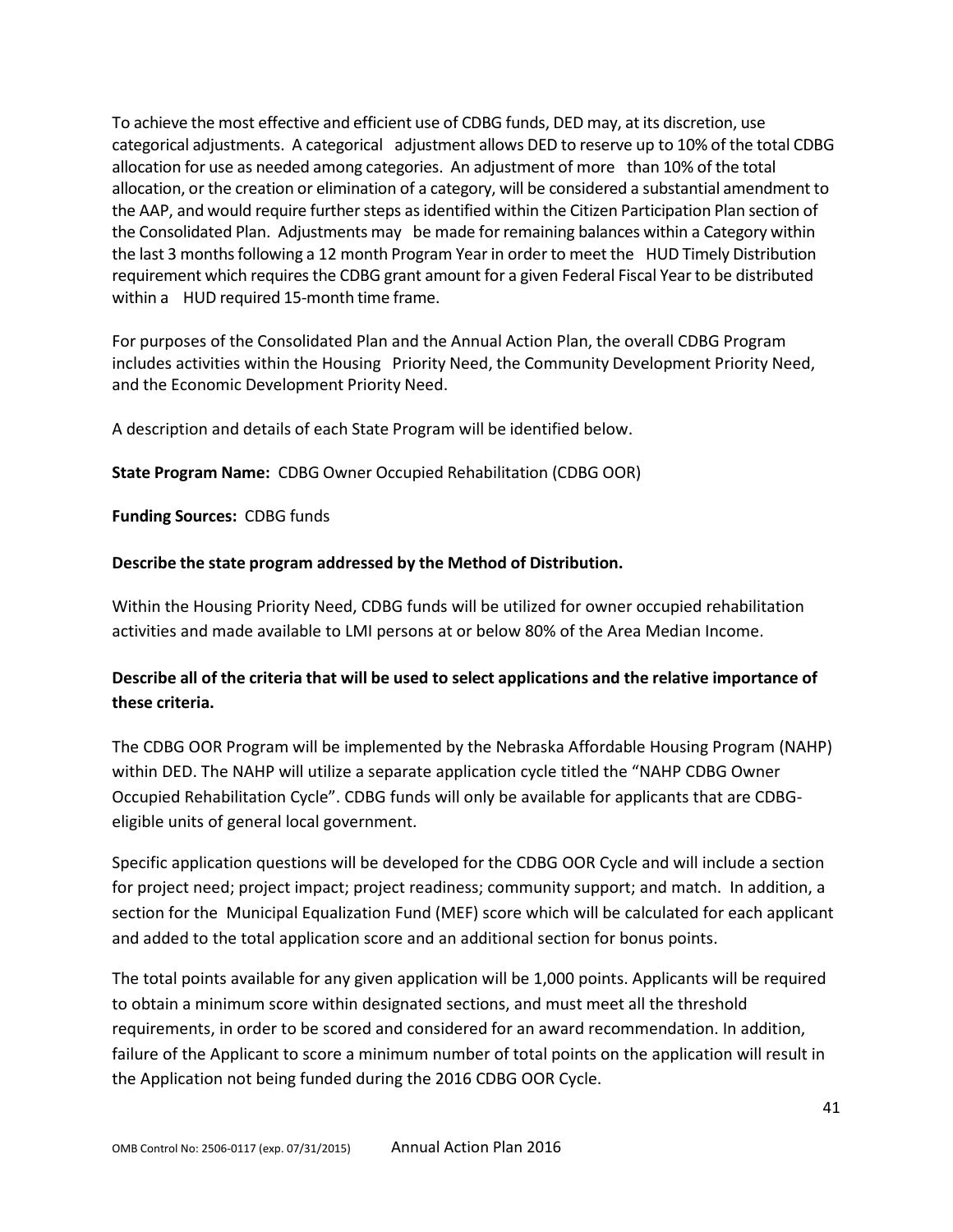To achieve the most effective and efficient use of CDBG funds, DED may, at its discretion, use categorical adjustments. A categorical adjustment allows DED to reserve up to 10% of the total CDBG allocation for use as needed among categories. An adjustment of more than 10% of the total allocation, or the creation or elimination of a category, will be considered a substantial amendment to the AAP, and would require further steps as identified within the Citizen Participation Plan section of the Consolidated Plan. Adjustments may be made for remaining balances within a Category within the last 3 monthsfollowing a 12 month Program Year in order to meet the HUD Timely Distribution requirement which requires the CDBG grant amount for a given Federal Fiscal Year to be distributed within a HUD required 15-month time frame.

For purposes of the Consolidated Plan and the Annual Action Plan, the overall CDBG Program includes activities within the Housing Priority Need, the Community Development Priority Need, and the Economic Development Priority Need.

A description and details of each State Program will be identified below.

**State Program Name:** CDBG Owner Occupied Rehabilitation (CDBG OOR)

**Funding Sources:** CDBG funds

### **Describe the state program addressed by the Method of Distribution.**

Within the Housing Priority Need, CDBG funds will be utilized for owner occupied rehabilitation activities and made available to LMI persons at or below 80% of the Area Median Income.

# **Describe all of the criteria that will be used to select applications and the relative importance of these criteria.**

The CDBG OOR Program will be implemented by the Nebraska Affordable Housing Program (NAHP) within DED. The NAHP will utilize a separate application cycle titled the "NAHP CDBG Owner Occupied Rehabilitation Cycle". CDBG funds will only be available for applicants that are CDBGeligible units of general local government.

Specific application questions will be developed for the CDBG OOR Cycle and will include a section for project need; project impact; project readiness; community support; and match. In addition, a section for the Municipal Equalization Fund (MEF) score which will be calculated for each applicant and added to the total application score and an additional section for bonus points.

The total points available for any given application will be 1,000 points. Applicants will be required to obtain a minimum score within designated sections, and must meet all the threshold requirements, in order to be scored and considered for an award recommendation. In addition, failure of the Applicant to score a minimum number of total points on the application will result in the Application not being funded during the 2016 CDBG OOR Cycle.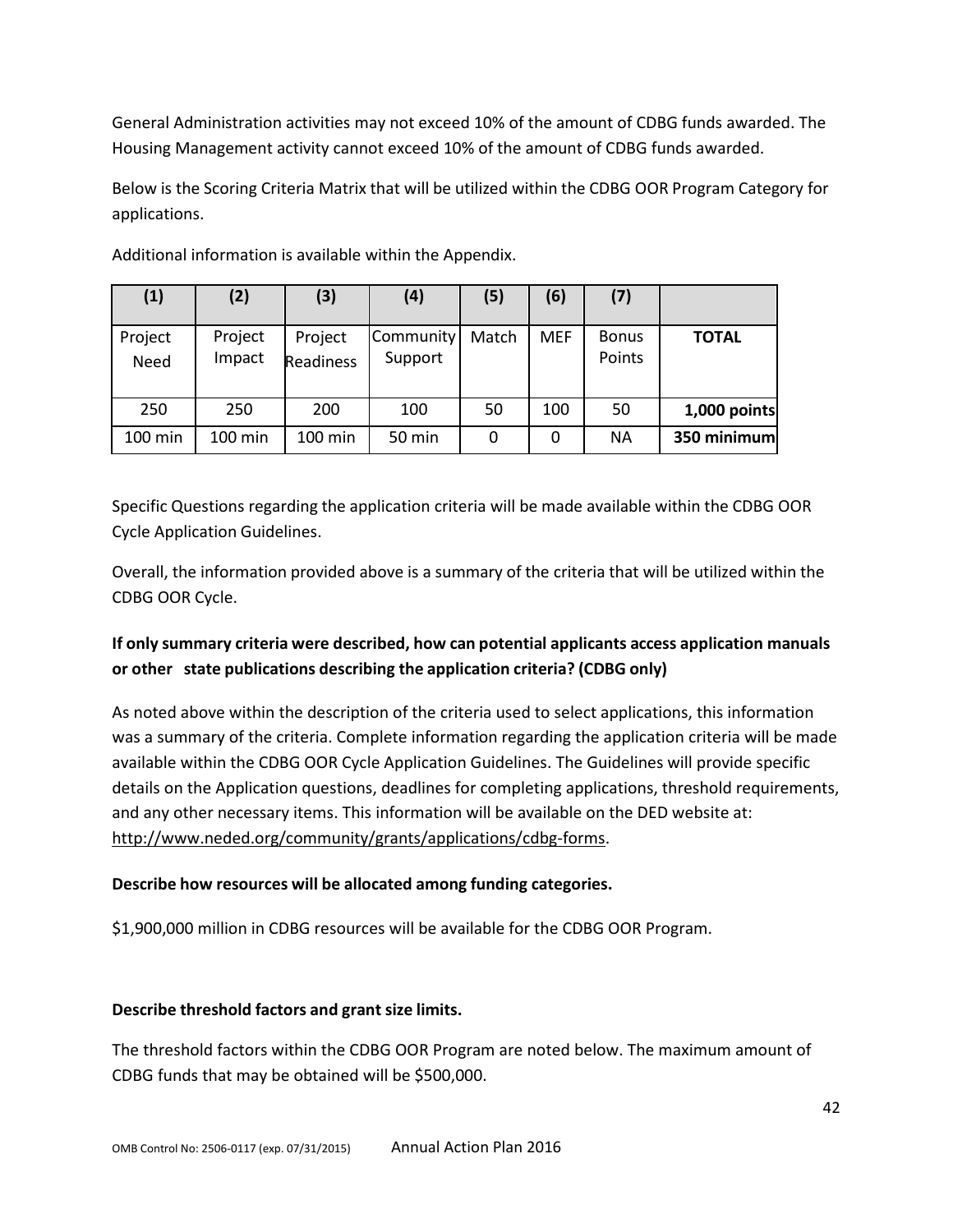General Administration activities may not exceed 10% of the amount of CDBG funds awarded. The Housing Management activity cannot exceed 10% of the amount of CDBG funds awarded.

Below is the Scoring Criteria Matrix that will be utilized within the CDBG OOR Program Category for applications.

| (1)             | (2)               | (3)                         | (4)                  | (5)   | (6)        | (7)                    |              |
|-----------------|-------------------|-----------------------------|----------------------|-------|------------|------------------------|--------------|
| Project<br>Need | Project<br>Impact | Project<br><b>Readiness</b> | Community<br>Support | Match | <b>MEF</b> | <b>Bonus</b><br>Points | <b>TOTAL</b> |
| 250             | 250               | 200                         | 100                  | 50    | 100        | 50                     | 1,000 points |
| 100 min         | $100 \text{ min}$ | $100 \text{ min}$           | 50 min               | 0     | 0          | <b>NA</b>              | 350 minimum  |

Additional information is available within the Appendix.

Specific Questions regarding the application criteria will be made available within the CDBG OOR Cycle Application Guidelines.

Overall, the information provided above is a summary of the criteria that will be utilized within the CDBG OOR Cycle.

# **If only summary criteria were described, how can potential applicants access application manuals or other state publications describing the application criteria? (CDBG only)**

As noted above within the description of the criteria used to select applications, this information was a summary of the criteria. Complete information regarding the application criteria will be made available within the CDBG OOR Cycle Application Guidelines. The Guidelines will provide specific details on the Application questions, deadlines for completing applications, threshold requirements, and any other necessary items. This information will be available on the DED website at: [http://www.neded.org/community/grants/applications/cdbg-forms.](http://www.neded.org/community/grants/applications/cdbg-forms)

# **Describe how resources will be allocated among funding categories.**

\$1,900,000 million in CDBG resources will be available for the CDBG OOR Program.

## **Describe threshold factors and grant size limits.**

The threshold factors within the CDBG OOR Program are noted below. The maximum amount of CDBG funds that may be obtained will be \$500,000.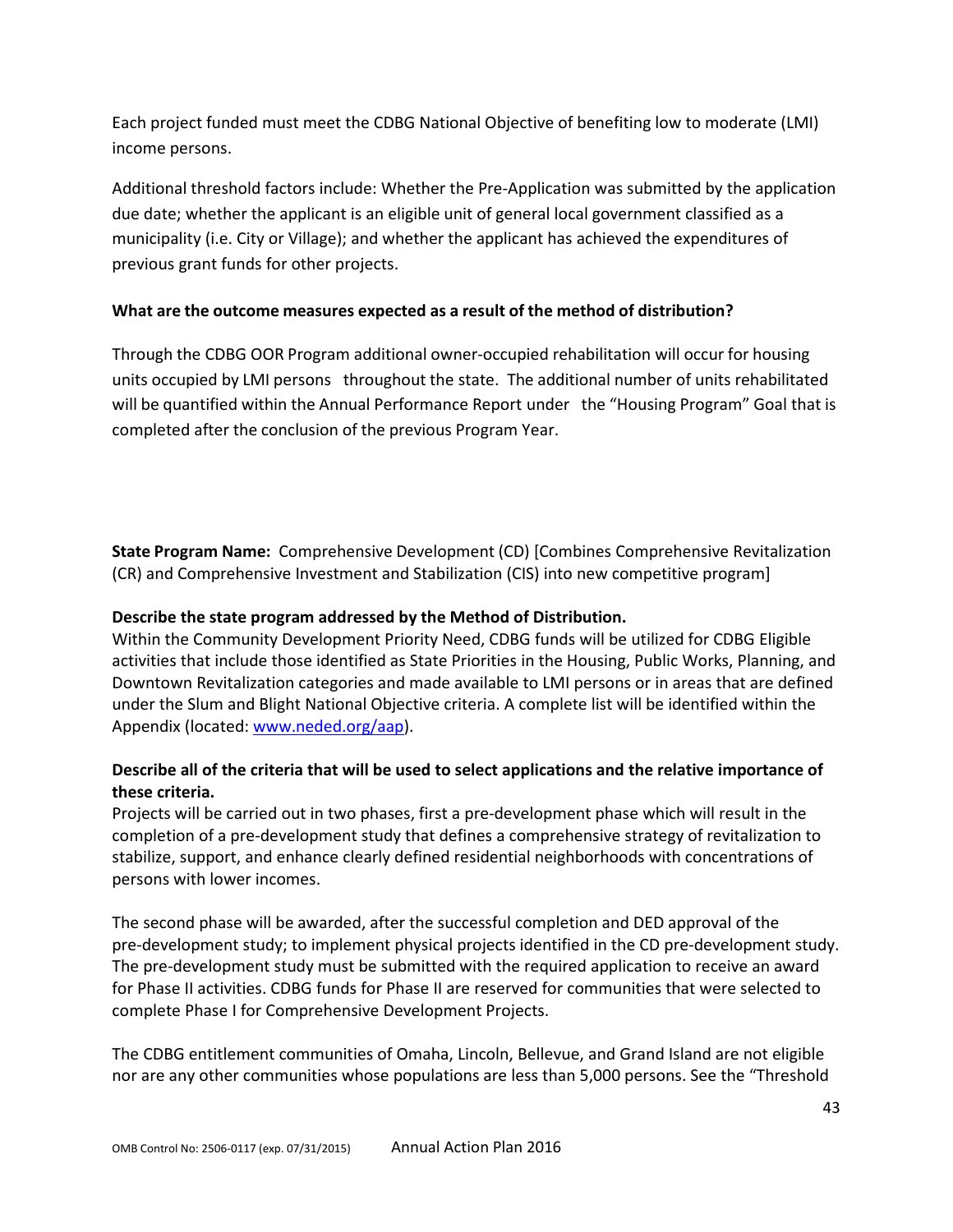Each project funded must meet the CDBG National Objective of benefiting low to moderate (LMI) income persons.

Additional threshold factors include: Whether the Pre-Application was submitted by the application due date; whether the applicant is an eligible unit of general local government classified as a municipality (i.e. City or Village); and whether the applicant has achieved the expenditures of previous grant funds for other projects.

## **What are the outcome measures expected as a result of the method of distribution?**

Through the CDBG OOR Program additional owner-occupied rehabilitation will occur for housing units occupied by LMI persons throughout the state. The additional number of units rehabilitated will be quantified within the Annual Performance Report under the "Housing Program" Goal that is completed after the conclusion of the previous Program Year.

**State Program Name:** Comprehensive Development (CD) [Combines Comprehensive Revitalization (CR) and Comprehensive Investment and Stabilization (CIS) into new competitive program]

## **Describe the state program addressed by the Method of Distribution.**

Within the Community Development Priority Need, CDBG funds will be utilized for CDBG Eligible activities that include those identified as State Priorities in the Housing, Public Works, Planning, and Downtown Revitalization categories and made available to LMI persons or in areas that are defined under the Slum and Blight National Objective criteria. A complete list will be identified within the Appendix (located[: www.neded.org/aap\)](http://www.neded.org/aap).

# **Describe all of the criteria that will be used to select applications and the relative importance of these criteria.**

Projects will be carried out in two phases, first a pre-development phase which will result in the completion of a pre-development study that defines a comprehensive strategy of revitalization to stabilize, support, and enhance clearly defined residential neighborhoods with concentrations of persons with lower incomes.

The second phase will be awarded, after the successful completion and DED approval of the pre-development study; to implement physical projects identified in the CD pre-development study. The pre-development study must be submitted with the required application to receive an award for Phase II activities. CDBG funds for Phase II are reserved for communities that were selected to complete Phase I for Comprehensive Development Projects.

The CDBG entitlement communities of Omaha, Lincoln, Bellevue, and Grand Island are not eligible nor are any other communities whose populations are less than 5,000 persons. See the "Threshold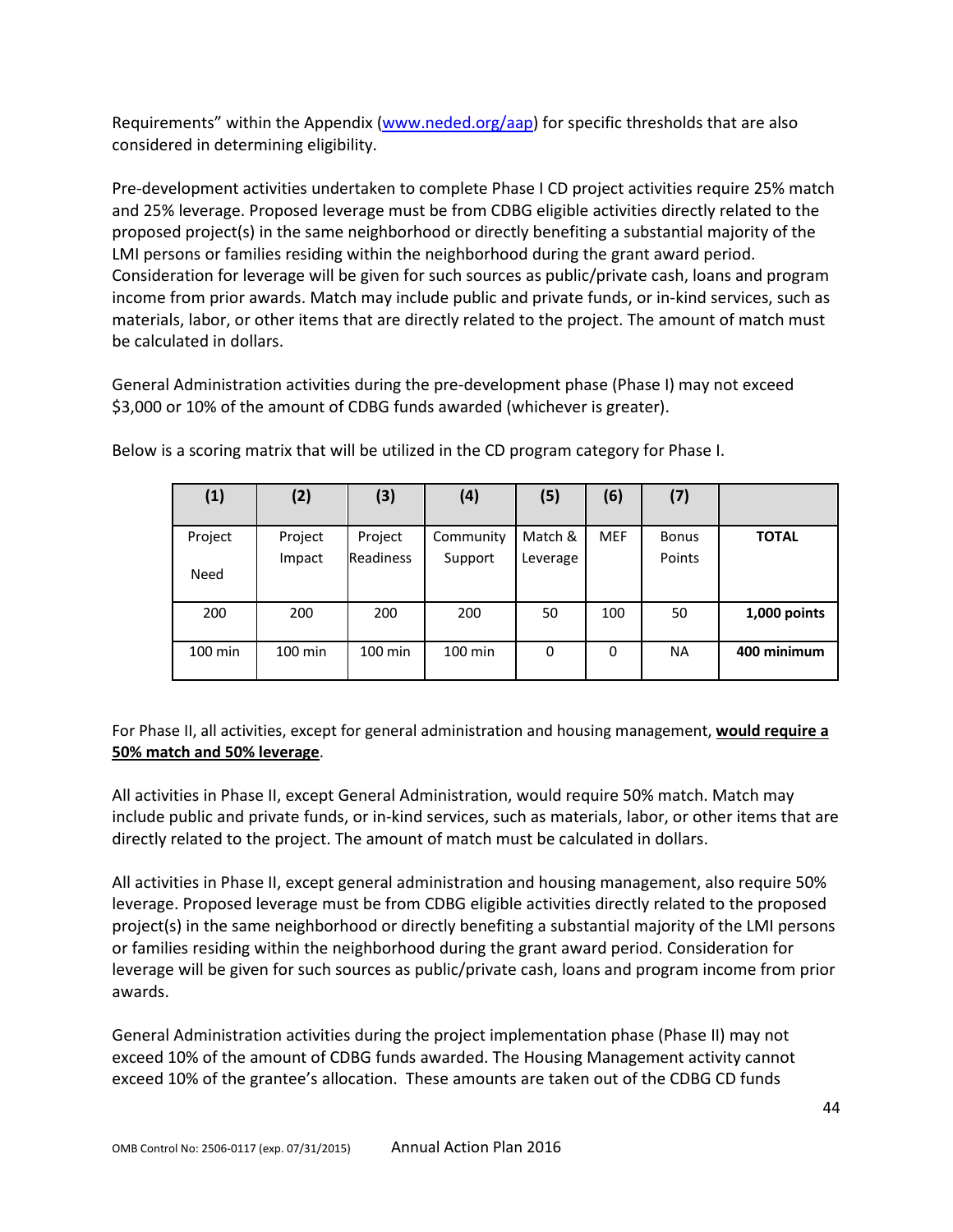Requirements" within the Appendix [\(www.neded.org/aap\)](http://www.neded.org/aap) for specific thresholds that are also considered in determining eligibility.

Pre-development activities undertaken to complete Phase I CD project activities require 25% match and 25% leverage. Proposed leverage must be from CDBG eligible activities directly related to the proposed project(s) in the same neighborhood or directly benefiting a substantial majority of the LMI persons or families residing within the neighborhood during the grant award period. Consideration for leverage will be given for such sources as public/private cash, loans and program income from prior awards. Match may include public and private funds, or in-kind services, such as materials, labor, or other items that are directly related to the project. The amount of match must be calculated in dollars.

General Administration activities during the pre-development phase (Phase I) may not exceed \$3,000 or 10% of the amount of CDBG funds awarded (whichever is greater).

| (1)       | (2)     | (3)              | (4)       | (5)      | (6)        | (7)          |              |
|-----------|---------|------------------|-----------|----------|------------|--------------|--------------|
| Project   | Project | Project          | Community | Match &  | <b>MEF</b> | <b>Bonus</b> | <b>TOTAL</b> |
| Need      | Impact  | <b>Readiness</b> | Support   | Leverage |            | Points       |              |
| 200       | 200     | 200              | 200       | 50       | 100        | 50           | 1,000 points |
| $100$ min | 100 min | 100 min          | $100$ min | 0        | 0          | <b>NA</b>    | 400 minimum  |

Below is a scoring matrix that will be utilized in the CD program category for Phase I.

For Phase II, all activities, except for general administration and housing management, **would require a 50% match and 50% leverage**.

All activities in Phase II, except General Administration, would require 50% match. Match may include public and private funds, or in-kind services, such as materials, labor, or other items that are directly related to the project. The amount of match must be calculated in dollars.

All activities in Phase II, except general administration and housing management, also require 50% leverage. Proposed leverage must be from CDBG eligible activities directly related to the proposed project(s) in the same neighborhood or directly benefiting a substantial majority of the LMI persons or families residing within the neighborhood during the grant award period. Consideration for leverage will be given for such sources as public/private cash, loans and program income from prior awards.

General Administration activities during the project implementation phase (Phase II) may not exceed 10% of the amount of CDBG funds awarded. The Housing Management activity cannot exceed 10% of the grantee's allocation. These amounts are taken out of the CDBG CD funds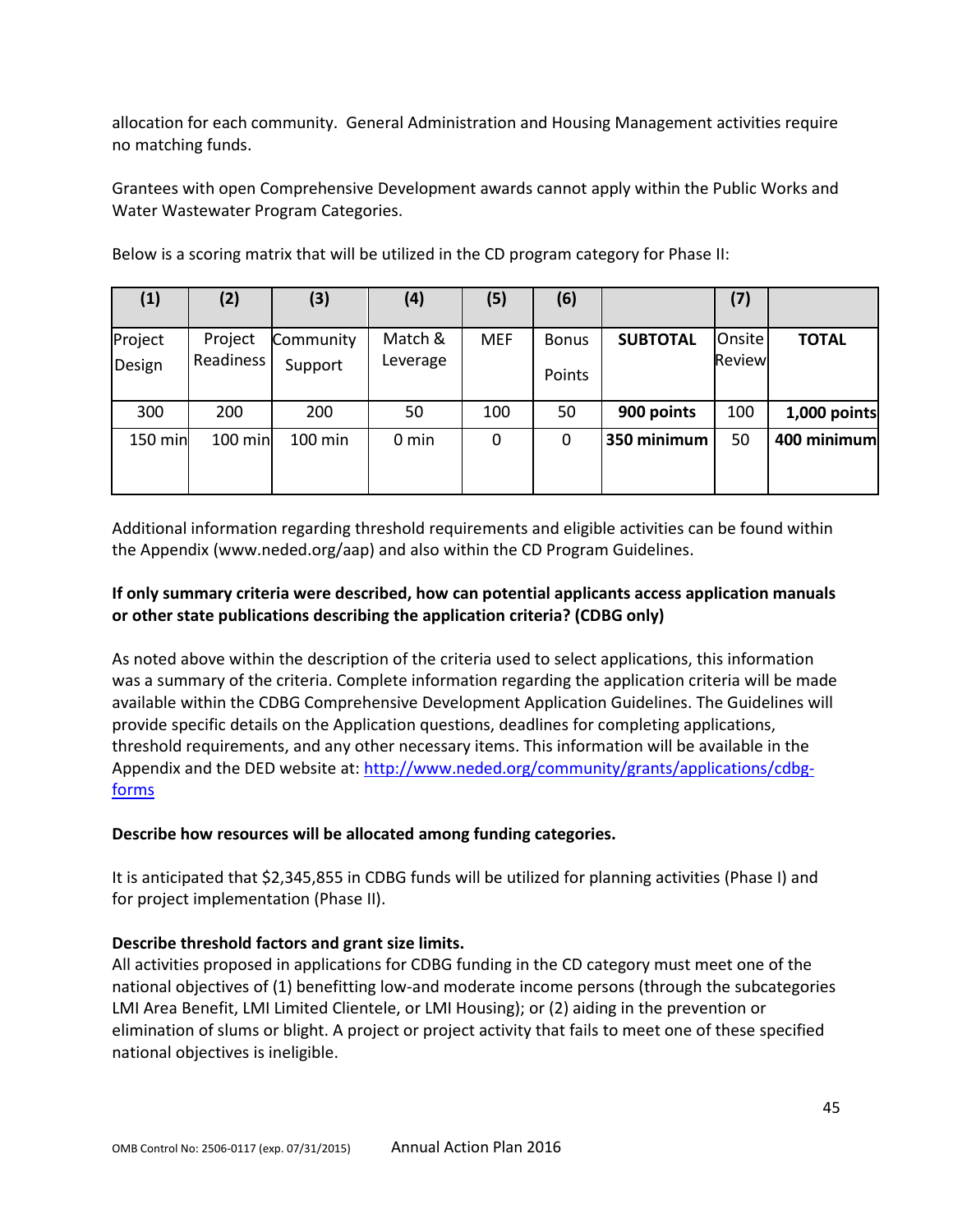allocation for each community. General Administration and Housing Management activities require no matching funds.

Grantees with open Comprehensive Development awards cannot apply within the Public Works and Water Wastewater Program Categories.

| (1)               | (2)                  | (3)                  | (4)                 | (5)        | (6)                    |                 | (7)                     |              |
|-------------------|----------------------|----------------------|---------------------|------------|------------------------|-----------------|-------------------------|--------------|
| Project<br>Design | Project<br>Readiness | Community<br>Support | Match &<br>Leverage | <b>MEF</b> | <b>Bonus</b><br>Points | <b>SUBTOTAL</b> | <b>Onsite</b><br>Review | <b>TOTAL</b> |
| 300               | 200                  | 200                  | 50                  | 100        | 50                     | 900 points      | 100                     | 1,000 points |
| 150 min           | 100 min              | 100 min              | $0 \text{ min}$     | 0          | 0                      | 350 minimum     | 50                      | 400 minimum  |

Below is a scoring matrix that will be utilized in the CD program category for Phase II:

Additional information regarding threshold requirements and eligible activities can be found within the Appendix (www.neded.org/aap) and also within the CD Program Guidelines.

## **If only summary criteria were described, how can potential applicants access application manuals or other state publications describing the application criteria? (CDBG only)**

As noted above within the description of the criteria used to select applications, this information was a summary of the criteria. Complete information regarding the application criteria will be made available within the CDBG Comprehensive Development Application Guidelines. The Guidelines will provide specific details on the Application questions, deadlines for completing applications, threshold requirements, and any other necessary items. This information will be available in the Appendix and the DED website at: [http://www.neded.org/community/grants/applications/cdbg](http://www.neded.org/community/grants/applications/cdbg%E2%80%90forms)[forms](http://www.neded.org/community/grants/applications/cdbg%E2%80%90forms)

## **Describe how resources will be allocated among funding categories.**

It is anticipated that \$2,345,855 in CDBG funds will be utilized for planning activities (Phase I) and for project implementation (Phase II).

## **Describe threshold factors and grant size limits.**

All activities proposed in applications for CDBG funding in the CD category must meet one of the national objectives of (1) benefitting low-and moderate income persons (through the subcategories LMI Area Benefit, LMI Limited Clientele, or LMI Housing); or (2) aiding in the prevention or elimination of slums or blight. A project or project activity that fails to meet one of these specified national objectives is ineligible.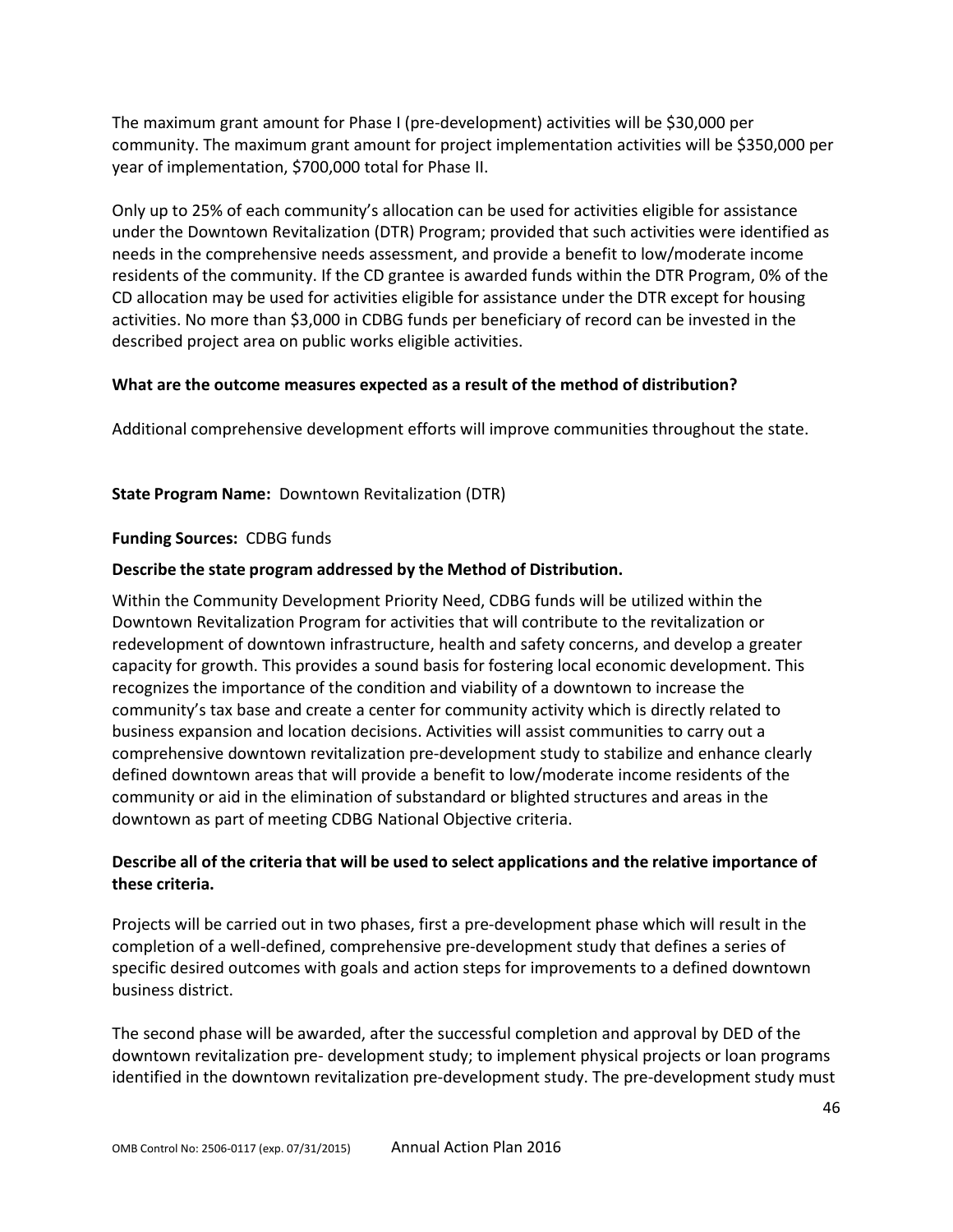The maximum grant amount for Phase I (pre-development) activities will be \$30,000 per community. The maximum grant amount for project implementation activities will be \$350,000 per year of implementation, \$700,000 total for Phase II.

Only up to 25% of each community's allocation can be used for activities eligible for assistance under the Downtown Revitalization (DTR) Program; provided that such activities were identified as needs in the comprehensive needs assessment, and provide a benefit to low/moderate income residents of the community. If the CD grantee is awarded funds within the DTR Program, 0% of the CD allocation may be used for activities eligible for assistance under the DTR except for housing activities. No more than \$3,000 in CDBG funds per beneficiary of record can be invested in the described project area on public works eligible activities.

## **What are the outcome measures expected as a result of the method of distribution?**

Additional comprehensive development efforts will improve communities throughout the state.

### **State Program Name:** Downtown Revitalization (DTR)

#### **Funding Sources:** CDBG funds

#### **Describe the state program addressed by the Method of Distribution.**

Within the Community Development Priority Need, CDBG funds will be utilized within the Downtown Revitalization Program for activities that will contribute to the revitalization or redevelopment of downtown infrastructure, health and safety concerns, and develop a greater capacity for growth. This provides a sound basis for fostering local economic development. This recognizes the importance of the condition and viability of a downtown to increase the community's tax base and create a center for community activity which is directly related to business expansion and location decisions. Activities will assist communities to carry out a comprehensive downtown revitalization pre-development study to stabilize and enhance clearly defined downtown areas that will provide a benefit to low/moderate income residents of the community or aid in the elimination of substandard or blighted structures and areas in the downtown as part of meeting CDBG National Objective criteria.

## **Describe all of the criteria that will be used to select applications and the relative importance of these criteria.**

Projects will be carried out in two phases, first a pre-development phase which will result in the completion of a well-defined, comprehensive pre-development study that defines a series of specific desired outcomes with goals and action steps for improvements to a defined downtown business district.

The second phase will be awarded, after the successful completion and approval by DED of the downtown revitalization pre- development study; to implement physical projects or loan programs identified in the downtown revitalization pre-development study. The pre-development study must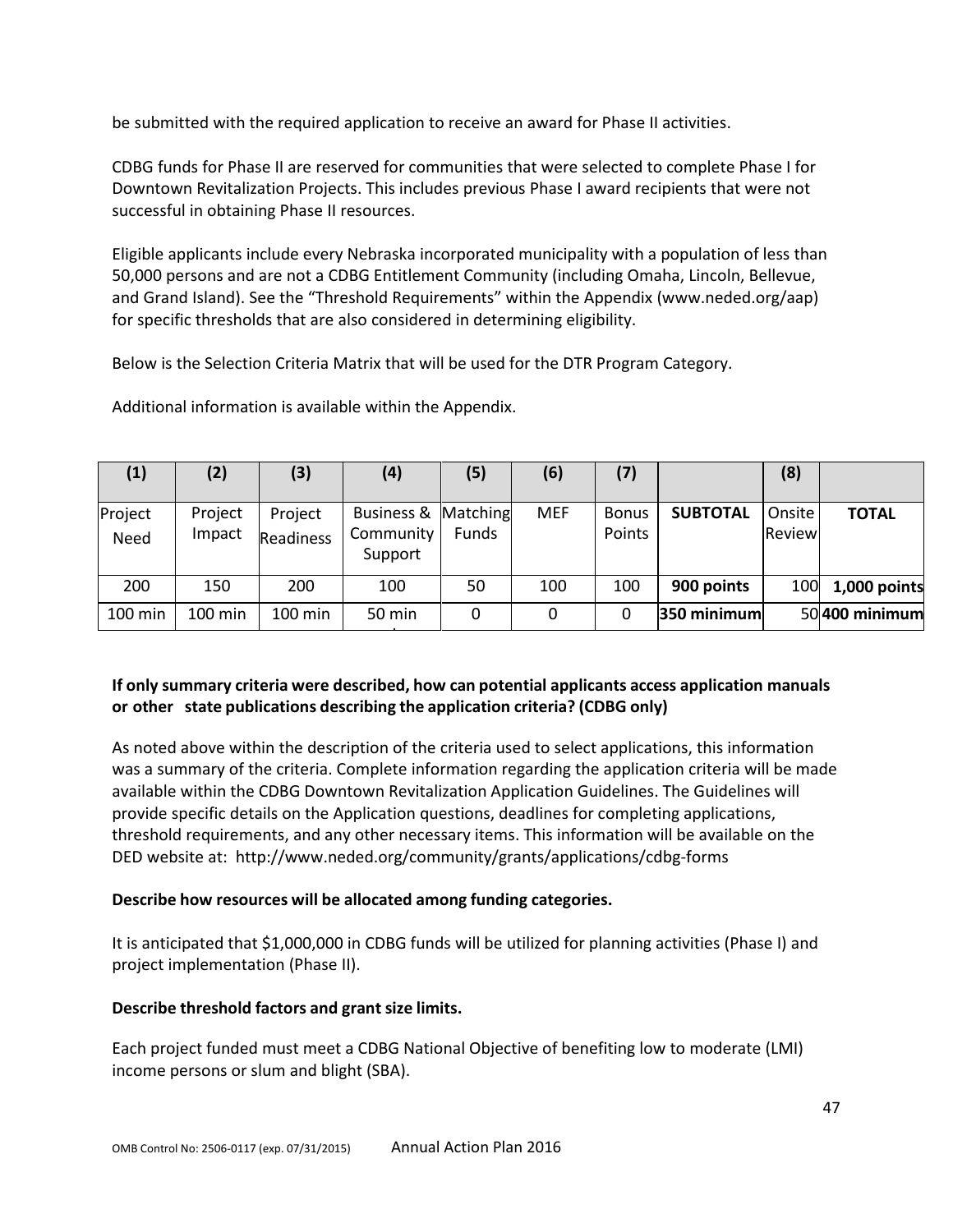be submitted with the required application to receive an award for Phase II activities.

CDBG funds for Phase II are reserved for communities that were selected to complete Phase I for Downtown Revitalization Projects. This includes previous Phase I award recipients that were not successful in obtaining Phase II resources.

Eligible applicants include every Nebraska incorporated municipality with a population of less than 50,000 persons and are not a CDBG Entitlement Community (including Omaha, Lincoln, Bellevue, and Grand Island). See the "Threshold Requirements" within the Appendix (www.neded.org/aap) for specific thresholds that are also considered in determining eligibility.

Below is the Selection Criteria Matrix that will be used for the DTR Program Category.

Additional information is available within the Appendix.

| (1)             | (2)               | (3)                         | (4)                                         | (5)   | (6)        | (7)                    |                 | (8)                     |                |
|-----------------|-------------------|-----------------------------|---------------------------------------------|-------|------------|------------------------|-----------------|-------------------------|----------------|
| Project<br>Need | Project<br>Impact | Project<br><b>Readiness</b> | Business & Matching<br>Community<br>Support | Funds | <b>MEF</b> | <b>Bonus</b><br>Points | <b>SUBTOTAL</b> | Onsite<br><b>Review</b> | <b>TOTAL</b>   |
| 200             | 150               | 200                         | 100                                         | 50    | 100        | 100                    | 900 points      | 100                     | 1,000 points   |
| 100 min         | 100 min           | 100 min                     | 50 min                                      | 0     | 0          | 0                      | 350 minimum     |                         | 50 400 minimum |

## **If only summary criteria were described, how can potential applicants access application manuals or other state publications describing the application criteria? (CDBG only)**

As noted above within the description of the criteria used to select applications, this information was a summary of the criteria. Complete information regarding the application criteria will be made available within the CDBG Downtown Revitalization Application Guidelines. The Guidelines will provide specific details on the Application questions, deadlines for completing applications, threshold requirements, and any other necessary items. This information will be available on the DED website at: <http://www.neded.org/community/grants/applications/cdbg-forms>

## **Describe how resources will be allocated among funding categories.**

It is anticipated that \$1,000,000 in CDBG funds will be utilized for planning activities (Phase I) and project implementation (Phase II).

#### **Describe threshold factors and grant size limits.**

Each project funded must meet a CDBG National Objective of benefiting low to moderate (LMI) income persons or slum and blight (SBA).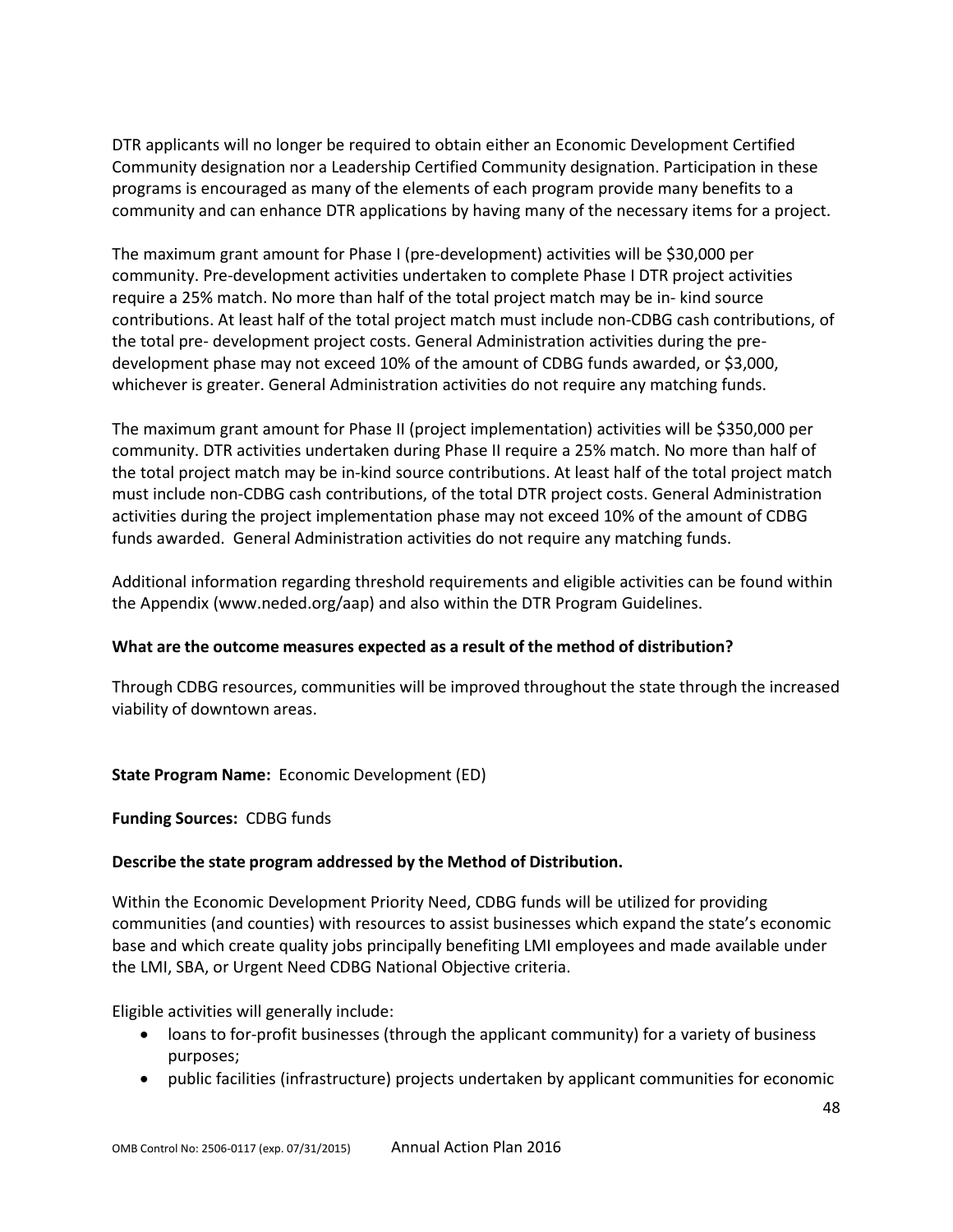DTR applicants will no longer be required to obtain either an Economic Development Certified Community designation nor a Leadership Certified Community designation. Participation in these programs is encouraged as many of the elements of each program provide many benefits to a community and can enhance DTR applications by having many of the necessary items for a project.

The maximum grant amount for Phase I (pre-development) activities will be \$30,000 per community. Pre-development activities undertaken to complete Phase I DTR project activities require a 25% match. No more than half of the total project match may be in- kind source contributions. At least half of the total project match must include non-CDBG cash contributions, of the total pre- development project costs. General Administration activities during the predevelopment phase may not exceed 10% of the amount of CDBG funds awarded, or \$3,000, whichever is greater. General Administration activities do not require any matching funds.

The maximum grant amount for Phase II (project implementation) activities will be \$350,000 per community. DTR activities undertaken during Phase II require a 25% match. No more than half of the total project match may be in-kind source contributions. At least half of the total project match must include non-CDBG cash contributions, of the total DTR project costs. General Administration activities during the project implementation phase may not exceed 10% of the amount of CDBG funds awarded. General Administration activities do not require any matching funds.

Additional information regarding threshold requirements and eligible activities can be found within the Appendix (www.neded.org/aap) and also within the DTR Program Guidelines.

## **What are the outcome measures expected as a result of the method of distribution?**

Through CDBG resources, communities will be improved throughout the state through the increased viability of downtown areas.

#### **State Program Name:** Economic Development (ED)

#### **Funding Sources:** CDBG funds

#### **Describe the state program addressed by the Method of Distribution.**

Within the Economic Development Priority Need, CDBG funds will be utilized for providing communities (and counties) with resources to assist businesses which expand the state's economic base and which create quality jobs principally benefiting LMI employees and made available under the LMI, SBA, or Urgent Need CDBG National Objective criteria.

Eligible activities will generally include:

- loans to for-profit businesses (through the applicant community) for a variety of business purposes;
- public facilities (infrastructure) projects undertaken by applicant communities for economic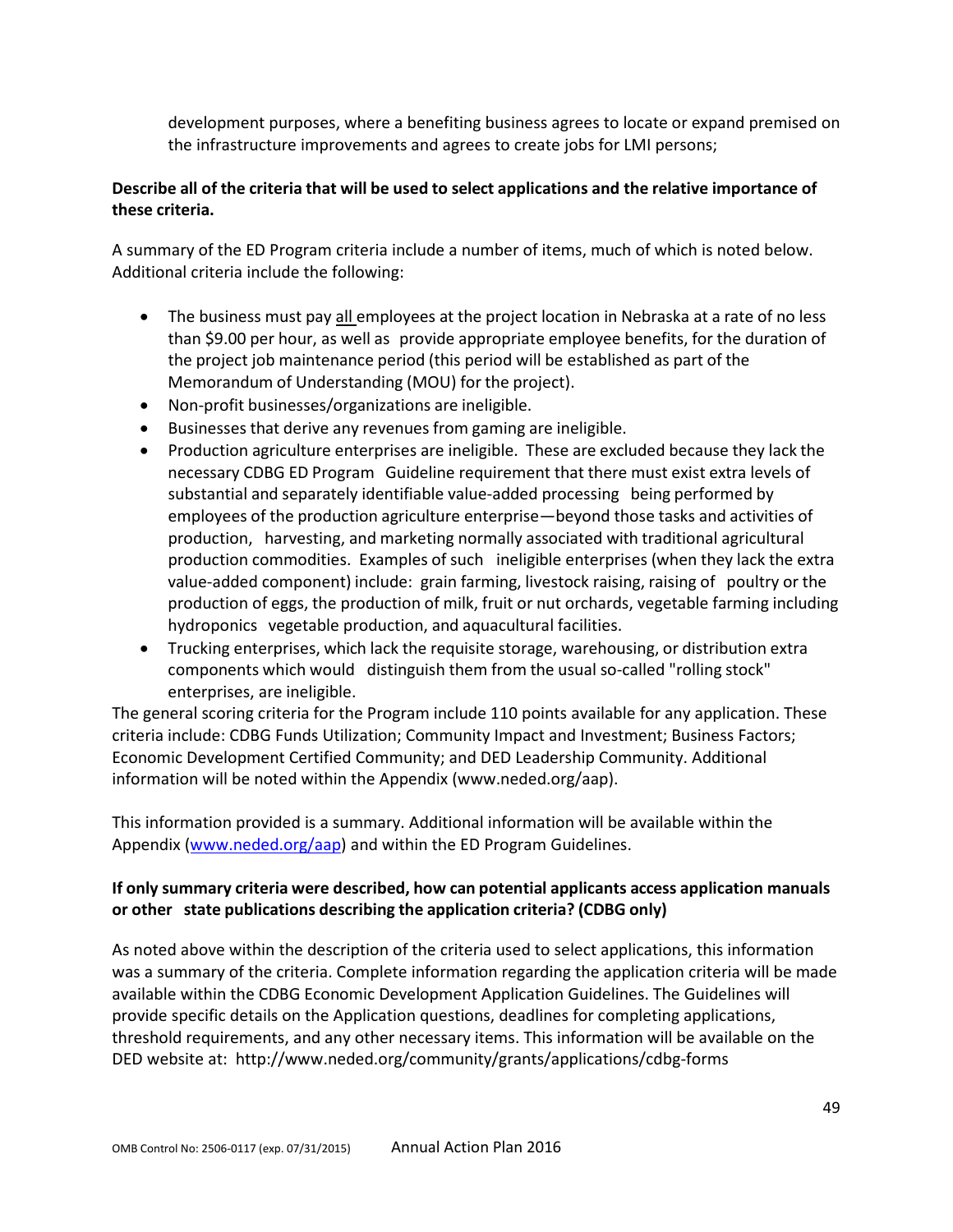development purposes, where a benefiting business agrees to locate or expand premised on the infrastructure improvements and agrees to create jobs for LMI persons;

## **Describe all of the criteria that will be used to select applications and the relative importance of these criteria.**

A summary of the ED Program criteria include a number of items, much of which is noted below. Additional criteria include the following:

- The business must pay all employees at the project location in Nebraska at a rate of no less than \$9.00 per hour, as well as provide appropriate employee benefits, for the duration of the project job maintenance period (this period will be established as part of the Memorandum of Understanding (MOU) for the project).
- Non-profit businesses/organizations are ineligible.
- Businesses that derive any revenues from gaming are ineligible.
- Production agriculture enterprises are ineligible. These are excluded because they lack the necessary CDBG ED Program Guideline requirement that there must exist extra levels of substantial and separately identifiable value-added processing being performed by employees of the production agriculture enterprise—beyond those tasks and activities of production, harvesting, and marketing normally associated with traditional agricultural production commodities. Examples of such ineligible enterprises (when they lack the extra value-added component) include: grain farming, livestock raising, raising of poultry or the production of eggs, the production of milk, fruit or nut orchards, vegetable farming including hydroponics vegetable production, and aquacultural facilities.
- Trucking enterprises, which lack the requisite storage, warehousing, or distribution extra components which would distinguish them from the usual so-called "rolling stock" enterprises, are ineligible.

The general scoring criteria for the Program include 110 points available for any application. These criteria include: CDBG Funds Utilization; Community Impact and Investment; Business Factors; Economic Development Certified Community; and DED Leadership Community. Additional information will be noted within the Appendix (www.neded.org/aap).

This information provided is a summary. Additional information will be available within the Appendix [\(www.neded.org/aap\)](http://www.neded.org/aap) and within the ED Program Guidelines.

## **If only summary criteria were described, how can potential applicants access application manuals or other state publications describing the application criteria? (CDBG only)**

As noted above within the description of the criteria used to select applications, this information was a summary of the criteria. Complete information regarding the application criteria will be made available within the CDBG Economic Development Application Guidelines. The Guidelines will provide specific details on the Application questions, deadlines for completing applications, threshold requirements, and any other necessary items. This information will be available on the DED website at: <http://www.neded.org/community/grants/applications/cdbg-forms>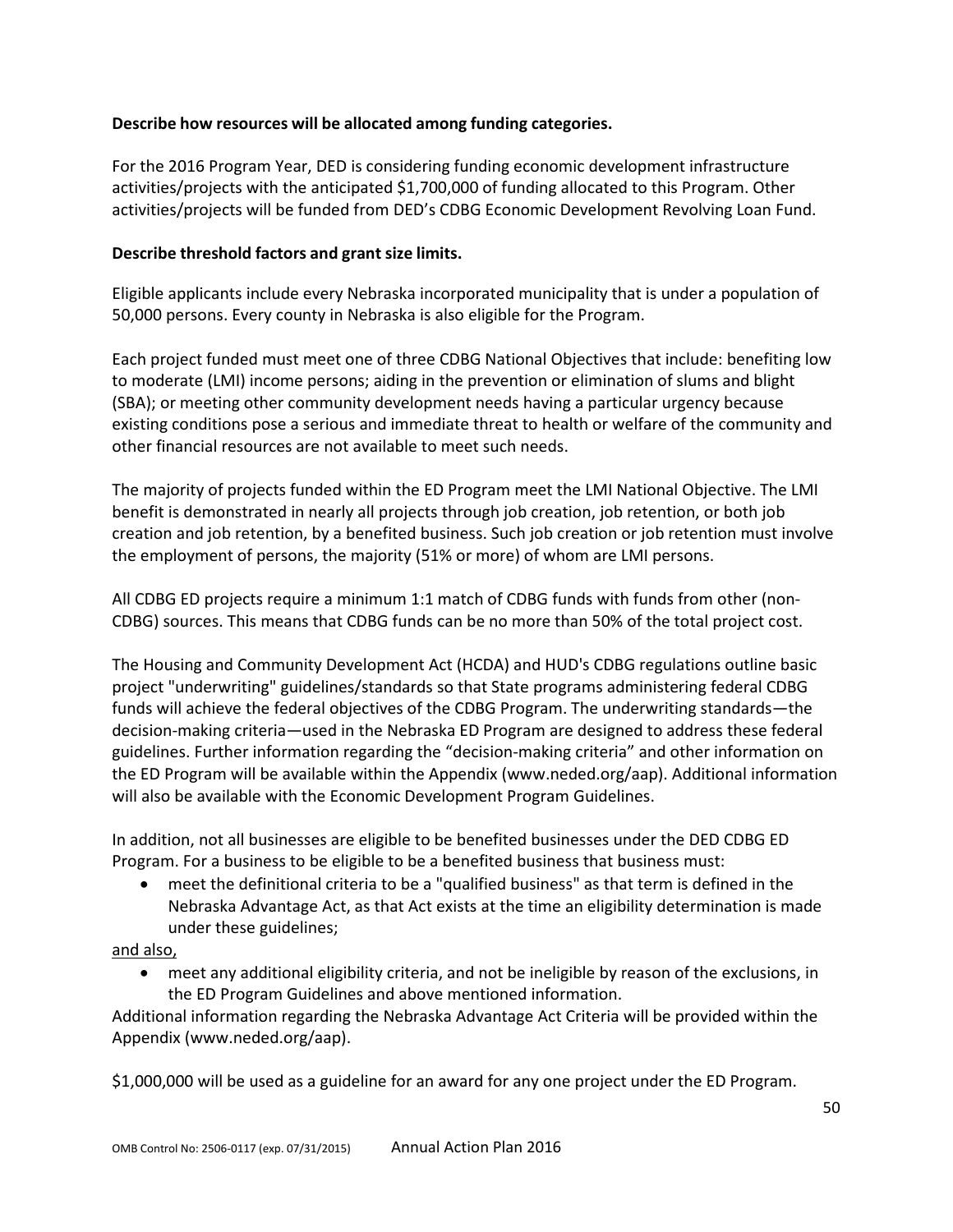## **Describe how resources will be allocated among funding categories.**

For the 2016 Program Year, DED is considering funding economic development infrastructure activities/projects with the anticipated \$1,700,000 of funding allocated to this Program. Other activities/projects will be funded from DED's CDBG Economic Development Revolving Loan Fund.

### **Describe threshold factors and grant size limits.**

Eligible applicants include every Nebraska incorporated municipality that is under a population of 50,000 persons. Every county in Nebraska is also eligible for the Program.

Each project funded must meet one of three CDBG National Objectives that include: benefiting low to moderate (LMI) income persons; aiding in the prevention or elimination of slums and blight (SBA); or meeting other community development needs having a particular urgency because existing conditions pose a serious and immediate threat to health or welfare of the community and other financial resources are not available to meet such needs.

The majority of projects funded within the ED Program meet the LMI National Objective. The LMI benefit is demonstrated in nearly all projects through job creation, job retention, or both job creation and job retention, by a benefited business. Such job creation or job retention must involve the employment of persons, the majority (51% or more) of whom are LMI persons.

All CDBG ED projects require a minimum 1:1 match of CDBG funds with funds from other (non-CDBG) sources. This means that CDBG funds can be no more than 50% of the total project cost.

The Housing and Community Development Act (HCDA) and HUD's CDBG regulations outline basic project "underwriting" guidelines/standards so that State programs administering federal CDBG funds will achieve the federal objectives of the CDBG Program. The underwriting standards—the decision-making criteria—used in the Nebraska ED Program are designed to address these federal guidelines. Further information regarding the "decision-making criteria" and other information on the ED Program will be available within the Appendix (www.neded.org/aap). Additional information will also be available with the Economic Development Program Guidelines.

In addition, not all businesses are eligible to be benefited businesses under the DED CDBG ED Program. For a business to be eligible to be a benefited business that business must:

• meet the definitional criteria to be a "qualified business" as that term is defined in the Nebraska Advantage Act, as that Act exists at the time an eligibility determination is made under these guidelines;

and also,

• meet any additional eligibility criteria, and not be ineligible by reason of the exclusions, in the ED Program Guidelines and above mentioned information.

Additional information regarding the Nebraska Advantage Act Criteria will be provided within the Appendix (www.neded.org/aap).

\$1,000,000 will be used as a guideline for an award for any one project under the ED Program.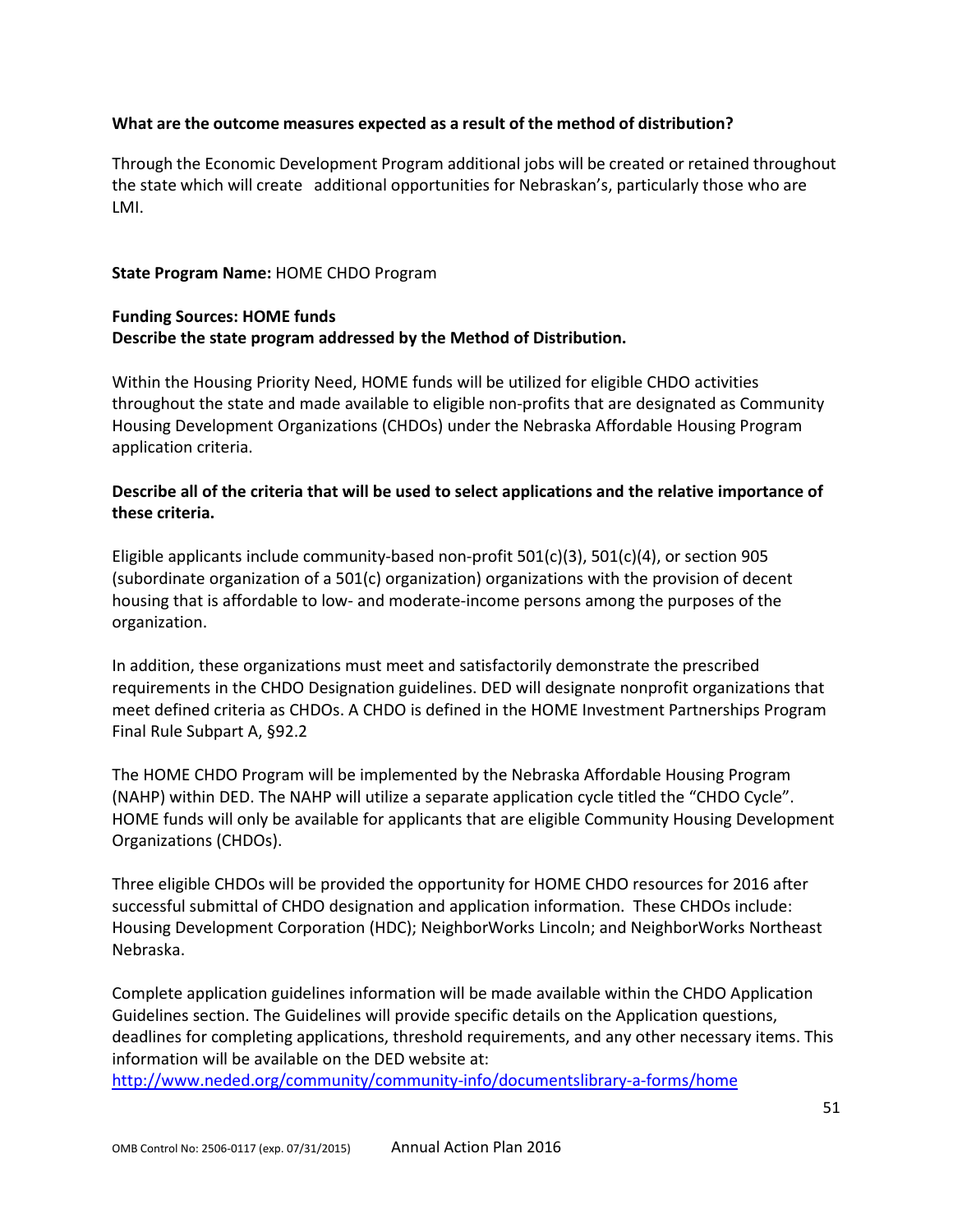### **What are the outcome measures expected as a result of the method of distribution?**

Through the Economic Development Program additional jobs will be created or retained throughout the state which will create additional opportunities for Nebraskan's, particularly those who are LMI.

### **State Program Name:** HOME CHDO Program

## **Funding Sources: HOME funds Describe the state program addressed by the Method of Distribution.**

Within the Housing Priority Need, HOME funds will be utilized for eligible CHDO activities throughout the state and made available to eligible non-profits that are designated as Community Housing Development Organizations (CHDOs) under the Nebraska Affordable Housing Program application criteria.

## **Describe all of the criteria that will be used to select applications and the relative importance of these criteria.**

Eligible applicants include community-based non-profit 501(c)(3), 501(c)(4), or section 905 (subordinate organization of a 501(c) organization) organizations with the provision of decent housing that is affordable to low- and moderate-income persons among the purposes of the organization.

In addition, these organizations must meet and satisfactorily demonstrate the prescribed requirements in the CHDO Designation guidelines. DED will designate nonprofit organizations that meet defined criteria as CHDOs. A CHDO is defined in the HOME Investment Partnerships Program Final Rule Subpart A, §92.2

The HOME CHDO Program will be implemented by the Nebraska Affordable Housing Program (NAHP) within DED. The NAHP will utilize a separate application cycle titled the "CHDO Cycle". HOME funds will only be available for applicants that are eligible Community Housing Development Organizations (CHDOs).

Three eligible CHDOs will be provided the opportunity for HOME CHDO resources for 2016 after successful submittal of CHDO designation and application information. These CHDOs include: Housing Development Corporation (HDC); NeighborWorks Lincoln; and NeighborWorks Northeast Nebraska.

Complete application guidelines information will be made available within the CHDO Application Guidelines section. The Guidelines will provide specific details on the Application questions, deadlines for completing applications, threshold requirements, and any other necessary items. This information will be available on the DED website at:

<http://www.neded.org/community/community-info/documentslibrary-a-forms/home>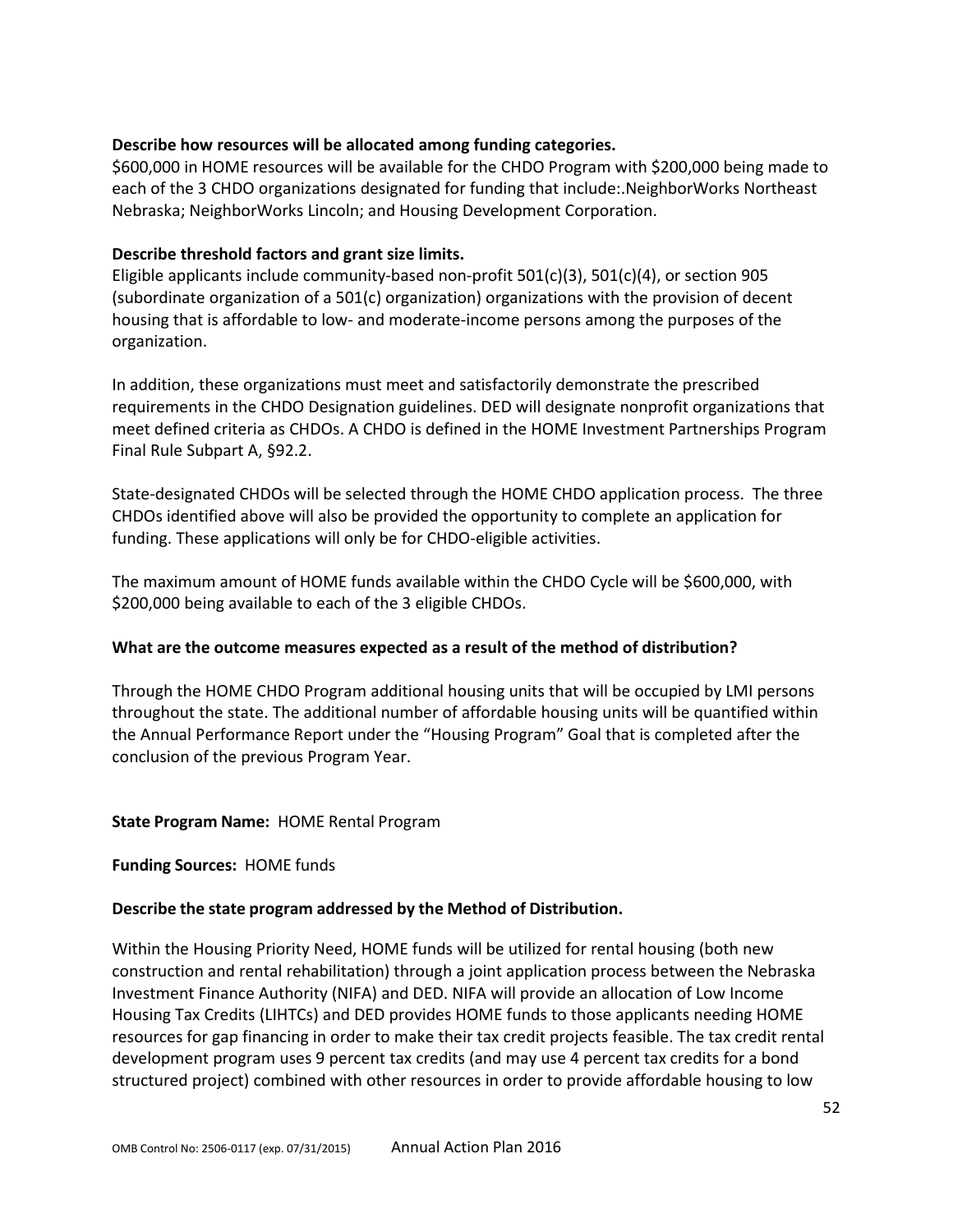### **Describe how resources will be allocated among funding categories.**

\$600,000 in HOME resources will be available for the CHDO Program with \$200,000 being made to each of the 3 CHDO organizations designated for funding that include:.NeighborWorks Northeast Nebraska; NeighborWorks Lincoln; and Housing Development Corporation.

#### **Describe threshold factors and grant size limits.**

Eligible applicants include community-based non-profit 501(c)(3), 501(c)(4), or section 905 (subordinate organization of a 501(c) organization) organizations with the provision of decent housing that is affordable to low- and moderate-income persons among the purposes of the organization.

In addition, these organizations must meet and satisfactorily demonstrate the prescribed requirements in the CHDO Designation guidelines. DED will designate nonprofit organizations that meet defined criteria as CHDOs. A CHDO is defined in the HOME Investment Partnerships Program Final Rule Subpart A, §92.2.

State-designated CHDOs will be selected through the HOME CHDO application process. The three CHDOs identified above will also be provided the opportunity to complete an application for funding. These applications will only be for CHDO-eligible activities.

The maximum amount of HOME funds available within the CHDO Cycle will be \$600,000, with \$200,000 being available to each of the 3 eligible CHDOs.

#### **What are the outcome measures expected as a result of the method of distribution?**

Through the HOME CHDO Program additional housing units that will be occupied by LMI persons throughout the state. The additional number of affordable housing units will be quantified within the Annual Performance Report under the "Housing Program" Goal that is completed after the conclusion of the previous Program Year.

#### **State Program Name:** HOME Rental Program

#### **Funding Sources:** HOME funds

#### **Describe the state program addressed by the Method of Distribution.**

Within the Housing Priority Need, HOME funds will be utilized for rental housing (both new construction and rental rehabilitation) through a joint application process between the Nebraska Investment Finance Authority (NIFA) and DED. NIFA will provide an allocation of Low Income Housing Tax Credits (LIHTCs) and DED provides HOME funds to those applicants needing HOME resources for gap financing in order to make their tax credit projects feasible. The tax credit rental development program uses 9 percent tax credits (and may use 4 percent tax credits for a bond structured project) combined with other resources in order to provide affordable housing to low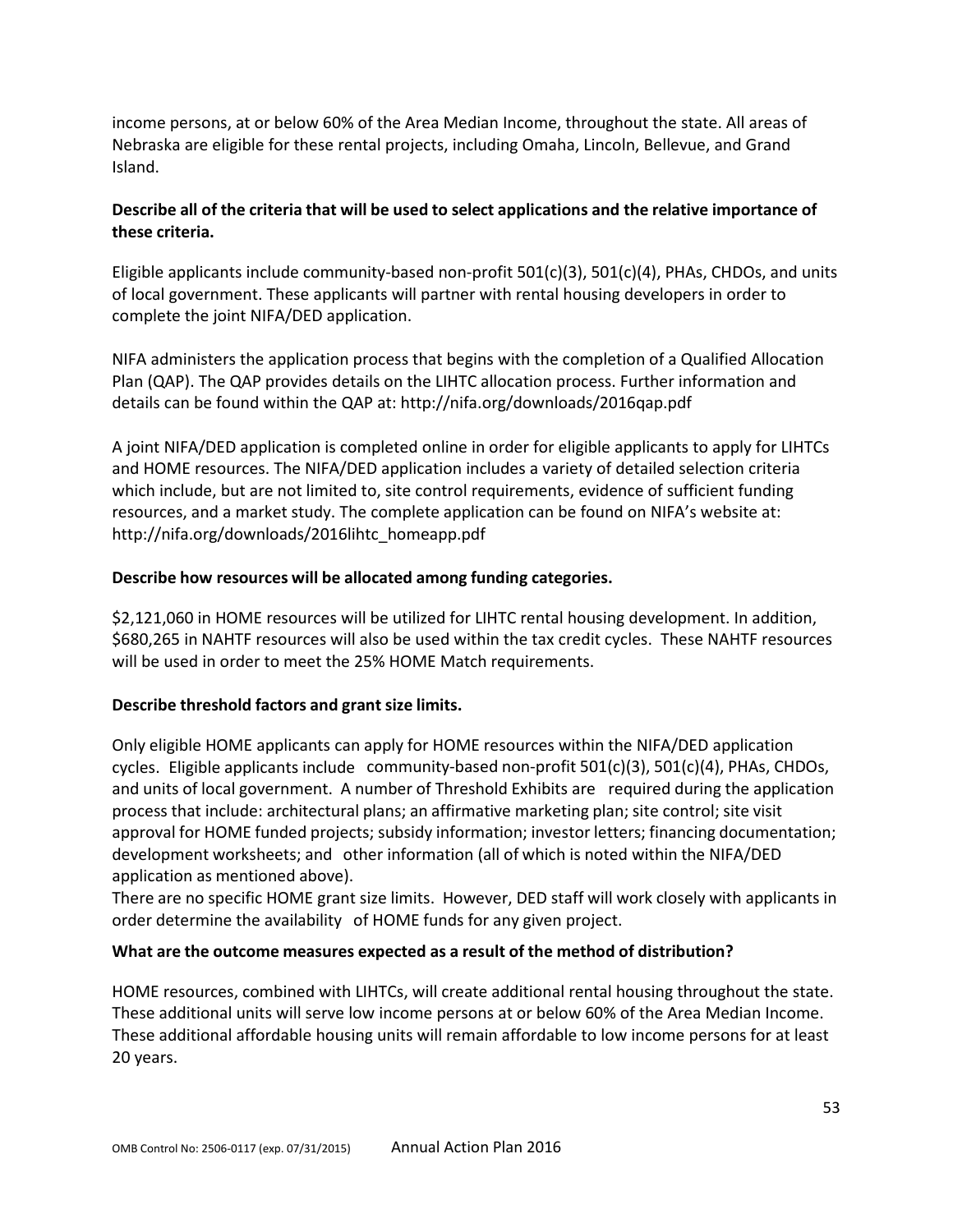income persons, at or below 60% of the Area Median Income, throughout the state. All areas of Nebraska are eligible for these rental projects, including Omaha, Lincoln, Bellevue, and Grand Island.

# **Describe all of the criteria that will be used to select applications and the relative importance of these criteria.**

Eligible applicants include community-based non-profit  $501(c)(3)$ ,  $501(c)(4)$ , PHAs, CHDOs, and units of local government. These applicants will partner with rental housing developers in order to complete the joint NIFA/DED application.

NIFA administers the application process that begins with the completion of a Qualified Allocation Plan (QAP). The QAP provides details on the LIHTC allocation process. Further information and details can be found within the QAP at: http://nifa.org/downloads/2016qap.pdf

A joint NIFA/DED application is completed online in order for eligible applicants to apply for LIHTCs and HOME resources. The NIFA/DED application includes a variety of detailed selection criteria which include, but are not limited to, site control requirements, evidence of sufficient funding resources, and a market study. The complete application can be found on NIFA's website at: http://nifa.org/downloads/2016lihtc\_homeapp.pdf

## **Describe how resources will be allocated among funding categories.**

\$2,121,060 in HOME resources will be utilized for LIHTC rental housing development. In addition, \$680,265 in NAHTF resources will also be used within the tax credit cycles. These NAHTF resources will be used in order to meet the 25% HOME Match requirements.

## **Describe threshold factors and grant size limits.**

Only eligible HOME applicants can apply for HOME resources within the NIFA/DED application cycles. Eligible applicants include community-based non-profit  $501(c)(3)$ ,  $501(c)(4)$ , PHAs, CHDOs, and units of local government. A number of Threshold Exhibits are required during the application process that include: architectural plans; an affirmative marketing plan; site control; site visit approval for HOME funded projects; subsidy information; investor letters; financing documentation; development worksheets; and other information (all of which is noted within the NIFA/DED application as mentioned above).

There are no specific HOME grant size limits. However, DED staff will work closely with applicants in order determine the availability of HOME funds for any given project.

## **What are the outcome measures expected as a result of the method of distribution?**

HOME resources, combined with LIHTCs, will create additional rental housing throughout the state. These additional units will serve low income persons at or below 60% of the Area Median Income. These additional affordable housing units will remain affordable to low income persons for at least 20 years.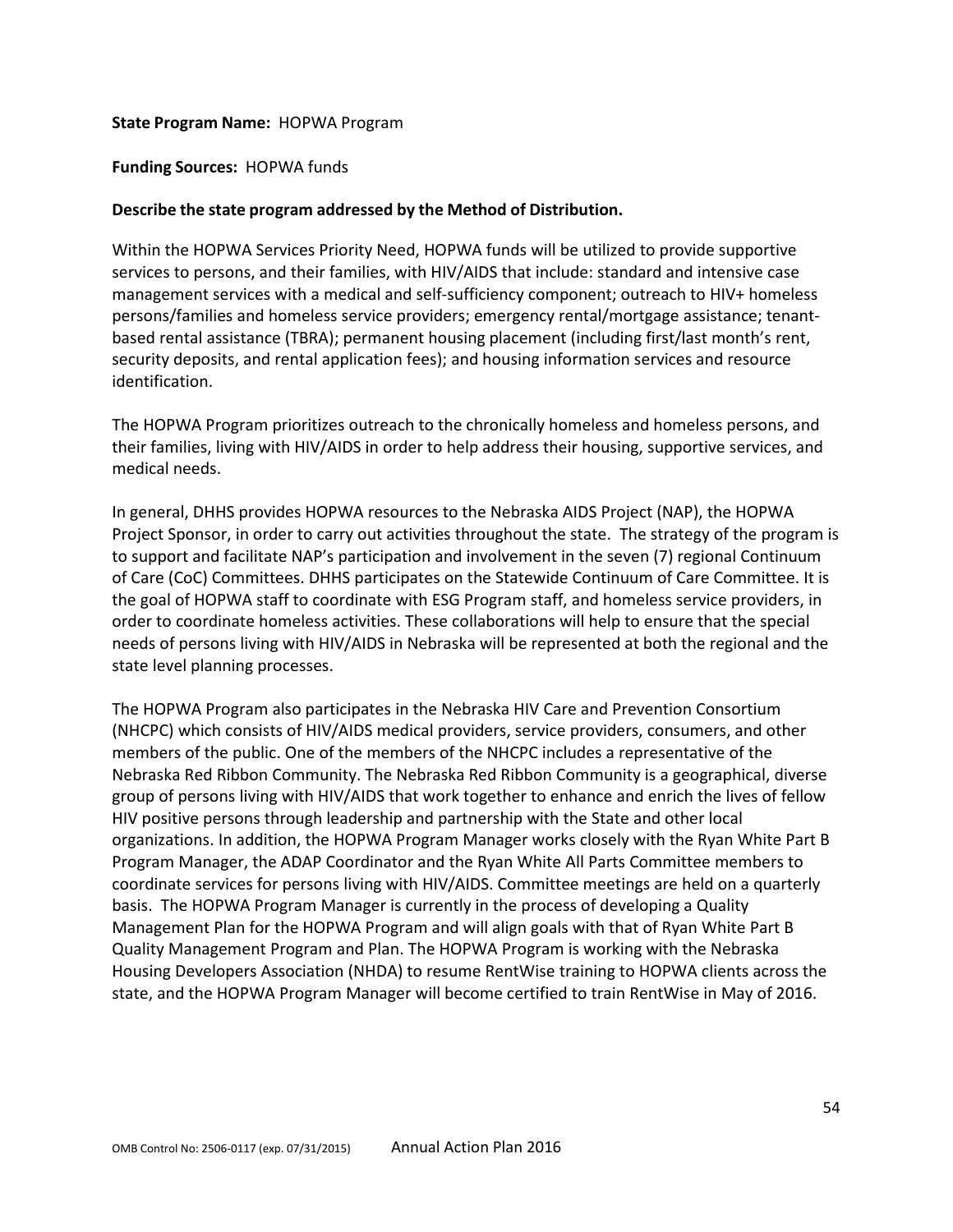#### **State Program Name:** HOPWA Program

#### **Funding Sources:** HOPWA funds

#### **Describe the state program addressed by the Method of Distribution.**

Within the HOPWA Services Priority Need, HOPWA funds will be utilized to provide supportive services to persons, and their families, with HIV/AIDS that include: standard and intensive case management services with a medical and self-sufficiency component; outreach to HIV+ homeless persons/families and homeless service providers; emergency rental/mortgage assistance; tenantbased rental assistance (TBRA); permanent housing placement (including first/last month's rent, security deposits, and rental application fees); and housing information services and resource identification.

The HOPWA Program prioritizes outreach to the chronically homeless and homeless persons, and their families, living with HIV/AIDS in order to help address their housing, supportive services, and medical needs.

In general, DHHS provides HOPWA resources to the Nebraska AIDS Project (NAP), the HOPWA Project Sponsor, in order to carry out activities throughout the state. The strategy of the program is to support and facilitate NAP's participation and involvement in the seven (7) regional Continuum of Care (CoC) Committees. DHHS participates on the Statewide Continuum of Care Committee. It is the goal of HOPWA staff to coordinate with ESG Program staff, and homeless service providers, in order to coordinate homeless activities. These collaborations will help to ensure that the special needs of persons living with HIV/AIDS in Nebraska will be represented at both the regional and the state level planning processes.

The HOPWA Program also participates in the Nebraska HIV Care and Prevention Consortium (NHCPC) which consists of HIV/AIDS medical providers, service providers, consumers, and other members of the public. One of the members of the NHCPC includes a representative of the Nebraska Red Ribbon Community. The Nebraska Red Ribbon Community is a geographical, diverse group of persons living with HIV/AIDS that work together to enhance and enrich the lives of fellow HIV positive persons through leadership and partnership with the State and other local organizations. In addition, the HOPWA Program Manager works closely with the Ryan White Part B Program Manager, the ADAP Coordinator and the Ryan White All Parts Committee members to coordinate services for persons living with HIV/AIDS. Committee meetings are held on a quarterly basis. The HOPWA Program Manager is currently in the process of developing a Quality Management Plan for the HOPWA Program and will align goals with that of Ryan White Part B Quality Management Program and Plan. The HOPWA Program is working with the Nebraska Housing Developers Association (NHDA) to resume RentWise training to HOPWA clients across the state, and the HOPWA Program Manager will become certified to train RentWise in May of 2016.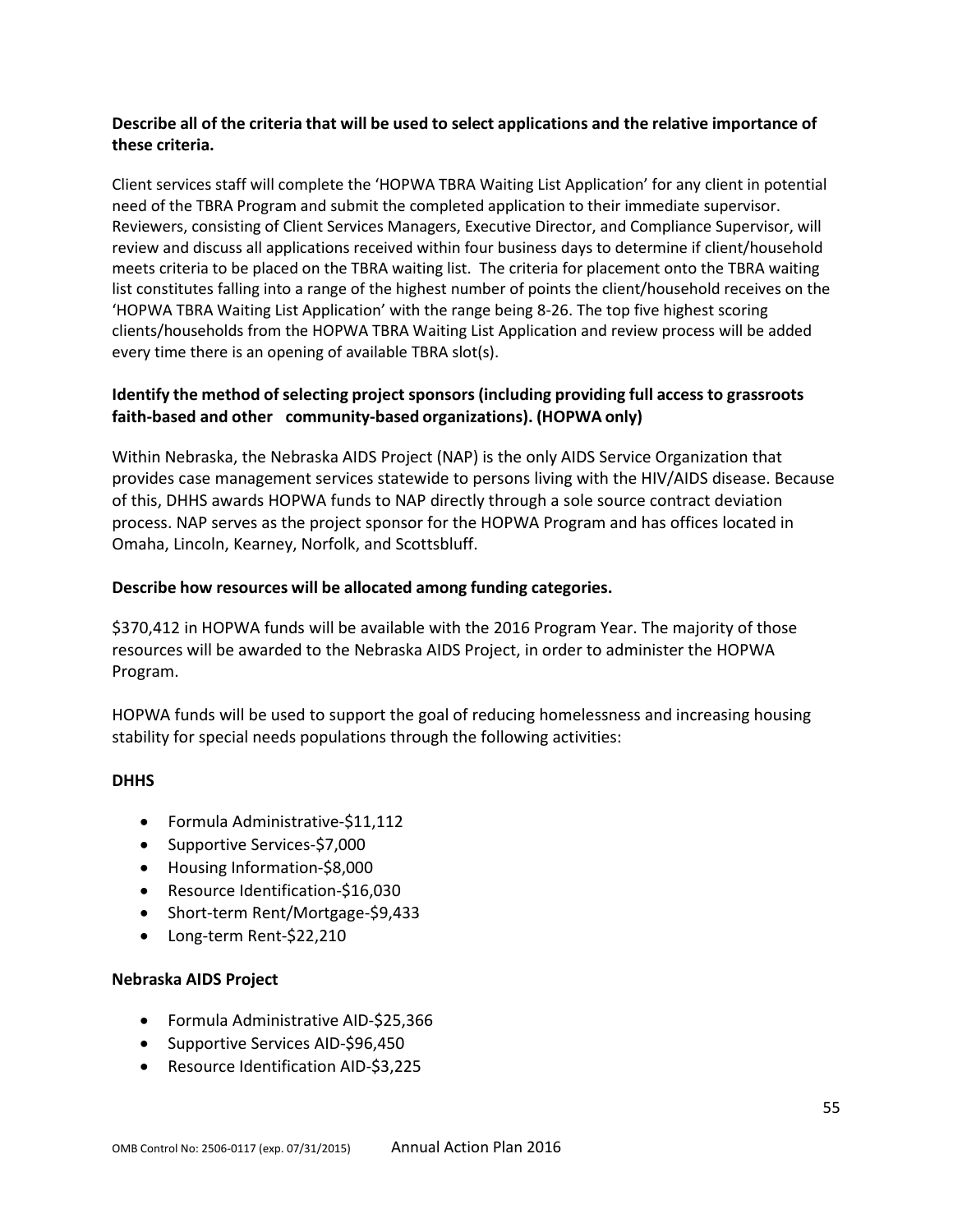## **Describe all of the criteria that will be used to select applications and the relative importance of these criteria.**

Client services staff will complete the 'HOPWA TBRA Waiting List Application' for any client in potential need of the TBRA Program and submit the completed application to their immediate supervisor. Reviewers, consisting of Client Services Managers, Executive Director, and Compliance Supervisor, will review and discuss all applications received within four business days to determine if client/household meets criteria to be placed on the TBRA waiting list. The criteria for placement onto the TBRA waiting list constitutes falling into a range of the highest number of points the client/household receives on the 'HOPWA TBRA Waiting List Application' with the range being 8-26. The top five highest scoring clients/households from the HOPWA TBRA Waiting List Application and review process will be added every time there is an opening of available TBRA slot(s).

## **Identify the method ofselecting project sponsors (including providing full access to grassroots faith-based and other community-based organizations). (HOPWA only)**

Within Nebraska, the Nebraska AIDS Project (NAP) is the only AIDS Service Organization that provides case management services statewide to persons living with the HIV/AIDS disease. Because of this, DHHS awards HOPWA funds to NAP directly through a sole source contract deviation process. NAP serves as the project sponsor for the HOPWA Program and has offices located in Omaha, Lincoln, Kearney, Norfolk, and Scottsbluff.

## **Describe how resources will be allocated among funding categories.**

\$370,412 in HOPWA funds will be available with the 2016 Program Year. The majority of those resources will be awarded to the Nebraska AIDS Project, in order to administer the HOPWA Program.

HOPWA funds will be used to support the goal of reducing homelessness and increasing housing stability for special needs populations through the following activities:

#### **DHHS**

- Formula Administrative-\$11,112
- Supportive Services-\$7,000
- Housing Information-\$8,000
- Resource Identification-\$16,030
- Short-term Rent/Mortgage-\$9,433
- Long-term Rent-\$22,210

#### **Nebraska AIDS Project**

- Formula Administrative AID-\$25,366
- Supportive Services AID-\$96,450
- Resource Identification AID-\$3,225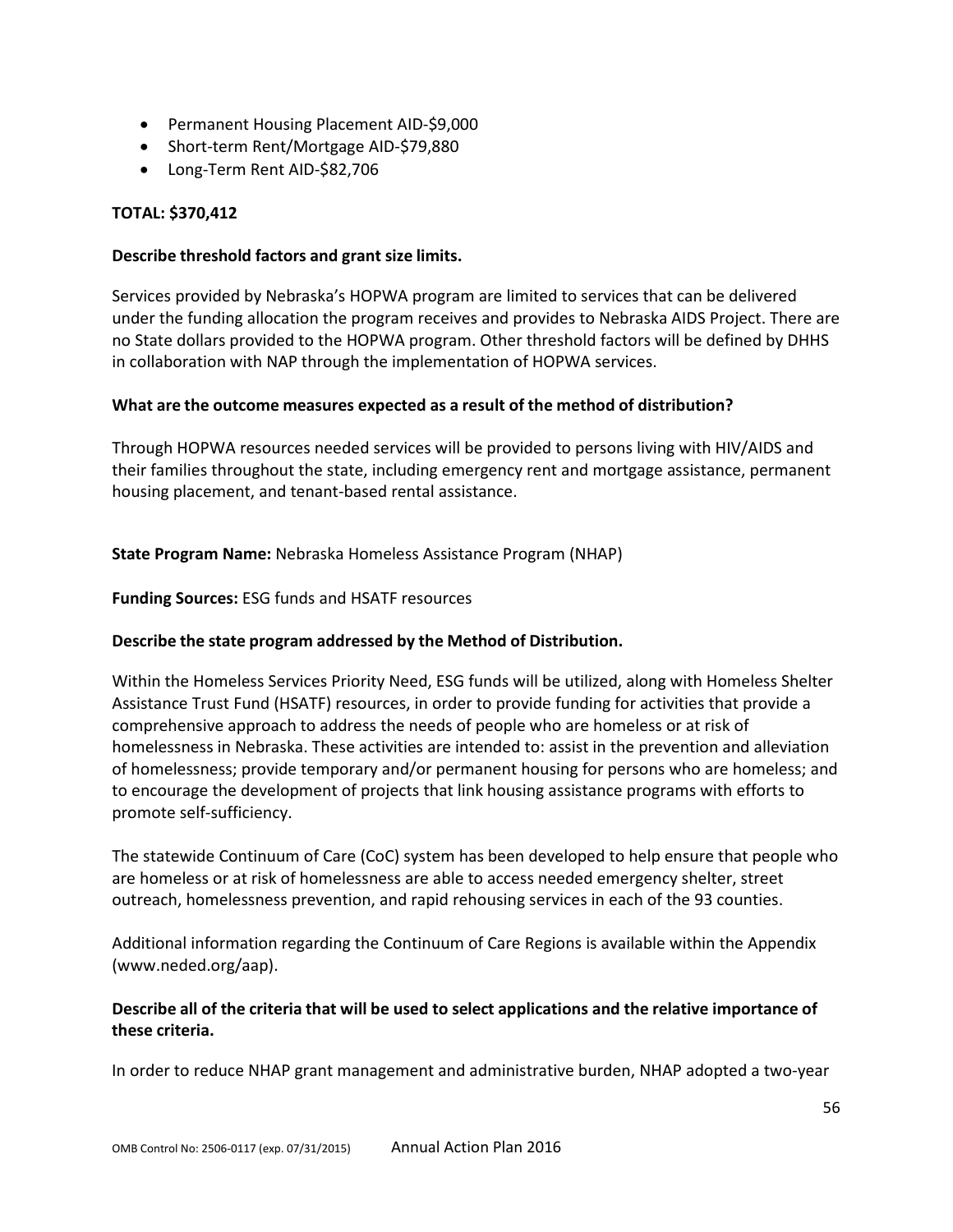- Permanent Housing Placement AID-\$9,000
- Short-term Rent/Mortgage AID-\$79,880
- Long-Term Rent AID-\$82,706

## **TOTAL: \$370,412**

#### **Describe threshold factors and grant size limits.**

Services provided by Nebraska's HOPWA program are limited to services that can be delivered under the funding allocation the program receives and provides to Nebraska AIDS Project. There are no State dollars provided to the HOPWA program. Other threshold factors will be defined by DHHS in collaboration with NAP through the implementation of HOPWA services.

### **What are the outcome measures expected as a result of the method of distribution?**

Through HOPWA resources needed services will be provided to persons living with HIV/AIDS and their families throughout the state, including emergency rent and mortgage assistance, permanent housing placement, and tenant-based rental assistance.

### **State Program Name:** Nebraska Homeless Assistance Program (NHAP)

**Funding Sources:** ESG funds and HSATF resources

#### **Describe the state program addressed by the Method of Distribution.**

Within the Homeless Services Priority Need, ESG funds will be utilized, along with Homeless Shelter Assistance Trust Fund (HSATF) resources, in order to provide funding for activities that provide a comprehensive approach to address the needs of people who are homeless or at risk of homelessness in Nebraska. These activities are intended to: assist in the prevention and alleviation of homelessness; provide temporary and/or permanent housing for persons who are homeless; and to encourage the development of projects that link housing assistance programs with efforts to promote self-sufficiency.

The statewide Continuum of Care (CoC) system has been developed to help ensure that people who are homeless or at risk of homelessness are able to access needed emergency shelter, street outreach, homelessness prevention, and rapid rehousing services in each of the 93 counties.

Additional information regarding the Continuum of Care Regions is available within the Appendix (www.neded.org/aap).

## **Describe all of the criteria that will be used to select applications and the relative importance of these criteria.**

In order to reduce NHAP grant management and administrative burden, NHAP adopted a two-year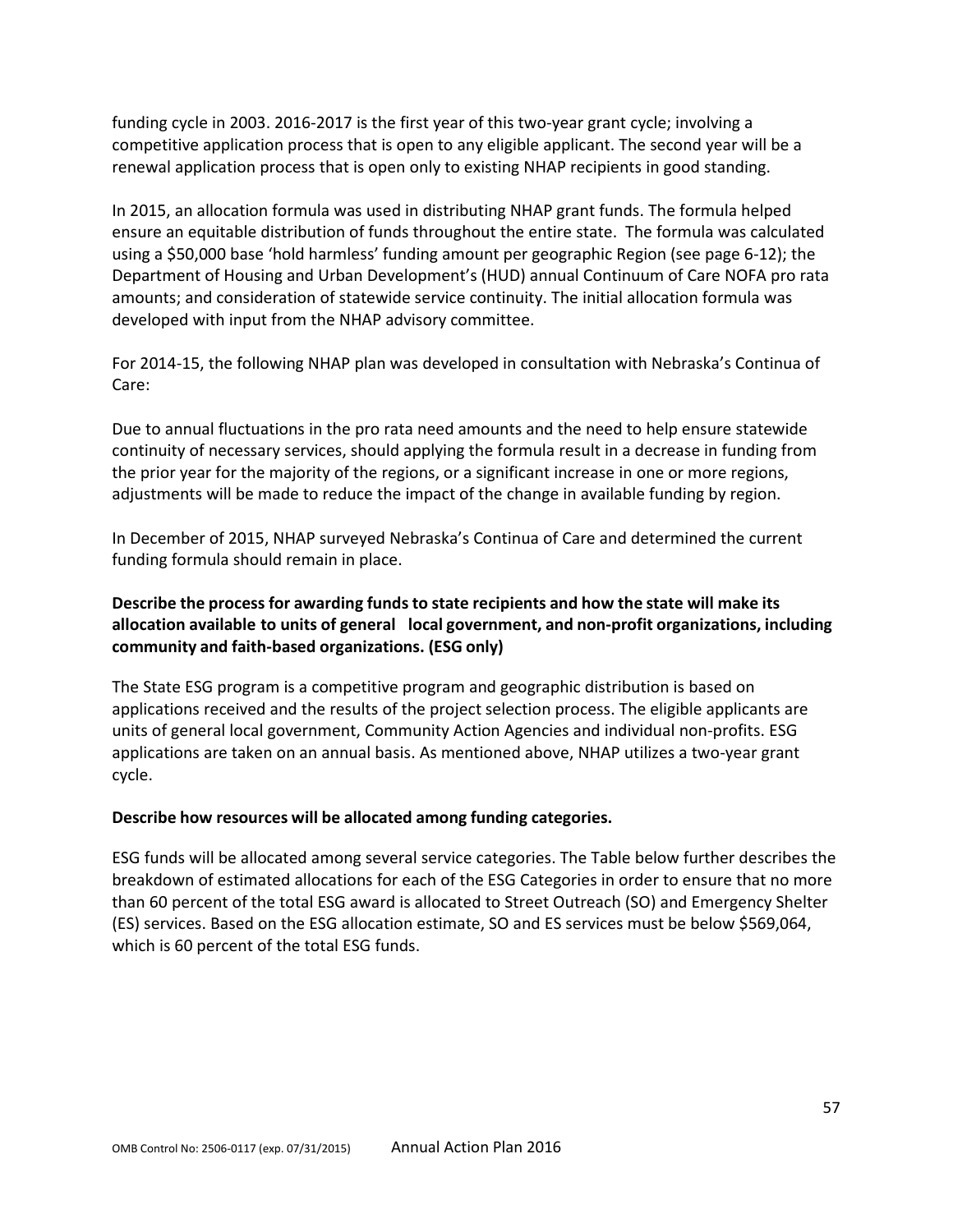funding cycle in 2003. 2016-2017 is the first year of this two-year grant cycle; involving a competitive application process that is open to any eligible applicant. The second year will be a renewal application process that is open only to existing NHAP recipients in good standing.

In 2015, an allocation formula was used in distributing NHAP grant funds. The formula helped ensure an equitable distribution of funds throughout the entire state. The formula was calculated using a \$50,000 base 'hold harmless' funding amount per geographic Region (see page 6-12); the Department of Housing and Urban Development's (HUD) annual Continuum of Care NOFA pro rata amounts; and consideration of statewide service continuity. The initial allocation formula was developed with input from the NHAP advisory committee.

For 2014-15, the following NHAP plan was developed in consultation with Nebraska's Continua of Care:

Due to annual fluctuations in the pro rata need amounts and the need to help ensure statewide continuity of necessary services, should applying the formula result in a decrease in funding from the prior year for the majority of the regions, or a significant increase in one or more regions, adjustments will be made to reduce the impact of the change in available funding by region.

In December of 2015, NHAP surveyed Nebraska's Continua of Care and determined the current funding formula should remain in place.

# **Describe the process for awarding fundsto state recipients and how the state will make its allocation available to units of general local government, and non-profit organizations, including community and faith-based organizations. (ESG only)**

The State ESG program is a competitive program and geographic distribution is based on applications received and the results of the project selection process. The eligible applicants are units of general local government, Community Action Agencies and individual non-profits. ESG applications are taken on an annual basis. As mentioned above, NHAP utilizes a two-year grant cycle.

## **Describe how resources will be allocated among funding categories.**

ESG funds will be allocated among several service categories. The Table below further describes the breakdown of estimated allocations for each of the ESG Categories in order to ensure that no more than 60 percent of the total ESG award is allocated to Street Outreach (SO) and Emergency Shelter (ES) services. Based on the ESG allocation estimate, SO and ES services must be below \$569,064, which is 60 percent of the total ESG funds.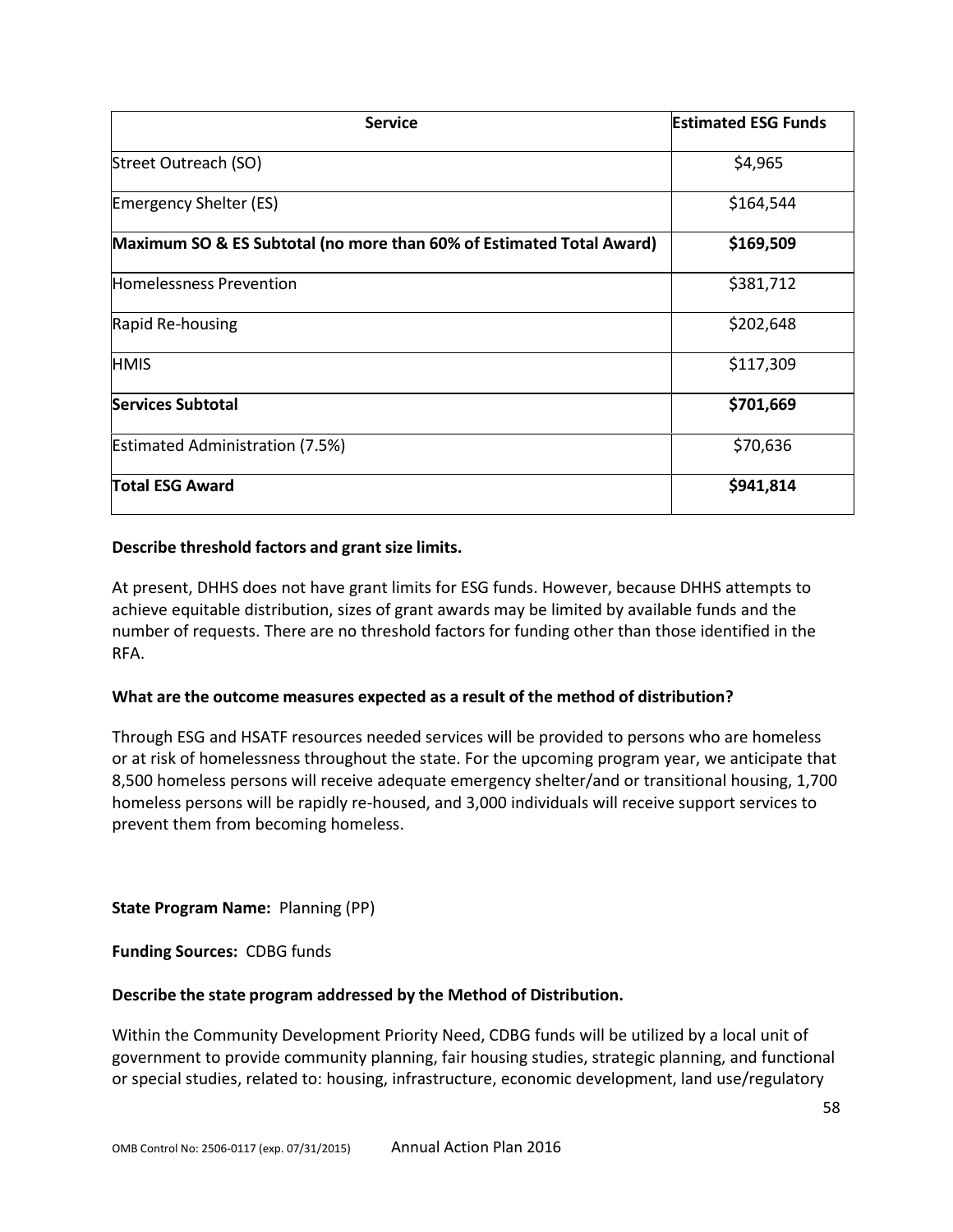| <b>Service</b>                                                       | <b>Estimated ESG Funds</b> |
|----------------------------------------------------------------------|----------------------------|
| Street Outreach (SO)                                                 | \$4,965                    |
| Emergency Shelter (ES)                                               | \$164,544                  |
| Maximum SO & ES Subtotal (no more than 60% of Estimated Total Award) | \$169,509                  |
| <b>Homelessness Prevention</b>                                       | \$381,712                  |
| Rapid Re-housing                                                     | \$202,648                  |
| <b>HMIS</b>                                                          | \$117,309                  |
| <b>Services Subtotal</b>                                             | \$701,669                  |
| <b>Estimated Administration (7.5%)</b>                               | \$70,636                   |
| <b>Total ESG Award</b>                                               | \$941,814                  |

#### **Describe threshold factors and grant size limits.**

At present, DHHS does not have grant limits for ESG funds. However, because DHHS attempts to achieve equitable distribution, sizes of grant awards may be limited by available funds and the number of requests. There are no threshold factors for funding other than those identified in the RFA.

#### **What are the outcome measures expected as a result of the method of distribution?**

Through ESG and HSATF resources needed services will be provided to persons who are homeless or at risk of homelessness throughout the state. For the upcoming program year, we anticipate that 8,500 homeless persons will receive adequate emergency shelter/and or transitional housing, 1,700 homeless persons will be rapidly re-housed, and 3,000 individuals will receive support services to prevent them from becoming homeless.

**State Program Name:** Planning (PP)

**Funding Sources:** CDBG funds

#### **Describe the state program addressed by the Method of Distribution.**

Within the Community Development Priority Need, CDBG funds will be utilized by a local unit of government to provide community planning, fair housing studies, strategic planning, and functional or special studies, related to: housing, infrastructure, economic development, land use/regulatory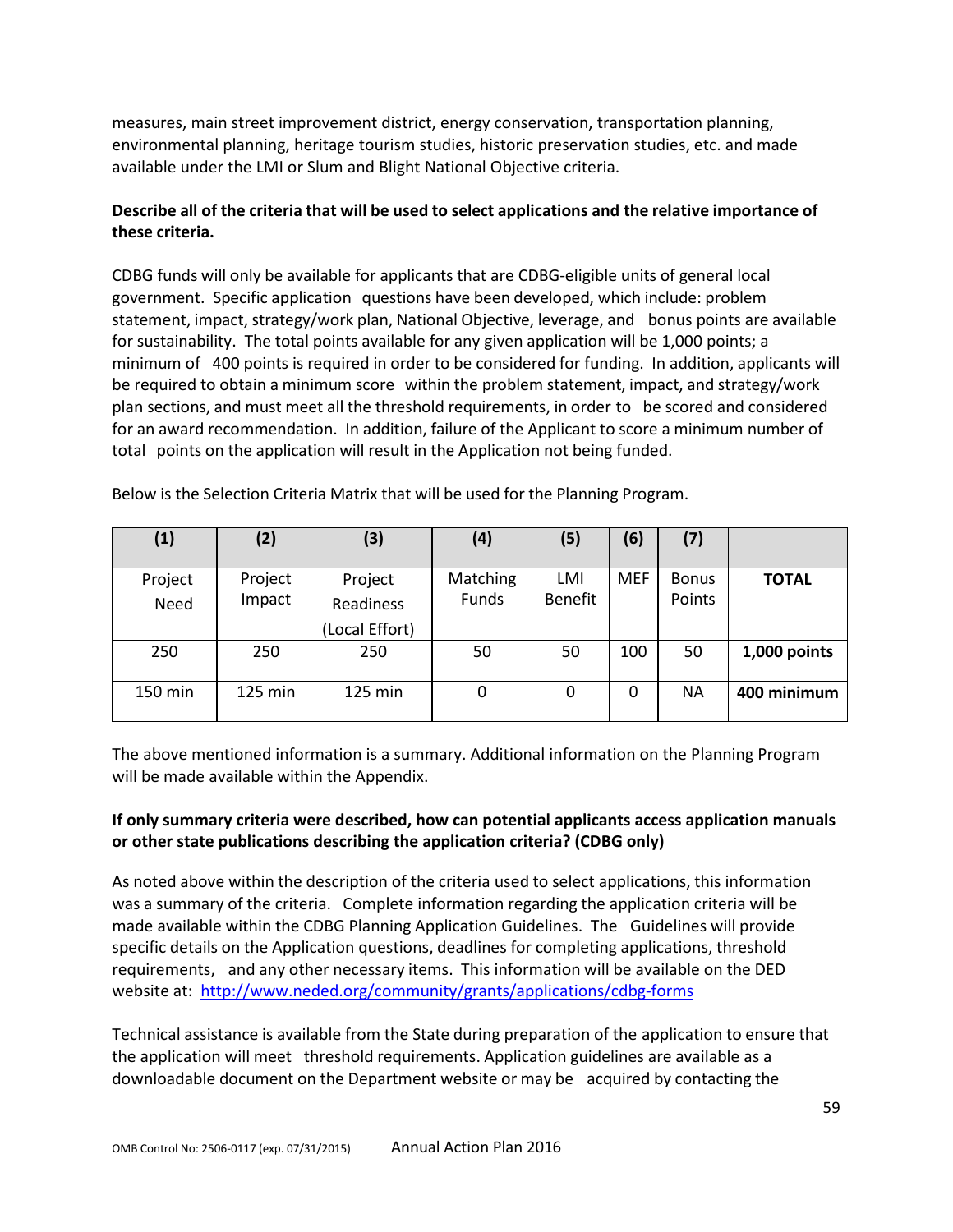measures, main street improvement district, energy conservation, transportation planning, environmental planning, heritage tourism studies, historic preservation studies, etc. and made available under the LMI or Slum and Blight National Objective criteria.

# **Describe all of the criteria that will be used to select applications and the relative importance of these criteria.**

CDBG funds will only be available for applicants that are CDBG-eligible units of general local government. Specific application questions have been developed, which include: problem statement, impact, strategy/work plan, National Objective, leverage, and bonus points are available for sustainability. The total points available for any given application will be 1,000 points; a minimum of 400 points is required in order to be considered for funding. In addition, applicants will be required to obtain a minimum score within the problem statement, impact, and strategy/work plan sections, and must meet all the threshold requirements, in order to be scored and considered for an award recommendation. In addition, failure of the Applicant to score a minimum number of total points on the application will result in the Application not being funded.

| (1)     | (2)     | (3)            | (4)      | (5)            | (6)        | (7)       |              |
|---------|---------|----------------|----------|----------------|------------|-----------|--------------|
| Project | Project | Project        | Matching | LMI            | <b>MEF</b> | Bonus     | <b>TOTAL</b> |
| Need    | Impact  | Readiness      | Funds    | <b>Benefit</b> |            | Points    |              |
|         |         | (Local Effort) |          |                |            |           |              |
| 250     | 250     | 250            | 50       | 50             | 100        | 50        | 1,000 points |
| 150 min | 125 min | 125 min        | 0        | 0              | 0          | <b>NA</b> | 400 minimum  |

Below is the Selection Criteria Matrix that will be used for the Planning Program.

The above mentioned information is a summary. Additional information on the Planning Program will be made available within the Appendix.

## **If only summary criteria were described, how can potential applicants access application manuals or other state publications describing the application criteria? (CDBG only)**

As noted above within the description of the criteria used to select applications, this information was a summary of the criteria. Complete information regarding the application criteria will be made available within the CDBG Planning Application Guidelines. The Guidelines will provide specific details on the Application questions, deadlines for completing applications, threshold requirements, and any other necessary items. This information will be available on the DED website at: <http://www.neded.org/community/grants/applications/cdbg-forms>

Technical assistance is available from the State during preparation of the application to ensure that the application will meet threshold requirements. Application guidelines are available as a downloadable document on the Department website or may be acquired by contacting the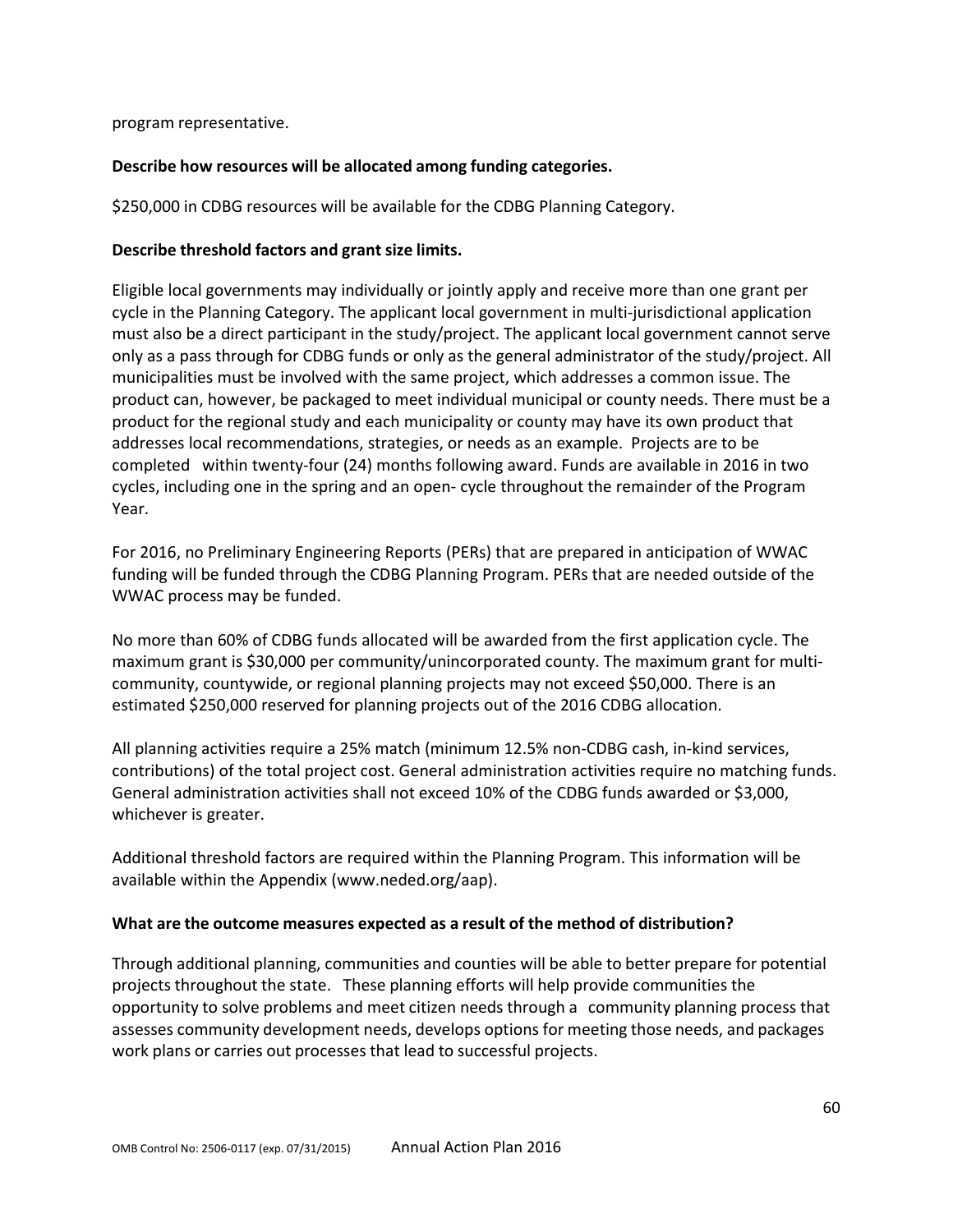program representative.

## **Describe how resources will be allocated among funding categories.**

\$250,000 in CDBG resources will be available for the CDBG Planning Category.

## **Describe threshold factors and grant size limits.**

Eligible local governments may individually or jointly apply and receive more than one grant per cycle in the Planning Category. The applicant local government in multi-jurisdictional application must also be a direct participant in the study/project. The applicant local government cannot serve only as a pass through for CDBG funds or only as the general administrator of the study/project. All municipalities must be involved with the same project, which addresses a common issue. The product can, however, be packaged to meet individual municipal or county needs. There must be a product for the regional study and each municipality or county may have its own product that addresses local recommendations, strategies, or needs as an example. Projects are to be completed within twenty-four (24) months following award. Funds are available in 2016 in two cycles, including one in the spring and an open- cycle throughout the remainder of the Program Year.

For 2016, no Preliminary Engineering Reports (PERs) that are prepared in anticipation of WWAC funding will be funded through the CDBG Planning Program. PERs that are needed outside of the WWAC process may be funded.

No more than 60% of CDBG funds allocated will be awarded from the first application cycle. The maximum grant is \$30,000 per community/unincorporated county. The maximum grant for multicommunity, countywide, or regional planning projects may not exceed \$50,000. There is an estimated \$250,000 reserved for planning projects out of the 2016 CDBG allocation.

All planning activities require a 25% match (minimum 12.5% non-CDBG cash, in-kind services, contributions) of the total project cost. General administration activities require no matching funds. General administration activities shall not exceed 10% of the CDBG funds awarded or \$3,000, whichever is greater.

Additional threshold factors are required within the Planning Program. This information will be available within the Appendix (www.neded.org/aap).

## **What are the outcome measures expected as a result of the method of distribution?**

Through additional planning, communities and counties will be able to better prepare for potential projects throughout the state. These planning efforts will help provide communities the opportunity to solve problems and meet citizen needs through a community planning process that assesses community development needs, develops options for meeting those needs, and packages work plans or carries out processes that lead to successful projects.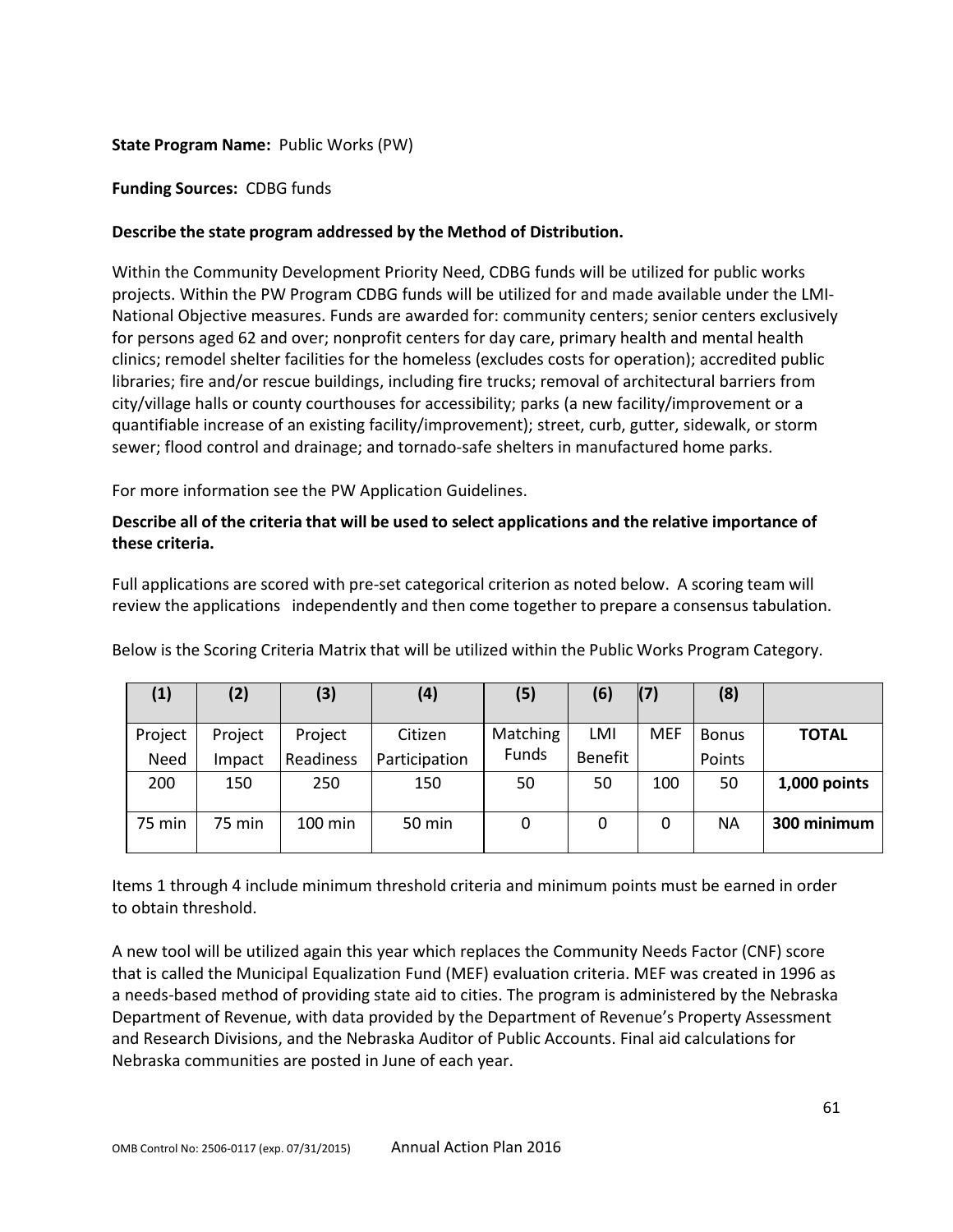### **State Program Name:** Public Works (PW)

#### **Funding Sources:** CDBG funds

### **Describe the state program addressed by the Method of Distribution.**

Within the Community Development Priority Need, CDBG funds will be utilized for public works projects. Within the PW Program CDBG funds will be utilized for and made available under the LMI-National Objective measures. Funds are awarded for: community centers; senior centers exclusively for persons aged 62 and over; nonprofit centers for day care, primary health and mental health clinics; remodel shelter facilities for the homeless (excludes costs for operation); accredited public libraries; fire and/or rescue buildings, including fire trucks; removal of architectural barriers from city/village halls or county courthouses for accessibility; parks (a new facility/improvement or a quantifiable increase of an existing facility/improvement); street, curb, gutter, sidewalk, or storm sewer; flood control and drainage; and tornado-safe shelters in manufactured home parks.

For more information see the PW Application Guidelines.

## **Describe all of the criteria that will be used to select applications and the relative importance of these criteria.**

Full applications are scored with pre-set categorical criterion as noted below. A scoring team will review the applications independently and then come together to prepare a consensus tabulation.

| (1)     | (2)     | (3)       | (4)           | (5)      | (6)     | (7)        | (8)          |              |
|---------|---------|-----------|---------------|----------|---------|------------|--------------|--------------|
| Project | Project | Project   | Citizen       | Matching | LMI     | <b>MEF</b> | <b>Bonus</b> | <b>TOTAL</b> |
| Need    | Impact  | Readiness | Participation | Funds    | Benefit |            | Points       |              |
| 200     | 150     | 250       | 150           | 50       | 50      | 100        | 50           | 1,000 points |
| 75 min  | 75 min  | $100$ min | 50 min        | 0        | 0       | 0          | ΝA           | 300 minimum  |

Below is the Scoring Criteria Matrix that will be utilized within the Public Works Program Category.

Items 1 through 4 include minimum threshold criteria and minimum points must be earned in order to obtain threshold.

A new tool will be utilized again this year which replaces the Community Needs Factor (CNF) score that is called the Municipal Equalization Fund (MEF) evaluation criteria. MEF was created in 1996 as a needs-based method of providing state aid to cities. The program is administered by the Nebraska Department of Revenue, with data provided by the Department of Revenue's Property Assessment and Research Divisions, and the Nebraska Auditor of Public Accounts. Final aid calculations for Nebraska communities are posted in June of each year.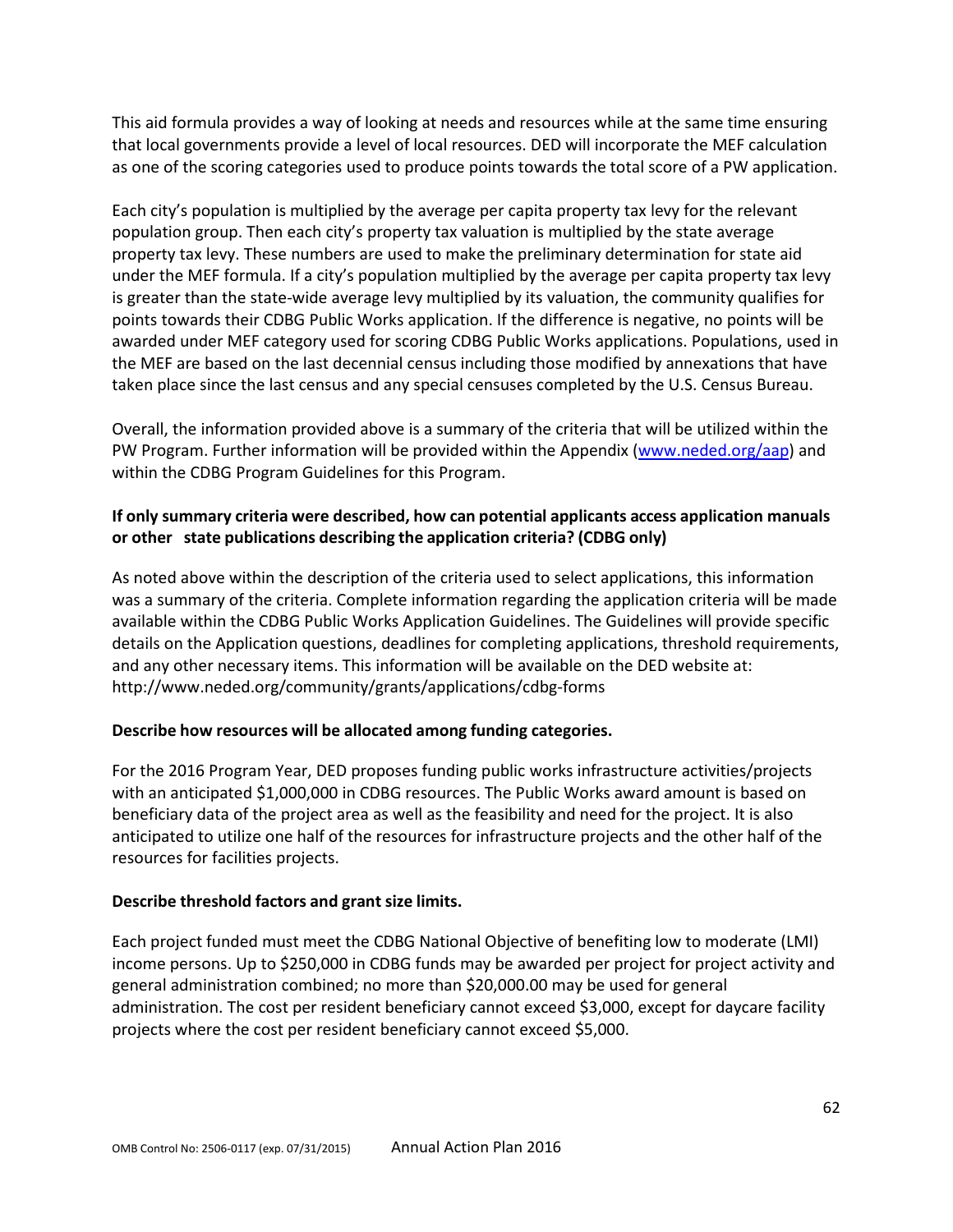This aid formula provides a way of looking at needs and resources while at the same time ensuring that local governments provide a level of local resources. DED will incorporate the MEF calculation as one of the scoring categories used to produce points towards the total score of a PW application.

Each city's population is multiplied by the average per capita property tax levy for the relevant population group. Then each city's property tax valuation is multiplied by the state average property tax levy. These numbers are used to make the preliminary determination for state aid under the MEF formula. If a city's population multiplied by the average per capita property tax levy is greater than the state-wide average levy multiplied by its valuation, the community qualifies for points towards their CDBG Public Works application. If the difference is negative, no points will be awarded under MEF category used for scoring CDBG Public Works applications. Populations, used in the MEF are based on the last decennial census including those modified by annexations that have taken place since the last census and any special censuses completed by the U.S. Census Bureau.

Overall, the information provided above is a summary of the criteria that will be utilized within the PW Program. Further information will be provided within the Appendix [\(www.neded.org/aap\)](http://www.neded.org/aap) and within the CDBG Program Guidelines for this Program.

# **If only summary criteria were described, how can potential applicants access application manuals or other state publications describing the application criteria? (CDBG only)**

As noted above within the description of the criteria used to select applications, this information was a summary of the criteria. Complete information regarding the application criteria will be made available within the CDBG Public Works Application Guidelines. The Guidelines will provide specific details on the Application questions, deadlines for completing applications, threshold requirements, and any other necessary items. This information will be available on the DED website at: <http://www.neded.org/community/grants/applications/cdbg-forms>

## **Describe how resources will be allocated among funding categories.**

For the 2016 Program Year, DED proposes funding public works infrastructure activities/projects with an anticipated \$1,000,000 in CDBG resources. The Public Works award amount is based on beneficiary data of the project area as well as the feasibility and need for the project. It is also anticipated to utilize one half of the resources for infrastructure projects and the other half of the resources for facilities projects.

## **Describe threshold factors and grant size limits.**

Each project funded must meet the CDBG National Objective of benefiting low to moderate (LMI) income persons. Up to \$250,000 in CDBG funds may be awarded per project for project activity and general administration combined; no more than \$20,000.00 may be used for general administration. The cost per resident beneficiary cannot exceed \$3,000, except for daycare facility projects where the cost per resident beneficiary cannot exceed \$5,000.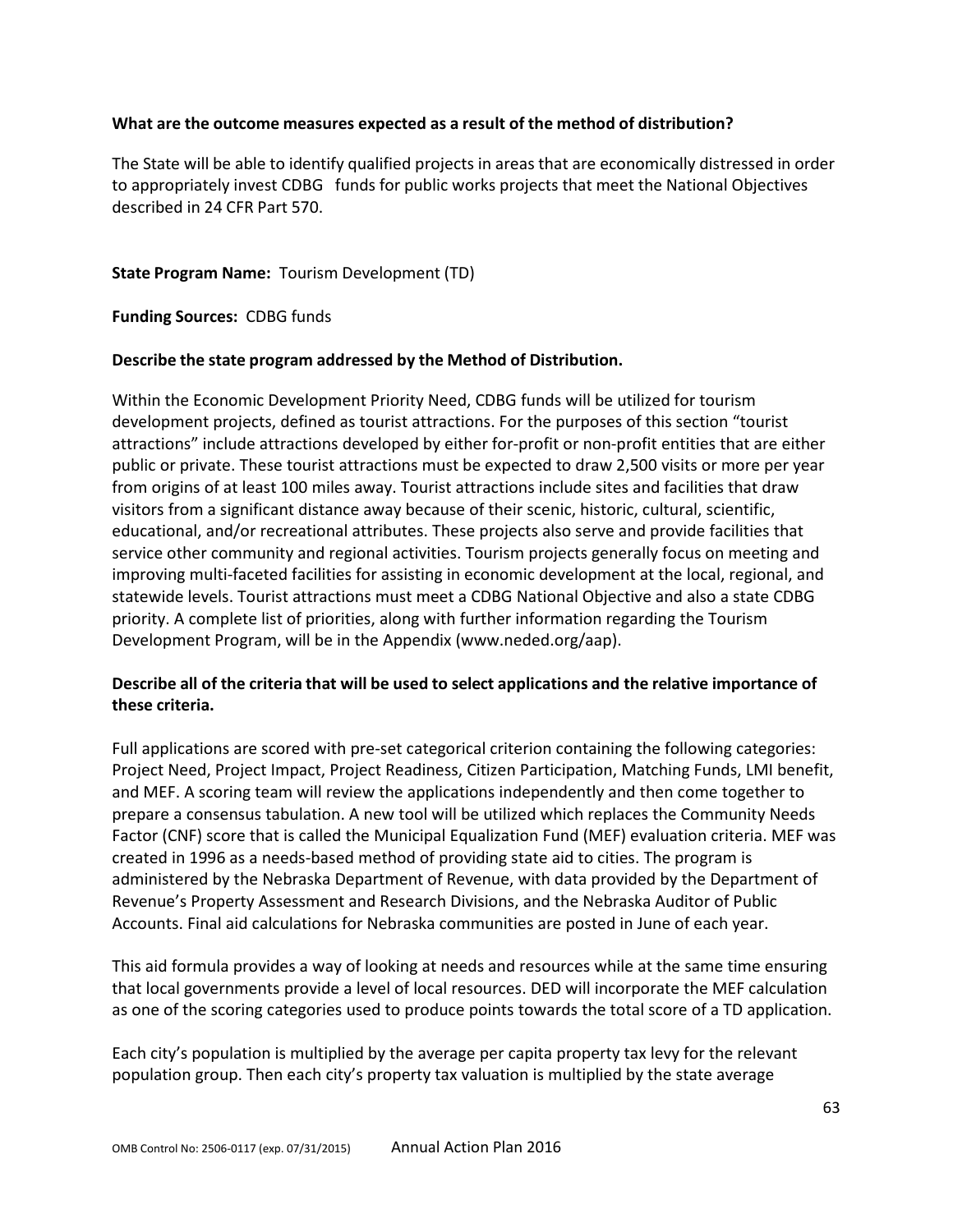### **What are the outcome measures expected as a result of the method of distribution?**

The State will be able to identify qualified projects in areas that are economically distressed in order to appropriately invest CDBG funds for public works projects that meet the National Objectives described in 24 CFR Part 570.

### **State Program Name:** Tourism Development (TD)

**Funding Sources:** CDBG funds

#### **Describe the state program addressed by the Method of Distribution.**

Within the Economic Development Priority Need, CDBG funds will be utilized for tourism development projects, defined as tourist attractions. For the purposes of this section "tourist attractions" include attractions developed by either for-profit or non-profit entities that are either public or private. These tourist attractions must be expected to draw 2,500 visits or more per year from origins of at least 100 miles away. Tourist attractions include sites and facilities that draw visitors from a significant distance away because of their scenic, historic, cultural, scientific, educational, and/or recreational attributes. These projects also serve and provide facilities that service other community and regional activities. Tourism projects generally focus on meeting and improving multi-faceted facilities for assisting in economic development at the local, regional, and statewide levels. Tourist attractions must meet a CDBG National Objective and also a state CDBG priority. A complete list of priorities, along with further information regarding the Tourism Development Program, will be in the Appendix (www.neded.org/aap).

## **Describe all of the criteria that will be used to select applications and the relative importance of these criteria.**

Full applications are scored with pre-set categorical criterion containing the following categories: Project Need, Project Impact, Project Readiness, Citizen Participation, Matching Funds, LMI benefit, and MEF. A scoring team will review the applications independently and then come together to prepare a consensus tabulation. A new tool will be utilized which replaces the Community Needs Factor (CNF) score that is called the Municipal Equalization Fund (MEF) evaluation criteria. MEF was created in 1996 as a needs-based method of providing state aid to cities. The program is administered by the Nebraska Department of Revenue, with data provided by the Department of Revenue's Property Assessment and Research Divisions, and the Nebraska Auditor of Public Accounts. Final aid calculations for Nebraska communities are posted in June of each year.

This aid formula provides a way of looking at needs and resources while at the same time ensuring that local governments provide a level of local resources. DED will incorporate the MEF calculation as one of the scoring categories used to produce points towards the total score of a TD application.

Each city's population is multiplied by the average per capita property tax levy for the relevant population group. Then each city's property tax valuation is multiplied by the state average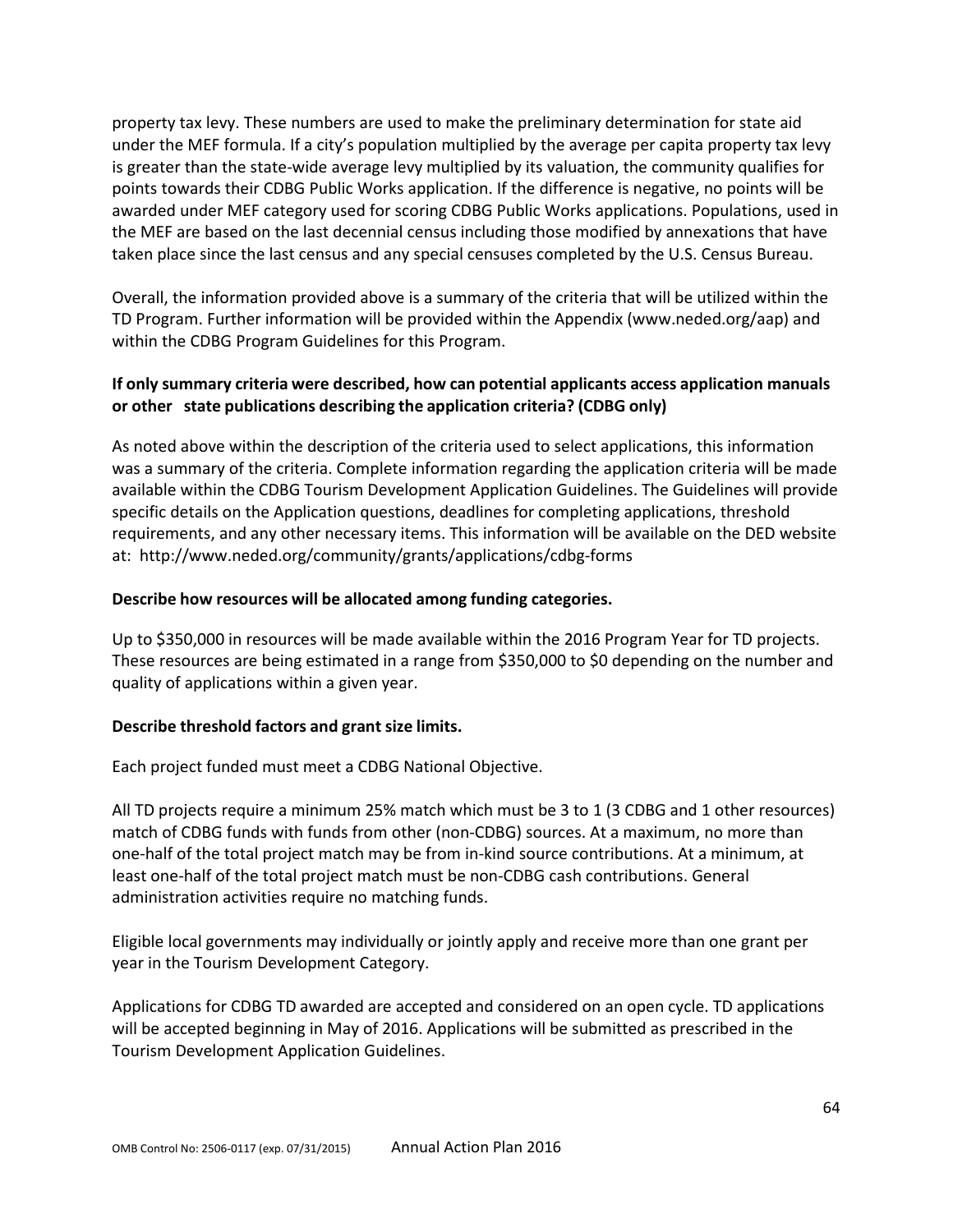property tax levy. These numbers are used to make the preliminary determination for state aid under the MEF formula. If a city's population multiplied by the average per capita property tax levy is greater than the state-wide average levy multiplied by its valuation, the community qualifies for points towards their CDBG Public Works application. If the difference is negative, no points will be awarded under MEF category used for scoring CDBG Public Works applications. Populations, used in the MEF are based on the last decennial census including those modified by annexations that have taken place since the last census and any special censuses completed by the U.S. Census Bureau.

Overall, the information provided above is a summary of the criteria that will be utilized within the TD Program. Further information will be provided within the Appendix (www.neded.org/aap) and within the CDBG Program Guidelines for this Program.

## **If only summary criteria were described, how can potential applicants access application manuals or other state publications describing the application criteria? (CDBG only)**

As noted above within the description of the criteria used to select applications, this information was a summary of the criteria. Complete information regarding the application criteria will be made available within the CDBG Tourism Development Application Guidelines. The Guidelines will provide specific details on the Application questions, deadlines for completing applications, threshold requirements, and any other necessary items. This information will be available on the DED website at:<http://www.neded.org/community/grants/applications/cdbg-forms>

## **Describe how resources will be allocated among funding categories.**

Up to \$350,000 in resources will be made available within the 2016 Program Year for TD projects. These resources are being estimated in a range from \$350,000 to \$0 depending on the number and quality of applications within a given year.

#### **Describe threshold factors and grant size limits.**

Each project funded must meet a CDBG National Objective.

All TD projects require a minimum 25% match which must be 3 to 1 (3 CDBG and 1 other resources) match of CDBG funds with funds from other (non-CDBG) sources. At a maximum, no more than one-half of the total project match may be from in-kind source contributions. At a minimum, at least one-half of the total project match must be non-CDBG cash contributions. General administration activities require no matching funds.

Eligible local governments may individually or jointly apply and receive more than one grant per year in the Tourism Development Category.

Applications for CDBG TD awarded are accepted and considered on an open cycle. TD applications will be accepted beginning in May of 2016. Applications will be submitted as prescribed in the Tourism Development Application Guidelines.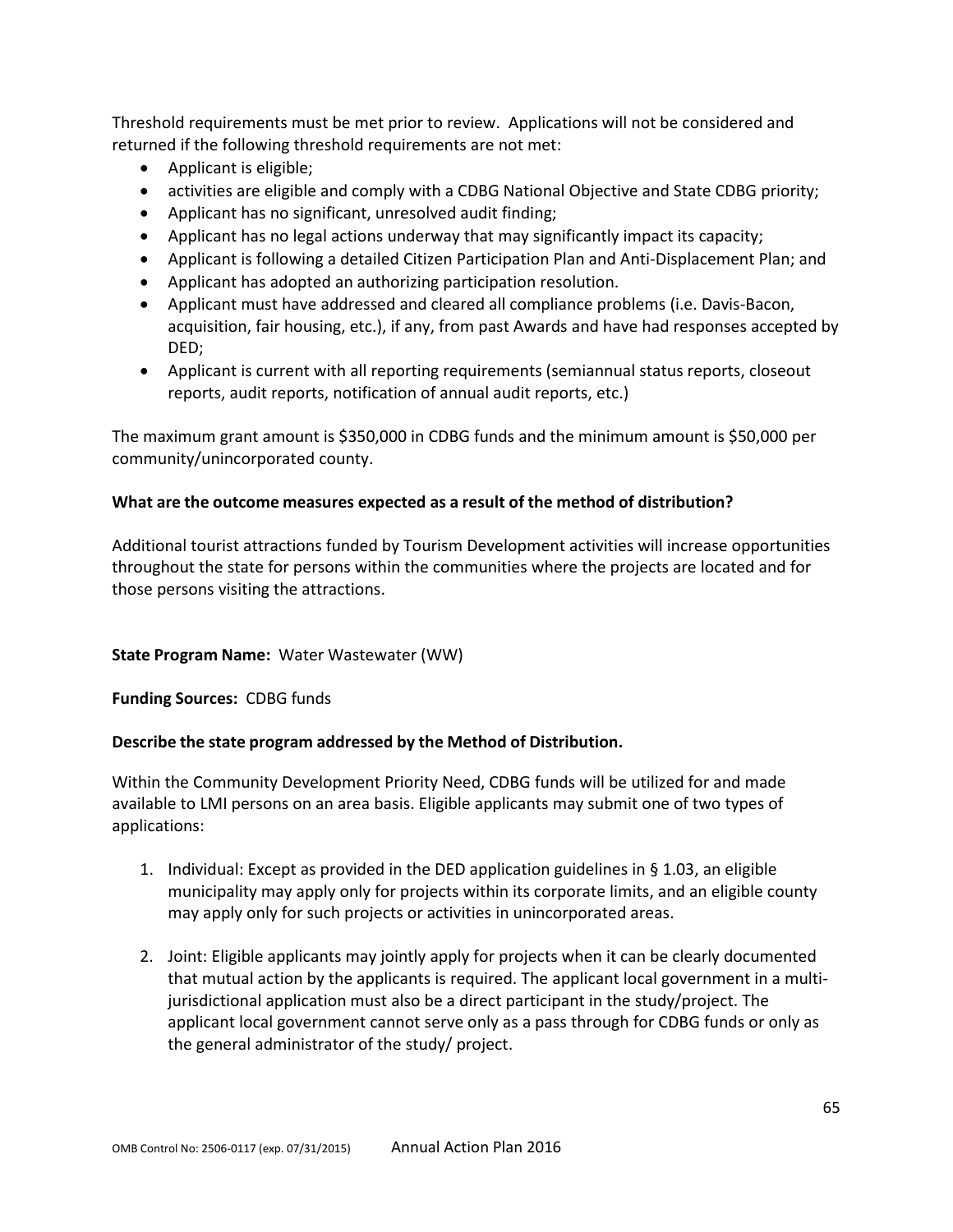Threshold requirements must be met prior to review. Applications will not be considered and returned if the following threshold requirements are not met:

- Applicant is eligible;
- activities are eligible and comply with a CDBG National Objective and State CDBG priority;
- Applicant has no significant, unresolved audit finding;
- Applicant has no legal actions underway that may significantly impact its capacity;
- Applicant is following a detailed Citizen Participation Plan and Anti-Displacement Plan; and
- Applicant has adopted an authorizing participation resolution.
- Applicant must have addressed and cleared all compliance problems (i.e. Davis-Bacon, acquisition, fair housing, etc.), if any, from past Awards and have had responses accepted by DED;
- Applicant is current with all reporting requirements (semiannual status reports, closeout reports, audit reports, notification of annual audit reports, etc.)

The maximum grant amount is \$350,000 in CDBG funds and the minimum amount is \$50,000 per community/unincorporated county.

### **What are the outcome measures expected as a result of the method of distribution?**

Additional tourist attractions funded by Tourism Development activities will increase opportunities throughout the state for persons within the communities where the projects are located and for those persons visiting the attractions.

#### **State Program Name:** Water Wastewater (WW)

**Funding Sources:** CDBG funds

## **Describe the state program addressed by the Method of Distribution.**

Within the Community Development Priority Need, CDBG funds will be utilized for and made available to LMI persons on an area basis. Eligible applicants may submit one of two types of applications:

- 1. Individual: Except as provided in the DED application guidelines in § 1.03, an eligible municipality may apply only for projects within its corporate limits, and an eligible county may apply only for such projects or activities in unincorporated areas.
- 2. Joint: Eligible applicants may jointly apply for projects when it can be clearly documented that mutual action by the applicants is required. The applicant local government in a multijurisdictional application must also be a direct participant in the study/project. The applicant local government cannot serve only as a pass through for CDBG funds or only as the general administrator of the study/ project.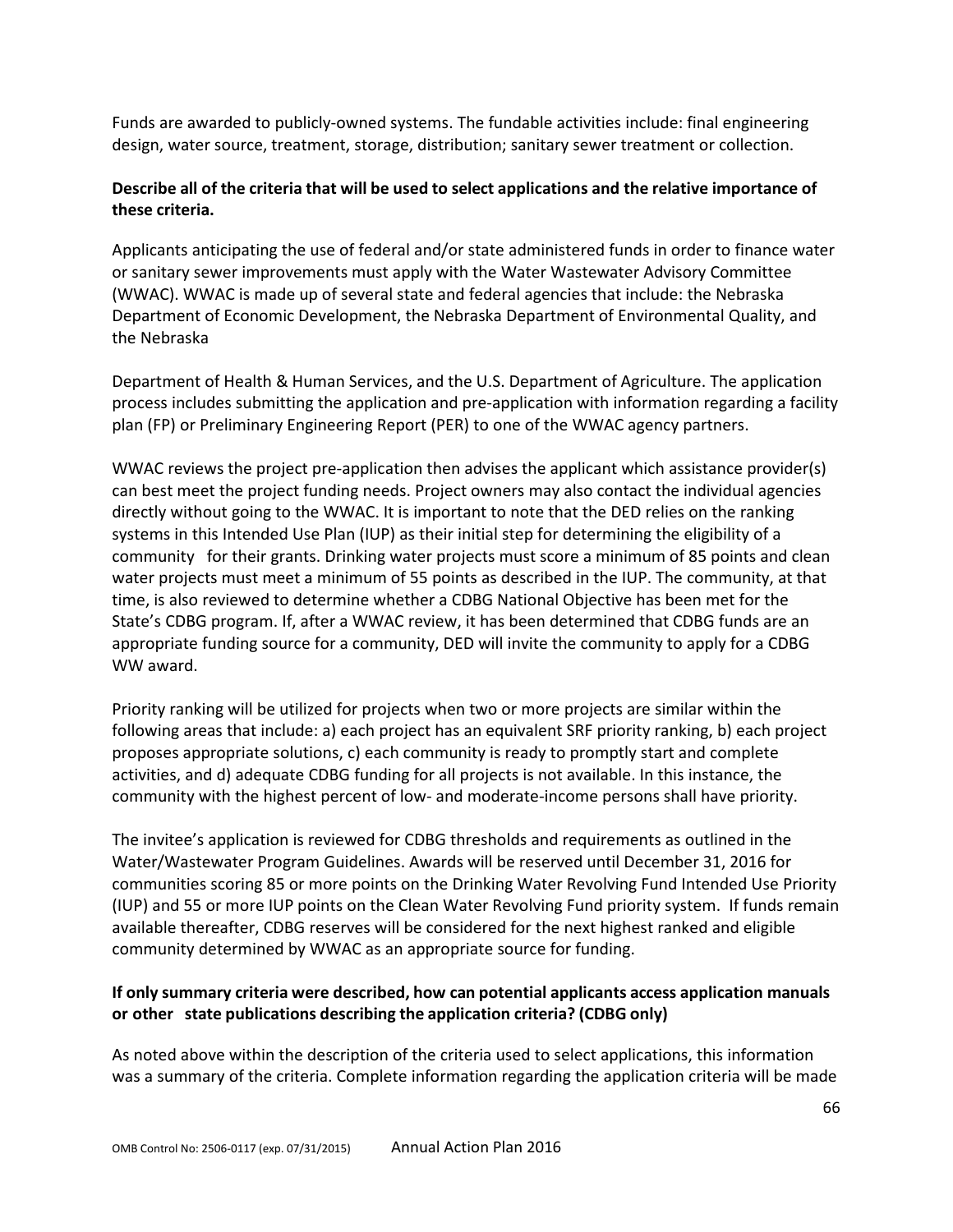Funds are awarded to publicly-owned systems. The fundable activities include: final engineering design, water source, treatment, storage, distribution; sanitary sewer treatment or collection.

# **Describe all of the criteria that will be used to select applications and the relative importance of these criteria.**

Applicants anticipating the use of federal and/or state administered funds in order to finance water or sanitary sewer improvements must apply with the Water Wastewater Advisory Committee (WWAC). WWAC is made up of several state and federal agencies that include: the Nebraska Department of Economic Development, the Nebraska Department of Environmental Quality, and the Nebraska

Department of Health & Human Services, and the U.S. Department of Agriculture. The application process includes submitting the application and pre-application with information regarding a facility plan (FP) or Preliminary Engineering Report (PER) to one of the WWAC agency partners.

WWAC reviews the project pre-application then advises the applicant which assistance provider(s) can best meet the project funding needs. Project owners may also contact the individual agencies directly without going to the WWAC. It is important to note that the DED relies on the ranking systems in this Intended Use Plan (IUP) as their initial step for determining the eligibility of a community for their grants. Drinking water projects must score a minimum of 85 points and clean water projects must meet a minimum of 55 points as described in the IUP. The community, at that time, is also reviewed to determine whether a CDBG National Objective has been met for the State's CDBG program. If, after a WWAC review, it has been determined that CDBG funds are an appropriate funding source for a community, DED will invite the community to apply for a CDBG WW award.

Priority ranking will be utilized for projects when two or more projects are similar within the following areas that include: a) each project has an equivalent SRF priority ranking, b) each project proposes appropriate solutions, c) each community is ready to promptly start and complete activities, and d) adequate CDBG funding for all projects is not available. In this instance, the community with the highest percent of low- and moderate-income persons shall have priority.

The invitee's application is reviewed for CDBG thresholds and requirements as outlined in the Water/Wastewater Program Guidelines. Awards will be reserved until December 31, 2016 for communities scoring 85 or more points on the Drinking Water Revolving Fund Intended Use Priority (IUP) and 55 or more IUP points on the Clean Water Revolving Fund priority system. If funds remain available thereafter, CDBG reserves will be considered for the next highest ranked and eligible community determined by WWAC as an appropriate source for funding.

## **If only summary criteria were described, how can potential applicants access application manuals or other state publications describing the application criteria? (CDBG only)**

As noted above within the description of the criteria used to select applications, this information was a summary of the criteria. Complete information regarding the application criteria will be made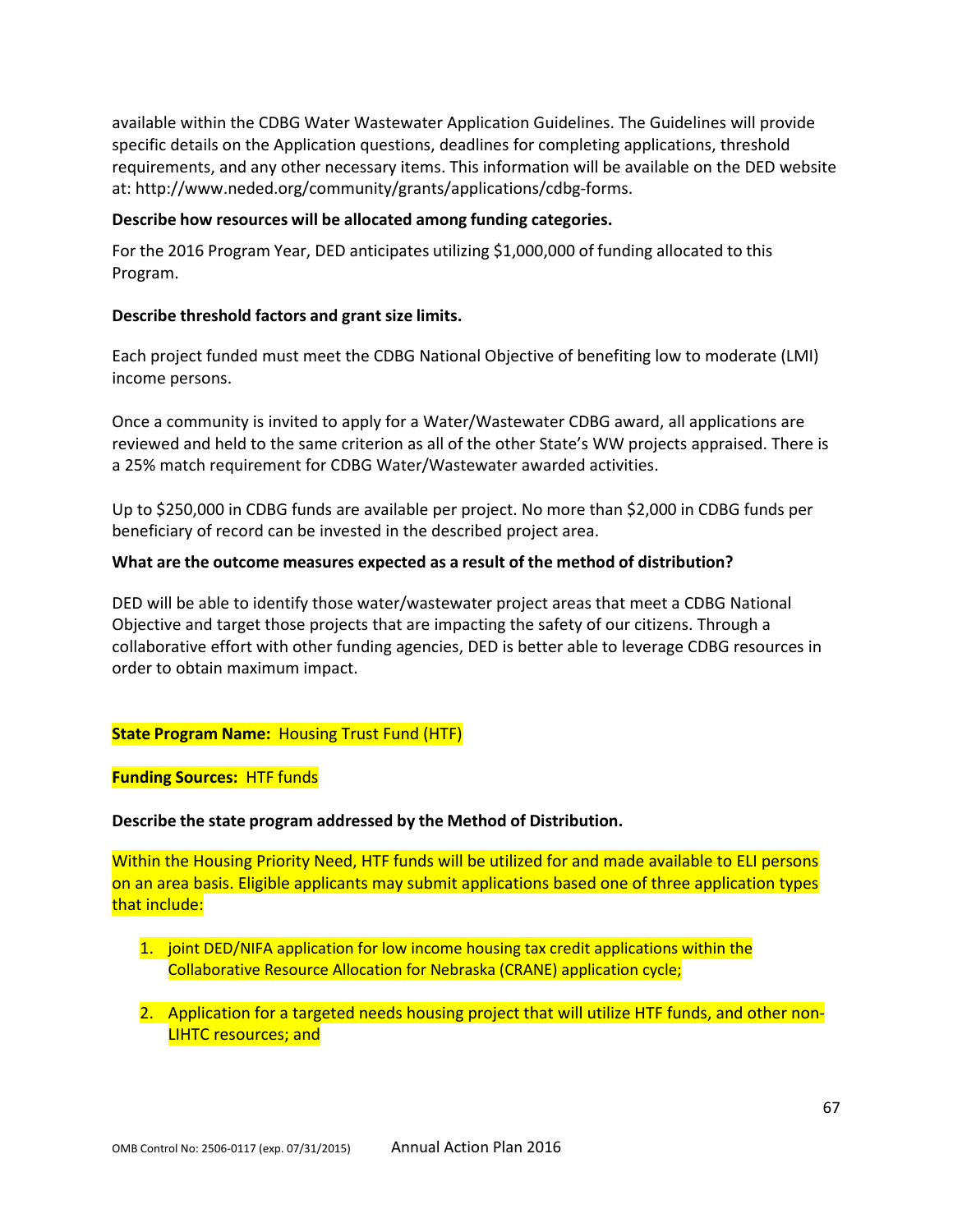available within the CDBG Water Wastewater Application Guidelines. The Guidelines will provide specific details on the Application questions, deadlines for completing applications, threshold requirements, and any other necessary items. This information will be available on the DED website at: [http://www.neded.org/community/grants/applications/cdbg-forms.](http://www.neded.org/community/grants/applications/cdbg-forms)

#### **Describe how resources will be allocated among funding categories.**

For the 2016 Program Year, DED anticipates utilizing \$1,000,000 of funding allocated to this Program.

### **Describe threshold factors and grant size limits.**

Each project funded must meet the CDBG National Objective of benefiting low to moderate (LMI) income persons.

Once a community is invited to apply for a Water/Wastewater CDBG award, all applications are reviewed and held to the same criterion as all of the other State's WW projects appraised. There is a 25% match requirement for CDBG Water/Wastewater awarded activities.

Up to \$250,000 in CDBG funds are available per project. No more than \$2,000 in CDBG funds per beneficiary of record can be invested in the described project area.

### **What are the outcome measures expected as a result of the method of distribution?**

DED will be able to identify those water/wastewater project areas that meet a CDBG National Objective and target those projects that are impacting the safety of our citizens. Through a collaborative effort with other funding agencies, DED is better able to leverage CDBG resources in order to obtain maximum impact.

## **State Program Name:** Housing Trust Fund (HTF)

**Funding Sources:** HTF funds

## **Describe the state program addressed by the Method of Distribution.**

Within the Housing Priority Need, HTF funds will be utilized for and made available to ELI persons on an area basis. Eligible applicants may submit applications based one of three application types that include:

- 1. joint DED/NIFA application for low income housing tax credit applications within the Collaborative Resource Allocation for Nebraska (CRANE) application cycle;
- 2. Application for a targeted needs housing project that will utilize HTF funds, and other non-LIHTC resources; and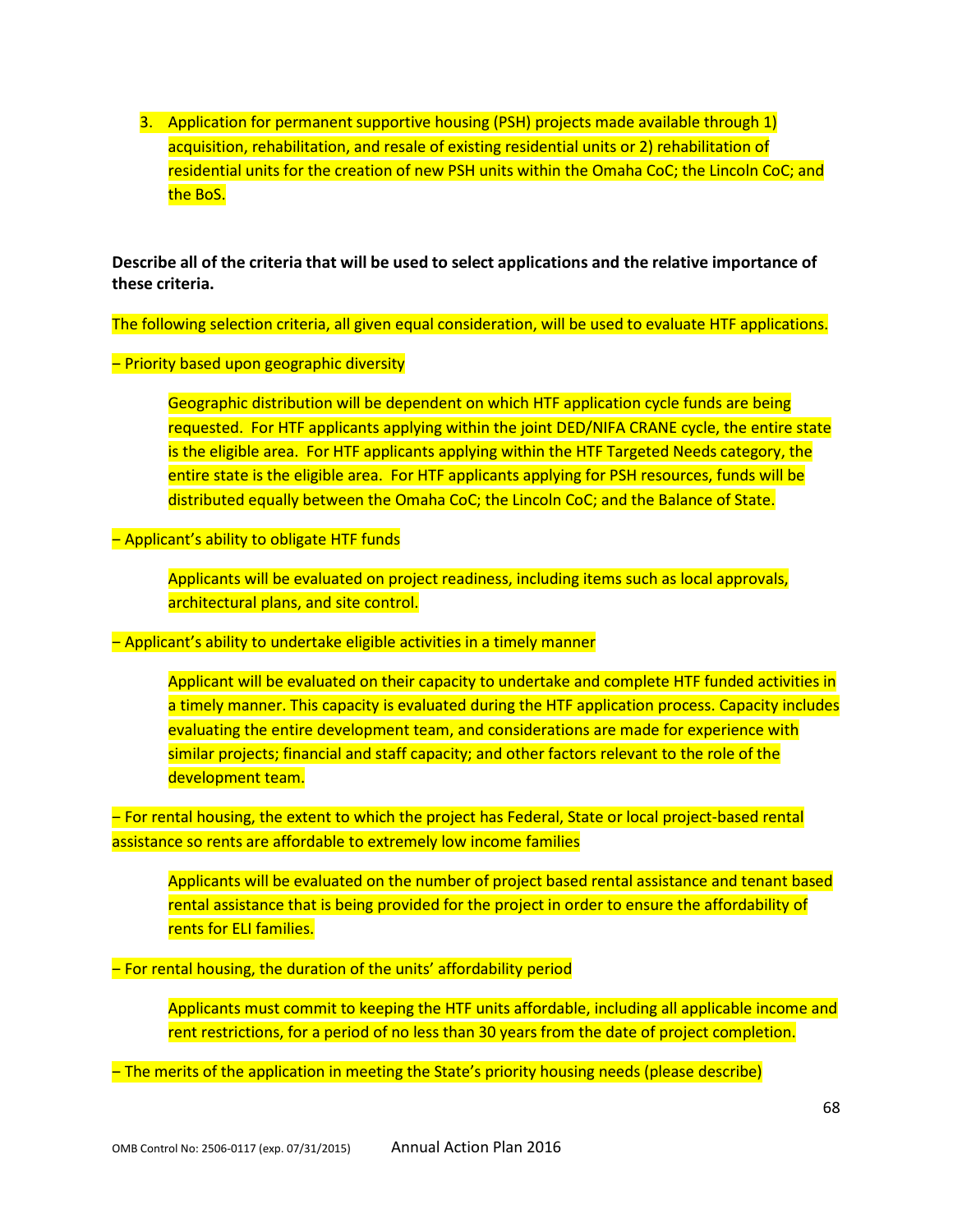3. Application for permanent supportive housing (PSH) projects made available through 1) acquisition, rehabilitation, and resale of existing residential units or 2) rehabilitation of residential units for the creation of new PSH units within the Omaha CoC; the Lincoln CoC; and the BoS.

**Describe all of the criteria that will be used to select applications and the relative importance of these criteria.**

The following selection criteria, all given equal consideration, will be used to evaluate HTF applications.

#### – Priority based upon geographic diversity

Geographic distribution will be dependent on which HTF application cycle funds are being requested. For HTF applicants applying within the joint DED/NIFA CRANE cycle, the entire state is the eligible area. For HTF applicants applying within the HTF Targeted Needs category, the entire state is the eligible area. For HTF applicants applying for PSH resources, funds will be distributed equally between the Omaha CoC; the Lincoln CoC; and the Balance of State.

#### - Applicant's ability to obligate HTF funds

Applicants will be evaluated on project readiness, including items such as local approvals, architectural plans, and site control.

- Applicant's ability to undertake eligible activities in a timely manner

Applicant will be evaluated on their capacity to undertake and complete HTF funded activities in a timely manner. This capacity is evaluated during the HTF application process. Capacity includes evaluating the entire development team, and considerations are made for experience with similar projects; financial and staff capacity; and other factors relevant to the role of the development team.

‒ For rental housing, the extent to which the project has Federal, State or local project-based rental assistance so rents are affordable to extremely low income families

Applicants will be evaluated on the number of project based rental assistance and tenant based rental assistance that is being provided for the project in order to ensure the affordability of rents for ELI families.

- For rental housing, the duration of the units' affordability period

Applicants must commit to keeping the HTF units affordable, including all applicable income and rent restrictions, for a period of no less than 30 years from the date of project completion.

‒ The merits of the application in meeting the State's priority housing needs (please describe)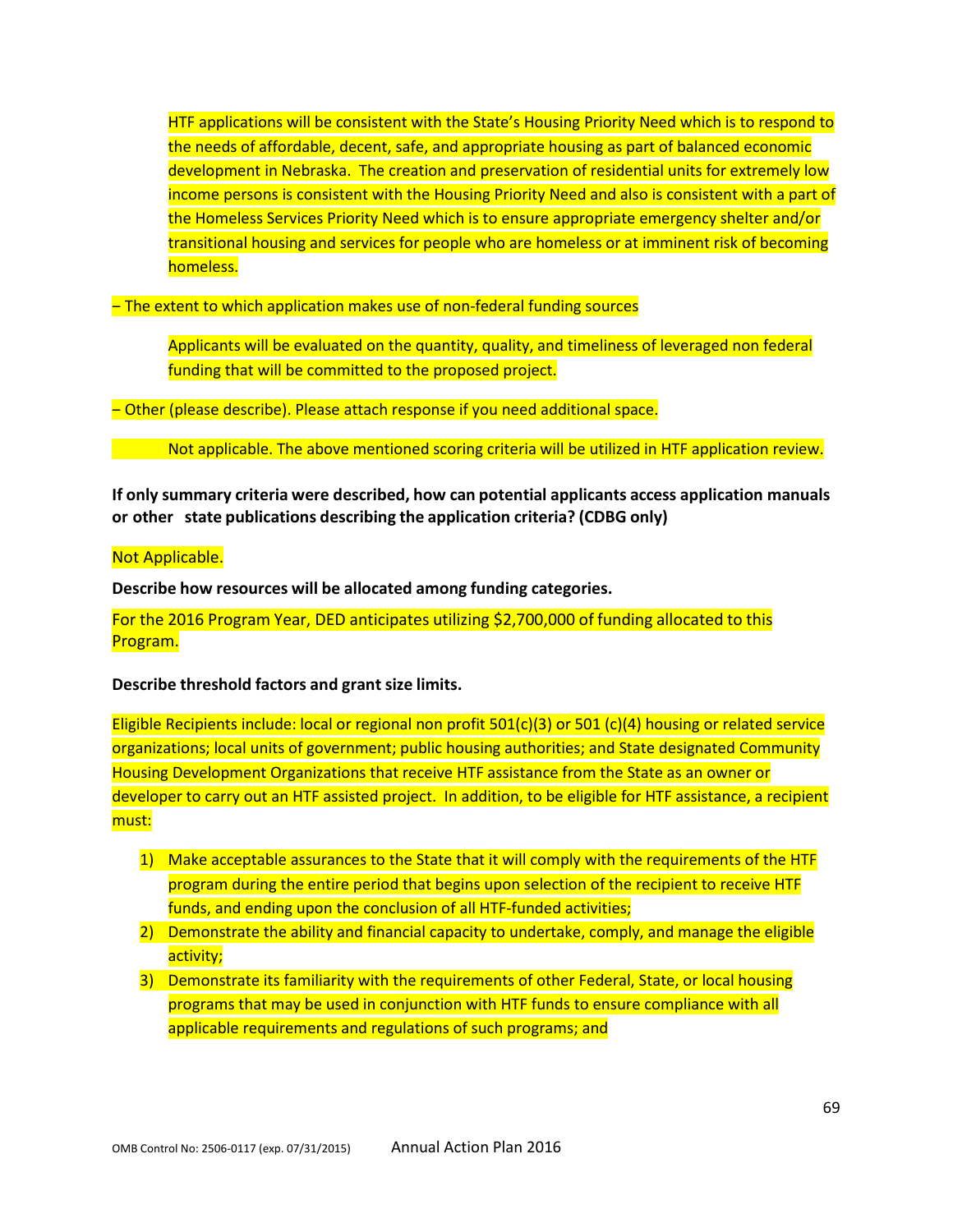HTF applications will be consistent with the State's Housing Priority Need which is to respond to the needs of affordable, decent, safe, and appropriate housing as part of balanced economic development in Nebraska. The creation and preservation of residential units for extremely low income persons is consistent with the Housing Priority Need and also is consistent with a part of the Homeless Services Priority Need which is to ensure appropriate emergency shelter and/or transitional housing and services for people who are homeless or at imminent risk of becoming homeless.

- The extent to which application makes use of non-federal funding sources

Applicants will be evaluated on the quantity, quality, and timeliness of leveraged non federal funding that will be committed to the proposed project.

- Other (please describe). Please attach response if you need additional space.

Not applicable. The above mentioned scoring criteria will be utilized in HTF application review.

**If only summary criteria were described, how can potential applicants access application manuals or other state publications describing the application criteria? (CDBG only)**

#### Not Applicable.

**Describe how resources will be allocated among funding categories.**

For the 2016 Program Year, DED anticipates utilizing \$2,700,000 of funding allocated to this Program.

**Describe threshold factors and grant size limits.**

Eligible Recipients include: local or regional non profit 501(c)(3) or 501 (c)(4) housing or related service organizations; local units of government; public housing authorities; and State designated Community Housing Development Organizations that receive HTF assistance from the State as an owner or developer to carry out an HTF assisted project. In addition, to be eligible for HTF assistance, a recipient must:

- 1) Make acceptable assurances to the State that it will comply with the requirements of the HTF program during the entire period that begins upon selection of the recipient to receive HTF funds, and ending upon the conclusion of all HTF-funded activities;
- 2) Demonstrate the ability and financial capacity to undertake, comply, and manage the eligible activity;
- 3) Demonstrate its familiarity with the requirements of other Federal, State, or local housing programs that may be used in conjunction with HTF funds to ensure compliance with all applicable requirements and regulations of such programs; and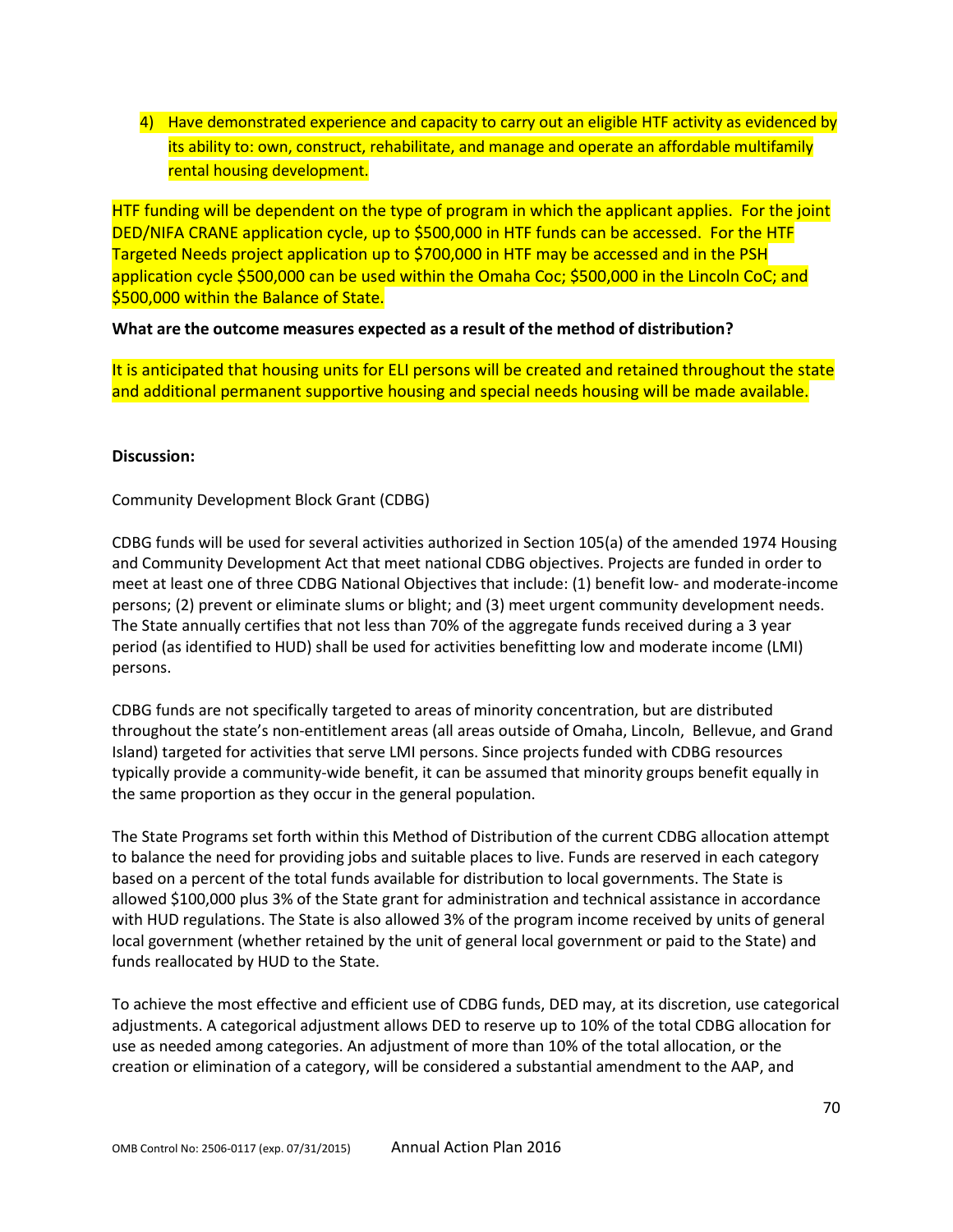4) Have demonstrated experience and capacity to carry out an eligible HTF activity as evidenced by its ability to: own, construct, rehabilitate, and manage and operate an affordable multifamily rental housing development.

HTF funding will be dependent on the type of program in which the applicant applies. For the joint DED/NIFA CRANE application cycle, up to \$500,000 in HTF funds can be accessed. For the HTF Targeted Needs project application up to \$700,000 in HTF may be accessed and in the PSH application cycle \$500,000 can be used within the Omaha Coc; \$500,000 in the Lincoln CoC; and \$500,000 within the Balance of State.

### **What are the outcome measures expected as a result of the method of distribution?**

It is anticipated that housing units for ELI persons will be created and retained throughout the state and additional permanent supportive housing and special needs housing will be made available.

#### **Discussion:**

Community Development Block Grant (CDBG)

CDBG funds will be used for several activities authorized in Section 105(a) of the amended 1974 Housing and Community Development Act that meet national CDBG objectives. Projects are funded in order to meet at least one of three CDBG National Objectives that include: (1) benefit low- and moderate-income persons; (2) prevent or eliminate slums or blight; and (3) meet urgent community development needs. The State annually certifies that not less than 70% of the aggregate funds received during a 3 year period (as identified to HUD) shall be used for activities benefitting low and moderate income (LMI) persons.

CDBG funds are not specifically targeted to areas of minority concentration, but are distributed throughout the state's non-entitlement areas (all areas outside of Omaha, Lincoln, Bellevue, and Grand Island) targeted for activities that serve LMI persons. Since projects funded with CDBG resources typically provide a community-wide benefit, it can be assumed that minority groups benefit equally in the same proportion as they occur in the general population.

The State Programs set forth within this Method of Distribution of the current CDBG allocation attempt to balance the need for providing jobs and suitable places to live. Funds are reserved in each category based on a percent of the total funds available for distribution to local governments. The State is allowed \$100,000 plus 3% of the State grant for administration and technical assistance in accordance with HUD regulations. The State is also allowed 3% of the program income received by units of general local government (whether retained by the unit of general local government or paid to the State) and funds reallocated by HUD to the State.

To achieve the most effective and efficient use of CDBG funds, DED may, at its discretion, use categorical adjustments. A categorical adjustment allows DED to reserve up to 10% of the total CDBG allocation for use as needed among categories. An adjustment of more than 10% of the total allocation, or the creation or elimination of a category, will be considered a substantial amendment to the AAP, and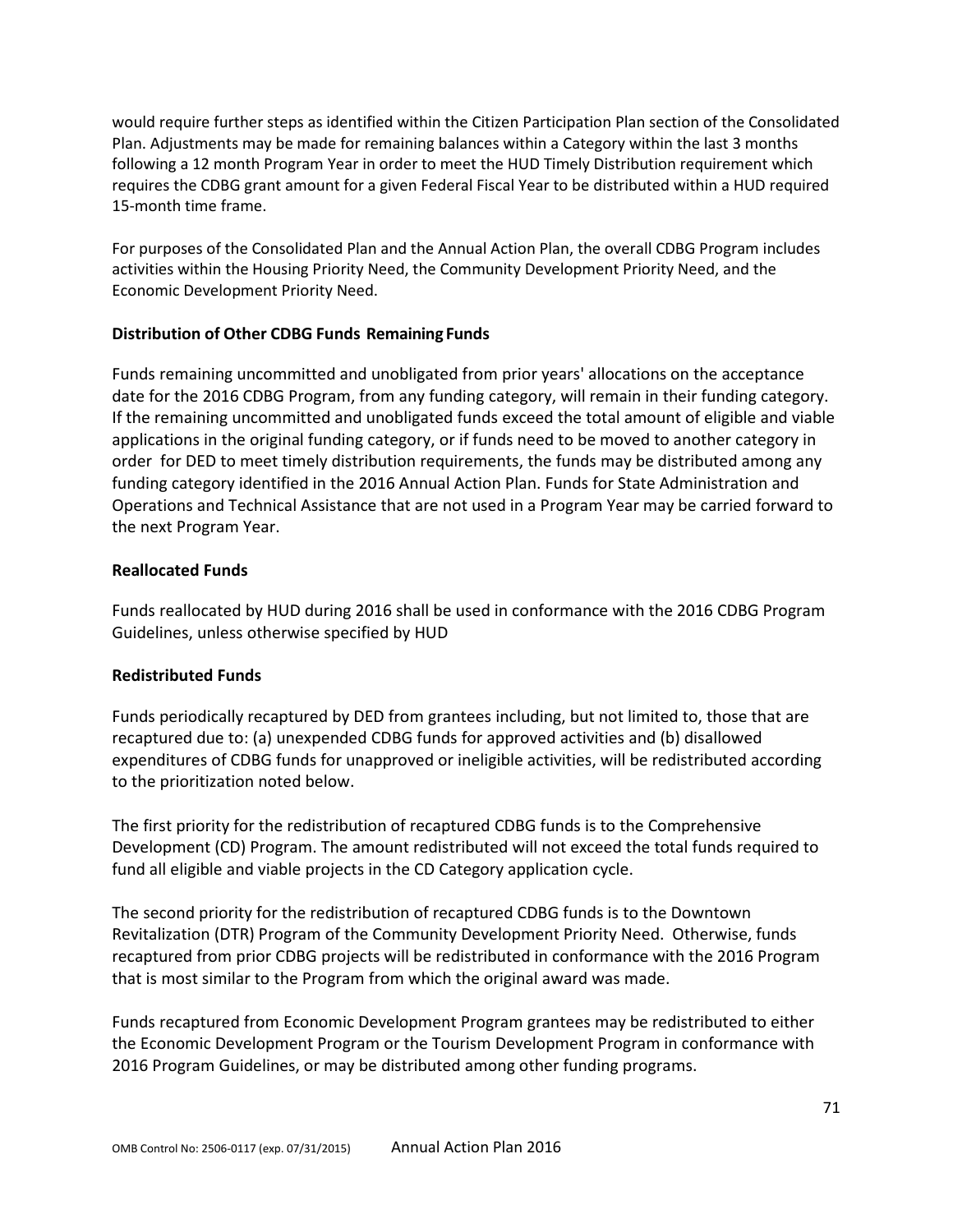would require further steps as identified within the Citizen Participation Plan section of the Consolidated Plan. Adjustments may be made for remaining balances within a Category within the last 3 months following a 12 month Program Year in order to meet the HUD Timely Distribution requirement which requires the CDBG grant amount for a given Federal Fiscal Year to be distributed within a HUD required 15-month time frame.

For purposes of the Consolidated Plan and the Annual Action Plan, the overall CDBG Program includes activities within the Housing Priority Need, the Community Development Priority Need, and the Economic Development Priority Need.

### **Distribution of Other CDBG Funds Remaining Funds**

Funds remaining uncommitted and unobligated from prior years' allocations on the acceptance date for the 2016 CDBG Program, from any funding category, will remain in their funding category. If the remaining uncommitted and unobligated funds exceed the total amount of eligible and viable applications in the original funding category, or if funds need to be moved to another category in order for DED to meet timely distribution requirements, the funds may be distributed among any funding category identified in the 2016 Annual Action Plan. Funds for State Administration and Operations and Technical Assistance that are not used in a Program Year may be carried forward to the next Program Year.

#### **Reallocated Funds**

Funds reallocated by HUD during 2016 shall be used in conformance with the 2016 CDBG Program Guidelines, unless otherwise specified by HUD

## **Redistributed Funds**

Funds periodically recaptured by DED from grantees including, but not limited to, those that are recaptured due to: (a) unexpended CDBG funds for approved activities and (b) disallowed expenditures of CDBG funds for unapproved or ineligible activities, will be redistributed according to the prioritization noted below.

The first priority for the redistribution of recaptured CDBG funds is to the Comprehensive Development (CD) Program. The amount redistributed will not exceed the total funds required to fund all eligible and viable projects in the CD Category application cycle.

The second priority for the redistribution of recaptured CDBG funds is to the Downtown Revitalization (DTR) Program of the Community Development Priority Need. Otherwise, funds recaptured from prior CDBG projects will be redistributed in conformance with the 2016 Program that is most similar to the Program from which the original award was made.

Funds recaptured from Economic Development Program grantees may be redistributed to either the Economic Development Program or the Tourism Development Program in conformance with 2016 Program Guidelines, or may be distributed among other funding programs.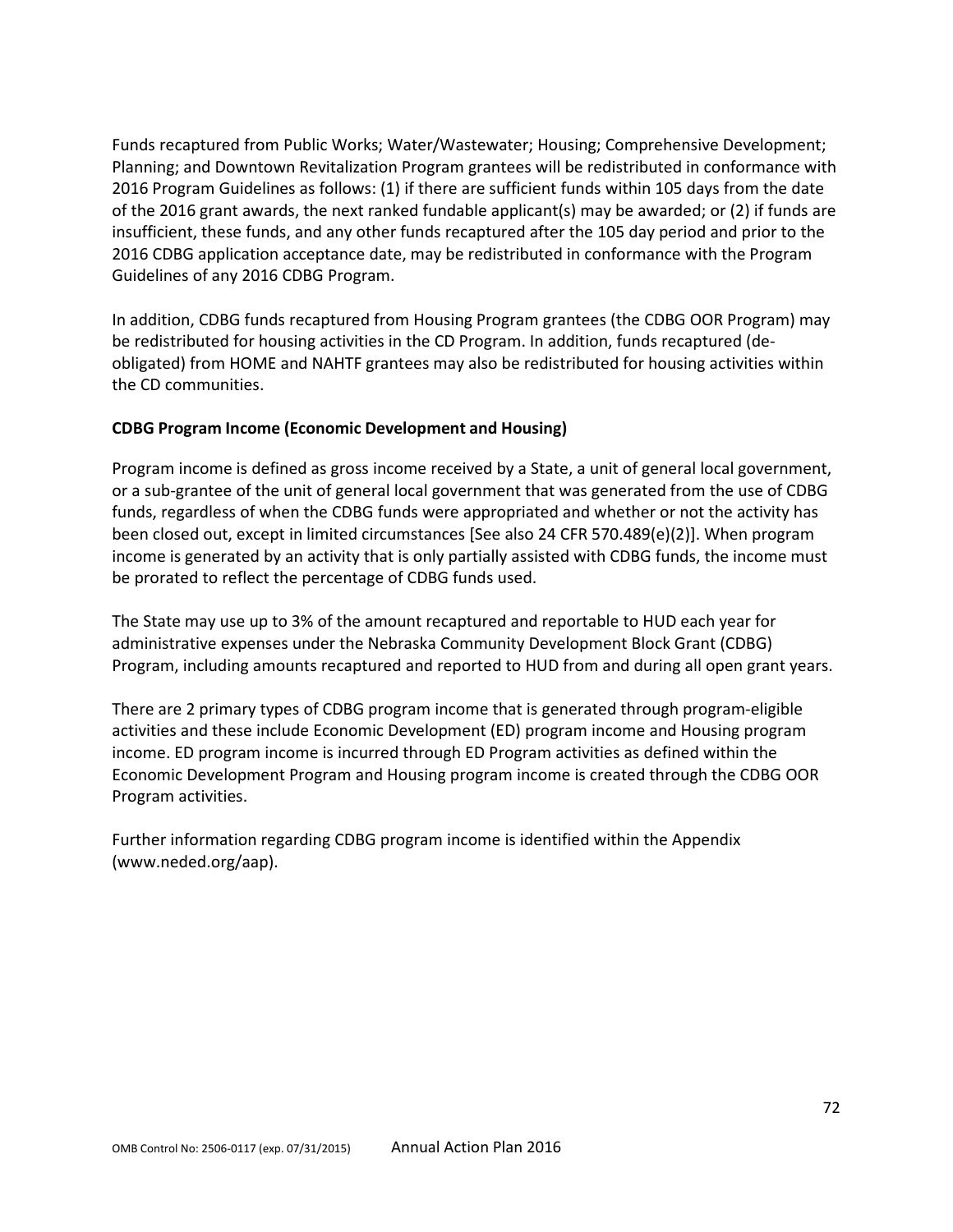Funds recaptured from Public Works; Water/Wastewater; Housing; Comprehensive Development; Planning; and Downtown Revitalization Program grantees will be redistributed in conformance with 2016 Program Guidelines as follows: (1) if there are sufficient funds within 105 days from the date of the 2016 grant awards, the next ranked fundable applicant(s) may be awarded; or (2) if funds are insufficient, these funds, and any other funds recaptured after the 105 day period and prior to the 2016 CDBG application acceptance date, may be redistributed in conformance with the Program Guidelines of any 2016 CDBG Program.

In addition, CDBG funds recaptured from Housing Program grantees (the CDBG OOR Program) may be redistributed for housing activities in the CD Program. In addition, funds recaptured (deobligated) from HOME and NAHTF grantees may also be redistributed for housing activities within the CD communities.

## **CDBG Program Income (Economic Development and Housing)**

Program income is defined as gross income received by a State, a unit of general local government, or a sub-grantee of the unit of general local government that was generated from the use of CDBG funds, regardless of when the CDBG funds were appropriated and whether or not the activity has been closed out, except in limited circumstances [See also 24 CFR 570.489(e)(2)]. When program income is generated by an activity that is only partially assisted with CDBG funds, the income must be prorated to reflect the percentage of CDBG funds used.

The State may use up to 3% of the amount recaptured and reportable to HUD each year for administrative expenses under the Nebraska Community Development Block Grant (CDBG) Program, including amounts recaptured and reported to HUD from and during all open grant years.

There are 2 primary types of CDBG program income that is generated through program-eligible activities and these include Economic Development (ED) program income and Housing program income. ED program income is incurred through ED Program activities as defined within the Economic Development Program and Housing program income is created through the CDBG OOR Program activities.

Further information regarding CDBG program income is identified within the Appendix (www.neded.org/aap).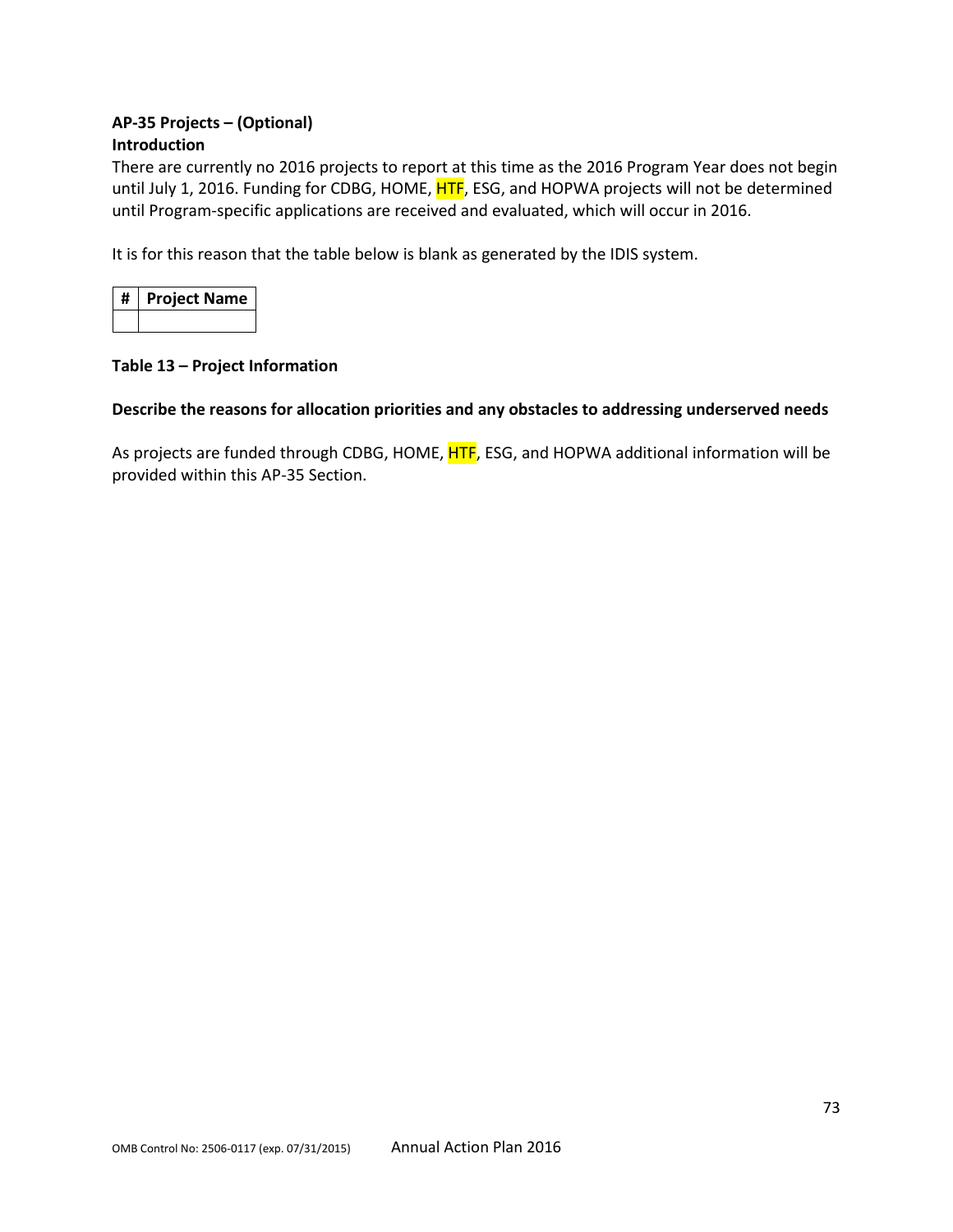# **AP-35 Projects – (Optional) Introduction**

There are currently no 2016 projects to report at this time as the 2016 Program Year does not begin until July 1, 2016. Funding for CDBG, HOME, HTF, ESG, and HOPWA projects will not be determined until Program-specific applications are received and evaluated, which will occur in 2016.

It is for this reason that the table below is blank as generated by the IDIS system.

| #   Project Name |
|------------------|
|                  |

### **Table 13 – Project Information**

### **Describe the reasons for allocation priorities and any obstacles to addressing underserved needs**

As projects are funded through CDBG, HOME, HTF, ESG, and HOPWA additional information will be provided within this AP-35 Section.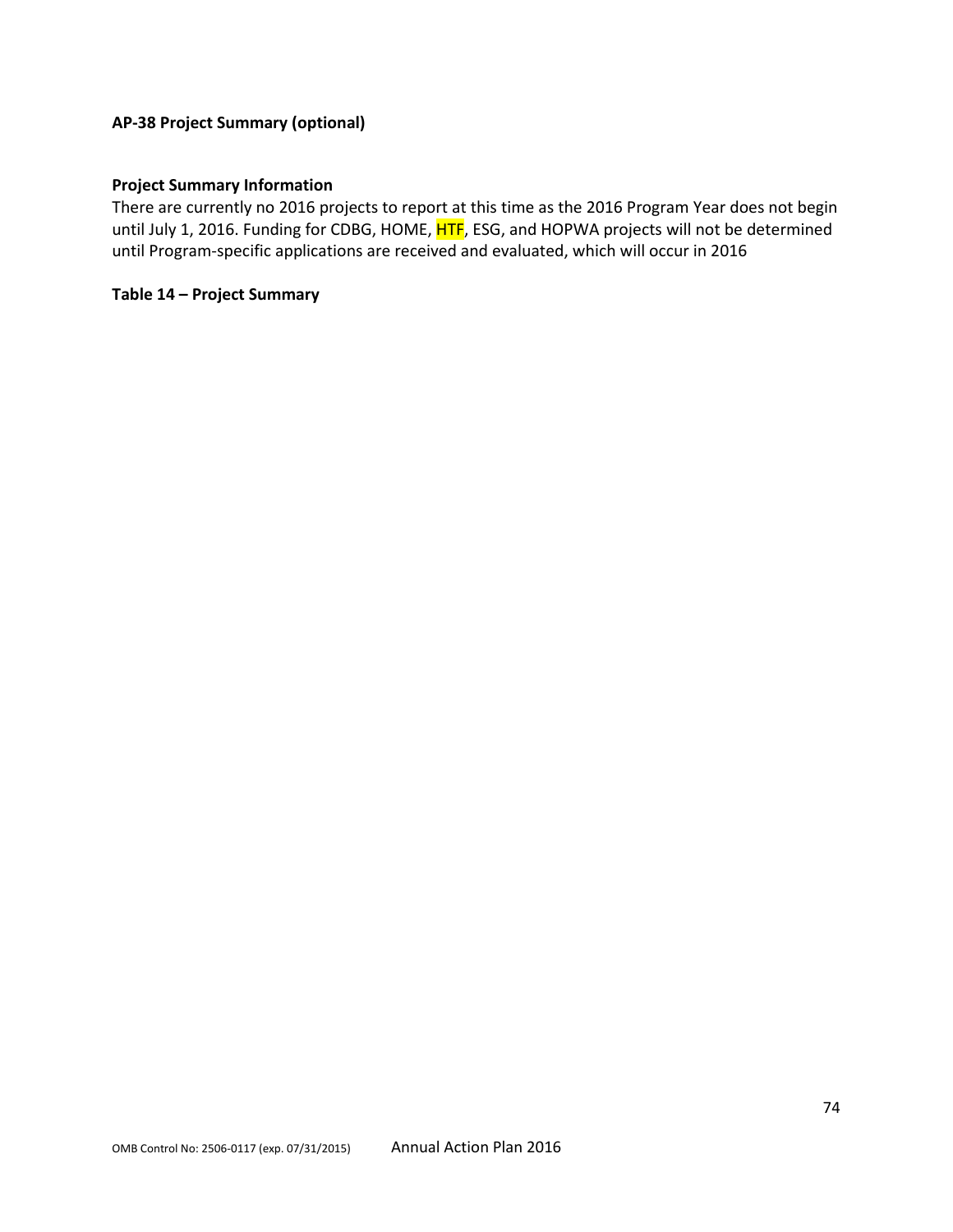# **AP-38 Project Summary (optional)**

#### **Project Summary Information**

There are currently no 2016 projects to report at this time as the 2016 Program Year does not begin until July 1, 2016. Funding for CDBG, HOME, HTF, ESG, and HOPWA projects will not be determined until Program-specific applications are received and evaluated, which will occur in 2016

#### **Table 14 – Project Summary**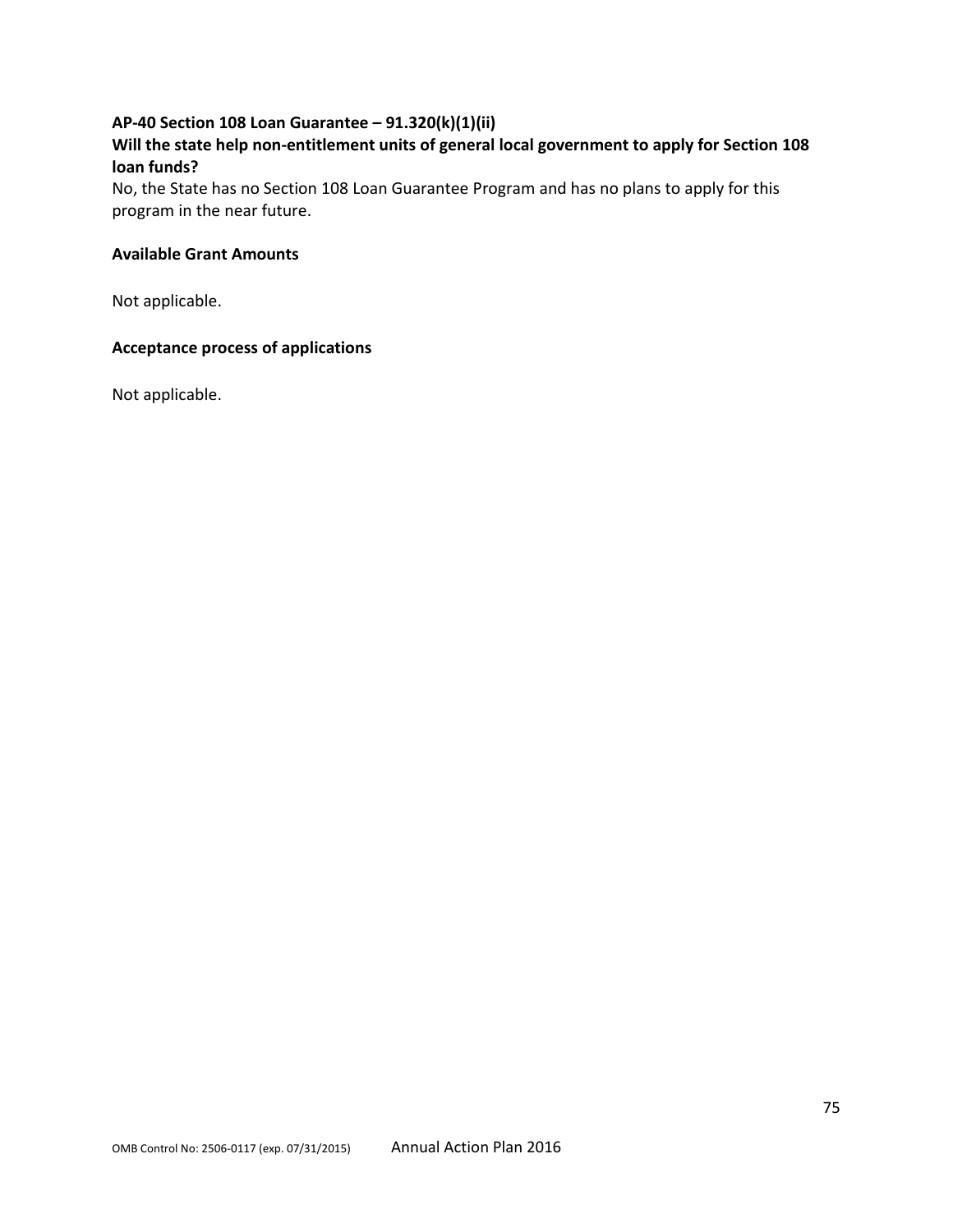# **AP-40 Section 108 Loan Guarantee – 91.320(k)(1)(ii)**

# **Will the state help non-entitlement units of general local government to apply for Section 108 loan funds?**

No, the State has no Section 108 Loan Guarantee Program and has no plans to apply for this program in the near future.

### **Available Grant Amounts**

Not applicable.

# **Acceptance process of applications**

Not applicable.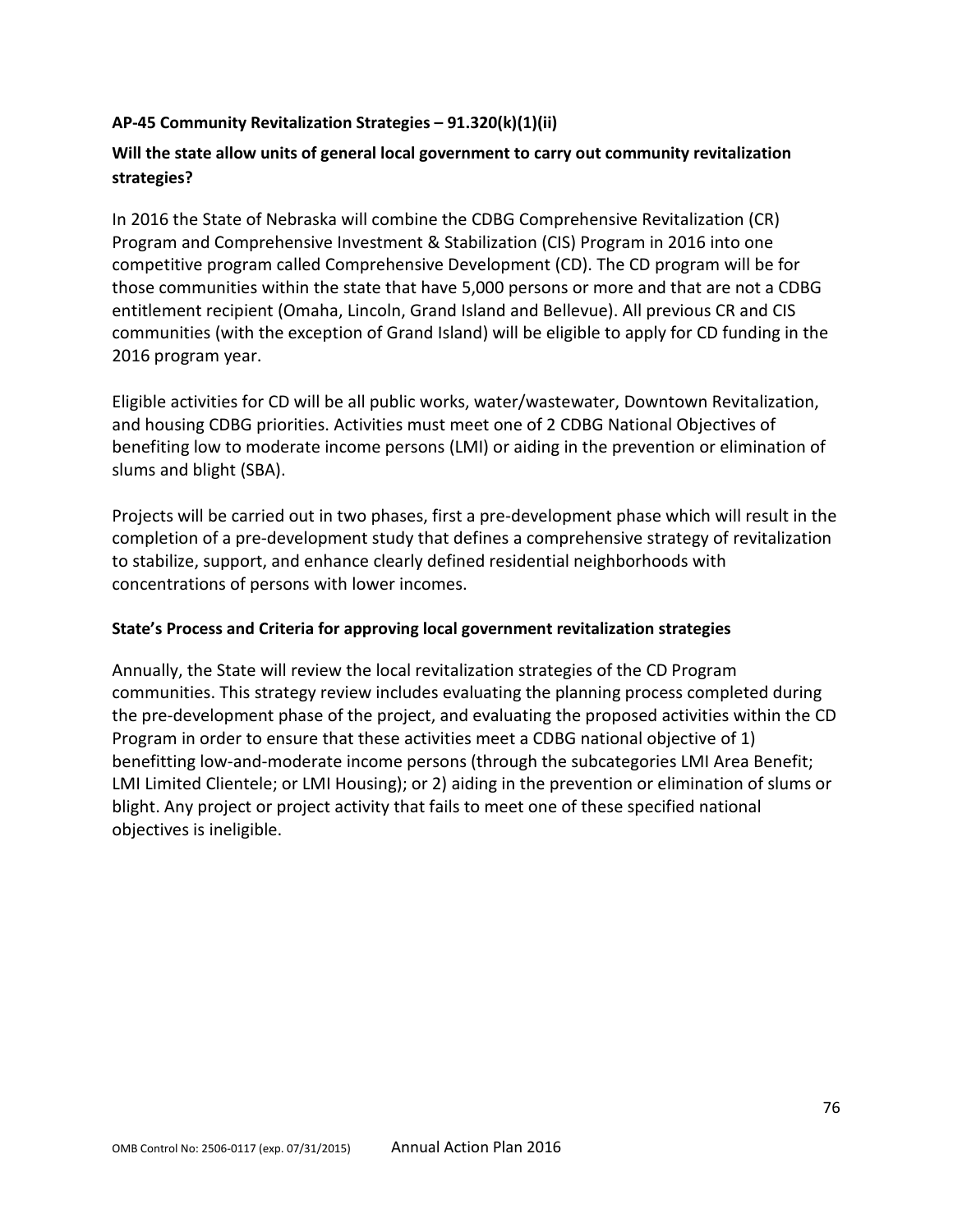# **AP-45 Community Revitalization Strategies – 91.320(k)(1)(ii)**

# **Will the state allow units of general local government to carry out community revitalization strategies?**

In 2016 the State of Nebraska will combine the CDBG Comprehensive Revitalization (CR) Program and Comprehensive Investment & Stabilization (CIS) Program in 2016 into one competitive program called Comprehensive Development (CD). The CD program will be for those communities within the state that have 5,000 persons or more and that are not a CDBG entitlement recipient (Omaha, Lincoln, Grand Island and Bellevue). All previous CR and CIS communities (with the exception of Grand Island) will be eligible to apply for CD funding in the 2016 program year.

Eligible activities for CD will be all public works, water/wastewater, Downtown Revitalization, and housing CDBG priorities. Activities must meet one of 2 CDBG National Objectives of benefiting low to moderate income persons (LMI) or aiding in the prevention or elimination of slums and blight (SBA).

Projects will be carried out in two phases, first a pre-development phase which will result in the completion of a pre-development study that defines a comprehensive strategy of revitalization to stabilize, support, and enhance clearly defined residential neighborhoods with concentrations of persons with lower incomes.

### **State's Process and Criteria for approving local government revitalization strategies**

Annually, the State will review the local revitalization strategies of the CD Program communities. This strategy review includes evaluating the planning process completed during the pre-development phase of the project, and evaluating the proposed activities within the CD Program in order to ensure that these activities meet a CDBG national objective of 1) benefitting low-and-moderate income persons (through the subcategories LMI Area Benefit; LMI Limited Clientele; or LMI Housing); or 2) aiding in the prevention or elimination of slums or blight. Any project or project activity that fails to meet one of these specified national objectives is ineligible.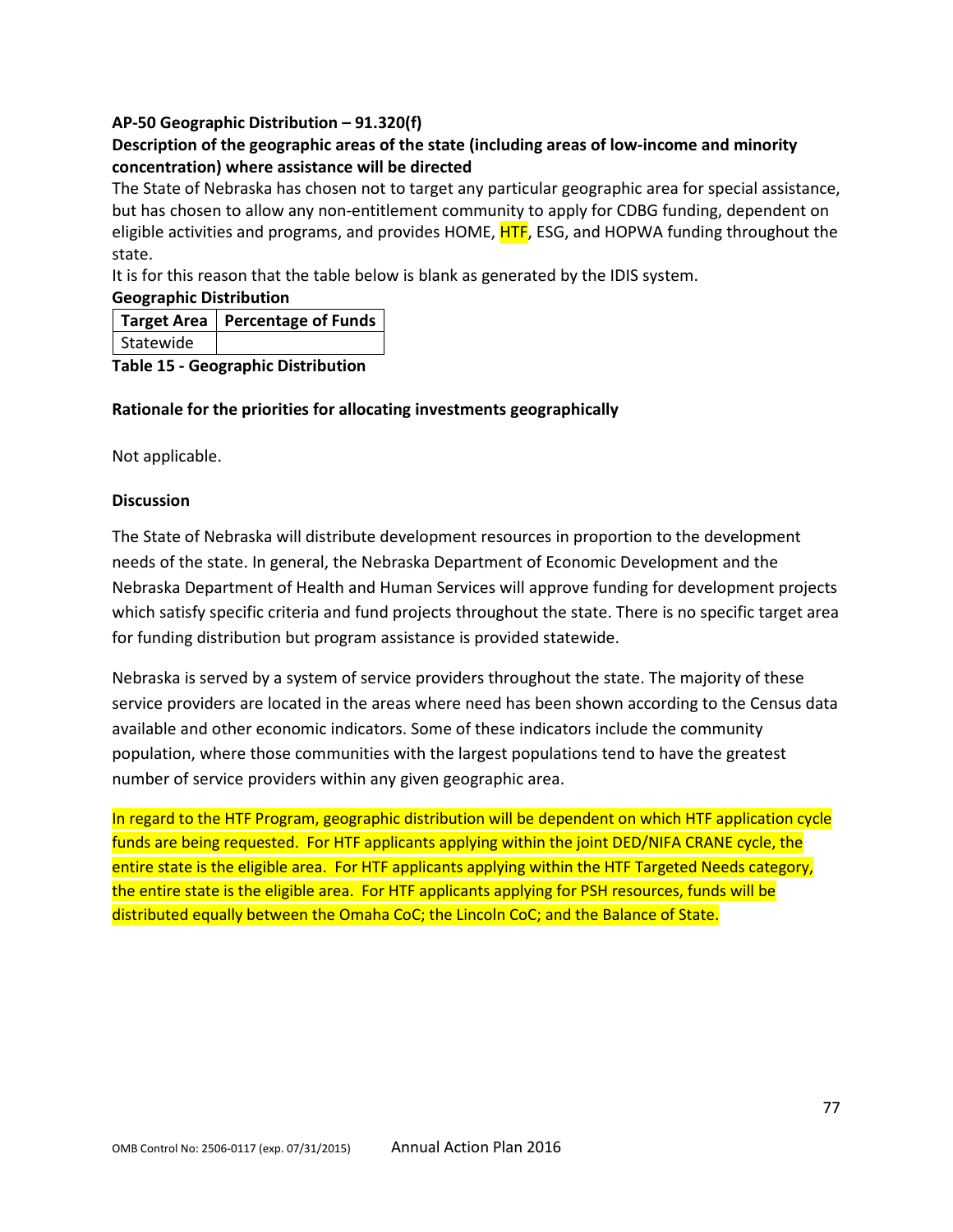### **AP-50 Geographic Distribution – 91.320(f)**

# **Description of the geographic areas of the state (including areas of low-income and minority concentration) where assistance will be directed**

The State of Nebraska has chosen not to target any particular geographic area for special assistance, but has chosen to allow any non-entitlement community to apply for CDBG funding, dependent on eligible activities and programs, and provides HOME, **HTF**, ESG, and HOPWA funding throughout the state.

It is for this reason that the table below is blank as generated by the IDIS system.

### **Geographic Distribution**

|           | Target Area   Percentage of Funds |
|-----------|-----------------------------------|
| Statewide |                                   |

**Table 15 - Geographic Distribution** 

### **Rationale for the priorities for allocating investments geographically**

Not applicable.

### **Discussion**

The State of Nebraska will distribute development resources in proportion to the development needs of the state. In general, the Nebraska Department of Economic Development and the Nebraska Department of Health and Human Services will approve funding for development projects which satisfy specific criteria and fund projects throughout the state. There is no specific target area for funding distribution but program assistance is provided statewide.

Nebraska is served by a system of service providers throughout the state. The majority of these service providers are located in the areas where need has been shown according to the Census data available and other economic indicators. Some of these indicators include the community population, where those communities with the largest populations tend to have the greatest number of service providers within any given geographic area.

In regard to the HTF Program, geographic distribution will be dependent on which HTF application cycle funds are being requested. For HTF applicants applying within the joint DED/NIFA CRANE cycle, the entire state is the eligible area. For HTF applicants applying within the HTF Targeted Needs category, the entire state is the eligible area. For HTF applicants applying for PSH resources, funds will be distributed equally between the Omaha CoC; the Lincoln CoC; and the Balance of State.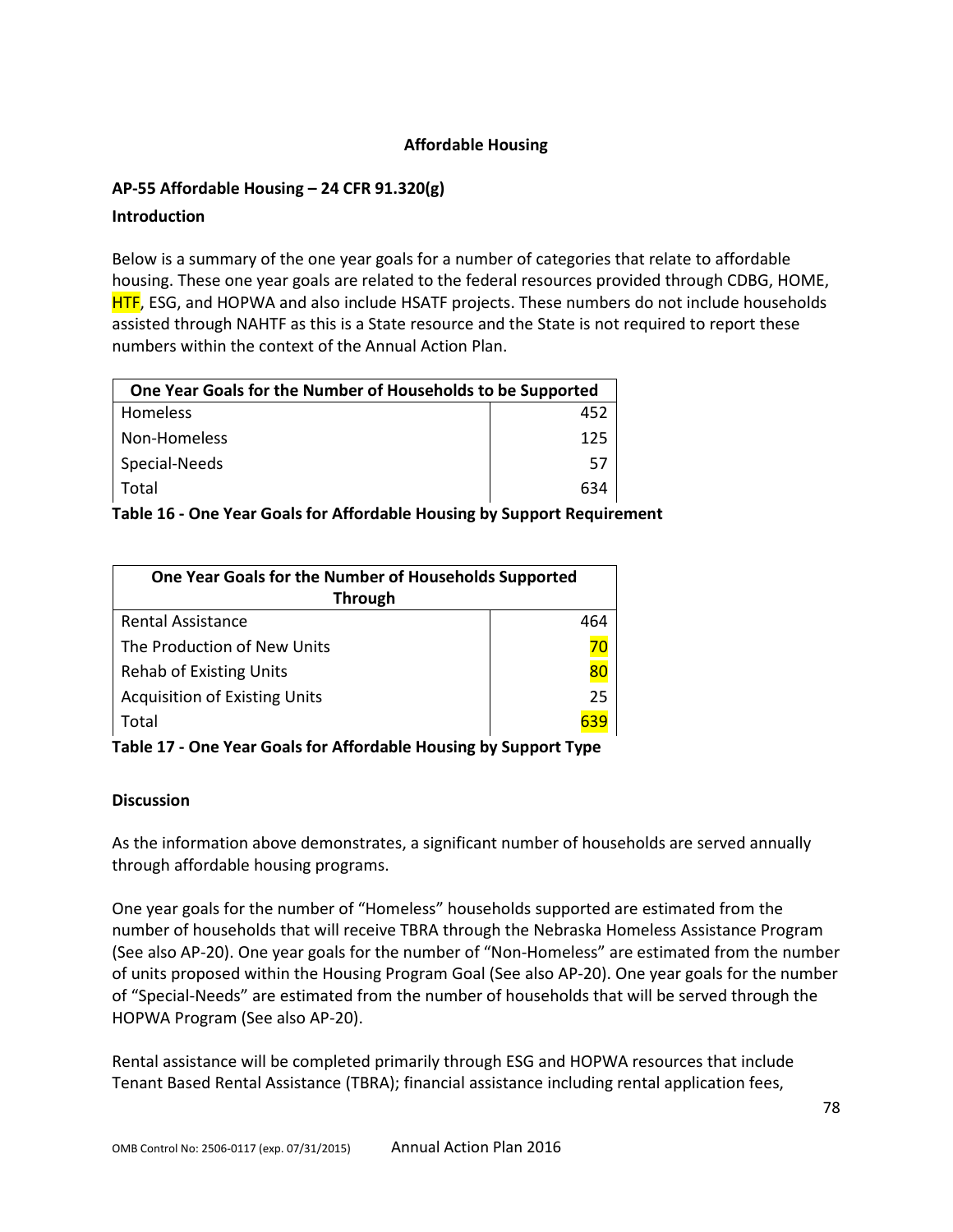### **Affordable Housing**

### **AP-55 Affordable Housing – 24 CFR 91.320(g)**

#### **Introduction**

Below is a summary of the one year goals for a number of categories that relate to affordable housing. These one year goals are related to the federal resources provided through CDBG, HOME, HTF, ESG, and HOPWA and also include HSATF projects. These numbers do not include households assisted through NAHTF as this is a State resource and the State is not required to report these numbers within the context of the Annual Action Plan.

| One Year Goals for the Number of Households to be Supported |     |
|-------------------------------------------------------------|-----|
| Homeless                                                    | 452 |
| Non-Homeless                                                | 125 |
| Special-Needs                                               | 57  |
| Total                                                       | 634 |

**Table 16 - One Year Goals for Affordable Housing by Support Requirement**

| One Year Goals for the Number of Households Supported |     |
|-------------------------------------------------------|-----|
| <b>Through</b>                                        |     |
| <b>Rental Assistance</b>                              | 464 |
| The Production of New Units                           | 70  |
| <b>Rehab of Existing Units</b>                        | 80  |
| <b>Acquisition of Existing Units</b>                  | 25  |
| Total                                                 | 639 |

**Table 17 - One Year Goals for Affordable Housing by Support Type**

#### **Discussion**

As the information above demonstrates, a significant number of households are served annually through affordable housing programs.

One year goals for the number of "Homeless" households supported are estimated from the number of households that will receive TBRA through the Nebraska Homeless Assistance Program (See also AP-20). One year goals for the number of "Non-Homeless" are estimated from the number of units proposed within the Housing Program Goal (See also AP-20). One year goals for the number of "Special-Needs" are estimated from the number of households that will be served through the HOPWA Program (See also AP-20).

Rental assistance will be completed primarily through ESG and HOPWA resources that include Tenant Based Rental Assistance (TBRA); financial assistance including rental application fees,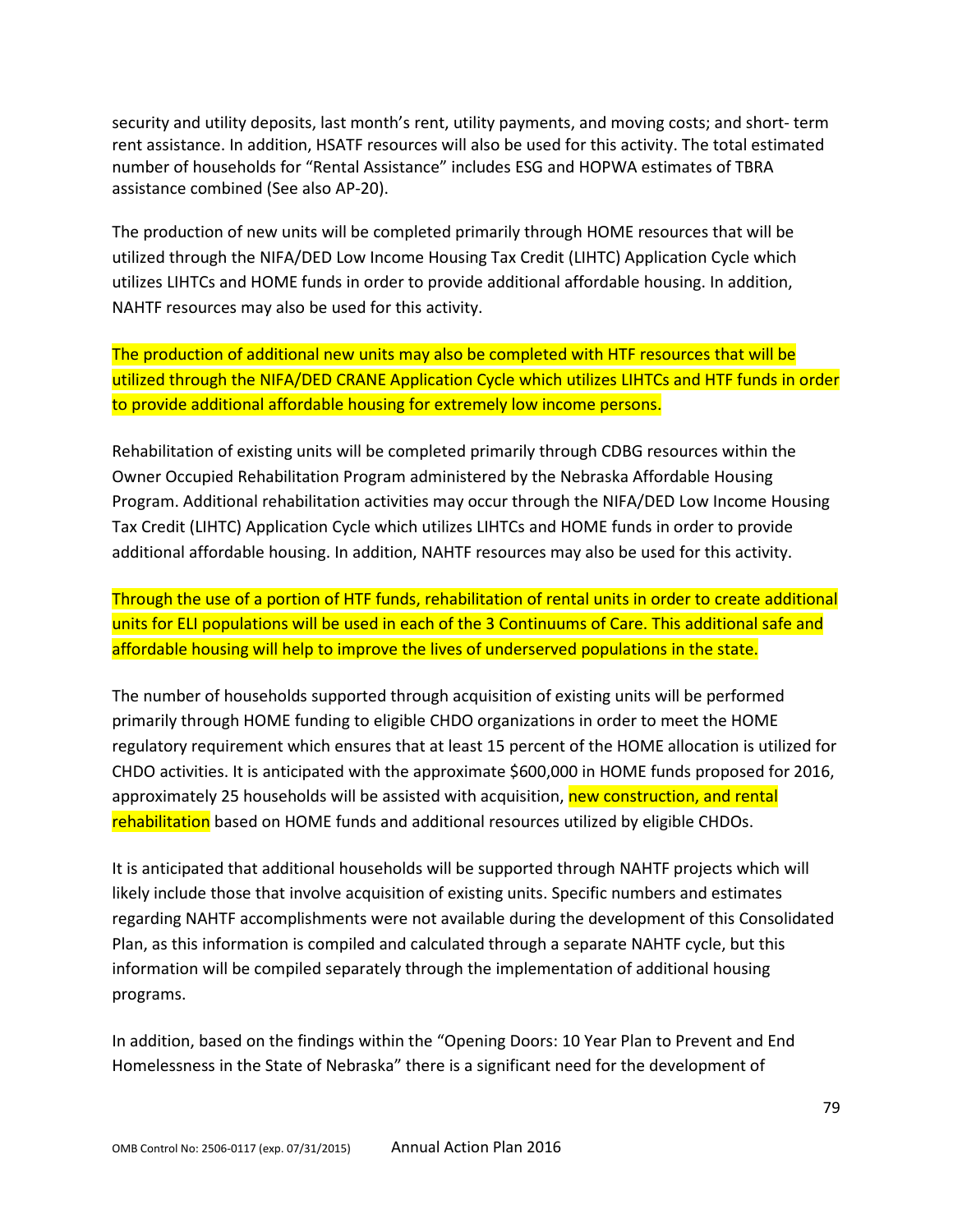security and utility deposits, last month's rent, utility payments, and moving costs; and short- term rent assistance. In addition, HSATF resources will also be used for this activity. The total estimated number of households for "Rental Assistance" includes ESG and HOPWA estimates of TBRA assistance combined (See also AP-20).

The production of new units will be completed primarily through HOME resources that will be utilized through the NIFA/DED Low Income Housing Tax Credit (LIHTC) Application Cycle which utilizes LIHTCs and HOME funds in order to provide additional affordable housing. In addition, NAHTF resources may also be used for this activity.

The production of additional new units may also be completed with HTF resources that will be utilized through the NIFA/DED CRANE Application Cycle which utilizes LIHTCs and HTF funds in order to provide additional affordable housing for extremely low income persons.

Rehabilitation of existing units will be completed primarily through CDBG resources within the Owner Occupied Rehabilitation Program administered by the Nebraska Affordable Housing Program. Additional rehabilitation activities may occur through the NIFA/DED Low Income Housing Tax Credit (LIHTC) Application Cycle which utilizes LIHTCs and HOME funds in order to provide additional affordable housing. In addition, NAHTF resources may also be used for this activity.

Through the use of a portion of HTF funds, rehabilitation of rental units in order to create additional units for ELI populations will be used in each of the 3 Continuums of Care. This additional safe and affordable housing will help to improve the lives of underserved populations in the state.

The number of households supported through acquisition of existing units will be performed primarily through HOME funding to eligible CHDO organizations in order to meet the HOME regulatory requirement which ensures that at least 15 percent of the HOME allocation is utilized for CHDO activities. It is anticipated with the approximate \$600,000 in HOME funds proposed for 2016, approximately 25 households will be assisted with acquisition, new construction, and rental rehabilitation based on HOME funds and additional resources utilized by eligible CHDOs.

It is anticipated that additional households will be supported through NAHTF projects which will likely include those that involve acquisition of existing units. Specific numbers and estimates regarding NAHTF accomplishments were not available during the development of this Consolidated Plan, as this information is compiled and calculated through a separate NAHTF cycle, but this information will be compiled separately through the implementation of additional housing programs.

In addition, based on the findings within the "Opening Doors: 10 Year Plan to Prevent and End Homelessness in the State of Nebraska" there is a significant need for the development of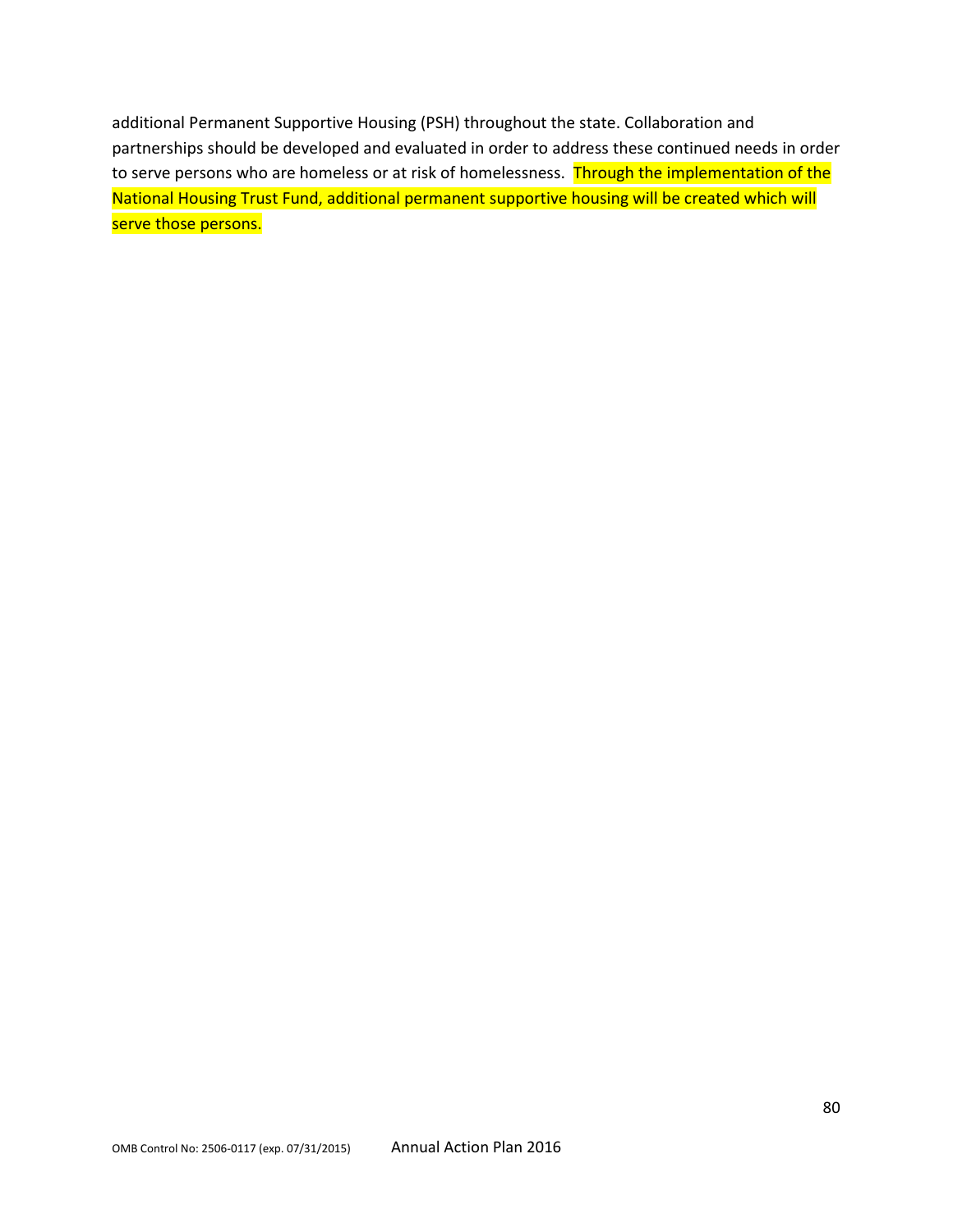additional Permanent Supportive Housing (PSH) throughout the state. Collaboration and partnerships should be developed and evaluated in order to address these continued needs in order to serve persons who are homeless or at risk of homelessness. Through the implementation of the National Housing Trust Fund, additional permanent supportive housing will be created which will serve those persons.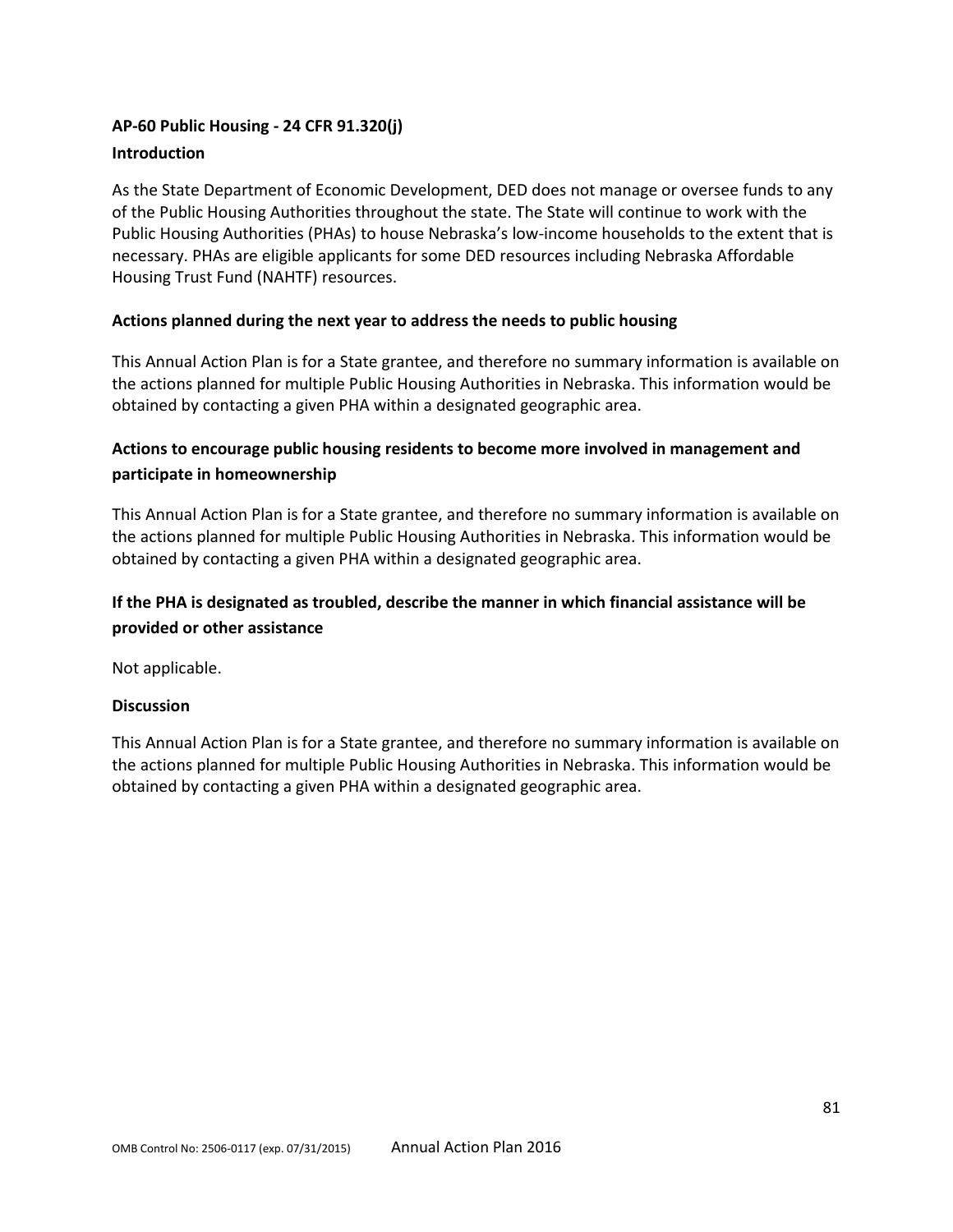# **AP-60 Public Housing - 24 CFR 91.320(j) Introduction**

As the State Department of Economic Development, DED does not manage or oversee funds to any of the Public Housing Authorities throughout the state. The State will continue to work with the Public Housing Authorities (PHAs) to house Nebraska's low-income households to the extent that is necessary. PHAs are eligible applicants for some DED resources including Nebraska Affordable Housing Trust Fund (NAHTF) resources.

# **Actions planned during the next year to address the needs to public housing**

This Annual Action Plan is for a State grantee, and therefore no summary information is available on the actions planned for multiple Public Housing Authorities in Nebraska. This information would be obtained by contacting a given PHA within a designated geographic area.

# **Actions to encourage public housing residents to become more involved in management and participate in homeownership**

This Annual Action Plan is for a State grantee, and therefore no summary information is available on the actions planned for multiple Public Housing Authorities in Nebraska. This information would be obtained by contacting a given PHA within a designated geographic area.

# **If the PHA is designated as troubled, describe the manner in which financial assistance will be provided or other assistance**

Not applicable.

### **Discussion**

This Annual Action Plan is for a State grantee, and therefore no summary information is available on the actions planned for multiple Public Housing Authorities in Nebraska. This information would be obtained by contacting a given PHA within a designated geographic area.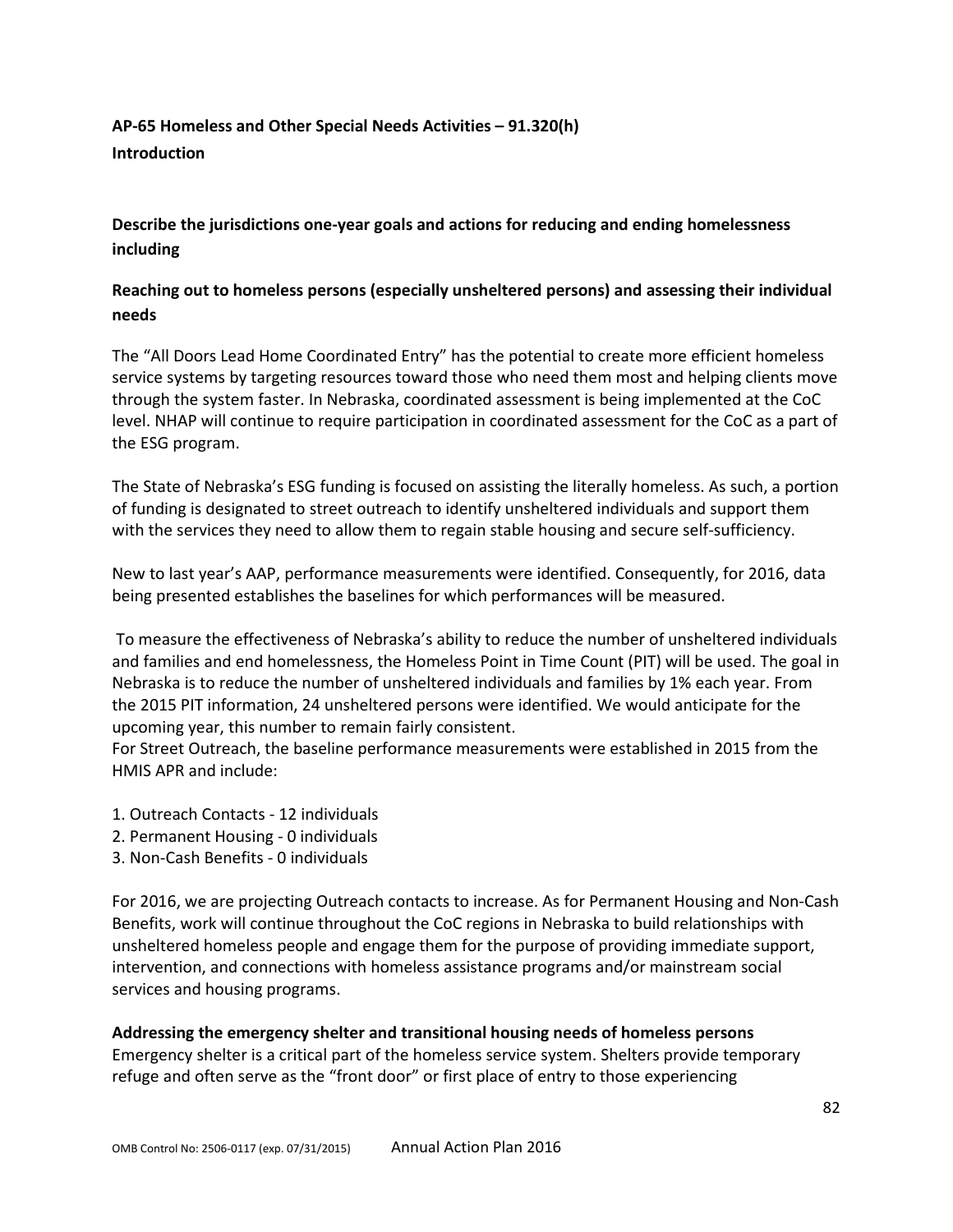# **AP-65 Homeless and Other Special Needs Activities – 91.320(h) Introduction**

**Describe the jurisdictions one-year goals and actions for reducing and ending homelessness including**

# **Reaching out to homeless persons (especially unsheltered persons) and assessing their individual needs**

The "All Doors Lead Home Coordinated Entry" has the potential to create more efficient homeless service systems by targeting resources toward those who need them most and helping clients move through the system faster. In Nebraska, coordinated assessment is being implemented at the CoC level. NHAP will continue to require participation in coordinated assessment for the CoC as a part of the ESG program.

The State of Nebraska's ESG funding is focused on assisting the literally homeless. As such, a portion of funding is designated to street outreach to identify unsheltered individuals and support them with the services they need to allow them to regain stable housing and secure self-sufficiency.

New to last year's AAP, performance measurements were identified. Consequently, for 2016, data being presented establishes the baselines for which performances will be measured.

To measure the effectiveness of Nebraska's ability to reduce the number of unsheltered individuals and families and end homelessness, the Homeless Point in Time Count (PIT) will be used. The goal in Nebraska is to reduce the number of unsheltered individuals and families by 1% each year. From the 2015 PIT information, 24 unsheltered persons were identified. We would anticipate for the upcoming year, this number to remain fairly consistent.

For Street Outreach, the baseline performance measurements were established in 2015 from the HMIS APR and include:

- 1. Outreach Contacts 12 individuals
- 2. Permanent Housing 0 individuals
- 3. Non-Cash Benefits 0 individuals

For 2016, we are projecting Outreach contacts to increase. As for Permanent Housing and Non-Cash Benefits, work will continue throughout the CoC regions in Nebraska to build relationships with unsheltered homeless people and engage them for the purpose of providing immediate support, intervention, and connections with homeless assistance programs and/or mainstream social services and housing programs.

#### **Addressing the emergency shelter and transitional housing needs of homeless persons**

Emergency shelter is a critical part of the homeless service system. Shelters provide temporary refuge and often serve as the "front door" or first place of entry to those experiencing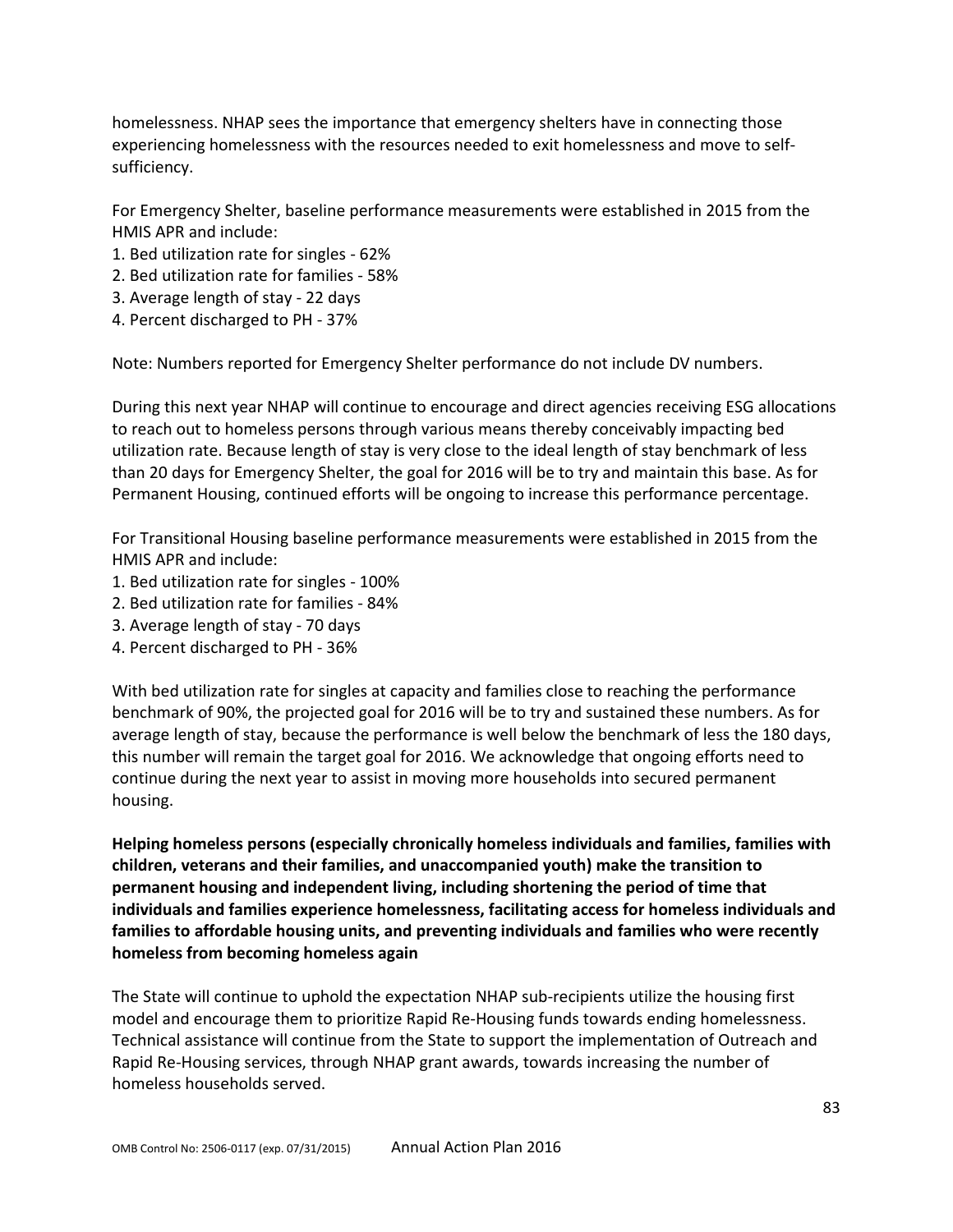homelessness. NHAP sees the importance that emergency shelters have in connecting those experiencing homelessness with the resources needed to exit homelessness and move to selfsufficiency.

For Emergency Shelter, baseline performance measurements were established in 2015 from the HMIS APR and include:

- 1. Bed utilization rate for singles 62%
- 2. Bed utilization rate for families 58%
- 3. Average length of stay 22 days
- 4. Percent discharged to PH 37%

Note: Numbers reported for Emergency Shelter performance do not include DV numbers.

During this next year NHAP will continue to encourage and direct agencies receiving ESG allocations to reach out to homeless persons through various means thereby conceivably impacting bed utilization rate. Because length of stay is very close to the ideal length of stay benchmark of less than 20 days for Emergency Shelter, the goal for 2016 will be to try and maintain this base. As for Permanent Housing, continued efforts will be ongoing to increase this performance percentage.

For Transitional Housing baseline performance measurements were established in 2015 from the HMIS APR and include:

- 1. Bed utilization rate for singles 100%
- 2. Bed utilization rate for families 84%
- 3. Average length of stay 70 days
- 4. Percent discharged to PH 36%

With bed utilization rate for singles at capacity and families close to reaching the performance benchmark of 90%, the projected goal for 2016 will be to try and sustained these numbers. As for average length of stay, because the performance is well below the benchmark of less the 180 days, this number will remain the target goal for 2016. We acknowledge that ongoing efforts need to continue during the next year to assist in moving more households into secured permanent housing.

**Helping homeless persons (especially chronically homeless individuals and families, families with children, veterans and their families, and unaccompanied youth) make the transition to permanent housing and independent living, including shortening the period of time that individuals and families experience homelessness, facilitating access for homeless individuals and families to affordable housing units, and preventing individuals and families who were recently homeless from becoming homeless again**

The State will continue to uphold the expectation NHAP sub-recipients utilize the housing first model and encourage them to prioritize Rapid Re-Housing funds towards ending homelessness. Technical assistance will continue from the State to support the implementation of Outreach and Rapid Re-Housing services, through NHAP grant awards, towards increasing the number of homeless households served.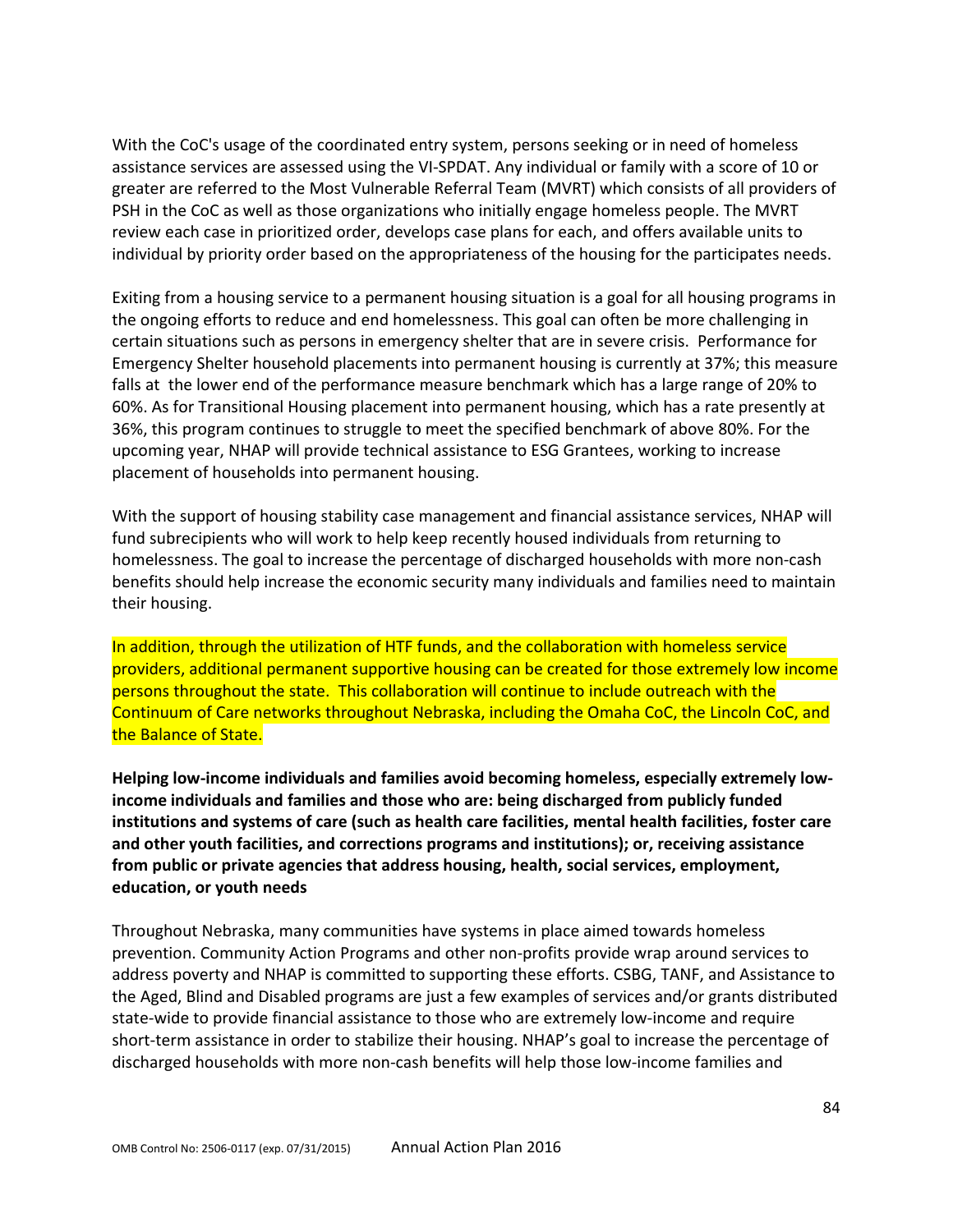With the CoC's usage of the coordinated entry system, persons seeking or in need of homeless assistance services are assessed using the VI-SPDAT. Any individual or family with a score of 10 or greater are referred to the Most Vulnerable Referral Team (MVRT) which consists of all providers of PSH in the CoC as well as those organizations who initially engage homeless people. The MVRT review each case in prioritized order, develops case plans for each, and offers available units to individual by priority order based on the appropriateness of the housing for the participates needs.

Exiting from a housing service to a permanent housing situation is a goal for all housing programs in the ongoing efforts to reduce and end homelessness. This goal can often be more challenging in certain situations such as persons in emergency shelter that are in severe crisis. Performance for Emergency Shelter household placements into permanent housing is currently at 37%; this measure falls at the lower end of the performance measure benchmark which has a large range of 20% to 60%. As for Transitional Housing placement into permanent housing, which has a rate presently at 36%, this program continues to struggle to meet the specified benchmark of above 80%. For the upcoming year, NHAP will provide technical assistance to ESG Grantees, working to increase placement of households into permanent housing.

With the support of housing stability case management and financial assistance services, NHAP will fund subrecipients who will work to help keep recently housed individuals from returning to homelessness. The goal to increase the percentage of discharged households with more non-cash benefits should help increase the economic security many individuals and families need to maintain their housing.

In addition, through the utilization of HTF funds, and the collaboration with homeless service providers, additional permanent supportive housing can be created for those extremely low income persons throughout the state. This collaboration will continue to include outreach with the Continuum of Care networks throughout Nebraska, including the Omaha CoC, the Lincoln CoC, and the Balance of State.

**Helping low-income individuals and families avoid becoming homeless, especially extremely lowincome individuals and families and those who are: being discharged from publicly funded institutions and systems of care (such as health care facilities, mental health facilities, foster care and other youth facilities, and corrections programs and institutions); or, receiving assistance from public or private agencies that address housing, health, social services, employment, education, or youth needs**

Throughout Nebraska, many communities have systems in place aimed towards homeless prevention. Community Action Programs and other non-profits provide wrap around services to address poverty and NHAP is committed to supporting these efforts. CSBG, TANF, and Assistance to the Aged, Blind and Disabled programs are just a few examples of services and/or grants distributed state-wide to provide financial assistance to those who are extremely low-income and require short-term assistance in order to stabilize their housing. NHAP's goal to increase the percentage of discharged households with more non-cash benefits will help those low-income families and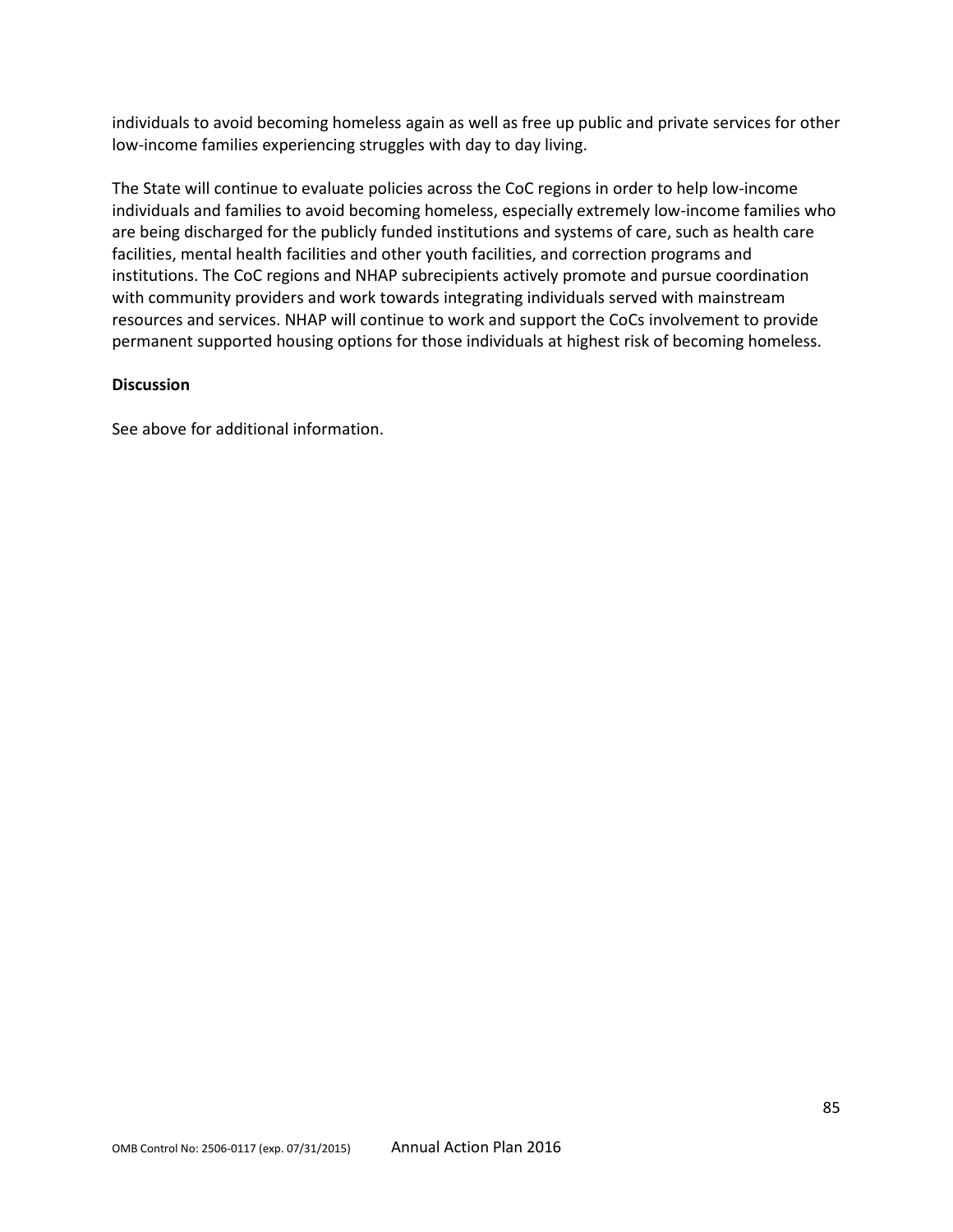individuals to avoid becoming homeless again as well as free up public and private services for other low-income families experiencing struggles with day to day living.

The State will continue to evaluate policies across the CoC regions in order to help low-income individuals and families to avoid becoming homeless, especially extremely low-income families who are being discharged for the publicly funded institutions and systems of care, such as health care facilities, mental health facilities and other youth facilities, and correction programs and institutions. The CoC regions and NHAP subrecipients actively promote and pursue coordination with community providers and work towards integrating individuals served with mainstream resources and services. NHAP will continue to work and support the CoCs involvement to provide permanent supported housing options for those individuals at highest risk of becoming homeless.

#### **Discussion**

See above for additional information.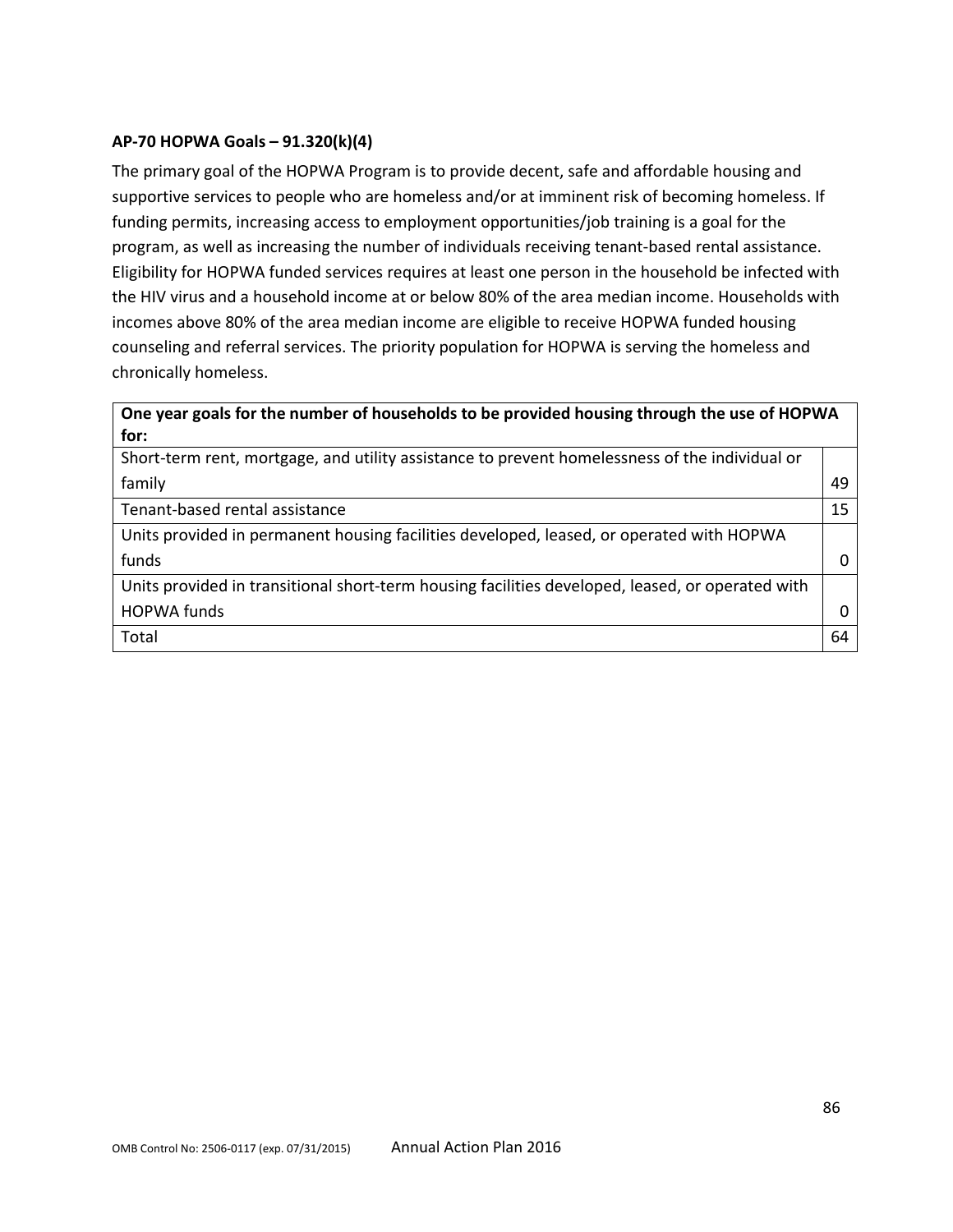### **AP-70 HOPWA Goals – 91.320(k)(4)**

The primary goal of the HOPWA Program is to provide decent, safe and affordable housing and supportive services to people who are homeless and/or at imminent risk of becoming homeless. If funding permits, increasing access to employment opportunities/job training is a goal for the program, as well as increasing the number of individuals receiving tenant-based rental assistance. Eligibility for HOPWA funded services requires at least one person in the household be infected with the HIV virus and a household income at or below 80% of the area median income. Households with incomes above 80% of the area median income are eligible to receive HOPWA funded housing counseling and referral services. The priority population for HOPWA is serving the homeless and chronically homeless.

# **One year goals for the number of households to be provided housing through the use of HOPWA for:**

| Short-term rent, mortgage, and utility assistance to prevent homelessness of the individual or   |    |
|--------------------------------------------------------------------------------------------------|----|
| family                                                                                           | 49 |
| Tenant-based rental assistance                                                                   | 15 |
| Units provided in permanent housing facilities developed, leased, or operated with HOPWA         |    |
| funds                                                                                            |    |
| Units provided in transitional short-term housing facilities developed, leased, or operated with |    |
| <b>HOPWA funds</b>                                                                               |    |
| Total                                                                                            | 64 |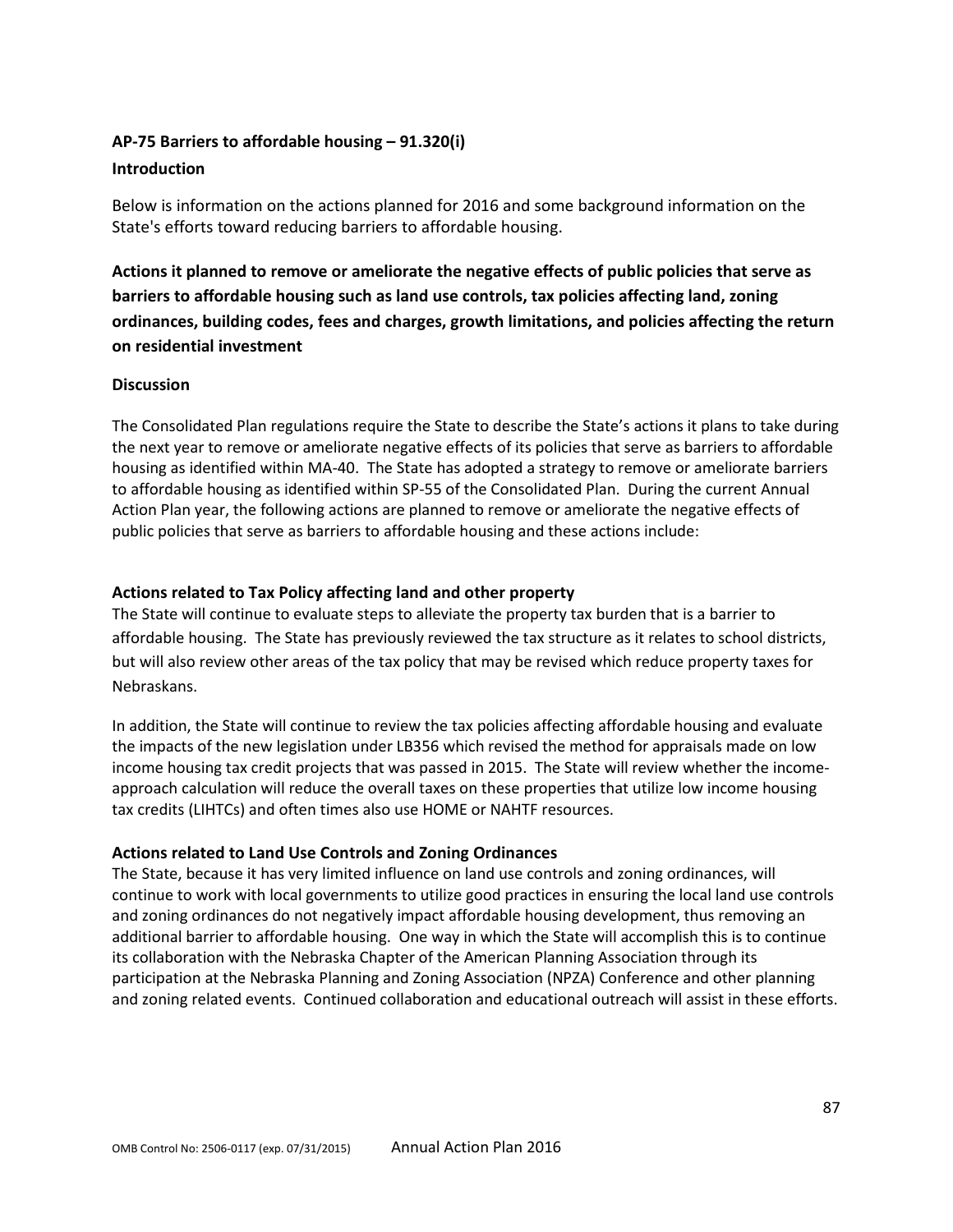### **AP-75 Barriers to affordable housing – 91.320(i)**

#### **Introduction**

Below is information on the actions planned for 2016 and some background information on the State's efforts toward reducing barriers to affordable housing.

**Actions it planned to remove or ameliorate the negative effects of public policies that serve as barriers to affordable housing such as land use controls, tax policies affecting land, zoning ordinances, building codes, fees and charges, growth limitations, and policies affecting the return on residential investment**

#### **Discussion**

The Consolidated Plan regulations require the State to describe the State's actions it plans to take during the next year to remove or ameliorate negative effects of its policies that serve as barriers to affordable housing as identified within MA-40. The State has adopted a strategy to remove or ameliorate barriers to affordable housing as identified within SP-55 of the Consolidated Plan. During the current Annual Action Plan year, the following actions are planned to remove or ameliorate the negative effects of public policies that serve as barriers to affordable housing and these actions include:

#### **Actions related to Tax Policy affecting land and other property**

The State will continue to evaluate steps to alleviate the property tax burden that is a barrier to affordable housing. The State has previously reviewed the tax structure as it relates to school districts, but will also review other areas of the tax policy that may be revised which reduce property taxes for Nebraskans.

In addition, the State will continue to review the tax policies affecting affordable housing and evaluate the impacts of the new legislation under LB356 which revised the method for appraisals made on low income housing tax credit projects that was passed in 2015. The State will review whether the incomeapproach calculation will reduce the overall taxes on these properties that utilize low income housing tax credits (LIHTCs) and often times also use HOME or NAHTF resources.

#### **Actions related to Land Use Controls and Zoning Ordinances**

The State, because it has very limited influence on land use controls and zoning ordinances, will continue to work with local governments to utilize good practices in ensuring the local land use controls and zoning ordinances do not negatively impact affordable housing development, thus removing an additional barrier to affordable housing. One way in which the State will accomplish this is to continue its collaboration with the Nebraska Chapter of the American Planning Association through its participation at the Nebraska Planning and Zoning Association (NPZA) Conference and other planning and zoning related events. Continued collaboration and educational outreach will assist in these efforts.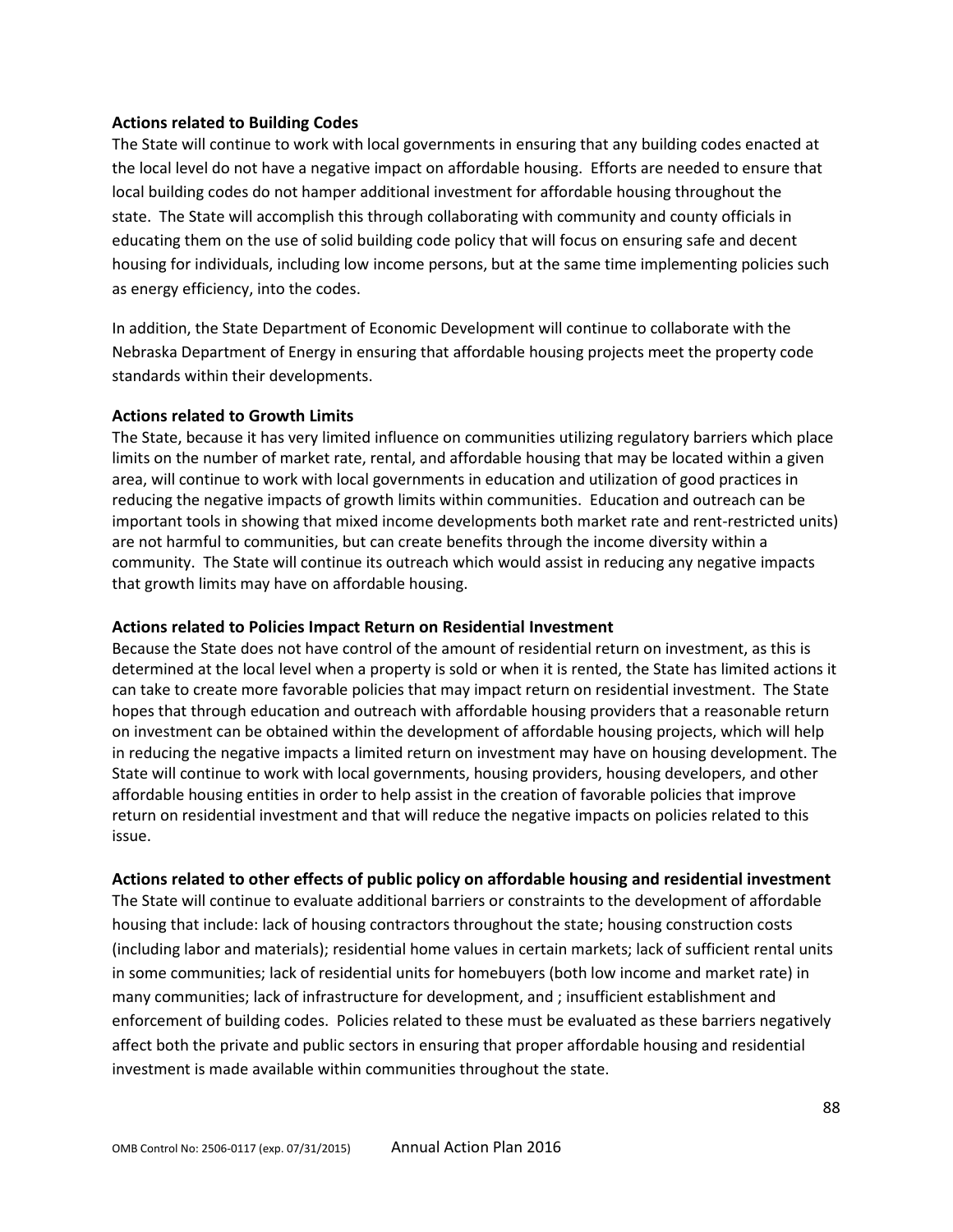#### **Actions related to Building Codes**

The State will continue to work with local governments in ensuring that any building codes enacted at the local level do not have a negative impact on affordable housing. Efforts are needed to ensure that local building codes do not hamper additional investment for affordable housing throughout the state. The State will accomplish this through collaborating with community and county officials in educating them on the use of solid building code policy that will focus on ensuring safe and decent housing for individuals, including low income persons, but at the same time implementing policies such as energy efficiency, into the codes.

In addition, the State Department of Economic Development will continue to collaborate with the Nebraska Department of Energy in ensuring that affordable housing projects meet the property code standards within their developments.

#### **Actions related to Growth Limits**

The State, because it has very limited influence on communities utilizing regulatory barriers which place limits on the number of market rate, rental, and affordable housing that may be located within a given area, will continue to work with local governments in education and utilization of good practices in reducing the negative impacts of growth limits within communities. Education and outreach can be important tools in showing that mixed income developments both market rate and rent-restricted units) are not harmful to communities, but can create benefits through the income diversity within a community. The State will continue its outreach which would assist in reducing any negative impacts that growth limits may have on affordable housing.

#### **Actions related to Policies Impact Return on Residential Investment**

Because the State does not have control of the amount of residential return on investment, as this is determined at the local level when a property is sold or when it is rented, the State has limited actions it can take to create more favorable policies that may impact return on residential investment. The State hopes that through education and outreach with affordable housing providers that a reasonable return on investment can be obtained within the development of affordable housing projects, which will help in reducing the negative impacts a limited return on investment may have on housing development. The State will continue to work with local governments, housing providers, housing developers, and other affordable housing entities in order to help assist in the creation of favorable policies that improve return on residential investment and that will reduce the negative impacts on policies related to this issue.

#### **Actions related to other effects of public policy on affordable housing and residential investment**

The State will continue to evaluate additional barriers or constraints to the development of affordable housing that include: lack of housing contractors throughout the state; housing construction costs (including labor and materials); residential home values in certain markets; lack of sufficient rental units in some communities; lack of residential units for homebuyers (both low income and market rate) in many communities; lack of infrastructure for development, and ; insufficient establishment and enforcement of building codes. Policies related to these must be evaluated as these barriers negatively affect both the private and public sectors in ensuring that proper affordable housing and residential investment is made available within communities throughout the state.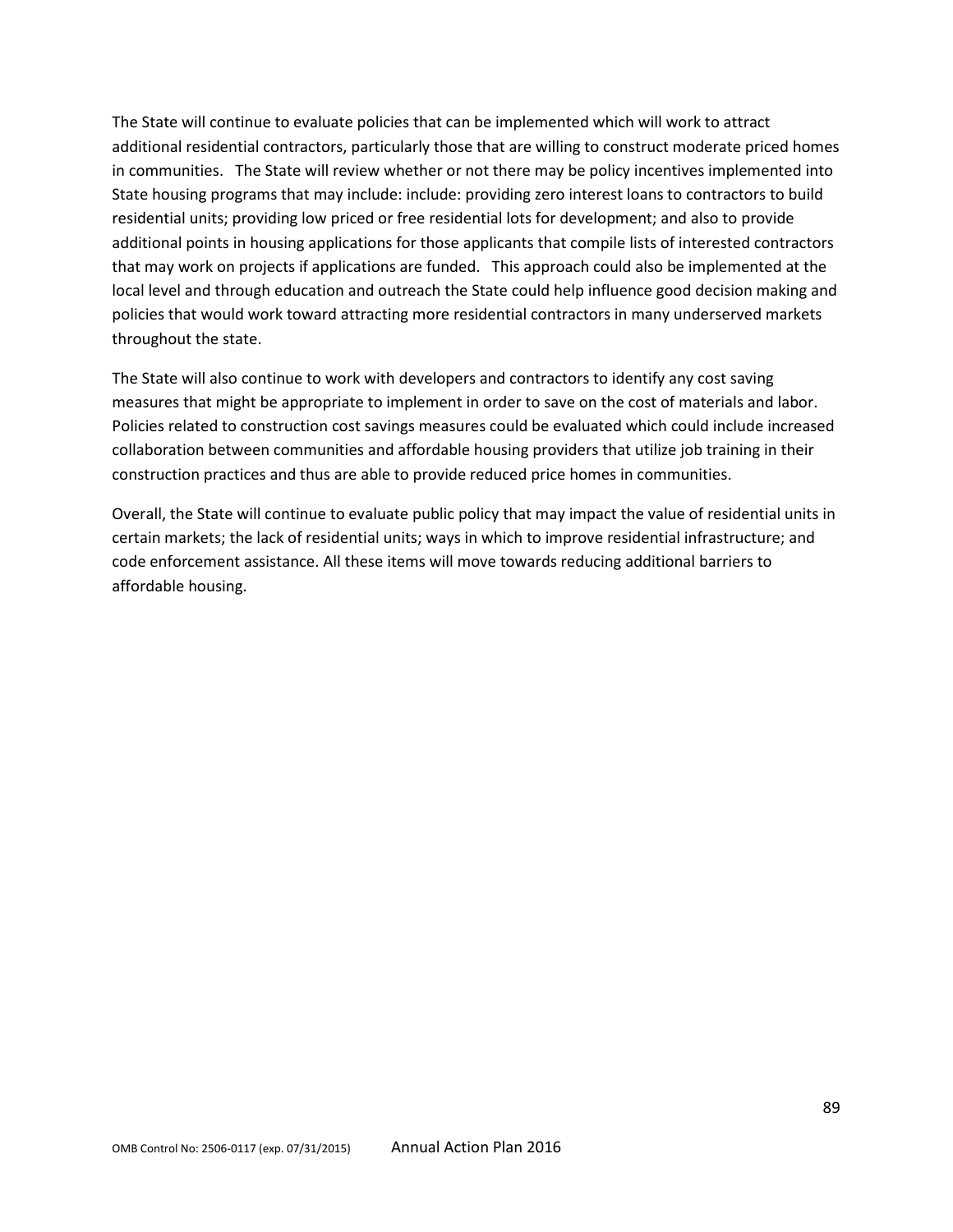The State will continue to evaluate policies that can be implemented which will work to attract additional residential contractors, particularly those that are willing to construct moderate priced homes in communities. The State will review whether or not there may be policy incentives implemented into State housing programs that may include: include: providing zero interest loans to contractors to build residential units; providing low priced or free residential lots for development; and also to provide additional points in housing applications for those applicants that compile lists of interested contractors that may work on projects if applications are funded. This approach could also be implemented at the local level and through education and outreach the State could help influence good decision making and policies that would work toward attracting more residential contractors in many underserved markets throughout the state.

The State will also continue to work with developers and contractors to identify any cost saving measures that might be appropriate to implement in order to save on the cost of materials and labor. Policies related to construction cost savings measures could be evaluated which could include increased collaboration between communities and affordable housing providers that utilize job training in their construction practices and thus are able to provide reduced price homes in communities.

Overall, the State will continue to evaluate public policy that may impact the value of residential units in certain markets; the lack of residential units; ways in which to improve residential infrastructure; and code enforcement assistance. All these items will move towards reducing additional barriers to affordable housing.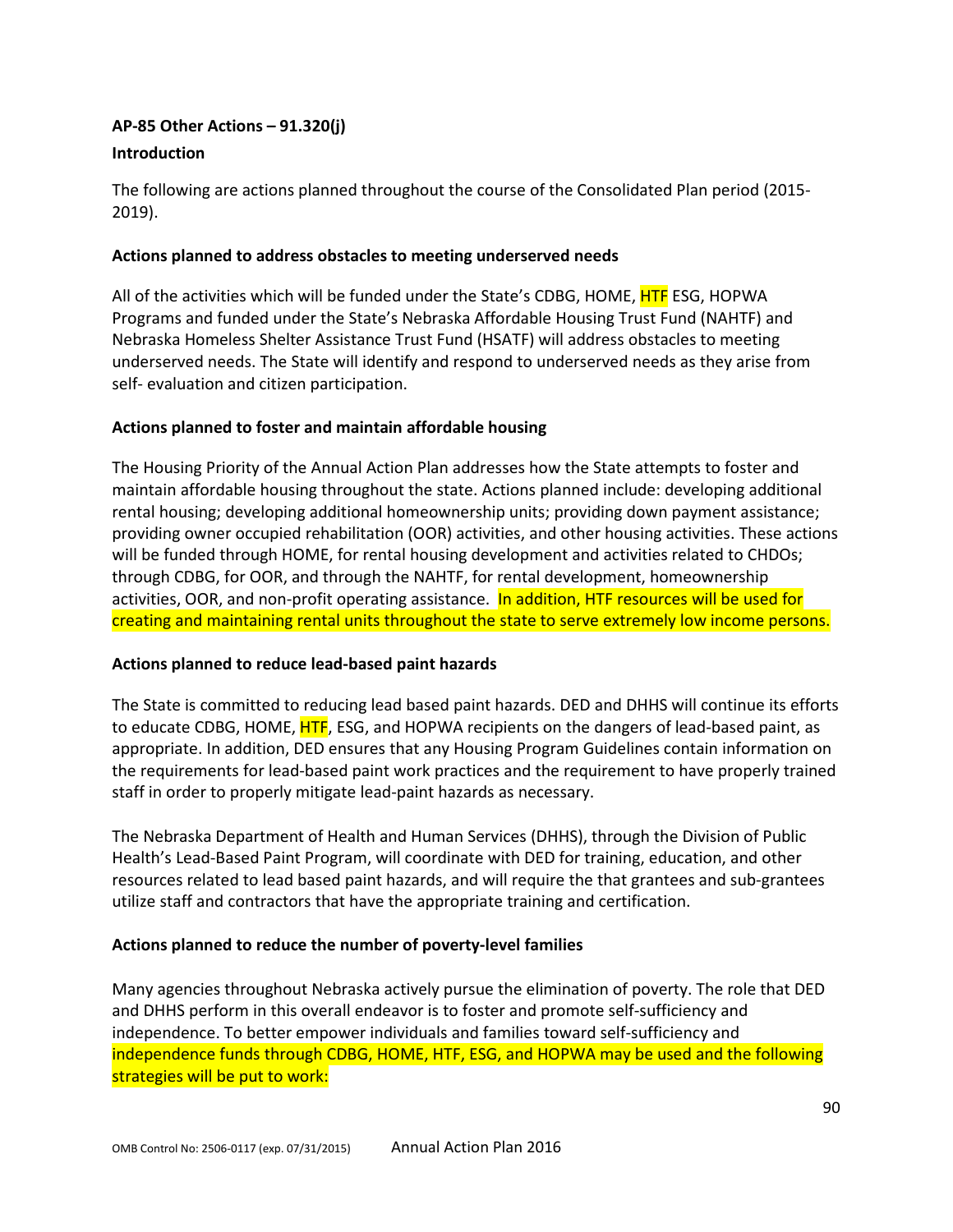### **AP-85 Other Actions – 91.320(j)**

#### **Introduction**

The following are actions planned throughout the course of the Consolidated Plan period (2015- 2019).

### **Actions planned to address obstacles to meeting underserved needs**

All of the activities which will be funded under the State's CDBG, HOME, HTF ESG, HOPWA Programs and funded under the State's Nebraska Affordable Housing Trust Fund (NAHTF) and Nebraska Homeless Shelter Assistance Trust Fund (HSATF) will address obstacles to meeting underserved needs. The State will identify and respond to underserved needs as they arise from self- evaluation and citizen participation.

### **Actions planned to foster and maintain affordable housing**

The Housing Priority of the Annual Action Plan addresses how the State attempts to foster and maintain affordable housing throughout the state. Actions planned include: developing additional rental housing; developing additional homeownership units; providing down payment assistance; providing owner occupied rehabilitation (OOR) activities, and other housing activities. These actions will be funded through HOME, for rental housing development and activities related to CHDOs; through CDBG, for OOR, and through the NAHTF, for rental development, homeownership activities, OOR, and non-profit operating assistance. In addition, HTF resources will be used for creating and maintaining rental units throughout the state to serve extremely low income persons.

### **Actions planned to reduce lead-based paint hazards**

The State is committed to reducing lead based paint hazards. DED and DHHS will continue its efforts to educate CDBG, HOME, HTF, ESG, and HOPWA recipients on the dangers of lead-based paint, as appropriate. In addition, DED ensures that any Housing Program Guidelines contain information on the requirements for lead-based paint work practices and the requirement to have properly trained staff in order to properly mitigate lead-paint hazards as necessary.

The Nebraska Department of Health and Human Services (DHHS), through the Division of Public Health's Lead-Based Paint Program, will coordinate with DED for training, education, and other resources related to lead based paint hazards, and will require the that grantees and sub-grantees utilize staff and contractors that have the appropriate training and certification.

### **Actions planned to reduce the number of poverty-level families**

Many agencies throughout Nebraska actively pursue the elimination of poverty. The role that DED and DHHS perform in this overall endeavor is to foster and promote self-sufficiency and independence. To better empower individuals and families toward self-sufficiency and independence funds through CDBG, HOME, HTF, ESG, and HOPWA may be used and the following strategies will be put to work: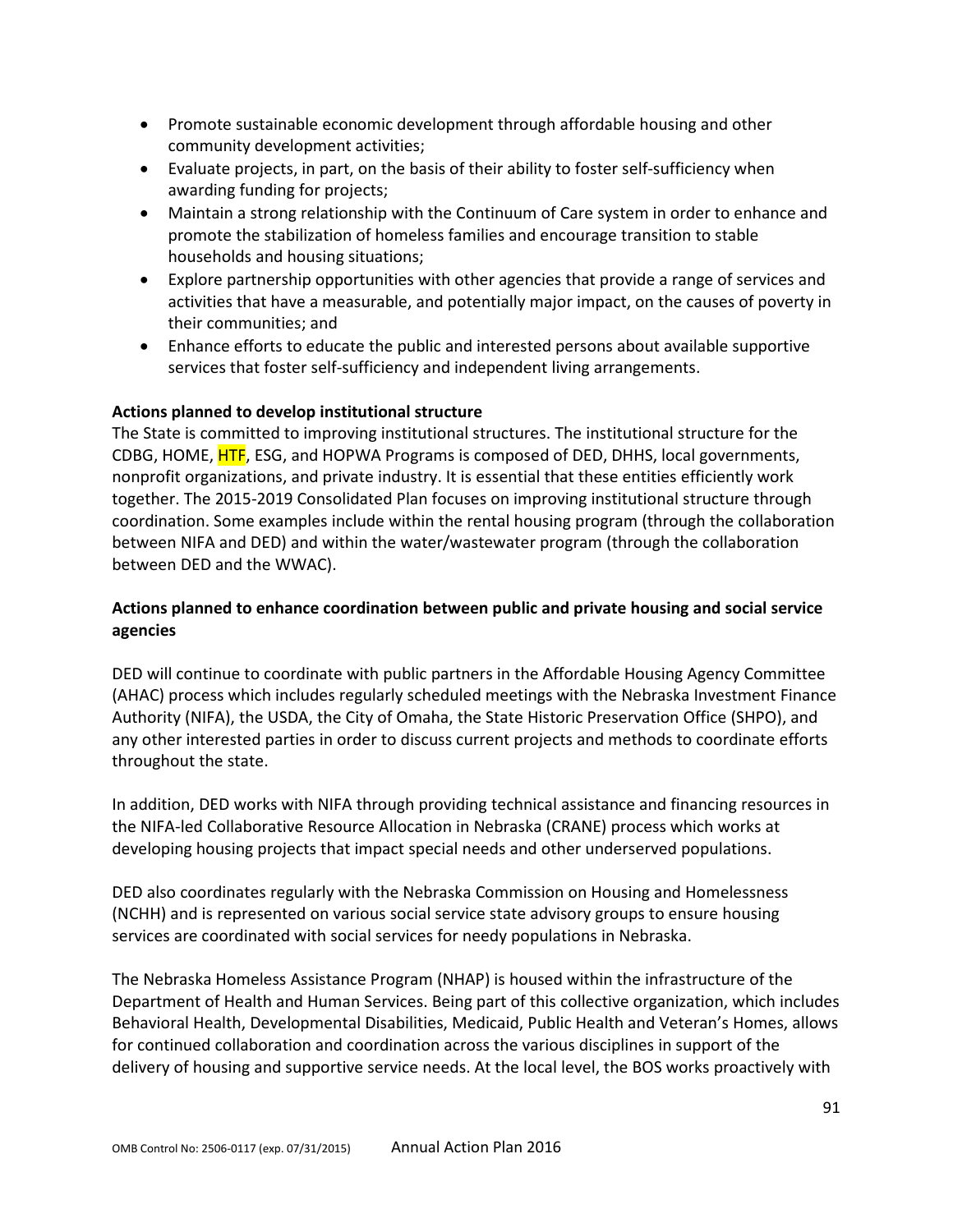- Promote sustainable economic development through affordable housing and other community development activities;
- Evaluate projects, in part, on the basis of their ability to foster self-sufficiency when awarding funding for projects;
- Maintain a strong relationship with the Continuum of Care system in order to enhance and promote the stabilization of homeless families and encourage transition to stable households and housing situations;
- Explore partnership opportunities with other agencies that provide a range of services and activities that have a measurable, and potentially major impact, on the causes of poverty in their communities; and
- Enhance efforts to educate the public and interested persons about available supportive services that foster self-sufficiency and independent living arrangements.

### **Actions planned to develop institutional structure**

The State is committed to improving institutional structures. The institutional structure for the CDBG, HOME, HTF, ESG, and HOPWA Programs is composed of DED, DHHS, local governments, nonprofit organizations, and private industry. It is essential that these entities efficiently work together. The 2015-2019 Consolidated Plan focuses on improving institutional structure through coordination. Some examples include within the rental housing program (through the collaboration between NIFA and DED) and within the water/wastewater program (through the collaboration between DED and the WWAC).

# **Actions planned to enhance coordination between public and private housing and social service agencies**

DED will continue to coordinate with public partners in the Affordable Housing Agency Committee (AHAC) process which includes regularly scheduled meetings with the Nebraska Investment Finance Authority (NIFA), the USDA, the City of Omaha, the State Historic Preservation Office (SHPO), and any other interested parties in order to discuss current projects and methods to coordinate efforts throughout the state.

In addition, DED works with NIFA through providing technical assistance and financing resources in the NIFA-led Collaborative Resource Allocation in Nebraska (CRANE) process which works at developing housing projects that impact special needs and other underserved populations.

DED also coordinates regularly with the Nebraska Commission on Housing and Homelessness (NCHH) and is represented on various social service state advisory groups to ensure housing services are coordinated with social services for needy populations in Nebraska.

The Nebraska Homeless Assistance Program (NHAP) is housed within the infrastructure of the Department of Health and Human Services. Being part of this collective organization, which includes Behavioral Health, Developmental Disabilities, Medicaid, Public Health and Veteran's Homes, allows for continued collaboration and coordination across the various disciplines in support of the delivery of housing and supportive service needs. At the local level, the BOS works proactively with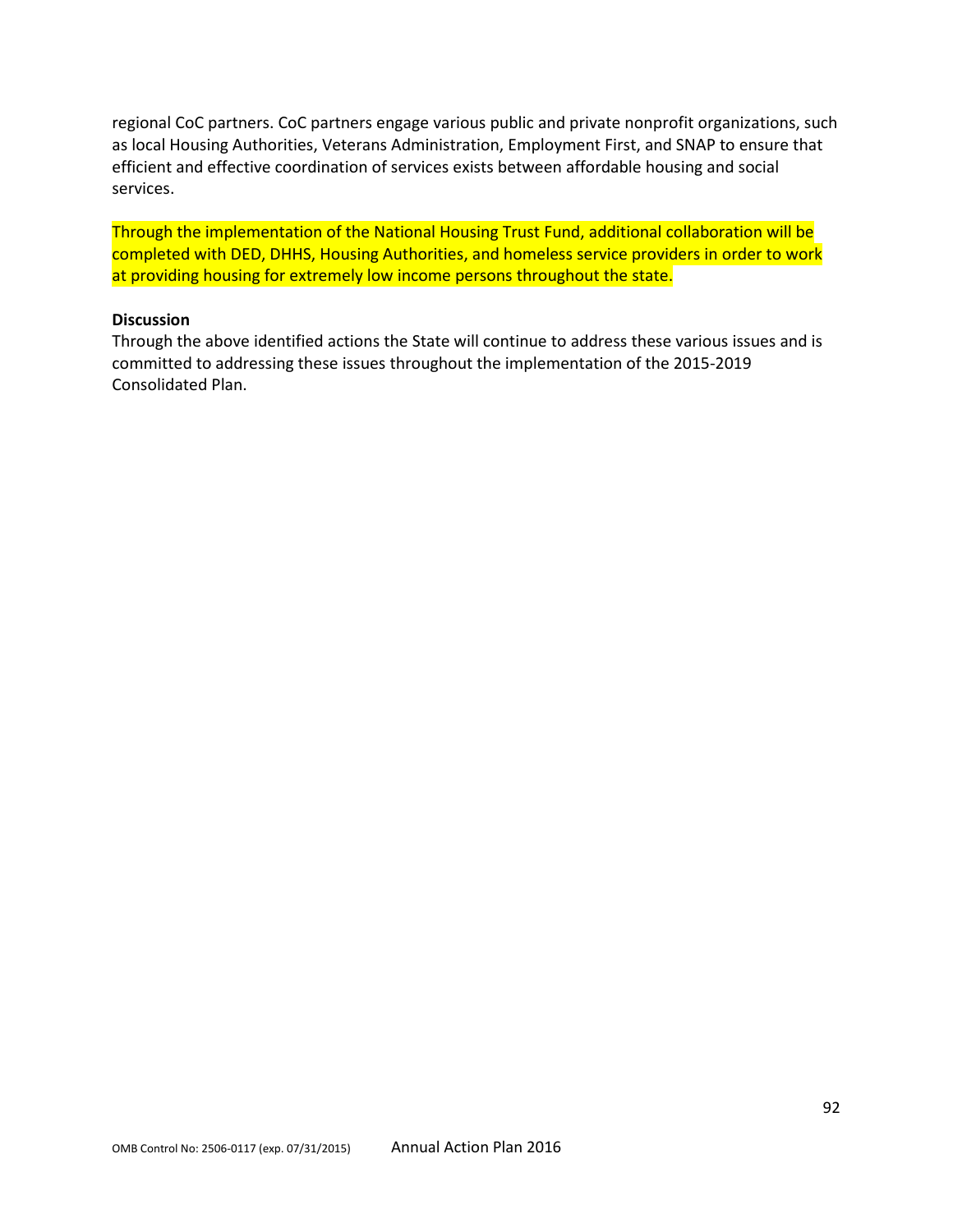regional CoC partners. CoC partners engage various public and private nonprofit organizations, such as local Housing Authorities, Veterans Administration, Employment First, and SNAP to ensure that efficient and effective coordination of services exists between affordable housing and social services.

Through the implementation of the National Housing Trust Fund, additional collaboration will be completed with DED, DHHS, Housing Authorities, and homeless service providers in order to work at providing housing for extremely low income persons throughout the state.

### **Discussion**

Through the above identified actions the State will continue to address these various issues and is committed to addressing these issues throughout the implementation of the 2015-2019 Consolidated Plan.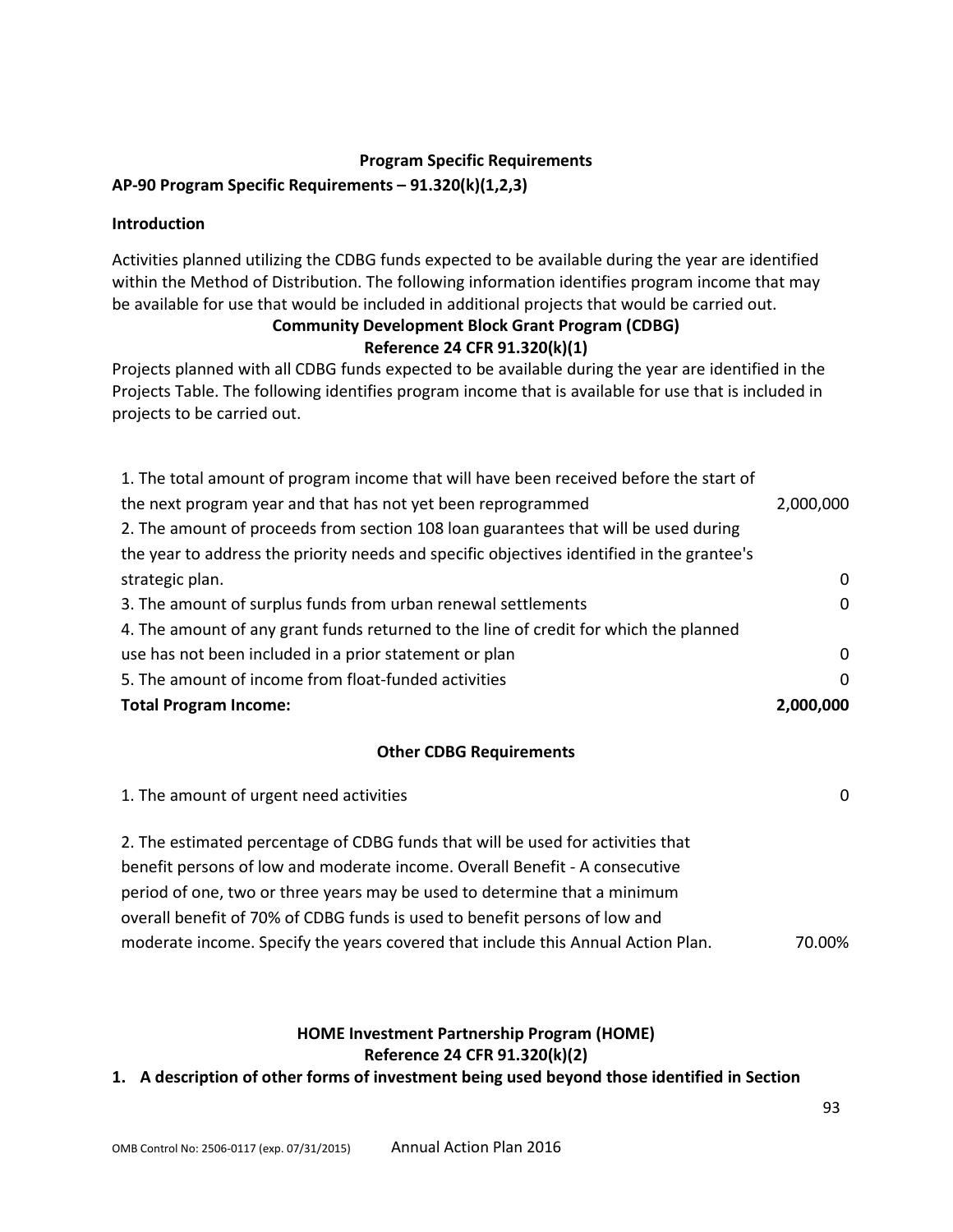### **Program Specific Requirements**

### **AP-90 Program Specific Requirements – 91.320(k)(1,2,3)**

### **Introduction**

Activities planned utilizing the CDBG funds expected to be available during the year are identified within the Method of Distribution. The following information identifies program income that may be available for use that would be included in additional projects that would be carried out.

# **Community Development Block Grant Program (CDBG)**

# **Reference 24 CFR 91.320(k)(1)**

Projects planned with all CDBG funds expected to be available during the year are identified in the Projects Table. The following identifies program income that is available for use that is included in projects to be carried out.

| 1. The total amount of program income that will have been received before the start of     |              |
|--------------------------------------------------------------------------------------------|--------------|
| the next program year and that has not yet been reprogrammed                               | 2,000,000    |
| 2. The amount of proceeds from section 108 loan guarantees that will be used during        |              |
| the year to address the priority needs and specific objectives identified in the grantee's |              |
| strategic plan.                                                                            | $\mathbf{0}$ |
| 3. The amount of surplus funds from urban renewal settlements                              | $\Omega$     |
| 4. The amount of any grant funds returned to the line of credit for which the planned      |              |
| use has not been included in a prior statement or plan                                     | $\Omega$     |
| 5. The amount of income from float-funded activities                                       | $\Omega$     |
| <b>Total Program Income:</b>                                                               | 2,000,000    |

#### **Other CDBG Requirements**

| 1. The amount of urgent need activities                                          |        |
|----------------------------------------------------------------------------------|--------|
| 2. The estimated percentage of CDBG funds that will be used for activities that  |        |
| benefit persons of low and moderate income. Overall Benefit - A consecutive      |        |
| period of one, two or three years may be used to determine that a minimum        |        |
| overall benefit of 70% of CDBG funds is used to benefit persons of low and       |        |
| moderate income. Specify the years covered that include this Annual Action Plan. | 70.00% |

# **HOME Investment Partnership Program (HOME) Reference 24 CFR 91.320(k)(2)**

**1. A description of other forms of investment being used beyond those identified in Section**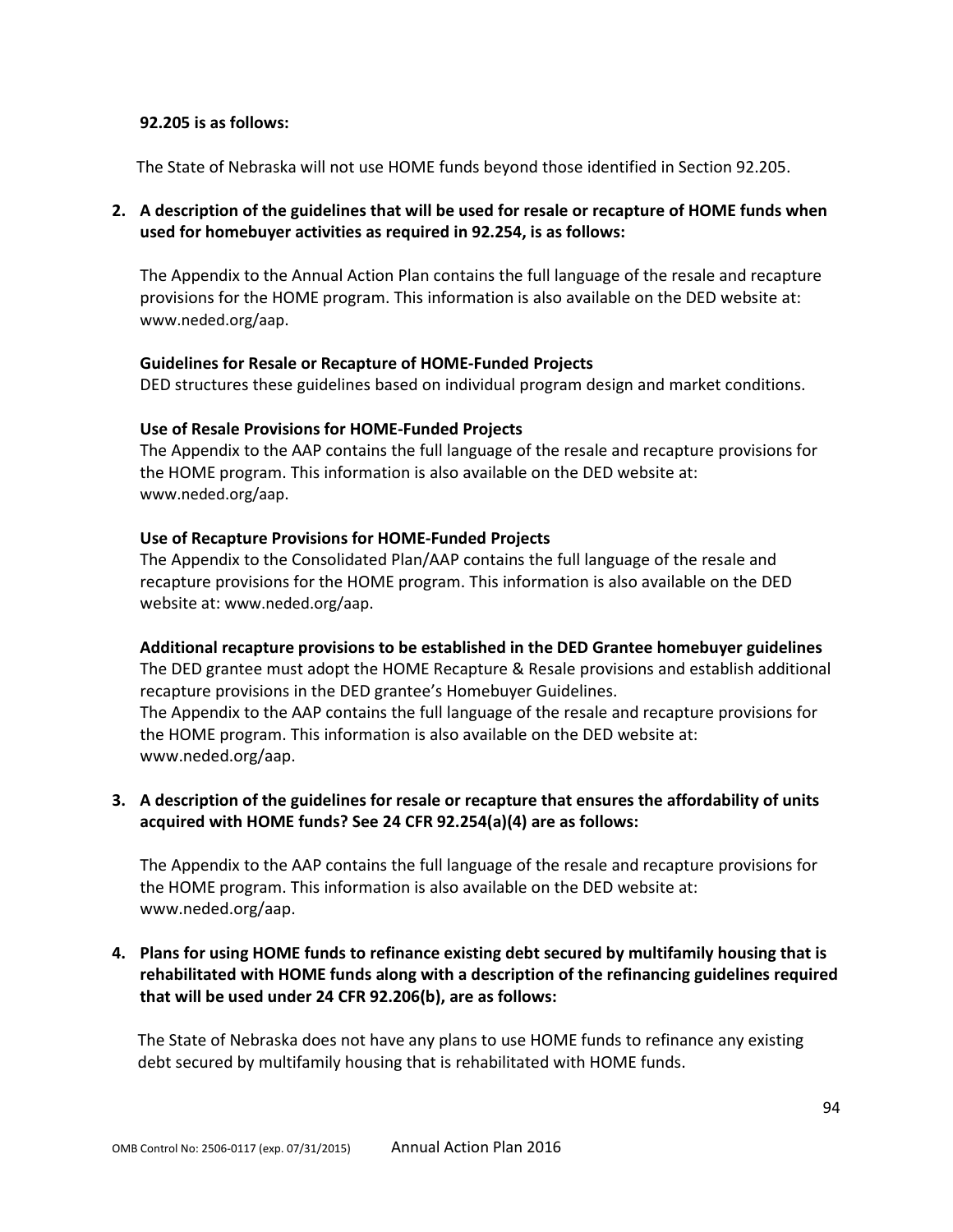#### **92.205 is as follows:**

The State of Nebraska will not use HOME funds beyond those identified in Section 92.205.

## **2. A description of the guidelines that will be used for resale or recapture of HOME funds when used for homebuyer activities as required in 92.254, is as follows:**

The Appendix to the Annual Action Plan contains the full language of the resale and recapture provisions for the HOME program. This information is also available on the DED website at: www.neded.org/aap.

#### **Guidelines for Resale or Recapture of HOME-Funded Projects**

DED structures these guidelines based on individual program design and market conditions.

#### **Use of Resale Provisions for HOME-Funded Projects**

The Appendix to the AAP contains the full language of the resale and recapture provisions for the HOME program. This information is also available on the DED website at: www.neded.org/aap.

#### **Use of Recapture Provisions for HOME-Funded Projects**

The Appendix to the Consolidated Plan/AAP contains the full language of the resale and recapture provisions for the HOME program. This information is also available on the DED website at: www.neded.org/aap.

#### **Additional recapture provisions to be established in the DED Grantee homebuyer guidelines**

The DED grantee must adopt the HOME Recapture & Resale provisions and establish additional recapture provisions in the DED grantee's Homebuyer Guidelines. The Appendix to the AAP contains the full language of the resale and recapture provisions for the HOME program. This information is also available on the DED website at: www.neded.org/aap.

### **3. A description of the guidelines for resale or recapture that ensures the affordability of units acquired with HOME funds? See 24 CFR 92.254(a)(4) are as follows:**

The Appendix to the AAP contains the full language of the resale and recapture provisions for the HOME program. This information is also available on the DED website at: www.neded.org/aap.

### **4. Plans for using HOME funds to refinance existing debt secured by multifamily housing that is rehabilitated with HOME funds along with a description of the refinancing guidelines required that will be used under 24 CFR 92.206(b), are as follows:**

The State of Nebraska does not have any plans to use HOME funds to refinance any existing debt secured by multifamily housing that is rehabilitated with HOME funds.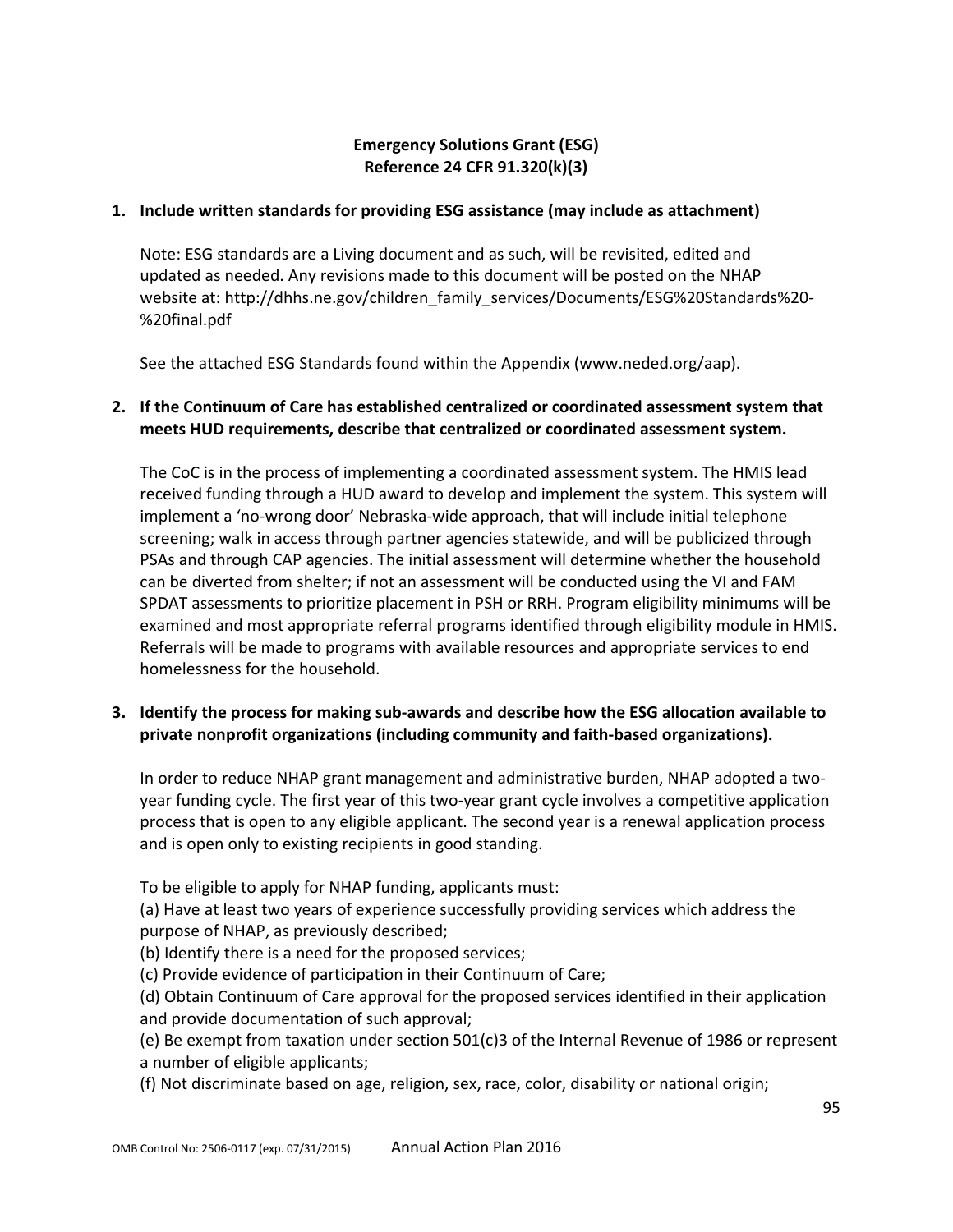# **Emergency Solutions Grant (ESG) Reference 24 CFR 91.320(k)(3)**

### **1. Include written standards for providing ESG assistance (may include as attachment)**

Note: ESG standards are a Living document and as such, will be revisited, edited and updated as needed. Any revisions made to this document will be posted on the NHAP website at: http://dhhs.ne.gov/children\_family\_services/Documents/ESG%20Standards%20-%20final.pdf

See the attached ESG Standards found within the Appendix (www.neded.org/aap).

### **2. If the Continuum of Care has established centralized or coordinated assessment system that meets HUD requirements, describe that centralized or coordinated assessment system.**

The CoC is in the process of implementing a coordinated assessment system. The HMIS lead received funding through a HUD award to develop and implement the system. This system will implement a 'no-wrong door' Nebraska-wide approach, that will include initial telephone screening; walk in access through partner agencies statewide, and will be publicized through PSAs and through CAP agencies. The initial assessment will determine whether the household can be diverted from shelter; if not an assessment will be conducted using the VI and FAM SPDAT assessments to prioritize placement in PSH or RRH. Program eligibility minimums will be examined and most appropriate referral programs identified through eligibility module in HMIS. Referrals will be made to programs with available resources and appropriate services to end homelessness for the household.

# **3. Identify the process for making sub-awards and describe how the ESG allocation available to private nonprofit organizations (including community and faith-based organizations).**

In order to reduce NHAP grant management and administrative burden, NHAP adopted a twoyear funding cycle. The first year of this two-year grant cycle involves a competitive application process that is open to any eligible applicant. The second year is a renewal application process and is open only to existing recipients in good standing.

To be eligible to apply for NHAP funding, applicants must:

(a) Have at least two years of experience successfully providing services which address the purpose of NHAP, as previously described;

(b) Identify there is a need for the proposed services;

(c) Provide evidence of participation in their Continuum of Care;

(d) Obtain Continuum of Care approval for the proposed services identified in their application and provide documentation of such approval;

(e) Be exempt from taxation under section 501(c)3 of the Internal Revenue of 1986 or represent a number of eligible applicants;

(f) Not discriminate based on age, religion, sex, race, color, disability or national origin;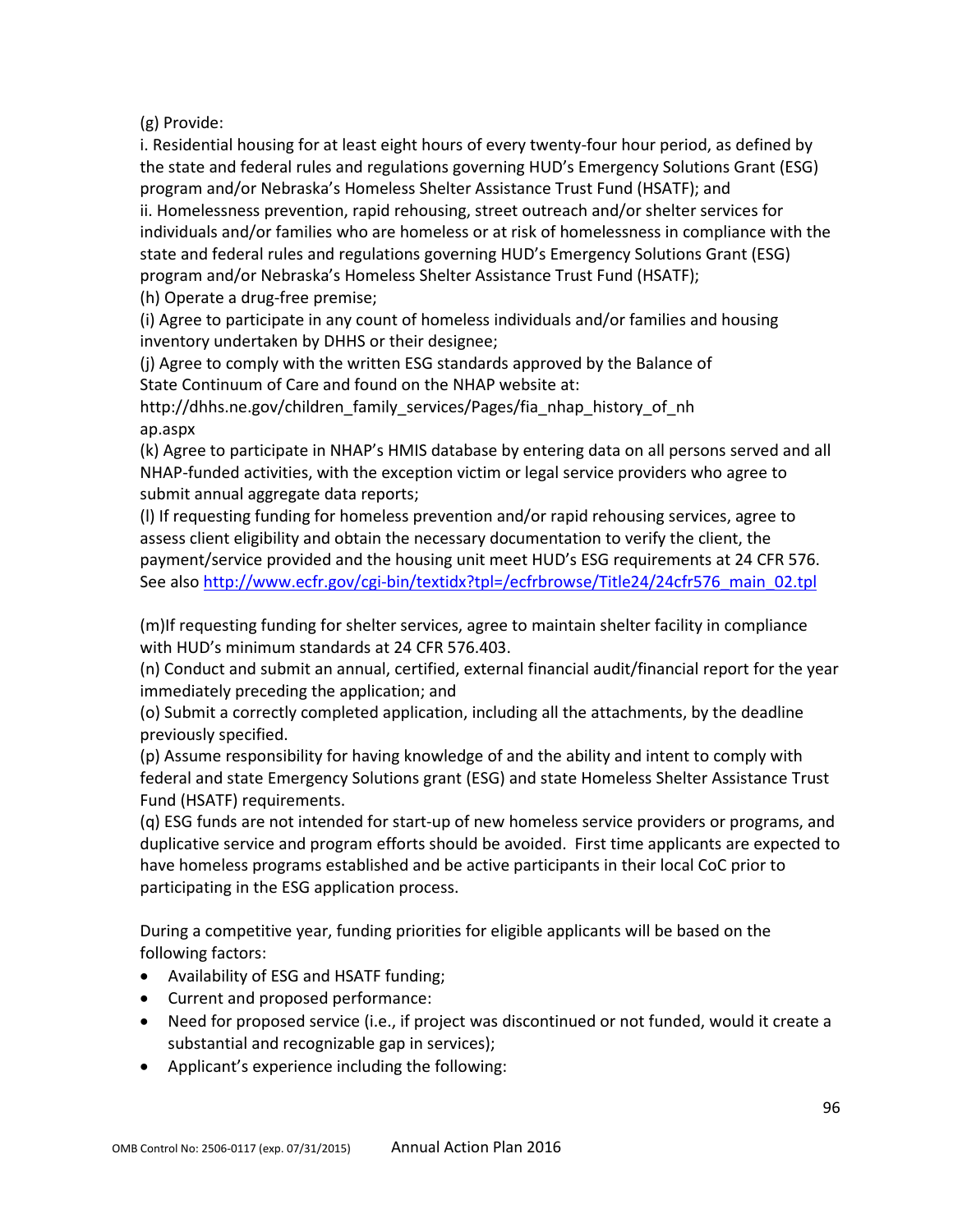(g) Provide:

i. Residential housing for at least eight hours of every twenty-four hour period, as defined by the state and federal rules and regulations governing HUD's Emergency Solutions Grant (ESG) program and/or Nebraska's Homeless Shelter Assistance Trust Fund (HSATF); and ii. Homelessness prevention, rapid rehousing, street outreach and/or shelter services for individuals and/or families who are homeless or at risk of homelessness in compliance with the state and federal rules and regulations governing HUD's Emergency Solutions Grant (ESG) program and/or Nebraska's Homeless Shelter Assistance Trust Fund (HSATF);

(h) Operate a drug-free premise;

(i) Agree to participate in any count of homeless individuals and/or families and housing inventory undertaken by DHHS or their designee;

(j) Agree to comply with the written ESG standards approved by the Balance of State Continuum of Care and found on the NHAP website at:

http://dhhs.ne.gov/children\_family\_services/Pages/fia\_nhap\_history\_of\_nh ap.aspx

(k) Agree to participate in NHAP's HMIS database by entering data on all persons served and all NHAP-funded activities, with the exception victim or legal service providers who agree to submit annual aggregate data reports;

(l) If requesting funding for homeless prevention and/or rapid rehousing services, agree to assess client eligibility and obtain the necessary documentation to verify the client, the payment/service provided and the housing unit meet HUD's ESG requirements at 24 CFR 576. See als[o http://www.ecfr.gov/cgi-bin/textidx?tpl=/ecfrbrowse/Title24/24cfr576\\_main\\_02.tpl](http://www.ecfr.gov/cgi%E2%80%90bin/textidx?tpl=/ecfrbrowse/Title24/24cfr576_main_02.tpl)

(m)If requesting funding for shelter services, agree to maintain shelter facility in compliance with HUD's minimum standards at 24 CFR 576.403.

(n) Conduct and submit an annual, certified, external financial audit/financial report for the year immediately preceding the application; and

(o) Submit a correctly completed application, including all the attachments, by the deadline previously specified.

(p) Assume responsibility for having knowledge of and the ability and intent to comply with federal and state Emergency Solutions grant (ESG) and state Homeless Shelter Assistance Trust Fund (HSATF) requirements.

(q) ESG funds are not intended for start-up of new homeless service providers or programs, and duplicative service and program efforts should be avoided. First time applicants are expected to have homeless programs established and be active participants in their local CoC prior to participating in the ESG application process.

During a competitive year, funding priorities for eligible applicants will be based on the following factors:

- Availability of ESG and HSATF funding;
- Current and proposed performance:
- Need for proposed service (i.e., if project was discontinued or not funded, would it create a substantial and recognizable gap in services);
- Applicant's experience including the following: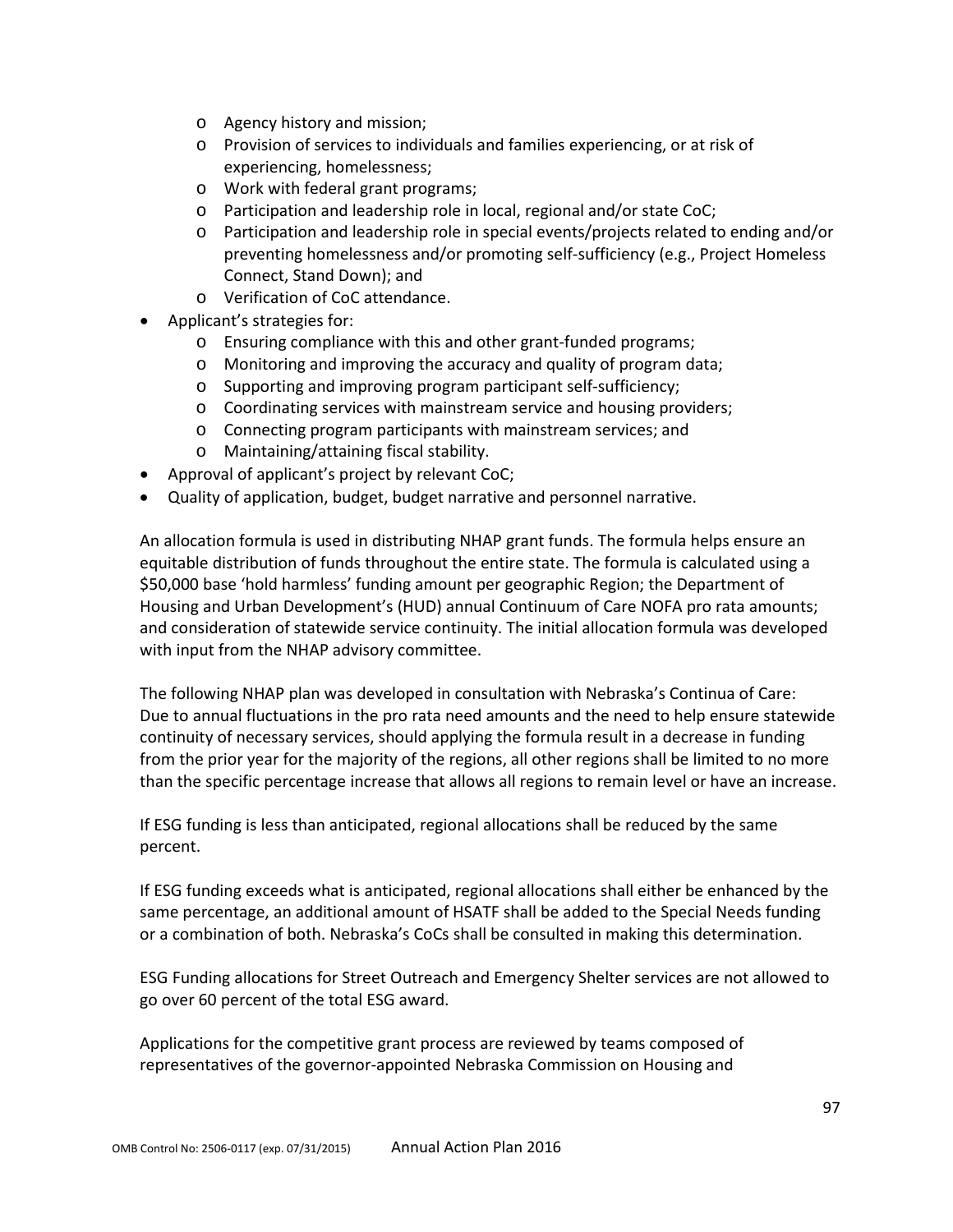- o Agency history and mission;
- o Provision of services to individuals and families experiencing, or at risk of experiencing, homelessness;
- o Work with federal grant programs;
- o Participation and leadership role in local, regional and/or state CoC;
- o Participation and leadership role in special events/projects related to ending and/or preventing homelessness and/or promoting self-sufficiency (e.g., Project Homeless Connect, Stand Down); and
- o Verification of CoC attendance.
- Applicant's strategies for:
	- o Ensuring compliance with this and other grant-funded programs;
	- o Monitoring and improving the accuracy and quality of program data;
	- o Supporting and improving program participant self-sufficiency;
	- o Coordinating services with mainstream service and housing providers;
	- o Connecting program participants with mainstream services; and
	- o Maintaining/attaining fiscal stability.
- Approval of applicant's project by relevant CoC;
- Quality of application, budget, budget narrative and personnel narrative.

An allocation formula is used in distributing NHAP grant funds. The formula helps ensure an equitable distribution of funds throughout the entire state. The formula is calculated using a \$50,000 base 'hold harmless' funding amount per geographic Region; the Department of Housing and Urban Development's (HUD) annual Continuum of Care NOFA pro rata amounts; and consideration of statewide service continuity. The initial allocation formula was developed with input from the NHAP advisory committee.

The following NHAP plan was developed in consultation with Nebraska's Continua of Care: Due to annual fluctuations in the pro rata need amounts and the need to help ensure statewide continuity of necessary services, should applying the formula result in a decrease in funding from the prior year for the majority of the regions, all other regions shall be limited to no more than the specific percentage increase that allows all regions to remain level or have an increase.

If ESG funding is less than anticipated, regional allocations shall be reduced by the same percent.

If ESG funding exceeds what is anticipated, regional allocations shall either be enhanced by the same percentage, an additional amount of HSATF shall be added to the Special Needs funding or a combination of both. Nebraska's CoCs shall be consulted in making this determination.

ESG Funding allocations for Street Outreach and Emergency Shelter services are not allowed to go over 60 percent of the total ESG award.

Applications for the competitive grant process are reviewed by teams composed of representatives of the governor-appointed Nebraska Commission on Housing and